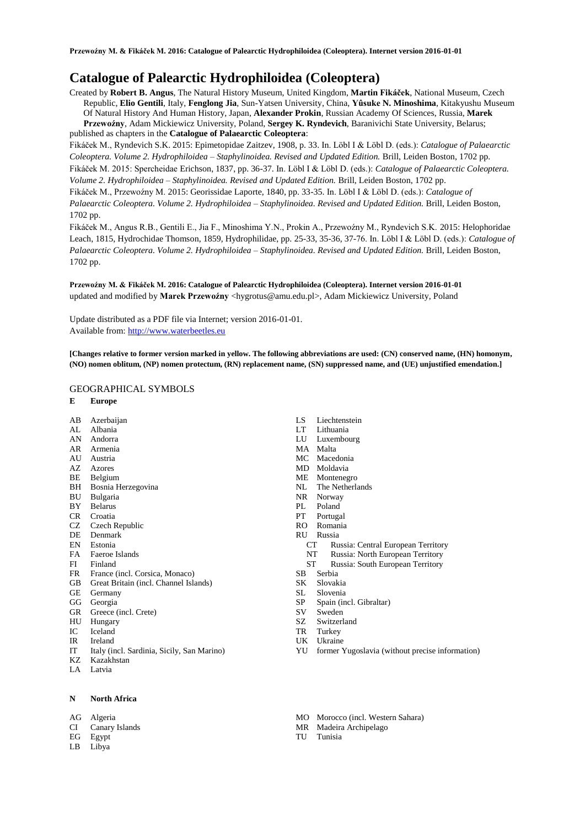# **Catalogue of Palearctic Hydrophiloidea (Coleoptera)**

Created by **Robert B. Angus**, The Natural History Museum, United Kingdom, **Martin Fikáček**, National Museum, Czech Republic, **Elio Gentili**, Italy, **Fenglong Jia**, Sun-Yatsen University, China, **Yûsuke N. Minoshima**, Kitakyushu Museum Of Natural History And Human History, Japan, **Alexander Prokin**, Russian Academy Of Sciences, Russia, **Marek Przewoźny**, Adam Mickiewicz University, Poland, **Sergey K. Ryndevich**, Baranivichi State University, Belarus; published as chapters in the **Catalogue of Palaearctic Coleoptera**:

Fikáček M., Ryndevich S.K. 2015: Epimetopidae Zaitzev, 1908, p. 33. In. Löbl I & Löbl D. (eds.): *Catalogue of Palaearctic Coleoptera. Volume 2. Hydrophiloidea – Staphylinoidea. Revised and Updated Edition.* Brill, Leiden Boston, 1702 pp. Fikáček M. 2015: Spercheidae Erichson, 1837, pp. 36-37. In. Löbl I & Löbl D. (eds.): *Catalogue of Palaearctic Coleoptera. Volume 2. Hydrophiloidea – Staphylinoidea. Revised and Updated Edition.* Brill, Leiden Boston, 1702 pp.

Fikáček M., Przewoźny M. 2015: Georissidae Laporte, 1840, pp. 33-35. In. Löbl I & Löbl D. (eds.): *Catalogue of Palaearctic Coleoptera. Volume 2. Hydrophiloidea – Staphylinoidea. Revised and Updated Edition.* Brill, Leiden Boston, 1702 pp.

Fikáček M., Angus R.B., Gentili E., Jia F., Minoshima Y.N., Prokin A., Przewoźny M., Ryndevich S.K. 2015: Helophoridae Leach, 1815, Hydrochidae Thomson, 1859, Hydrophilidae, pp. 25-33, 35-36, 37-76. In. Löbl I & Löbl D. (eds.): *Catalogue of Palaearctic Coleoptera. Volume 2. Hydrophiloidea – Staphylinoidea. Revised and Updated Edition.* Brill, Leiden Boston, 1702 pp.

**Przewoźny M. & Fikáček M. 2016: Catalogue of Palearctic Hydrophiloidea (Coleoptera). Internet version 2016-01-01** updated and modified by Marek Przewoźny <hygrotus@amu.edu.pl>, Adam Mickiewicz University, Poland

Update distributed as a PDF file via Internet; version 2016-01-01. Available from: [http://www.waterbeetles.eu](http://www.waterbeetles.eu/)

**[Changes relative to former version marked in yellow. The following abbreviations are used: (CN) conserved name, (HN) homonym, (NO) nomen oblitum, (NP) nomen protectum, (RN) replacement name, (SN) suppressed name, and (UE) unjustified emendation.]** 

# GEOGRAPHICAL SYMBOLS

## **E Europe**

- AB Azerbaijan
- AL Albania
- AN Andorra
- AR Armenia
- AU Austria
- AZ Azores BE Belgium
- BH Bosnia Herzegovina
- BU Bulgaria
- BY Belarus
- CR Croatia
- CZ Czech Republic
- DE Denmark
- EN Estonia
- FA Faeroe Islands
- FI Finland
- FR France (incl. Corsica, Monaco)
- GB Great Britain (incl. Channel Islands)
- GE Germany
- GG Georgia
- GR Greece (incl. Crete)
- HU Hungary
- IC Iceland
- IR Ireland
- IT Italy (incl. Sardinia, Sicily, San Marino) KZ Kazakhstan
- LA Latvia
- 

### **N North Africa**

- AG Algeria
- CI Canary Islands
- EG Egypt
- LB Libya
- LS Liechtenstein
- LT Lithuania
- Luxembourg
- MA Malta<br>MC Mace
- Macedonia
- MD Moldavia
- ME Montenegro
- NL The Netherlands
- NR Norway
- PL Poland
- PT Portugal
- RO Romania
- RU Russia
	- CT Russia: Central European Territory
	- NT Russia: North European Territory
	- ST Russia: South European Territory
- SB Serbia
- SK Slovakia
- SL Slovenia
- SP Spain (incl. Gibraltar)
- SV Sweden
- SZ Switzerland
- TR Turkey
- UK Ukraine
- YU former Yugoslavia (without precise information)
- MO Morocco (incl. Western Sahara)
- MR Madeira Archipelago
- TU Tunisia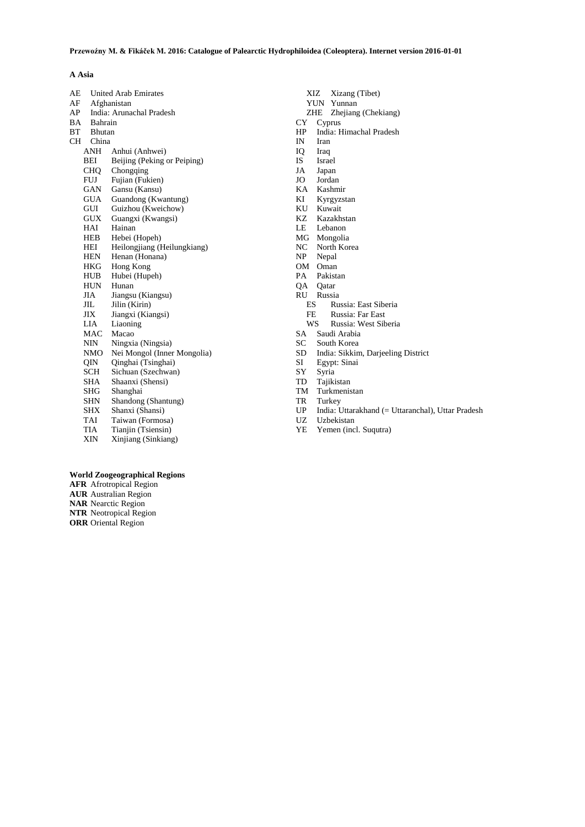# **A Asia**

| AE        |                          | <b>United Arab Emirates</b> |
|-----------|--------------------------|-----------------------------|
| AF        | Afghanistan              |                             |
| AP        | India: Arunachal Pradesh |                             |
| ΒA        | Bahrain                  |                             |
| ВT        | <b>Bhutan</b>            |                             |
| <b>CH</b> | China                    |                             |
|           | ANH                      | Anhui (Anhwei)              |
|           | BEI                      | Beijing (Peking or Peiping) |
|           | <b>CHO</b>               | Chongqing                   |
|           | <b>FUJ</b>               | Fujian (Fukien)             |
|           | GAN                      | Gansu (Kansu)               |
|           | <b>GUA</b>               | Guandong (Kwantung)         |
|           | GUI                      | Guizhou (Kweichow)          |
|           | GUX                      | Guangxi (Kwangsi)           |
|           | HAI                      | Hainan                      |
|           | HEB                      | Hebei (Hopeh)               |
|           | HEI                      | Heilongjiang (Heilungkiang) |
|           | <b>HEN</b>               | Henan (Honana)              |
|           | HKG                      | Hong Kong                   |
|           | HUB                      | Hubei (Hupeh)               |
|           | <b>HUN</b>               | Hunan                       |
|           | JIA                      | Jiangsu (Kiangsu)           |
|           | JIL                      | Jilin (Kirin)               |
|           | <b>JIX</b>               | Jiangxi (Kiangsi)           |
|           | LIA                      | Liaoning                    |
|           | <b>MAC</b>               | Macao                       |
|           | NIN                      | Ningxia (Ningsia)           |
|           | NMO                      | Nei Mongol (Inner Mongolia) |
|           | 0IN                      | Qinghai (Tsinghai)          |
|           | <b>SCH</b>               | Sichuan (Szechwan)          |
|           | SHA                      | Shaanxi (Shensi)            |
|           | SHG                      | Shanghai                    |
|           | SHN                      | Shandong (Shantung)         |
|           | SHX                      | Shanxi (Shansi)             |
|           | TAI                      | Taiwan (Formosa)            |
|           | TIA                      | Tianjin (Tsiensin)          |
|           | XIN                      | Xinjiang (Sinkiang)         |

- XIZ Xizang (Tibet)
- YUN Yunnan
- ZHE Zhejiang (Chekiang)
- CY Cyprus
- HP India: Himachal Pradesh
- Iran
- IQ Iraq
- **Israel**
- JA Japan
- Jordan
- KA Kashmir
- Kyrgyzstan
- KU Kuwait<br>KZ Kazakh Kazakhstan
- LE Lebanon
- 
- MG Mongolia<br>NC North Kor
- NC North Korea<br>NP Nepal Nepal
- 
- OM Oman<br>PA Pakist Pakistan
- QA Qatar
- RU Russia
- 
- ES Russia: East Siberia
- FE Russia: Far East
- WS Russia: West Siberia
- SA Saudi Arabia
- SC South Korea<br>SD India: Sikkin
- SD India: Sikkim, Darjeeling District
- SI Egypt: Sinai
- SY Syria<br>TD Tajiki
- TD Tajikistan<br>TM Turkmenis
- TM Turkmenistan<br>TR Turkey Turkey
- 
- UP India: Uttarakhand (= Uttaranchal), Uttar Pradesh
- **Uzbekistan**
- YE Yemen (incl. Suqutra)

# **World Zoogeographical Regions**

**AFR** Afrotropical Region **AUR** Australian Region **NAR** Nearctic Region **NTR** Neotropical Region **ORR** Oriental Region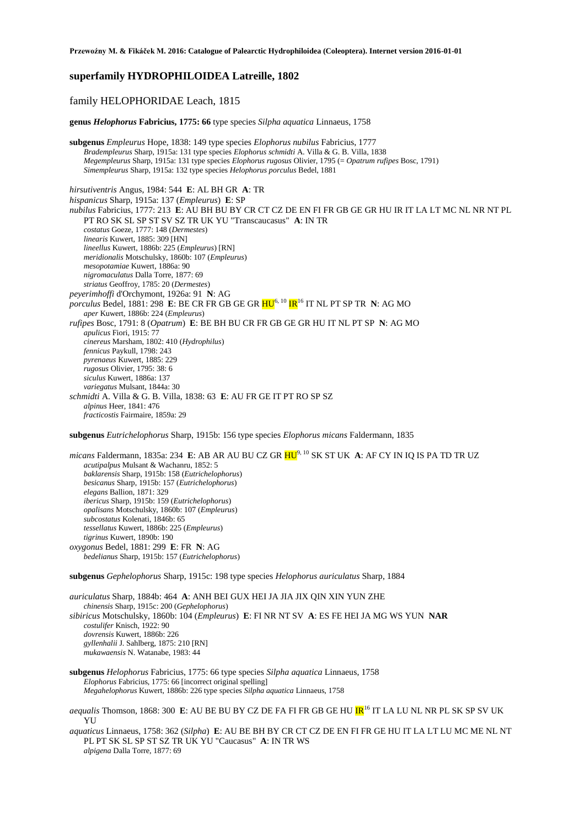# **superfamily HYDROPHILOIDEA Latreille, 1802**

# family HELOPHORIDAE Leach, 1815

**genus** *Helophorus* **Fabricius, 1775: 66** type species *Silpha aquatica* Linnaeus, 1758

**subgenus** *Empleurus* Hope, 1838: 149 type species *Elophorus nubilus* Fabricius, 1777 *Bradempleurus* Sharp, 1915a: 131 type species *Elophorus schmidti* A. Villa & G. B. Villa, 1838 *Megempleurus* Sharp, 1915a: 131 type species *Elophorus rugosus* Olivier, 1795 (= *Opatrum rufipes* Bosc, 1791) *Simempleurus* Sharp, 1915a: 132 type species *Helophorus porculus* Bedel, 1881

*hirsutiventris* Angus, 1984: 544 **E**: AL BH GR **A**: TR *hispanicus* Sharp, 1915a: 137 (*Empleurus*) **E**: SP *nubilus* Fabricius, 1777: 213 **E**: AU BH BU BY CR CT CZ DE EN FI FR GB GE GR HU IR IT LA LT MC NL NR NT PL PT RO SK SL SP ST SV SZ TR UK YU "Transcaucasus" **A**: IN TR *costatus* Goeze, 1777: 148 (*Dermestes*) *linearis* Kuwert, 1885: 309 [HN] *lineellus* Kuwert, 1886b: 225 (*Empleurus*) [RN] *meridionalis* Motschulsky, 1860b: 107 (*Empleurus*) *mesopotamiae* Kuwert, 1886a: 90 *nigromaculatus* Dalla Torre, 1877: 69 *striatus* Geoffroy, 1785: 20 (*Dermestes*) *peyerimhoffi* d'Orchymont, 1926a: 91 **N**: AG *porculus* Bedel, 1881: 298 **E**: BE CR FR GB GE GR HU6, <sup>10</sup> IR<sup>16</sup> IT NL PT SP TR **N**: AG MO *aper* Kuwert, 1886b: 224 (*Empleurus*) *rufipes* Bosc, 1791: 8 (*Opatrum*) **E**: BE BH BU CR FR GB GE GR HU IT NL PT SP **N**: AG MO *apulicus* Fiori, 1915: 77 *cinereus* Marsham, 1802: 410 (*Hydrophilus*) *fennicus* Paykull, 1798: 243 *pyrenaeus* Kuwert, 1885: 229 *rugosus* Olivier, 1795: 38: 6 *siculus* Kuwert, 1886a: 137 *variegatus* Mulsant, 1844a: 30 *schmidti* A. Villa & G. B. Villa, 1838: 63 **E**: AU FR GE IT PT RO SP SZ *alpinus* Heer, 1841: 476 *fracticostis* Fairmaire, 1859a: 29

**subgenus** *Eutrichelophorus* Sharp, 1915b: 156 type species *Elophorus micans* Faldermann, 1835

*micans* Faldermann, 1835a: 234 **E**: AB AR AU BU CZ GR HU9, 10 SK ST UK **A**: AF CY IN IQ IS PA TD TR UZ *acutipalpus* Mulsant & Wachanru, 1852: 5 *baklarensis* Sharp, 1915b: 158 (*Eutrichelophorus*) *besicanus* Sharp, 1915b: 157 (*Eutrichelophorus*) *elegans* Ballion, 1871: 329 *ibericus* Sharp, 1915b: 159 (*Eutrichelophorus*) *opalisans* Motschulsky, 1860b: 107 (*Empleurus*) *subcostatus* Kolenati, 1846b: 65 *tessellatus* Kuwert, 1886b: 225 (*Empleurus*) *tigrinus* Kuwert, 1890b: 190 *oxygonus* Bedel, 1881: 299 **E**: FR **N**: AG *bedelianus* Sharp, 1915b: 157 (*Eutrichelophorus*)

**subgenus** *Gephelophorus* Sharp, 1915c: 198 type species *Helophorus auriculatus* Sharp, 1884

*auriculatus* Sharp, 1884b: 464 **A**: ANH BEI GUX HEI JA JIA JIX QIN XIN YUN ZHE *chinensis* Sharp, 1915c: 200 (*Gephelophorus*) *sibiricus* Motschulsky, 1860b: 104 (*Empleurus*) **E**: FI NR NT SV **A**: ES FE HEI JA MG WS YUN **NAR** *costulifer* Knisch, 1922: 90 *dovrensis* Kuwert, 1886b: 226 *gyllenhalii* J. Sahlberg, 1875: 210 [RN] *mukawaensis* N. Watanabe, 1983: 44

## **subgenus** *Helophorus* Fabricius, 1775: 66 type species *Silpha aquatica* Linnaeus, 1758 *Elophorus* Fabricius, 1775: 66 [incorrect original spelling] *Megahelophorus* Kuwert, 1886b: 226 type species *Silpha aquatica* Linnaeus, 1758

*aequalis* Thomson, 1868: 300 **E**: AU BE BU BY CZ DE FA FI FR GB GE HU **IR**<sup>16</sup> IT LA LU NL NR PL SK SP SV UK YU

*aquaticus* Linnaeus, 1758: 362 (*Silpha*) **E**: AU BE BH BY CR CT CZ DE EN FI FR GE HU IT LA LT LU MC ME NL NT PL PT SK SL SP ST SZ TR UK YU "Caucasus" **A**: IN TR WS *alpigena* Dalla Torre, 1877: 69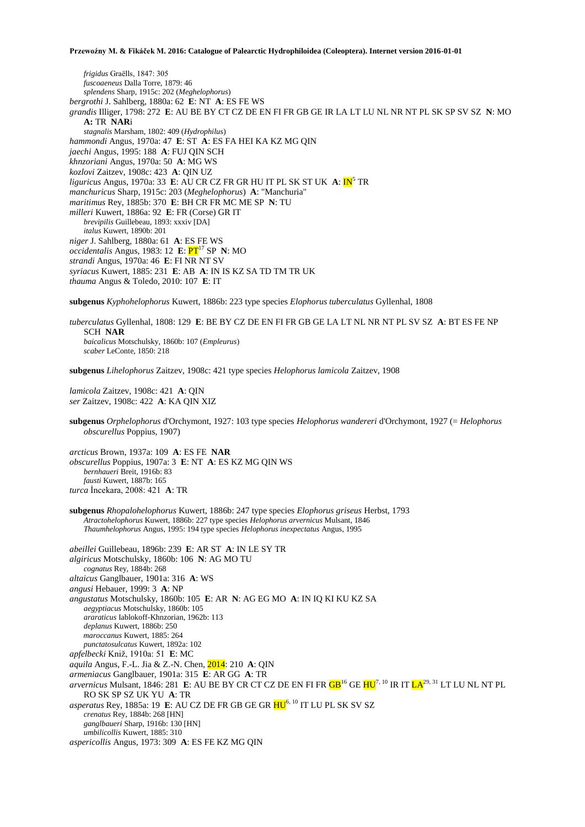*frigidus* Graëlls, 1847: 305 *fuscoaeneus* Dalla Torre, 1879: 46 *splendens* Sharp, 1915c: 202 (*Meghelophorus*) *bergrothi* J. Sahlberg, 1880a: 62 **E**: NT **A**: ES FE WS *grandis* Illiger, 1798: 272 **E**: AU BE BY CT CZ DE EN FI FR GB GE IR LA LT LU NL NR NT PL SK SP SV SZ **N**: MO **A:** TR **NAR**i *stagnalis* Marsham, 1802: 409 (*Hydrophilus*) *hammondi* Angus, 1970a: 47 **E**: ST **A**: ES FA HEI KA KZ MG QIN *jaechi* Angus, 1995: 188 **A**: FUJ QIN SCH *khnzoriani* Angus, 1970a: 50 **A**: MG WS *kozlovi* Zaitzev, 1908c: 423 **A**: QIN UZ *liguricus* Angus, 1970a: 33 **E**: AU CR CZ FR GR HU IT PL SK ST UK **A**:  $\mathbf{IN}^5$  TR *manchuricus* Sharp, 1915c: 203 (*Meghelophorus*) **A**: "Manchuria" *maritimus* Rey, 1885b: 370 **E**: BH CR FR MC ME SP **N**: TU *milleri* Kuwert, 1886a: 92 **E**: FR (Corse) GR IT *brevipilis* Guillebeau, 1893: xxxiv [DA] *italus* Kuwert, 1890b: 201 *niger* J. Sahlberg, 1880a: 61 **A**: ES FE WS *occidentalis* Angus, 1983: 12 **E**:  $PT<sup>17</sup>$  SP **N**: MO *strandi* Angus, 1970a: 46 **E**: FI NR NT SV *syriacus* Kuwert, 1885: 231 **E**: AB **A**: IN IS KZ SA TD TM TR UK *thauma* Angus & Toledo, 2010: 107 **E**: IT

**subgenus** *Kyphohelophorus* Kuwert, 1886b: 223 type species *Elophorus tuberculatus* Gyllenhal, 1808

*tuberculatus* Gyllenhal, 1808: 129 **E**: BE BY CZ DE EN FI FR GB GE LA LT NL NR NT PL SV SZ **A**: BT ES FE NP SCH **NAR** *baicalicus* Motschulsky, 1860b: 107 (*Empleurus*) *scaber* LeConte, 1850: 218

**subgenus** *Lihelophorus* Zaitzev, 1908c: 421 type species *Helophorus lamicola* Zaitzev, 1908

*lamicola* Zaitzev, 1908c: 421 **A**: QIN *ser* Zaitzev, 1908c: 422 **A**: KA QIN XIZ

**subgenus** *Orphelophorus* d'Orchymont, 1927: 103 type species *Helophorus wandereri* d'Orchymont, 1927 (= *Helophorus obscurellus* Poppius, 1907)

*arcticus* Brown, 1937a: 109 **A**: ES FE **NAR** *obscurellus* Poppius, 1907a: 3 **E**: NT **A**: ES KZ MG QIN WS *bernhaueri* Breit, 1916b: 83 *fausti* Kuwert, 1887b: 165 *turca* İncekara, 2008: 421 **A**: TR

**subgenus** *Rhopalohelophorus* Kuwert, 1886b: 247 type species *Elophorus griseus* Herbst, 1793 *Atractohelophorus* Kuwert, 1886b: 227 type species *Helophorus arvernicus* Mulsant, 1846 *Thaumhelophorus* Angus, 1995: 194 type species *Helophorus inexpectatus* Angus, 1995

*abeillei* Guillebeau, 1896b: 239 **E**: AR ST **A**: IN LE SY TR *algiricus* Motschulsky, 1860b: 106 **N**: AG MO TU *cognatus* Rey, 1884b: 268 *altaicus* Ganglbauer, 1901a: 316 **A**: WS *angusi* Hebauer, 1999: 3 **A**: NP *angustatus* Motschulsky, 1860b: 105 **E**: AR **N**: AG EG MO **A**: IN IQ KI KU KZ SA *aegyptiacus* Motschulsky, 1860b: 105 *araraticus* Iablokoff-Khnzorian, 1962b: 113 *deplanus* Kuwert, 1886b: 250 *maroccanus* Kuwert, 1885: 264 *punctatosulcatus* Kuwert, 1892a: 102 *apfelbecki* Kniž, 1910a: 51 **E**: MC *aquila* Angus, F.-L. Jia & Z.-N. Chen, 2014: 210 **A**: QIN *armeniacus* Ganglbauer, 1901a: 315 **E**: AR GG **A**: TR *arvernicus* Mulsant, 1846: 281 E: AU BE BY CR CT CZ DE EN FI FR **GB**<sup>16</sup> GE HU<sup>7, 10</sup> IR IT LA<sup>29, 31</sup> LT LU NL NT PL RO SK SP SZ UK YU **A**: TR *asperatus* Rey, 1885a: 19 **E**: AU CZ DE FR GB GE GR HU6, 10 IT LU PL SK SV SZ *crenatus* Rey, 1884b: 268 [HN] *ganglbaueri* Sharp, 1916b: 130 [HN] *umbilicollis* Kuwert, 1885: 310 *aspericollis* Angus, 1973: 309 **A**: ES FE KZ MG QIN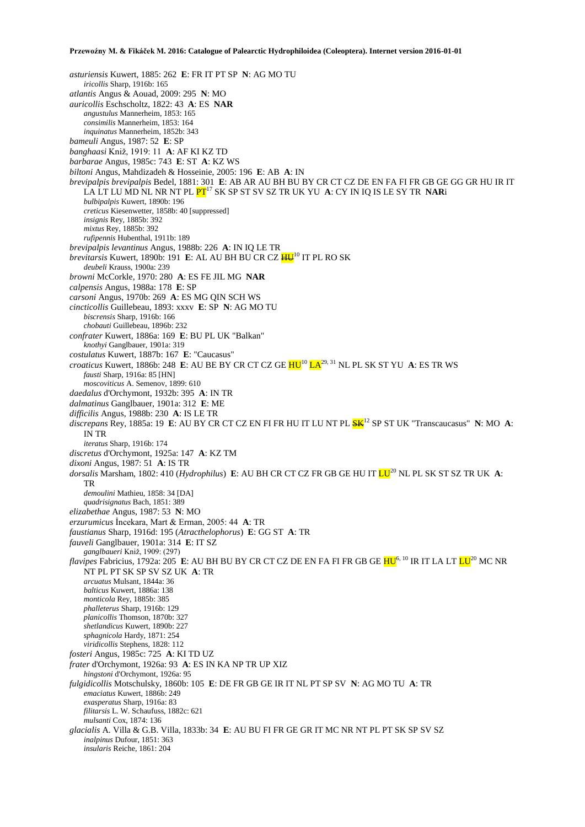*asturiensis* Kuwert, 1885: 262 **E**: FR IT PT SP **N**: AG MO TU *iricollis* Sharp, 1916b: 165 *atlantis* Angus & Aouad, 2009: 295 **N**: MO *auricollis* Eschscholtz, 1822: 43 **A**: ES **NAR** *angustulus* Mannerheim, 1853: 165 *consimilis* Mannerheim, 1853: 164 *inquinatus* Mannerheim, 1852b: 343 *bameuli* Angus, 1987: 52 **E**: SP *banghaasi* Kniž, 1919: 11 **A**: AF KI KZ TD *barbarae* Angus, 1985c: 743 **E**: ST **A**: KZ WS *biltoni* Angus, Mahdizadeh & Hosseinie, 2005: 196 **E**: AB **A**: IN *brevipalpis brevipalpis* Bedel, 1881: 301 **E**: AB AR AU BH BU BY CR CT CZ DE EN FA FI FR GB GE GG GR HU IR IT LA LT LU MD NL NR NT PL PT<sup>17</sup> SK SP ST SV SZ TR UK YU **A**: CY IN IQ IS LE SY TR **NAR**i *bulbipalpis* Kuwert, 1890b: 196 *creticus* Kiesenwetter, 1858b: 40 [suppressed] *insignis* Rey, 1885b: 392 *mixtus* Rey, 1885b: 392 *rufipennis* Hubenthal, 1911b: 189 *brevipalpis levantinus* Angus, 1988b: 226 **A**: IN IQ LE TR *brevitarsis* Kuwert, 1890b: 191 E: AL AU BH BU CR CZ  $\frac{H U^{10}}{H U^{10}}$  IT PL RO SK *deubeli* Krauss, 1900a: 239 *browni* McCorkle, 1970: 280 **A**: ES FE JIL MG **NAR** *calpensis* Angus, 1988a: 178 **E**: SP *carsoni* Angus, 1970b: 269 **A**: ES MG QIN SCH WS *cincticollis* Guillebeau, 1893: xxxv **E**: SP **N**: AG MO TU *biscrensis* Sharp, 1916b: 166 *chobauti* Guillebeau, 1896b: 232 *confrater* Kuwert, 1886a: 169 **E**: BU PL UK "Balkan" *knothyi* Ganglbauer, 1901a: 319 *costulatus* Kuwert, 1887b: 167 **E**: "Caucasus" *croaticus* Kuwert, 1886b: 248 E: AU BE BY CR CT CZ GE  $HU^{10}LA^{29, 31}$  NL PL SK ST YU A: ES TR WS *fausti* Sharp, 1916a: 85 [HN] *moscoviticus* A. Semenov, 1899: 610 *daedalus* d'Orchymont, 1932b: 395 **A**: IN TR *dalmatinus* Ganglbauer, 1901a: 312 **E**: ME *difficilis* Angus, 1988b: 230 **A**: IS LE TR *discrepans* Rey, 1885a: 19 **E**: AU BY CR CT CZ EN FI FR HU IT LU NT PL SK<sup>12</sup> SP ST UK "Transcaucasus" **N**: MO **A**: IN TR *iteratus* Sharp, 1916b: 174 *discretus* d'Orchymont, 1925a: 147 **A**: KZ TM *dixoni* Angus, 1987: 51 **A**: IS TR *dorsalis* Marsham, 1802: 410 (*Hydrophilus*) **E**: AU BH CR CT CZ FR GB GE HU IT LU<sup>20</sup> NL PL SK ST SZ TR UK **A**: TR *demoulini* Mathieu, 1858: 34 [DA] *quadrisignatus* Bach, 1851: 389 *elizabethae* Angus, 1987: 53 **N**: MO *erzurumicus* İncekara, Mart & Erman, 2005: 44 **A**: TR *faustianus* Sharp, 1916d: 195 (*Atracthelophorus*) **E**: GG ST **A**: TR *fauveli* Ganglbauer, 1901a: 314 **E**: IT SZ *ganglbaueri* Kniž, 1909: (297) *flavipes* Fabricius, 1792a: 205 E: AU BH BU BY CR CT CZ DE EN FA FI FR GB GE HU<sup>6, 10</sup> IR IT LA LT LU<sup>20</sup> MC NR NT PL PT SK SP SV SZ UK **A**: TR *arcuatus* Mulsant, 1844a: 36 *balticus* Kuwert, 1886a: 138 *monticola* Rey, 1885b: 385 *phalleterus* Sharp, 1916b: 129 *planicollis* Thomson, 1870b: 327 *shetlandicus* Kuwert, 1890b: 227 *sphagnicola* Hardy, 1871: 254 *viridicollis* Stephens, 1828: 112 *fosteri* Angus, 1985c: 725 **A**: KI TD UZ *frater* d'Orchymont, 1926a: 93 **A**: ES IN KA NP TR UP XIZ *hingstoni* d'Orchymont, 1926a: 95 *fulgidicollis* Motschulsky, 1860b: 105 **E**: DE FR GB GE IR IT NL PT SP SV **N**: AG MO TU **A**: TR *emaciatus* Kuwert, 1886b: 249 *exasperatus* Sharp, 1916a: 83 *filitarsis* L. W. Schaufuss, 1882c: 621 *mulsanti* Cox, 1874: 136 *glacialis* A. Villa & G.B. Villa, 1833b: 34 **E**: AU BU FI FR GE GR IT MC NR NT PL PT SK SP SV SZ *inalpinus* Dufour, 1851: 363 *insularis* Reiche, 1861: 204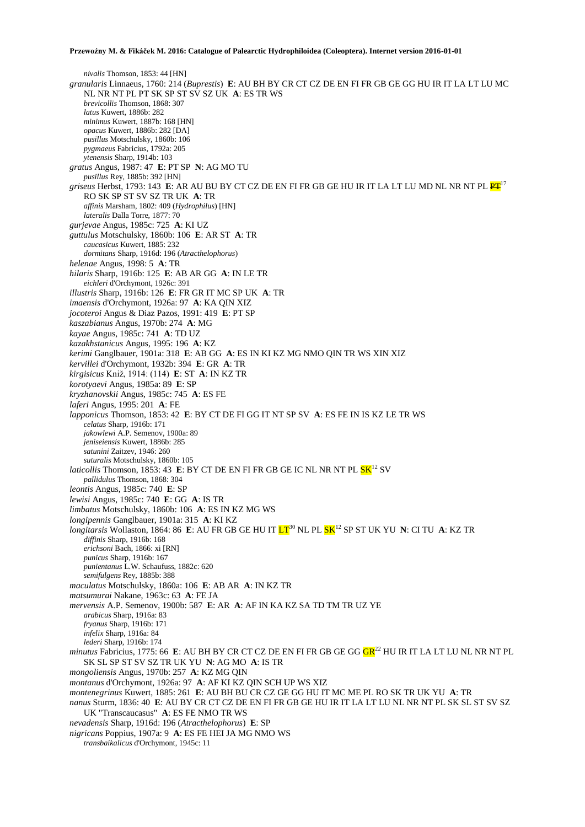*nivalis* Thomson, 1853: 44 [HN] *granularis* Linnaeus, 1760: 214 (*Buprestis*) **E**: AU BH BY CR CT CZ DE EN FI FR GB GE GG HU IR IT LA LT LU MC NL NR NT PL PT SK SP ST SV SZ UK **A**: ES TR WS *brevicollis* Thomson, 1868: 307 *latus* Kuwert, 1886b: 282 *minimus* Kuwert, 1887b: 168 [HN] *opacus* Kuwert, 1886b: 282 [DA] *pusillus* Motschulsky, 1860b: 106 *pygmaeus* Fabricius, 1792a: 205 *ytenensis* Sharp, 1914b: 103 *gratus* Angus, 1987: 47 **E**: PT SP **N**: AG MO TU *pusillus* Rey, 1885b: 392 [HN] *griseus* Herbst, 1793: 143 E: AR AU BU BY CT CZ DE EN FI FR GB GE HU IR IT LA LT LU MD NL NR NT PL  $\frac{PT}{12}$ RO SK SP ST SV SZ TR UK **A**: TR *affinis* Marsham, 1802: 409 (*Hydrophilus*) [HN] *lateralis* Dalla Torre, 1877: 70 *gurjevae* Angus, 1985c: 725 **A**: KI UZ *guttulus* Motschulsky, 1860b: 106 **E**: AR ST **A**: TR *caucasicus* Kuwert, 1885: 232 *dormitans* Sharp, 1916d: 196 (*Atracthelophorus*) *helenae* Angus, 1998: 5 **A**: TR *hilaris* Sharp, 1916b: 125 **E**: AB AR GG **A**: IN LE TR *eichleri* d'Orchymont, 1926c: 391 *illustris* Sharp, 1916b: 126 **E**: FR GR IT MC SP UK **A**: TR *imaensis* d'Orchymont, 1926a: 97 **A**: KA QIN XIZ *jocoteroi* Angus & Diaz Pazos, 1991: 419 **E**: PT SP *kaszabianus* Angus, 1970b: 274 **A**: MG *kayae* Angus, 1985c: 741 **A**: TD UZ *kazakhstanicus* Angus, 1995: 196 **A**: KZ *kerimi* Ganglbauer, 1901a: 318 **E**: AB GG **A**: ES IN KI KZ MG NMO QIN TR WS XIN XIZ *kervillei* d'Orchymont, 1932b: 394 **E**: GR **A**: TR *kirgisicus* Kniž, 1914: (114) **E**: ST **A**: IN KZ TR *korotyaevi* Angus, 1985a: 89 **E**: SP *kryzhanovskii* Angus, 1985c: 745 **A**: ES FE *laferi* Angus, 1995: 201 **A**: FE *lapponicus* Thomson, 1853: 42 **E**: BY CT DE FI GG IT NT SP SV **A**: ES FE IN IS KZ LE TR WS *celatus* Sharp, 1916b: 171 *jakowlewi* A.P. Semenov, 1900a: 89 *jeniseiensis* Kuwert, 1886b: 285 *satunini* Zaitzev, 1946: 260 *suturalis* Motschulsky, 1860b: 105 *laticollis* Thomson, 1853: 43 E: BY CT DE EN FI FR GB GE IC NL NR NT PL <mark>SK</mark><sup>12</sup> SV *pallidulus* Thomson, 1868: 304 *leontis* Angus, 1985c: 740 **E**: SP *lewisi* Angus, 1985c: 740 **E**: GG **A**: IS TR *limbatus* Motschulsky, 1860b: 106 **A**: ES IN KZ MG WS *longipennis* Ganglbauer, 1901a: 315 **A**: KI KZ *longitarsis* Wollaston, 1864: 86 **E**: AU FR GB GE HU IT LT<sup>30</sup> NL PL SK<sup>12</sup> SP ST UK YU **N**: CI TU **A**: KZ TR *diffinis* Sharp, 1916b: 168 *erichsoni* Bach, 1866: xi [RN] *punicus* Sharp, 1916b: 167 *punientanus* L.W. Schaufuss, 1882c: 620 *semifulgens* Rey, 1885b: 388 *maculatus* Motschulsky, 1860a: 106 **E**: AB AR **A**: IN KZ TR *matsumurai* Nakane, 1963c: 63 **A**: FE JA *mervensis* A.P. Semenov, 1900b: 587 **E**: AR **A**: AF IN KA KZ SA TD TM TR UZ YE *arabicus* Sharp, 1916a: 83 *fryanus* Sharp, 1916b: 171 *infelix* Sharp, 1916a: 84 *lederi* Sharp, 1916b: 174 *minutus* Fabricius, 1775: 66 E: AU BH BY CR CT CZ DE EN FI FR GB GE GG CR<sup>22</sup> HU IR IT LA LT LU NL NR NT PL SK SL SP ST SV SZ TR UK YU **N**: AG MO **A**: IS TR *mongoliensis* Angus, 1970b: 257 **A**: KZ MG QIN *montanus* d'Orchymont, 1926a: 97 **A**: AF KI KZ QIN SCH UP WS XIZ *montenegrinus* Kuwert, 1885: 261 **E**: AU BH BU CR CZ GE GG HU IT MC ME PL RO SK TR UK YU **A**: TR *nanus* Sturm, 1836: 40 **E**: AU BY CR CT CZ DE EN FI FR GB GE HU IR IT LA LT LU NL NR NT PL SK SL ST SV SZ UK "Transcaucasus" **A**: ES FE NMO TR WS *nevadensis* Sharp, 1916d: 196 (*Atracthelophorus*) **E**: SP *nigricans* Poppius, 1907a: 9 **A**: ES FE HEI JA MG NMO WS *transbaikalicus* d'Orchymont, 1945c: 11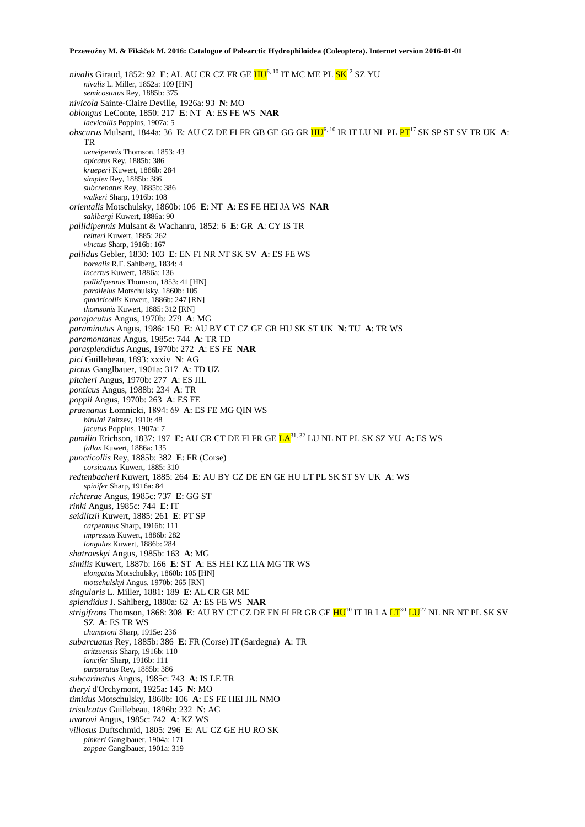nivalis Giraud, 1852: 92 **E**: AL AU CR CZ FR GE <mark>HU</mark><sup>6, 10</sup> IT MC ME PL <mark>SK</mark><sup>12</sup> SZ YU *nivalis* L. Miller, 1852a: 109 [HN] *semicostatus* Rey, 1885b: 375 *nivicola* Sainte-Claire Deville, 1926a: 93 **N**: MO *oblongus* LeConte, 1850: 217 **E**: NT **A**: ES FE WS **NAR** *laevicollis* Poppius, 1907a: 5 *obscurus* Mulsant, 1844a: 36 **E**: AU CZ DE FI FR GB GE GG GR  $HU^{6, 10}$  IR IT LU NL PL  $PT^{17}$  SK SP ST SV TR UK A: TR *aeneipennis* Thomson, 1853: 43 *apicatus* Rey, 1885b: 386 *krueperi* Kuwert, 1886b: 284 *simplex* Rey, 1885b: 386 *subcrenatus* Rey, 1885b: 386 *walkeri* Sharp, 1916b: 108 *orientalis* Motschulsky, 1860b: 106 **E**: NT **A**: ES FE HEI JA WS **NAR** *sahlbergi* Kuwert, 1886a: 90 *pallidipennis* Mulsant & Wachanru, 1852: 6 **E**: GR **A**: CY IS TR *reitteri* Kuwert, 1885: 262 *vinctus* Sharp, 1916b: 167 *pallidus* Gebler, 1830: 103 **E**: EN FI NR NT SK SV **A**: ES FE WS *borealis* R.F. Sahlberg, 1834: 4 *incertus* Kuwert, 1886a: 136 *pallidipennis* Thomson, 1853: 41 [HN] *parallelus* Motschulsky, 1860b: 105 *quadricollis* Kuwert, 1886b: 247 [RN] *thomsonis* Kuwert, 1885: 312 [RN] *parajacutus* Angus, 1970b: 279 **A**: MG *paraminutus* Angus, 1986: 150 **E**: AU BY CT CZ GE GR HU SK ST UK **N**: TU **A**: TR WS *paramontanus* Angus, 1985c: 744 **A**: TR TD *parasplendidus* Angus, 1970b: 272 **A**: ES FE **NAR** *pici* Guillebeau, 1893: xxxiv **N**: AG *pictus* Ganglbauer, 1901a: 317 **A**: TD UZ *pitcheri* Angus, 1970b: 277 **A**: ES JIL *ponticus* Angus, 1988b: 234 **A**: TR *poppii* Angus, 1970b: 263 **A**: ES FE *praenanus* Łomnicki, 1894: 69 **A**: ES FE MG QIN WS *birulai* Zaitzev, 1910: 48 *jacutus* Poppius, 1907a: 7 *pumilio* Erichson, 1837: 197 **E**: AU CR CT DE FI FR GE LA31, 32 LU NL NT PL SK SZ YU **A**: ES WS *fallax* Kuwert, 1886a: 135 *puncticollis* Rey, 1885b: 382 **E**: FR (Corse) *corsicanus* Kuwert, 1885: 310 *redtenbacheri* Kuwert, 1885: 264 **E**: AU BY CZ DE EN GE HU LT PL SK ST SV UK **A**: WS *spinifer* Sharp, 1916a: 84 *richterae* Angus, 1985c: 737 **E**: GG ST *rinki* Angus, 1985c: 744 **E**: IT *seidlitzii* Kuwert, 1885: 261 **E**: PT SP *carpetanus* Sharp, 1916b: 111 *impressus* Kuwert, 1886b: 282 *longulus* Kuwert, 1886b: 284 *shatrovskyi* Angus, 1985b: 163 **A**: MG *similis* Kuwert, 1887b: 166 **E**: ST **A**: ES HEI KZ LIA MG TR WS *elongatus* Motschulsky, 1860b: 105 [HN] *motschulskyi* Angus, 1970b: 265 [RN] *singularis* L. Miller, 1881: 189 **E**: AL CR GR ME *splendidus* J. Sahlberg, 1880a: 62 **A**: ES FE WS **NAR** *strigifrons* Thomson, 1868: 308 **E**: AU BY CT CZ DE EN FI FR GB GE  $HU^{10}$  IT IR LA  $LT^{30}$   $LU^{27}$  NL NR NT PL SK SV SZ **A**: ES TR WS *championi* Sharp, 1915e: 236 *subarcuatus* Rey, 1885b: 386 **E**: FR (Corse) IT (Sardegna) **A**: TR *aritzuensis* Sharp, 1916b: 110 *lancifer* Sharp, 1916b: 111 *purpuratus* Rey, 1885b: 386 *subcarinatus* Angus, 1985c: 743 **A**: IS LE TR *theryi* d'Orchymont, 1925a: 145 **N**: MO *timidus* Motschulsky, 1860b: 106 **A**: ES FE HEI JIL NMO *trisulcatus* Guillebeau, 1896b: 232 **N**: AG *uvarovi* Angus, 1985c: 742 **A**: KZ WS *villosus* Duftschmid, 1805: 296 **E**: AU CZ GE HU RO SK *pinkeri* Ganglbauer, 1904a: 171 *zoppae* Ganglbauer, 1901a: 319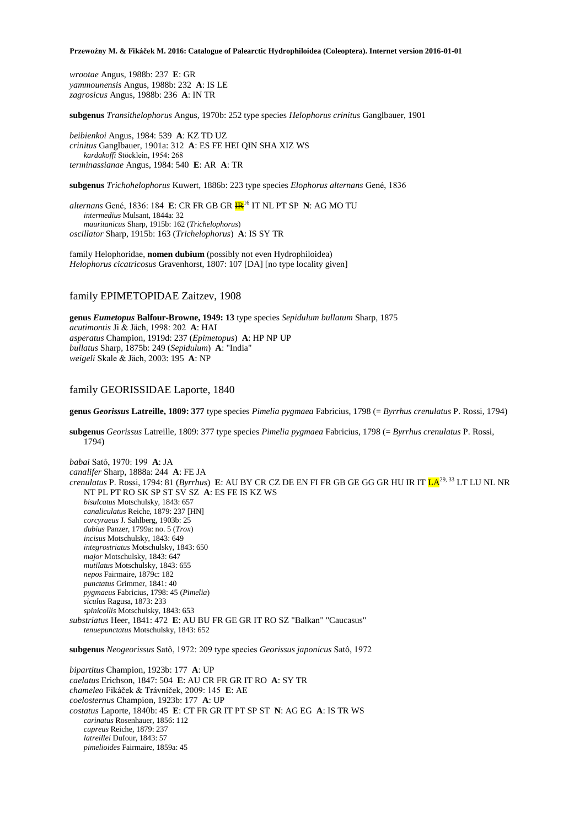*wrootae* Angus, 1988b: 237 **E**: GR *yammounensis* Angus, 1988b: 232 **A**: IS LE *zagrosicus* Angus, 1988b: 236 **A**: IN TR

**subgenus** *Transithelophorus* Angus, 1970b: 252 type species *Helophorus crinitus* Ganglbauer, 1901

*beibienkoi* Angus, 1984: 539 **A**: KZ TD UZ *crinitus* Ganglbauer, 1901a: 312 **A**: ES FE HEI QIN SHA XIZ WS *kardakoffi* Stöcklein, 1954: 268 *terminassianae* Angus, 1984: 540 **E**: AR **A**: TR

**subgenus** *Trichohelophorus* Kuwert, 1886b: 223 type species *Elophorus alternans* Gené, 1836

*alternans* Gené, 1836: 184 **E**: CR FR GB GR IR<sup>16</sup> IT NL PT SP **N**: AG MO TU *intermedius* Mulsant, 1844a: 32 *mauritanicus* Sharp, 1915b: 162 (*Trichelophorus*) *oscillator* Sharp, 1915b: 163 (*Trichelophorus*) **A**: IS SY TR

family Helophoridae, **nomen dubium** (possibly not even Hydrophiloidea) *Helophorus cicatricosus* Gravenhorst, 1807: 107 [DA] [no type locality given]

# family EPIMETOPIDAE Zaitzev, 1908

**genus** *Eumetopus* **Balfour-Browne, 1949: 13** type species *Sepidulum bullatum* Sharp, 1875 *acutimontis* Ji & Jäch, 1998: 202 **A**: HAI *asperatus* Champion, 1919d: 237 (*Epimetopus*) **A**: HP NP UP *bullatus* Sharp, 1875b: 249 (*Sepidulum*) **A**: "India" *weigeli* Skale & Jäch, 2003: 195 **A**: NP

# family GEORISSIDAE Laporte, 1840

**genus** *Georissus* **Latreille, 1809: 377** type species *Pimelia pygmaea* Fabricius, 1798 (= *Byrrhus crenulatus* P. Rossi, 1794)

**subgenus** *Georissus* Latreille, 1809: 377 type species *Pimelia pygmaea* Fabricius, 1798 (= *Byrrhus crenulatus* P. Rossi, 1794)

*babai* Satô, 1970: 199 **A**: JA *canalifer* Sharp, 1888a: 244 **A**: FE JA *crenulatus* P. Rossi, 1794: 81 (*Byrrhus*) **E**: AU BY CR CZ DE EN FI FR GB GE GG GR HU IR IT LA29, 33 LT LU NL NR NT PL PT RO SK SP ST SV SZ **A**: ES FE IS KZ WS *bisulcatus* Motschulsky, 1843: 657 *canaliculatus* Reiche, 1879: 237 [HN] *corcyraeus* J. Sahlberg, 1903b: 25 *dubius* Panzer, 1799a: no. 5 (*Trox*) *incisus* Motschulsky, 1843: 649 *integrostriatus* Motschulsky, 1843: 650 *major* Motschulsky, 1843: 647 *mutilatus* Motschulsky, 1843: 655 *nepos* Fairmaire, 1879c: 182 *punctatus* Grimmer, 1841: 40 *pygmaeus* Fabricius, 1798: 45 (*Pimelia*) *siculus* Ragusa, 1873: 233 *spinicollis* Motschulsky, 1843: 653 *substriatus* Heer, 1841: 472 **E**: AU BU FR GE GR IT RO SZ "Balkan" "Caucasus" *tenuepunctatus* Motschulsky, 1843: 652

**subgenus** *Neogeorissus* Satô, 1972: 209 type species *Georissus japonicus* Satô, 1972

*bipartitus* Champion, 1923b: 177 **A**: UP *caelatus* Erichson, 1847: 504 **E**: AU CR FR GR IT RO **A**: SY TR *chameleo* Fikáček & Trávníček, 2009: 145 **E**: AE *coelosternus* Champion, 1923b: 177 **A**: UP *costatus* Laporte, 1840b: 45 **E**: CT FR GR IT PT SP ST **N**: AG EG **A**: IS TR WS *carinatus* Rosenhauer, 1856: 112 *cupreus* Reiche, 1879: 237 *latreillei* Dufour, 1843: 57 *pimelioides* Fairmaire, 1859a: 45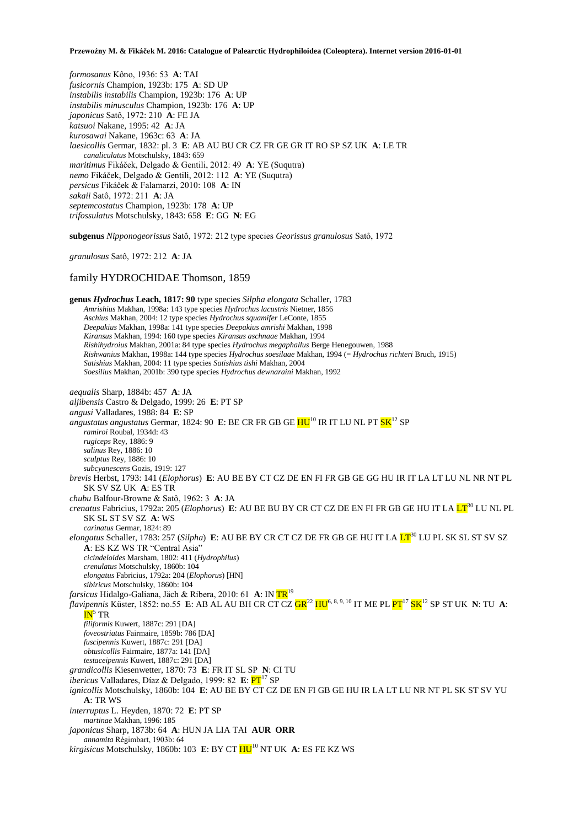*formosanus* Kôno, 1936: 53 **A**: TAI *fusicornis* Champion, 1923b: 175 **A**: SD UP *instabilis instabilis* Champion, 1923b: 176 **A**: UP *instabilis minusculus* Champion, 1923b: 176 **A**: UP *japonicus* Satô, 1972: 210 **A**: FE JA *katsuoi* Nakane, 1995: 42 **A**: JA *kurosawai* Nakane, 1963c: 63 **A**: JA *laesicollis* Germar, 1832: pl. 3 **E**: AB AU BU CR CZ FR GE GR IT RO SP SZ UK **A**: LE TR *canaliculatus* Motschulsky, 1843: 659 *maritimus* Fikáček, Delgado & Gentili, 2012: 49 **A**: YE (Suqutra) *nemo* Fikáček, Delgado & Gentili, 2012: 112 **A**: YE (Suqutra) *persicus* Fikáček & Falamarzi, 2010: 108 **A**: IN *sakaii* Satô, 1972: 211 **A**: JA *septemcostatus* Champion, 1923b: 178 **A**: UP *trifossulatus* Motschulsky, 1843: 658 **E**: GG **N**: EG

**subgenus** *Nipponogeorissus* Satô, 1972: 212 type species *Georissus granulosus* Satô, 1972

*granulosus* Satô, 1972: 212 **A**: JA

## family HYDROCHIDAE Thomson, 1859

**genus** *Hydrochus* **Leach, 1817: 90** type species *Silpha elongata* Schaller, 1783 *Amrishius* Makhan, 1998a: 143 type species *Hydrochus lacustris* Nietner, 1856 *Aschius* Makhan, 2004: 12 type species *Hydrochus squamifer* LeConte, 1855 *Deepakius* Makhan, 1998a: 141 type species *Deepakius amrishi* Makhan, 1998 *Kiransus* Makhan, 1994: 160 type species *Kiransus aschnaae* Makhan, 1994 *Rishihydroius* Makhan, 2001a: 84 type species *Hydrochus megaphallus* Berge Henegouwen, 1988 *Rishwanius* Makhan, 1998a: 144 type species *Hydrochus soesilaae* Makhan, 1994 (= *Hydrochus richteri* Bruch, 1915) *Satishius* Makhan, 2004: 11 type species *Satishius tishi* Makhan, 2004 *Soesilius* Makhan, 2001b: 390 type species *Hydrochus dewnaraini* Makhan, 1992 *aequalis* Sharp, 1884b: 457 **A**: JA *aljibensis* Castro & Delgado, 1999: 26 **E**: PT SP *angusi* Valladares, 1988: 84 **E**: SP angustatus angustatus Germar, 1824: 90 E: BE CR FR GB GE <mark>HU<sup>10</sup> IR IT LU NL PT SK<sup>12</sup> SP</mark> *ramiroi* Roubal, 1934d: 43 *rugiceps* Rey, 1886: 9 *salinus* Rey, 1886: 10 *sculptus* Rey, 1886: 10 *subcyanescens* Gozis, 1919: 127 *brevis* Herbst, 1793: 141 (*Elophorus*) **E**: AU BE BY CT CZ DE EN FI FR GB GE GG HU IR IT LA LT LU NL NR NT PL SK SV SZ UK **A**: ES TR *chubu* Balfour-Browne & Satô, 1962: 3 **A**: JA *crenatus* Fabricius, 1792a: 205 (*Elophorus*) E: AU BE BU BY CR CT CZ DE EN FI FR GB GE HU IT LA  $LT^{30}$  LU NL PL SK SL ST SV SZ **A**: WS *carinatus* Germar, 1824: 89 *elongatus* Schaller, 1783: 257 (*Silpha*) **E**: AU BE BY CR CT CZ DE FR GB GE HU IT LA LT<sup>30</sup> LU PL SK SL ST SV SZ **A**: ES KZ WS TR "Central Asia" *cicindeloides* Marsham, 1802: 411 (*Hydrophilus*) *crenulatus* Motschulsky, 1860b: 104 *elongatus* Fabricius, 1792a: 204 (*Elophorus*) [HN] *sibiricus* Motschulsky, 1860b: 104 *farsicus* Hidalgo-Galiana, Jäch & Ribera, 2010: 61 **A**: IN TR<sup>19</sup> *flavipennis* Küster, 1852: no.55 **E**: AB AL AU BH CR CT CZ GR<sup>22</sup> HU6, 8, 9, 10 IT ME PL PT<sup>17</sup> SK<sup>12</sup> SP ST UK **N**: TU **A**:  $IN<sup>5</sup> TR$ *filiformis* Kuwert, 1887c: 291 [DA] *foveostriatus* Fairmaire, 1859b: 786 [DA] *fuscipennis* Kuwert, 1887c: 291 [DA] *obtusicollis* Fairmaire, 1877a: 141 [DA] *testaceipennis* Kuwert, 1887c: 291 [DA] *grandicollis* Kiesenwetter, 1870: 73 **E**: FR IT SL SP **N**: CI TU *ibericus* Valladares, Díaz & Delgado, 1999: 82 E: PT<sup>17</sup> SP *ignicollis* Motschulsky, 1860b: 104 **E**: AU BE BY CT CZ DE EN FI GB GE HU IR LA LT LU NR NT PL SK ST SV YU **A**: TR WS *interruptus* L. Heyden, 1870: 72 **E**: PT SP *martinae* Makhan, 1996: 185 *japonicus* Sharp, 1873b: 64 **A**: HUN JA LIA TAI **AUR ORR** *annamita* Régimbart, 1903b: 64 *kirgisicus* Motschulsky, 1860b: 103 **E**: BY CT HU<sup>10</sup> NT UK **A**: ES FE KZ WS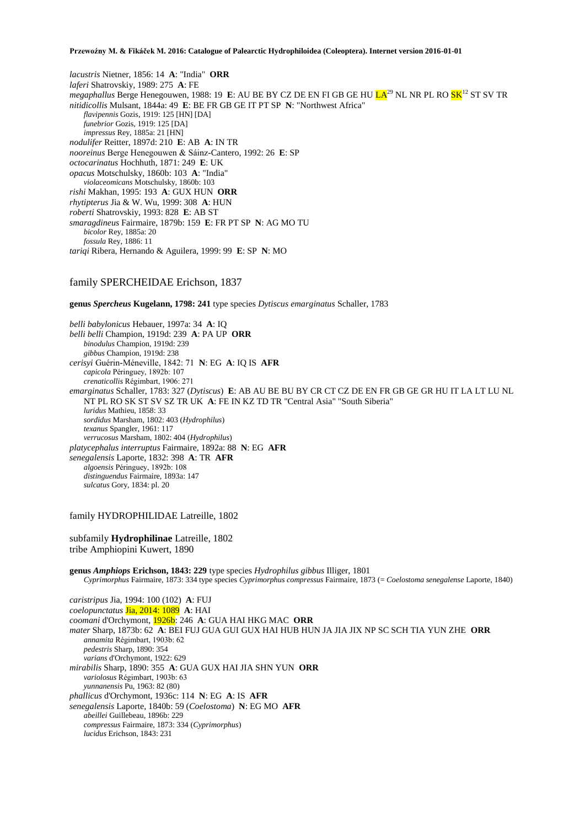*lacustris* Nietner, 1856: 14 **A**: "India" **ORR** *laferi* Shatrovskiy, 1989: 275 **A**: FE megaphallus Berge Henegouwen, 1988: 19 E: AU BE BY CZ DE EN FI GB GE HU <mark>LA<sup>29</sup> NL NR PL RO SK<sup>12</sup> ST SV TR</mark> *nitidicollis* Mulsant, 1844a: 49 **E**: BE FR GB GE IT PT SP **N**: "Northwest Africa" *flavipennis* Gozis, 1919: 125 [HN] [DA] *funebrior* Gozis, 1919: 125 [DA] *impressus* Rey, 1885a: 21 [HN] *nodulifer* Reitter, 1897d: 210 **E**: AB **A**: IN TR *nooreinus* Berge Henegouwen & Sáinz-Cantero, 1992: 26 **E**: SP *octocarinatus* Hochhuth, 1871: 249 **E**: UK *opacus* Motschulsky, 1860b: 103 **A**: "India" *violaceomicans* Motschulsky, 1860b: 103 *rishi* Makhan, 1995: 193 **A**: GUX HUN **ORR** *rhytipterus* Jia & W. Wu, 1999: 308 **A**: HUN *roberti* Shatrovskiy, 1993: 828 **E**: AB ST *smaragdineus* Fairmaire, 1879b: 159 **E**: FR PT SP **N**: AG MO TU *bicolor* Rey, 1885a: 20 *fossula* Rey, 1886: 11 *tariqi* Ribera, Hernando & Aguilera, 1999: 99 **E**: SP **N**: MO

# family SPERCHEIDAE Erichson, 1837

**genus** *Spercheus* **Kugelann, 1798: 241** type species *Dytiscus emarginatus* Schaller, 1783

*belli babylonicus* Hebauer, 1997a: 34 **A**: IQ *belli belli* Champion, 1919d: 239 **A**: PA UP **ORR** *binodulus* Champion, 1919d: 239 *gibbus* Champion, 1919d: 238 *cerisyi* Guérin-Méneville, 1842: 71 **N**: EG **A**: IQ IS **AFR** *capicola* Péringuey, 1892b: 107 *crenaticollis* Régimbart, 1906: 271 *emarginatus* Schaller, 1783: 327 (*Dytiscus*) **E**: AB AU BE BU BY CR CT CZ DE EN FR GB GE GR HU IT LA LT LU NL NT PL RO SK ST SV SZ TR UK **A**: FE IN KZ TD TR "Central Asia" "South Siberia" *luridus* Mathieu, 1858: 33 *sordidus* Marsham, 1802: 403 (*Hydrophilus*) *texanus* Spangler, 1961: 117 *verrucosus* Marsham, 1802: 404 (*Hydrophilus*) *platycephalus interruptus* Fairmaire, 1892a: 88 **N**: EG **AFR** *senegalensis* Laporte, 1832: 398 **A**: TR **AFR** *algoensis* Péringuey, 1892b: 108 *distinguendus* Fairmaire, 1893a: 147 *sulcatus* Gory, 1834: pl. 20

# family HYDROPHILIDAE Latreille, 1802

subfamily **Hydrophilinae** Latreille, 1802 tribe Amphiopini Kuwert, 1890

**genus** *Amphiops* **Erichson, 1843: 229** type species *Hydrophilus gibbus* Illiger, 1801 *Cyprimorphus* Fairmaire, 1873: 334 type species *Cyprimorphus compressus* Fairmaire, 1873 (= *Coelostoma senegalense* Laporte, 1840)

*caristripus* Jia, 1994: 100 (102) **A**: FUJ *coelopunctatus* Jia, 2014: 1089 **A**: HAI *coomani* d'Orchymont, 1926b: 246 **A**: GUA HAI HKG MAC **ORR** *mater* Sharp, 1873b: 62 **A**: BEI FUJ GUA GUI GUX HAI HUB HUN JA JIA JIX NP SC SCH TIA YUN ZHE **ORR** *annamita* Régimbart, 1903b: 62 *pedestris* Sharp, 1890: 354 *varians* d'Orchymont, 1922: 629 *mirabilis* Sharp, 1890: 355 **A**: GUA GUX HAI JIA SHN YUN **ORR** *variolosus* Régimbart, 1903b: 63 *yunnanensis* Pu, 1963: 82 (80) *phallicus* d'Orchymont, 1936c: 114 **N**: EG **A**: IS **AFR** *senegalensis* Laporte, 1840b: 59 (*Coelostoma*) **N**: EG MO **AFR** *abeillei* Guillebeau, 1896b: 229 *compressus* Fairmaire, 1873: 334 (*Cyprimorphus*) *lucidus* Erichson, 1843: 231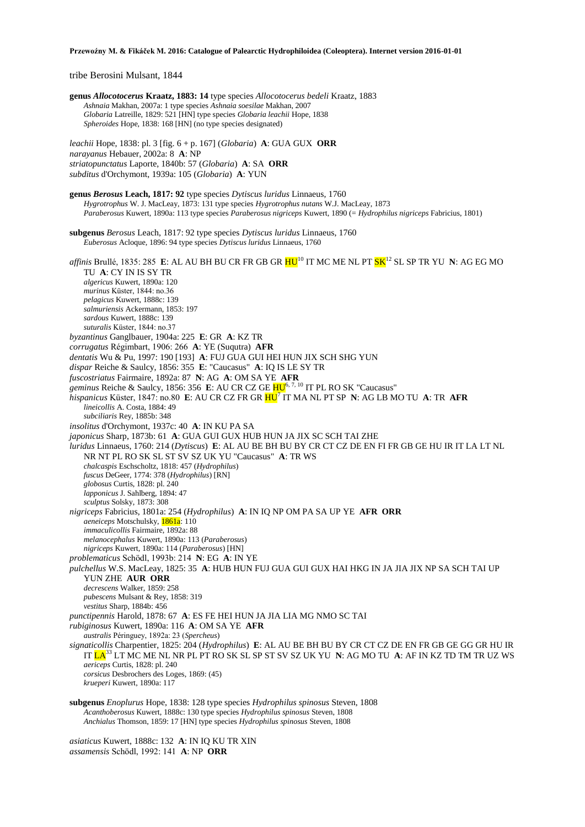tribe Berosini Mulsant, 1844

**genus** *Allocotocerus* **Kraatz, 1883: 14** type species *Allocotocerus bedeli* Kraatz, 1883 *Ashnaia* Makhan, 2007a: 1 type species *Ashnaia soesilae* Makhan, 2007 *Globaria* Latreille, 1829: 521 [HN] type species *Globaria leachii* Hope, 1838 *Spheroides* Hope, 1838: 168 [HN] (no type species designated) *leachii* Hope, 1838: pl. 3 [fig. 6 + p. 167] (*Globaria*) **A**: GUA GUX **ORR** *narayanus* Hebauer, 2002a: 8 **A**: NP *striatopunctatus* Laporte, 1840b: 57 (*Globaria*) **A**: SA **ORR** *subditus* d'Orchymont, 1939a: 105 (*Globaria*) **A**: YUN **genus** *Berosus* **Leach, 1817: 92** type species *Dytiscus luridus* Linnaeus, 1760 *Hygrotrophus* W. J. MacLeay, 1873: 131 type species *Hygrotrophus nutans* W.J. MacLeay, 1873 *Paraberosus* Kuwert, 1890a: 113 type species *Paraberosus nigriceps* Kuwert, 1890 (= *Hydrophilus nigriceps* Fabricius, 1801) **subgenus** *Berosus* Leach, 1817: 92 type species *Dytiscus luridus* Linnaeus, 1760 *Euberosus* Acloque, 1896: 94 type species *Dytiscus luridus* Linnaeus, 1760 *affinis* Brullé, 1835: 285 **E**: AL AU BH BU CR FR GB GR <mark>HU</mark><sup>10</sup> IT MC ME NL PT <mark>SK</mark><sup>12</sup> SL SP TR YU **N**: AG EG MO TU **A**: CY IN IS SY TR *algericus* Kuwert, 1890a: 120 *murinus* Küster, 1844: no.36 *pelagicus* Kuwert, 1888c: 139 *salmuriensis* Ackermann, 1853: 197 *sardous* Kuwert, 1888c: 139 *suturalis* Küster, 1844: no.37 *byzantinus* Ganglbauer, 1904a: 225 **E**: GR **A**: KZ TR *corrugatus* Régimbart, 1906: 266 **A**: YE (Suqutra) **AFR** *dentatis* Wu & Pu, 1997: 190 [193] **A**: FUJ GUA GUI HEI HUN JIX SCH SHG YUN *dispar* Reiche & Saulcy, 1856: 355 **E**: "Caucasus" **A**: IQ IS LE SY TR *fuscostriatus* Fairmaire, 1892a: 87 **N**: AG **A**: OM SA YE **AFR** *geminus* Reiche & Saulcy, 1856: 356 **E**: AU CR CZ GE HU6, 7, 10 IT PL RO SK "Caucasus" *hispanicus* Küster, 1847: no.80 **E**: AU CR CZ FR GR HU<sup>7</sup> IT MA NL PT SP **N**: AG LB MO TU **A**: TR **AFR** *lineicollis* A. Costa, 1884: 49 *subciliaris* Rey, 1885b: 348 *insolitus* d'Orchymont, 1937c: 40 **A**: IN KU PA SA *japonicus* Sharp, 1873b: 61 **A**: GUA GUI GUX HUB HUN JA JIX SC SCH TAI ZHE *luridus* Linnaeus, 1760: 214 (*Dytiscus*) **E**: AL AU BE BH BU BY CR CT CZ DE EN FI FR GB GE HU IR IT LA LT NL NR NT PL RO SK SL ST SV SZ UK YU "Caucasus" **A**: TR WS *chalcaspis* Eschscholtz, 1818: 457 (*Hydrophilus*) *fuscus* DeGeer, 1774: 378 (*Hydrophilus*) [RN] *globosus* Curtis, 1828: pl. 240 *lapponicus* J. Sahlberg, 1894: 47 *sculptus* Solsky, 1873: 308 *nigriceps* Fabricius, 1801a: 254 (*Hydrophilus*) **A**: IN IQ NP OM PA SA UP YE **AFR ORR** *aeneiceps* Motschulsky, 1861a: 110 *immaculicollis* Fairmaire, 1892a: 88 *melanocephalus* Kuwert, 1890a: 113 (*Paraberosus*) *nigriceps* Kuwert, 1890a: 114 (*Paraberosus*) [HN] *problematicus* Schödl, 1993b: 214 **N**: EG **A**: IN YE *pulchellus* W.S. MacLeay, 1825: 35 **A**: HUB HUN FUJ GUA GUI GUX HAI HKG IN JA JIA JIX NP SA SCH TAI UP YUN ZHE **AUR ORR** *decrescens* Walker, 1859: 258 *pubescens* Mulsant & Rey, 1858: 319 *vestitus* Sharp, 1884b: 456 *punctipennis* Harold, 1878: 67 **A**: ES FE HEI HUN JA JIA LIA MG NMO SC TAI *rubiginosus* Kuwert, 1890a: 116 **A**: OM SA YE **AFR** *australis* Péringuey, 1892a: 23 (*Spercheus*) *signaticollis* Charpentier, 1825: 204 (*Hydrophilus*) **E**: AL AU BE BH BU BY CR CT CZ DE EN FR GB GE GG GR HU IR IT LA<sup>33</sup> LT MC ME NL NR PL PT RO SK SL SP ST SV SZ UK YU **N**: AG MO TU **A**: AF IN KZ TD TM TR UZ WS *aericeps* Curtis, 1828: pl. 240 *corsicus* Desbrochers des Loges, 1869: (45) *krueperi* Kuwert, 1890a: 117 **subgenus** *Enoplurus* Hope, 1838: 128 type species *Hydrophilus spinosus* Steven, 1808

*Acanthoberosus* Kuwert, 1888c: 130 type species *Hydrophilus spinosus* Steven, 1808 *Anchialus* Thomson, 1859: 17 [HN] type species *Hydrophilus spinosus* Steven, 1808

*asiaticus* Kuwert, 1888c: 132 **A**: IN IQ KU TR XIN *assamensis* Schödl, 1992: 141 **A**: NP **ORR**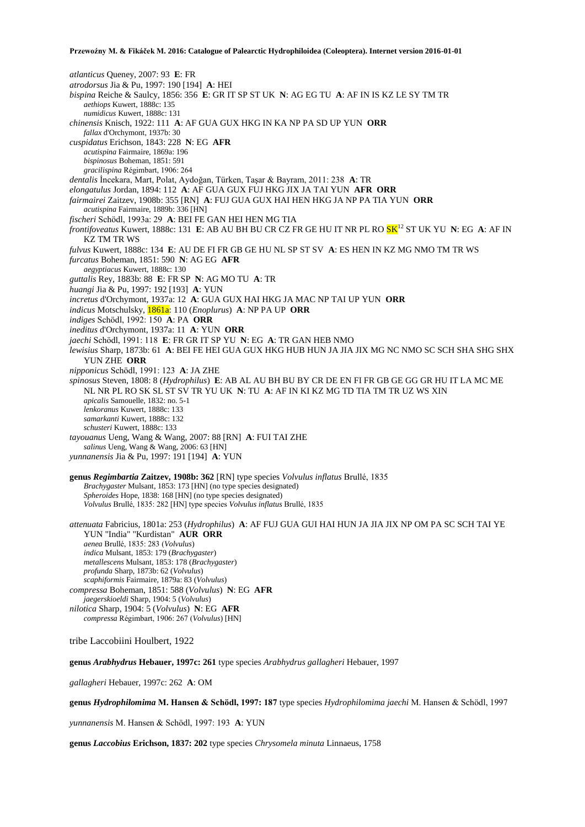*atlanticus* Queney, 2007: 93 **E**: FR *atrodorsus* Jia & Pu, 1997: 190 [194] **A**: HEI *bispina* Reiche & Saulcy, 1856: 356 **E**: GR IT SP ST UK **N**: AG EG TU **A**: AF IN IS KZ LE SY TM TR *aethiops* Kuwert, 1888c: 135 *numidicus* Kuwert, 1888c: 131 *chinensis* Knisch, 1922: 111 **A**: AF GUA GUX HKG IN KA NP PA SD UP YUN **ORR** *fallax* d'Orchymont, 1937b: 30 *cuspidatus* Erichson, 1843: 228 **N**: EG **AFR** *acutispina* Fairmaire, 1869a: 196 *bispinosus* Boheman, 1851: 591 *gracilispina* Régimbart, 1906: 264 *dentalis* İncekara, Mart, Polat, Aydoğan, Türken, Taşar & Bayram, 2011: 238 **A**: TR *elongatulus* Jordan, 1894: 112 **A**: AF GUA GUX FUJ HKG JIX JA TAI YUN **AFR ORR** *fairmairei* Zaitzev, 1908b: 355 [RN] **A**: FUJ GUA GUX HAI HEN HKG JA NP PA TIA YUN **ORR** *acutispina* Fairmaire, 1889b: 336 [HN] *fischeri* Schödl, 1993a: 29 **A**: BEI FE GAN HEI HEN MG TIA *frontifoveatus* Kuwert, 1888c: 131 **E**: AB AU BH BU CR CZ FR GE HU IT NR PL RO SK<sup>12</sup> ST UK YU **N**: EG **A**: AF IN KZ TM TR WS *fulvus* Kuwert, 1888c: 134 **E**: AU DE FI FR GB GE HU NL SP ST SV **A**: ES HEN IN KZ MG NMO TM TR WS *furcatus* Boheman, 1851: 590 **N**: AG EG **AFR** *aegyptiacus* Kuwert, 1888c: 130 *guttalis* Rey, 1883b: 88 **E**: FR SP **N**: AG MO TU **A**: TR *huangi* Jia & Pu, 1997: 192 [193] **A**: YUN *incretus* d'Orchymont, 1937a: 12 **A**: GUA GUX HAI HKG JA MAC NP TAI UP YUN **ORR** *indicus* Motschulsky, 1861a: 110 (*Enoplurus*) **A**: NP PA UP **ORR** *indiges* Schödl, 1992: 150 **A**: PA **ORR** *ineditus* d'Orchymont, 1937a: 11 **A**: YUN **ORR** *jaechi* Schödl, 1991: 118 **E**: FR GR IT SP YU **N**: EG **A**: TR GAN HEB NMO *lewisius* Sharp, 1873b: 61 **A**: BEI FE HEI GUA GUX HKG HUB HUN JA JIA JIX MG NC NMO SC SCH SHA SHG SHX YUN ZHE **ORR** *nipponicus* Schödl, 1991: 123 **A**: JA ZHE *spinosus* Steven, 1808: 8 (*Hydrophilus*) **E**: AB AL AU BH BU BY CR DE EN FI FR GB GE GG GR HU IT LA MC ME NL NR PL RO SK SL ST SV TR YU UK **N**: TU **A**: AF IN KI KZ MG TD TIA TM TR UZ WS XIN *apicalis* Samouelle, 1832: no. 5-1 *lenkoranus* Kuwert, 1888c: 133 *samarkanti* Kuwert, 1888c: 132 *schusteri* Kuwert, 1888c: 133 *tayouanus* Ueng, Wang & Wang, 2007: 88 [RN] **A**: FUI TAI ZHE *salinus* Ueng, Wang & Wang, 2006: 63 [HN] *yunnanensis* Jia & Pu, 1997: 191 [194] **A**: YUN **genus** *Regimbartia* **Zaitzev, 1908b: 362** [RN] type species *Volvulus inflatus* Brullé, 1835 *Brachygaster* Mulsant, 1853: 173 [HN] (no type species designated) *Spheroides* Hope, 1838: 168 [HN] (no type species designated)

*Volvulus* Brullé, 1835: 282 [HN] type species *Volvulus inflatus* Brullé, 1835

*attenuata* Fabricius, 1801a: 253 (*Hydrophilus*) **A**: AF FUJ GUA GUI HAI HUN JA JIA JIX NP OM PA SC SCH TAI YE YUN "India" "Kurdistan" **AUR ORR** *aenea* Brullé, 1835: 283 (*Volvulus*) *indica* Mulsant, 1853: 179 (*Brachygaster*) *metallescens* Mulsant, 1853: 178 (*Brachygaster*) *profunda* Sharp, 1873b: 62 (*Volvulus*) *scaphiformis* Fairmaire, 1879a: 83 (*Volvulus*) *compressa* Boheman, 1851: 588 (*Volvulus*) **N**: EG **AFR** *jaegerskioeldi* Sharp, 1904: 5 (*Volvulus*) *nilotica* Sharp, 1904: 5 (*Volvulus*) **N**: EG **AFR**

*compressa* Régimbart, 1906: 267 (*Volvulus*) [HN]

tribe Laccobiini Houlbert, 1922

**genus** *Arabhydrus* **Hebauer, 1997c: 261** type species *Arabhydrus gallagheri* Hebauer, 1997

*gallagheri* Hebauer, 1997c: 262 **A**: OM

**genus** *Hydrophilomima* **M. Hansen & Schödl, 1997: 187** type species *Hydrophilomima jaechi* M. Hansen & Schödl, 1997

*yunnanensis* M. Hansen & Schödl, 1997: 193 **A**: YUN

**genus** *Laccobius* **Erichson, 1837: 202** type species *Chrysomela minuta* Linnaeus, 1758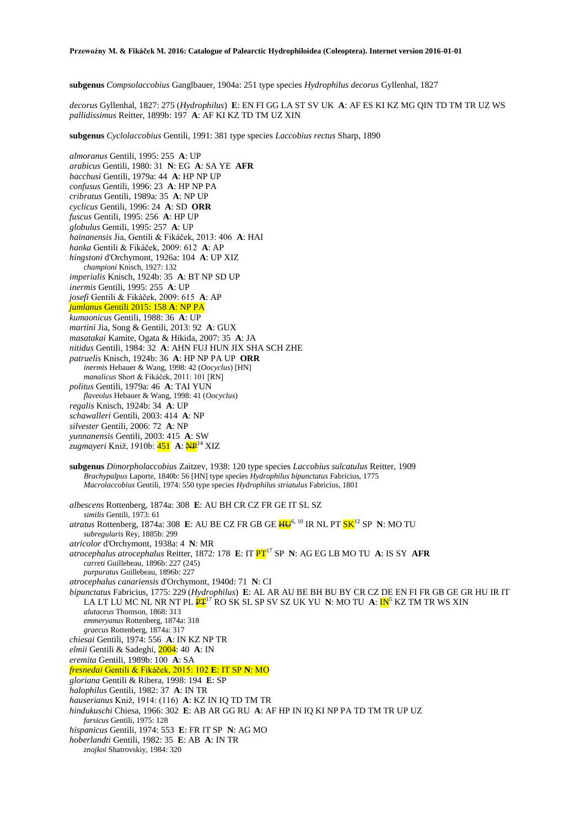**subgenus** *Compsolaccobius* Ganglbauer, 1904a: 251 type species *Hydrophilus decorus* Gyllenhal, 1827

*decorus* Gyllenhal, 1827: 275 (*Hydrophilus*) **E**: EN FI GG LA ST SV UK **A**: AF ES KI KZ MG QIN TD TM TR UZ WS *pallidissimus* Reitter, 1899b: 197 **A**: AF KI KZ TD TM UZ XIN

**subgenus** *Cyclolaccobius* Gentili, 1991: 381 type species *Laccobius rectus* Sharp, 1890

*almoranus* Gentili, 1995: 255 **A**: UP *arabicus* Gentili, 1980: 31 **N**: EG **A**: SA YE **AFR** *bacchusi* Gentili, 1979a: 44 **A**: HP NP UP *confusus* Gentili, 1996: 23 **A**: HP NP PA *cribratus* Gentili, 1989a: 35 **A**: NP UP *cyclicus* Gentili, 1996: 24 **A**: SD **ORR** *fuscus* Gentili, 1995: 256 **A**: HP UP *globulus* Gentili, 1995: 257 **A**: UP *hainanensis* Jia, Gentili & Fikáček, 2013: 406 **A**: HAI *hanka* Gentili & Fikáček, 2009: 612 **A**: AP *hingstoni* d'Orchymont, 1926a: 104 **A**: UP XIZ *championi* Knisch, 1927: 132 *imperialis* Knisch, 1924b: 35 **A**: BT NP SD UP *inermis* Gentili, 1995: 255 **A**: UP *josefi* Gentili & Fikáček, 2009: 615 **A**: AP *jumlanus* Gentili 2015: 158 **A**: NP PA *kumaonicus* Gentili, 1988: 36 **A**: UP *martini* Jia, Song & Gentili, 2013: 92 **A**: GUX *masatakai* Kamite, Ogata & Hikida, 2007: 35 **A**: JA *nitidus* Gentili, 1984: 32 **A**: AHN FUJ HUN JIX SHA SCH ZHE *patruelis* Knisch, 1924b: 36 **A**: HP NP PA UP **ORR** *inermis* Hebauer & Wang, 1998: 42 (*Oocyclus*) [HN] *manalicus* Short & Fikáček, 2011: 101 [RN] *politus* Gentili, 1979a: 46 **A**: TAI YUN *flaveolus* Hebauer & Wang, 1998: 41 (*Oocyclus*) *regalis* Knisch, 1924b: 34 **A**: UP *schawalleri* Gentili, 2003: 414 **A**: NP *silvester* Gentili, 2006: 72 **A**: NP *yunnanensis* Gentili, 2003: 415 **A**: SW *zugmayeri* Kniž, 1910b: 451 **A**: NP<sup>14</sup> XIZ **subgenus** *Dimorpholaccobius* Zaitzev, 1938: 120 type species *Laccobius sulcatulus* Reitter, 1909 *Brachypalpus* Laporte, 1840b: 56 [HN] type species *Hydrophilus bipunctatus* Fabricius, 1775 *Macrolaccobius* Gentili, 1974: 550 type species *Hydrophilus striatulus* Fabricius, 1801 *albescens* Rottenberg, 1874a: 308 **E**: AU BH CR CZ FR GE IT SL SZ

*similis* Gentili, 1973: 61 *atratus* Rottenberg, 1874a: 308 E: AU BE CZ FR GB GE  $\overline{\text{HU}}^{6, \ 10}$  IR NL PT  $\overline{\text{SK}}^{12}$  SP  $\,$  N: MO TU *subregularis* Rey, 1885b: 299 *atricolor* d'Orchymont, 1938a: 4 **N**: MR *atrocephalus atrocephalus Reitter, 1872: 178 E: IT*  $PT^{17}$  *SP N: AG EG LB MO TU A: IS SY AFR carreti* Guillebeau, 1896b: 227 (245) *purpuratus* Guillebeau, 1896b: 227 *atrocephalus canariensis* d'Orchymont, 1940d: 71 **N**: CI *bipunctatus* Fabricius, 1775: 229 (*Hydrophilus*) **E**: AL AR AU BE BH BU BY CR CZ DE EN FI FR GB GE GR HU IR IT LA LT LU MC NL NR NT PL  $\mathbf{P}\mathbf{L}^{17}$  RO SK SL SP SV SZ UK YU  $N$ : MO TU  $\mathbf{A}$ :  $\mathbf{IN}^5$  KZ TM TR WS XIN *alutaceus* Thomson, 1868: 313 *emmeryanus* Rottenberg, 1874a: 318 *graecus* Rottenberg, 1874a: 317 *chiesai* Gentili, 1974: 556 **A**: IN KZ NP TR *elmii* Gentili & Sadeghi, 2004: 40 **A**: IN *eremita* Gentili, 1989b: 100 **A**: SA *fresnedai* Gentili & Fikáček, 2015: 102 **E**: IT SP **N**: MO *gloriana* Gentili & Ribera, 1998: 194 **E**: SP *halophilus* Gentili, 1982: 37 **A**: IN TR *hauserianus* Kniž, 1914: (116) **A**: KZ IN IQ TD TM TR *hindukuschi* Chiesa, 1966: 302 **E**: AB AR GG RU **A**: AF HP IN IQ KI NP PA TD TM TR UP UZ *farsicus* Gentili, 1975: 128 *hispanicus* Gentili, 1974: 553 **E**: FR IT SP **N**: AG MO *hoberlandti* Gentili, 1982: 35 **E**: AB **A**: IN TR *znojkoi* Shatrovskiy, 1984: 320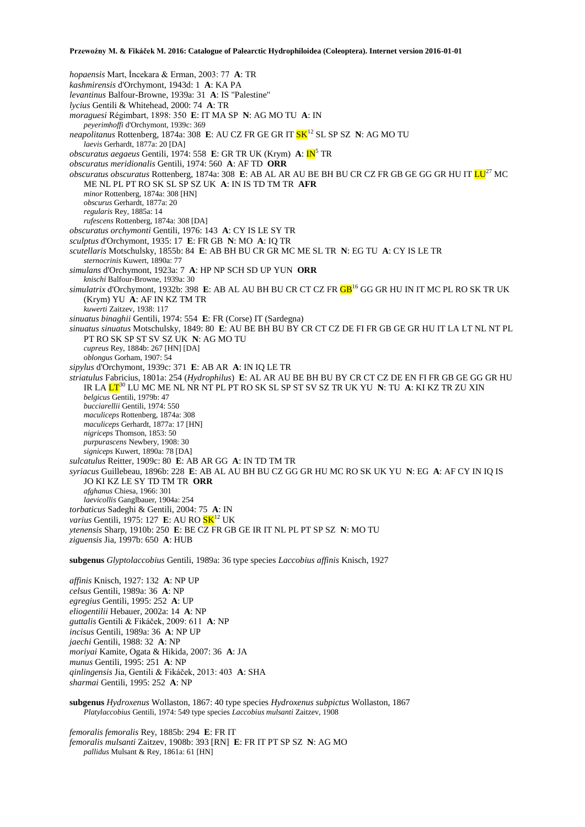*hopaensis* Mart, İncekara & Erman, 2003: 77 **A**: TR *kashmirensis* d'Orchymont, 1943d: 1 **A**: KA PA *levantinus* Balfour-Browne, 1939a: 31 **A**: IS "Palestine" *lycius* Gentili & Whitehead, 2000: 74 **A**: TR *moraguesi* Régimbart, 1898: 350 **E**: IT MA SP **N**: AG MO TU **A**: IN *peyerimhoffi* d'Orchymont, 1939c: 369 *neapolitanus* Rottenberg, 1874a: 308 E: AU CZ FR GE GR IT  $SK^{12}$  SL SP SZ N: AG MO TU *laevis* Gerhardt, 1877a: 20 [DA] *obscuratus aegaeus* Gentili, 1974: 558 E: GR TR UK (Krym) A: IN<sup>5</sup> TR *obscuratus meridionalis* Gentili, 1974: 560 **A**: AF TD **ORR** *obscuratus obscuratus* Rottenberg, 1874a: 308 **E**: AB AL AR AU BE BH BU CR CZ FR GB GE GG GR HU IT LU<sup>27</sup> MC ME NL PL PT RO SK SL SP SZ UK **A**: IN IS TD TM TR **AFR** *minor* Rottenberg, 1874a: 308 [HN] *obscurus* Gerhardt, 1877a: 20 *regularis* Rey, 1885a: 14 *rufescens* Rottenberg, 1874a: 308 [DA] *obscuratus orchymonti* Gentili, 1976: 143 **A**: CY IS LE SY TR *sculptus* d'Orchymont, 1935: 17 **E**: FR GB **N**: MO **A**: IQ TR *scutellaris* Motschulsky, 1855b: 84 **E**: AB BH BU CR GR MC ME SL TR **N**: EG TU **A**: CY IS LE TR *sternocrinis* Kuwert, 1890a: 77 *simulans* d'Orchymont, 1923a: 7 **A**: HP NP SCH SD UP YUN **ORR** *knischi* Balfour-Browne, 1939a: 30 *simulatrix* d'Orchymont, 1932b: 398 **E**: AB AL AU BH BU CR CT CZ FR GB<sup>16</sup> GG GR HU IN IT MC PL RO SK TR UK (Krym) YU **A**: AF IN KZ TM TR *kuwerti* Zaitzev, 1938: 117 *sinuatus binaghii* Gentili, 1974: 554 **E**: FR (Corse) IT (Sardegna) *sinuatus sinuatus* Motschulsky, 1849: 80 **E**: AU BE BH BU BY CR CT CZ DE FI FR GB GE GR HU IT LA LT NL NT PL PT RO SK SP ST SV SZ UK **N**: AG MO TU *cupreus* Rey, 1884b: 267 [HN] [DA] *oblongus* Gorham, 1907: 54 *sipylus* d'Orchymont, 1939c: 371 **E**: AB AR **A**: IN IQ LE TR *striatulus* Fabricius, 1801a: 254 (*Hydrophilus*) **E**: AL AR AU BE BH BU BY CR CT CZ DE EN FI FR GB GE GG GR HU IR LA LT<sup>30</sup> LU MC ME NL NR NT PL PT RO SK SL SP ST SV SZ TR UK YU **N**: TU **A**: KI KZ TR ZU XIN *belgicus* Gentili, 1979b: 47 *bucciarellii* Gentili, 1974: 550 *maculiceps* Rottenberg, 1874a: 308 *maculiceps* Gerhardt, 1877a: 17 [HN] *nigriceps* Thomson, 1853: 50 *purpurascens* Newbery, 1908: 30 *signiceps* Kuwert, 1890a: 78 [DA] *sulcatulus* Reitter, 1909c: 80 **E**: AB AR GG **A**: IN TD TM TR *syriacus* Guillebeau, 1896b: 228 **E**: AB AL AU BH BU CZ GG GR HU MC RO SK UK YU **N**: EG **A**: AF CY IN IQ IS JO KI KZ LE SY TD TM TR **ORR** *afghanus* Chiesa, 1966: 301 *laevicollis* Ganglbauer, 1904a: 254 *torbaticus* Sadeghi & Gentili, 2004: 75 **A**: IN *varius* Gentili, 1975: 127 **E**: AU RO  $\frac{\text{SK}}{12}$  UK *ytenensis* Sharp, 1910b: 250 **E**: BE CZ FR GB GE IR IT NL PL PT SP SZ **N**: MO TU *ziguensis* Jia, 1997b: 650 **A**: HUB **subgenus** *Glyptolaccobius* Gentili, 1989a: 36 type species *Laccobius affinis* Knisch, 1927 *affinis* Knisch, 1927: 132 **A**: NP UP *celsus* Gentili, 1989a: 36 **A**: NP *egregius* Gentili, 1995: 252 **A**: UP *eliogentilii* Hebauer, 2002a: 14 **A**: NP

*guttalis* Gentili & Fikáček, 2009: 611 **A**: NP *incisus* Gentili, 1989a: 36 **A**: NP UP *jaechi* Gentili, 1988: 32 **A**: NP *moriyai* Kamite, Ogata & Hikida, 2007: 36 **A**: JA *munus* Gentili, 1995: 251 **A**: NP *qinlingensis* Jia, Gentili & Fikáček, 2013: 403 **A**: SHA *sharmai* Gentili, 1995: 252 **A**: NP

**subgenus** *Hydroxenus* Wollaston, 1867: 40 type species *Hydroxenus subpictus* Wollaston, 1867 *Platylaccobius* Gentili, 1974: 549 type species *Laccobius mulsanti* Zaitzev, 1908

*femoralis femoralis* Rey, 1885b: 294 **E**: FR IT *femoralis mulsanti* Zaitzev, 1908b: 393 [RN] **E**: FR IT PT SP SZ **N**: AG MO *pallidus* Mulsant & Rey, 1861a: 61 [HN]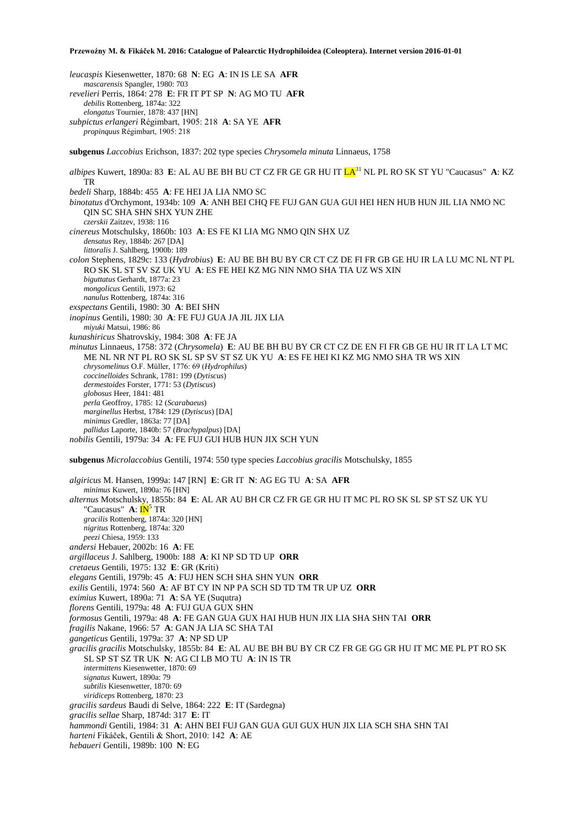*leucaspis* Kiesenwetter, 1870: 68 **N**: EG **A**: IN IS LE SA **AFR** *mascarensis* Spangler, 1980: 703 *revelieri* Perris, 1864: 278 **E**: FR IT PT SP **N**: AG MO TU **AFR** *debilis* Rottenberg, 1874a: 322 *elongatus* Tournier, 1878: 437 [HN] *subpictus erlangeri* Régimbart, 1905: 218 **A**: SA YE **AFR** *propinquus* Régimbart, 1905: 218 **subgenus** *Laccobius* Erichson, 1837: 202 type species *Chrysomela minuta* Linnaeus, 1758 *albipes* Kuwert, 1890a: 83 **E**: AL AU BE BH BU CT CZ FR GE GR HU IT LA<sup>31</sup> NL PL RO SK ST YU "Caucasus" **A**: KZ TR *bedeli* Sharp, 1884b: 455 **A**: FE HEI JA LIA NMO SC *binotatus* d'Orchymont, 1934b: 109 **A**: ANH BEI CHQ FE FUJ GAN GUA GUI HEI HEN HUB HUN JIL LIA NMO NC QIN SC SHA SHN SHX YUN ZHE *czerskii* Zaitzev, 1938: 116 *cinereus* Motschulsky, 1860b: 103 **A**: ES FE KI LIA MG NMO QIN SHX UZ *densatus* Rey, 1884b: 267 [DA] *littoralis* J. Sahlberg, 1900b: 189 *colon* Stephens, 1829c: 133 (*Hydrobius*) **E**: AU BE BH BU BY CR CT CZ DE FI FR GB GE HU IR LA LU MC NL NT PL RO SK SL ST SV SZ UK YU **A**: ES FE HEI KZ MG NIN NMO SHA TIA UZ WS XIN *biguttatus* Gerhardt, 1877a: 23 *mongolicus* Gentili, 1973: 62 *nanulus* Rottenberg, 1874a: 316 *exspectans* Gentili, 1980: 30 **A**: BEI SHN *inopinus* Gentili, 1980: 30 **A**: FE FUJ GUA JA JIL JIX LIA *miyuki* Matsui, 1986: 86 *kunashiricus* Shatrovskiy, 1984: 308 **A**: FE JA *minutus* Linnaeus, 1758: 372 (*Chrysomela*) **E**: AU BE BH BU BY CR CT CZ DE EN FI FR GB GE HU IR IT LA LT MC ME NL NR NT PL RO SK SL SP SV ST SZ UK YU **A**: ES FE HEI KI KZ MG NMO SHA TR WS XIN *chrysomelinus* O.F. Müller, 1776: 69 (*Hydrophilus*) *coccinelloides* Schrank, 1781: 199 (*Dytiscus*) *dermestoides* Forster, 1771: 53 (*Dytiscus*) *globosus* Heer, 1841: 481 *perla* Geoffroy, 1785: 12 (*Scarabaeus*) *marginellus* Herbst, 1784: 129 (*Dytiscus*) [DA] *minimus* Gredler, 1863a: 77 [DA] *pallidus* Laporte, 1840b: 57 (*Brachypalpus*) [DA] *nobilis* Gentili, 1979a: 34 **A**: FE FUJ GUI HUB HUN JIX SCH YUN **subgenus** *Microlaccobius* Gentili, 1974: 550 type species *Laccobius gracilis* Motschulsky, 1855 *algiricus* M. Hansen, 1999a: 147 [RN] **E**: GR IT **N**: AG EG TU **A**: SA **AFR** *minimus* Kuwert, 1890a: 76 [HN] *alternus* Motschulsky, 1855b: 84 **E**: AL AR AU BH CR CZ FR GE GR HU IT MC PL RO SK SL SP ST SZ UK YU "Caucasus" **A**: **IN**<sup>5</sup> TR *gracilis* Rottenberg, 1874a: 320 [HN] *nigritus* Rottenberg, 1874a: 320 *peezi* Chiesa, 1959: 133 *andersi* Hebauer, 2002b: 16 **A**: FE *argillaceus* J. Sahlberg, 1900b: 188 **A**: KI NP SD TD UP **ORR** *cretaeus* Gentili, 1975: 132 **E**: GR (Kríti) *elegans* Gentili, 1979b: 45 **A**: FUJ HEN SCH SHA SHN YUN **ORR** *exilis* Gentili, 1974: 560 **A**: AF BT CY IN NP PA SCH SD TD TM TR UP UZ **ORR** *eximius* Kuwert, 1890a: 71 **A**: SA YE (Suqutra) *florens* Gentili, 1979a: 48 **A**: FUJ GUA GUX SHN *formosus* Gentili, 1979a: 48 **A**: FE GAN GUA GUX HAI HUB HUN JIX LIA SHA SHN TAI **ORR** *fragilis* Nakane, 1966: 57 **A**: GAN JA LIA SC SHA TAI *gangeticus* Gentili, 1979a: 37 **A**: NP SD UP *gracilis gracilis* Motschulsky, 1855b: 84 **E**: AL AU BE BH BU BY CR CZ FR GE GG GR HU IT MC ME PL PT RO SK SL SP ST SZ TR UK **N**: AG CI LB MO TU **A**: IN IS TR *intermittens* Kiesenwetter, 1870: 69 *signatus* Kuwert, 1890a: 79 *subtilis* Kiesenwetter, 1870: 69 *viridiceps* Rottenberg, 1870: 23 *gracilis sardeus* Baudi di Selve, 1864: 222 **E**: IT (Sardegna) *gracilis sellae* Sharp, 1874d: 317 **E**: IT *hammondi* Gentili, 1984: 31 **A**: AHN BEI FUJ GAN GUA GUI GUX HUN JIX LIA SCH SHA SHN TAI *harteni* Fikáček, Gentili & Short, 2010: 142 **A**: AE *hebaueri* Gentili, 1989b: 100 **N**: EG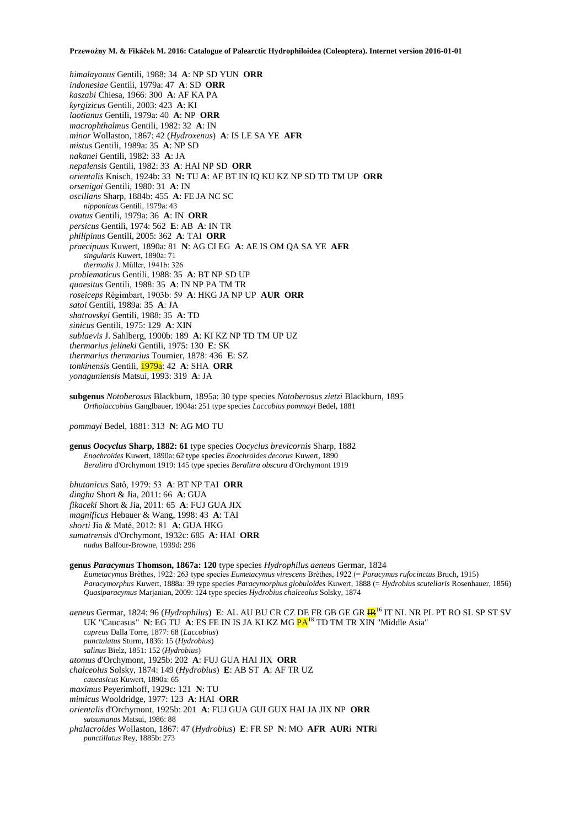- *himalayanus* Gentili, 1988: 34 **A**: NP SD YUN **ORR**
- *indonesiae* Gentili, 1979a: 47 **A**: SD **ORR**
- *kaszabi* Chiesa, 1966: 300 **A**: AF KA PA
- *kyrgizicus* Gentili, 2003: 423 **A**: KI
- *laotianus* Gentili, 1979a: 40 **A**: NP **ORR**
- *macrophthalmus* Gentili, 1982: 32 **A**: IN
- *minor* Wollaston, 1867: 42 (*Hydroxenus*) **A**: IS LE SA YE **AFR** *mistus* Gentili, 1989a: 35 **A**: NP SD
- *nakanei* Gentili, 1982: 33 **A**: JA
- *nepalensis* Gentili, 1982: 33 **A**: HAI NP SD **ORR**
- *orientalis* Knisch, 1924b: 33 **N:** TU **A**: AF BT IN IQ KU KZ NP SD TD TM UP **ORR**
- *orsenigoi* Gentili, 1980: 31 **A**: IN
- *oscillans* Sharp, 1884b: 455 **A**: FE JA NC SC
- *nipponicus* Gentili, 1979a: 43
- *ovatus* Gentili, 1979a: 36 **A**: IN **ORR**
- *persicus* Gentili, 1974: 562 **E**: AB **A**: IN TR
- *philipinus* Gentili, 2005: 362 **A**: TAI **ORR**
- *praecipuus* Kuwert, 1890a: 81 **N**: AG CI EG **A**: AE IS OM QA SA YE **AFR** *singularis* Kuwert, 1890a: 71
	- *thermalis* J. Müller, 1941b: 326
- *problematicus* Gentili, 1988: 35 **A**: BT NP SD UP
- *quaesitus* Gentili, 1988: 35 **A**: IN NP PA TM TR
- *roseiceps* Régimbart, 1903b: 59 **A**: HKG JA NP UP **AUR ORR**
- *satoi* Gentili, 1989a: 35 **A**: JA
- *shatrovskyi* Gentili, 1988: 35 **A**: TD
- *sinicus* Gentili, 1975: 129 **A**: XIN
- *sublaevis* J. Sahlberg, 1900b: 189 **A**: KI KZ NP TD TM UP UZ
- *thermarius jelineki* Gentili, 1975: 130 **E**: SK
- *thermarius thermarius* Tournier, 1878: 436 **E**: SZ
- *tonkinensis* Gentili, 1979a: 42 **A**: SHA **ORR**
- *yonaguniensis* Matsui, 1993: 319 **A**: JA
- **subgenus** *Notoberosus* Blackburn, 1895a: 30 type species *Notoberosus zietzi* Blackburn, 1895 *Ortholaccobius* Ganglbauer, 1904a: 251 type species *Laccobius pommayi* Bedel, 1881

*pommayi* Bedel, 1881: 313 **N**: AG MO TU

**genus** *Oocyclus* **Sharp, 1882: 61** type species *Oocyclus brevicornis* Sharp, 1882 *Enochroides* Kuwert, 1890a: 62 type species *Enochroides decorus* Kuwert, 1890 *Beralitra* d'Orchymont 1919: 145 type species *Beralitra obscura* d'Orchymont 1919

*bhutanicus* Satô, 1979: 53 **A**: BT NP TAI **ORR** *dinghu* Short & Jia, 2011: 66 **A**: GUA *fikaceki* Short & Jia, 2011: 65 **A**: FUJ GUA JIX *magnificus* Hebauer & Wang, 1998: 43 **A**: TAI *shorti* Jia & Maté, 2012: 81 **A**: GUA HKG *sumatrensis* d'Orchymont, 1932c: 685 **A**: HAI **ORR** *nudus* Balfour-Browne, 1939d: 296

**genus** *Paracymus* **Thomson, 1867a: 120** type species *Hydrophilus aeneus* Germar, 1824 *Eumetacymus* Brèthes, 1922: 263 type species *Eumetacymus virescens* Brèthes, 1922 (= *Paracymus rufocinctus* Bruch, 1915) *Paracymorphus* Kuwert, 1888a: 39 type species *Paracymorphus globuloides* Kuwert, 1888 (= *Hydrobius scutellaris* Rosenhauer, 1856) *Quasiparacymus* Marjanian, 2009: 124 type species *Hydrobius chalceolus* Solsky, 1874

*aeneus* Germar, 1824: 96 (*Hydrophilus*) **E**: AL AU BU CR CZ DE FR GB GE GR IR<sup>16</sup> IT NL NR PL PT RO SL SP ST SV UK "Caucasus" **N**: EG TU **A**: ES FE IN IS JA KI KZ MG **PA<sup>18</sup>** TD TM TR XIN "Middle Asia" *cupreus* Dalla Torre, 1877: 68 (*Laccobius*) *punctulatus* Sturm, 1836: 15 (*Hydrobius*) *salinus* Bielz, 1851: 152 (*Hydrobius*) *atomus* d'Orchymont, 1925b: 202 **A**: FUJ GUA HAI JIX **ORR** *chalceolus* Solsky, 1874: 149 (*Hydrobius*) **E**: AB ST **A**: AF TR UZ *caucasicus* Kuwert, 1890a: 65 *maximus* Peyerimhoff, 1929c: 121 **N**: TU *mimicus* Wooldridge, 1977: 123 **A**: HAI **ORR** *orientalis* d'Orchymont, 1925b: 201 **A**: FUJ GUA GUI GUX HAI JA JIX NP **ORR** *satsumanus* Matsui, 1986: 88

*phalacroides* Wollaston, 1867: 47 (*Hydrobius*) **E**: FR SP **N**: MO **AFR AUR**i **NTR**i *punctillatus* Rey, 1885b: 273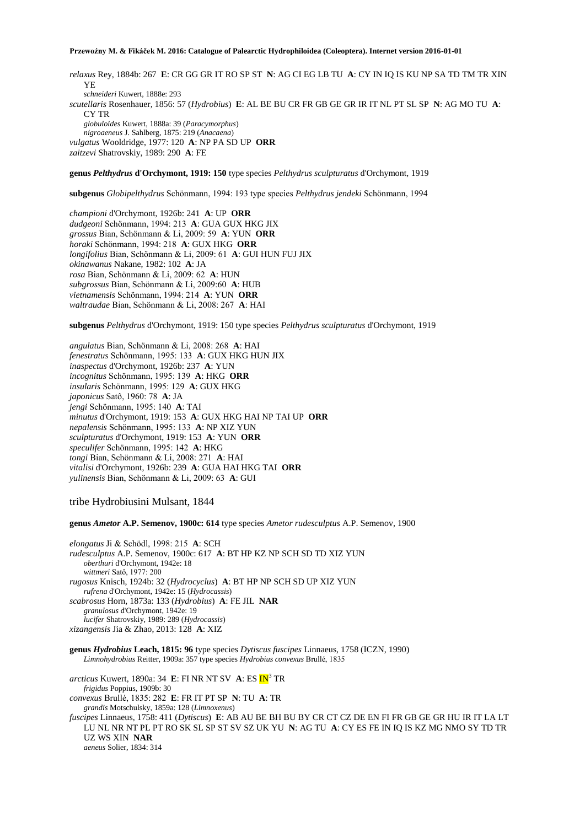*relaxus* Rey, 1884b: 267 **E**: CR GG GR IT RO SP ST **N**: AG CI EG LB TU **A**: CY IN IQ IS KU NP SA TD TM TR XIN YE *schneideri* Kuwert, 1888e: 293 *scutellaris* Rosenhauer, 1856: 57 (*Hydrobius*) **E**: AL BE BU CR FR GB GE GR IR IT NL PT SL SP **N**: AG MO TU **A**: CY TR *globuloides* Kuwert, 1888a: 39 (*Paracymorphus*) *nigroaeneus* J. Sahlberg, 1875: 219 (*Anacaena*) *vulgatus* Wooldridge, 1977: 120 **A**: NP PA SD UP **ORR** *zaitzevi* Shatrovskiy, 1989: 290 **A**: FE

#### **genus** *Pelthydrus* **d'Orchymont, 1919: 150** type species *Pelthydrus sculpturatus* d'Orchymont, 1919

**subgenus** *Globipelthydrus* Schönmann, 1994: 193 type species *Pelthydrus jendeki* Schönmann, 1994

*championi* d'Orchymont, 1926b: 241 **A**: UP **ORR** *dudgeoni* Schönmann, 1994: 213 **A**: GUA GUX HKG JIX *grossus* Bian, Schönmann & Li, 2009: 59 **A**: YUN **ORR** *horaki* Schönmann, 1994: 218 **A**: GUX HKG **ORR** *longifolius* Bian, Schönmann & Li, 2009: 61 **A**: GUI HUN FUJ JIX *okinawanus* Nakane, 1982: 102 **A**: JA *rosa* Bian, Schönmann & Li, 2009: 62 **A**: HUN *subgrossus* Bian, Schönmann & Li, 2009:60 **A**: HUB *vietnamensis* Schönmann, 1994: 214 **A**: YUN **ORR** *waltraudae* Bian, Schönmann & Li, 2008: 267 **A**: HAI

**subgenus** *Pelthydrus* d'Orchymont, 1919: 150 type species *Pelthydrus sculpturatus* d'Orchymont, 1919

*angulatus* Bian, Schönmann & Li, 2008: 268 **A**: HAI *fenestratus* Schönmann, 1995: 133 **A**: GUX HKG HUN JIX *inaspectus* d'Orchymont, 1926b: 237 **A**: YUN *incognitus* Schönmann, 1995: 139 **A**: HKG **ORR** *insularis* Schönmann, 1995: 129 **A**: GUX HKG *japonicus* Satô, 1960: 78 **A**: JA *jengi* Schönmann, 1995: 140 **A**: TAI *minutus* d'Orchymont, 1919: 153 **A**: GUX HKG HAI NP TAI UP **ORR** *nepalensis* Schönmann, 1995: 133 **A**: NP XIZ YUN *sculpturatus* d'Orchymont, 1919: 153 **A**: YUN **ORR** *speculifer* Schönmann, 1995: 142 **A**: HKG *tongi* Bian, Schönmann & Li, 2008: 271 **A**: HAI *vitalisi* d'Orchymont, 1926b: 239 **A**: GUA HAI HKG TAI **ORR** *yulinensis* Bian, Schönmann & Li, 2009: 63 **A**: GUI

tribe Hydrobiusini Mulsant, 1844

**genus** *Ametor* **A.P. Semenov, 1900c: 614** type species *Ametor rudesculptus* A.P. Semenov, 1900

*elongatus* Ji & Schödl, 1998: 215 **A**: SCH *rudesculptus* A.P. Semenov, 1900c: 617 **A**: BT HP KZ NP SCH SD TD XIZ YUN *oberthuri* d'Orchymont, 1942e: 18 *wittmeri* Satô, 1977: 200 *rugosus* Knisch, 1924b: 32 (*Hydrocyclus*) **A**: BT HP NP SCH SD UP XIZ YUN *rufrena* d'Orchymont, 1942e: 15 (*Hydrocassis*) *scabrosus* Horn, 1873a: 133 (*Hydrobius*) **A**: FE JIL **NAR** *granulosus* d'Orchymont, 1942e: 19 *lucifer* Shatrovskiy, 1989: 289 (*Hydrocassis*) *xizangensis* Jia & Zhao, 2013: 128 **A**: XIZ

**genus** *Hydrobius* **Leach, 1815: 96** type species *Dytiscus fuscipes* Linnaeus, 1758 (ICZN, 1990) *Limnohydrobius* Reitter, 1909a: 357 type species *Hydrobius convexus* Brullé, 1835

*arcticus* Kuwert, 1890a: 34 **E**: FI NR NT SV **A**: ES IN<sup>3</sup> TR *frigidus* Poppius, 1909b: 30 *convexus* Brullé, 1835: 282 **E**: FR IT PT SP **N**: TU **A**: TR *grandis* Motschulsky, 1859a: 128 (*Limnoxenus*) *fuscipes* Linnaeus, 1758: 411 (*Dytiscus*) **E**: AB AU BE BH BU BY CR CT CZ DE EN FI FR GB GE GR HU IR IT LA LT LU NL NR NT PL PT RO SK SL SP ST SV SZ UK YU **N**: AG TU **A**: CY ES FE IN IQ IS KZ MG NMO SY TD TR UZ WS XIN **NAR** *aeneus* Solier, 1834: 314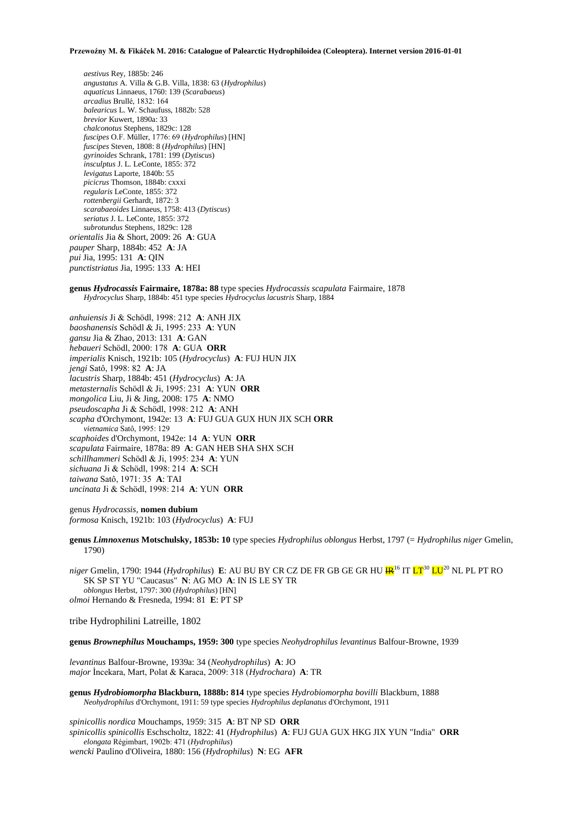*aestivus* Rey, 1885b: 246 *angustatus* A. Villa & G.B. Villa, 1838: 63 (*Hydrophilus*) *aquaticus* Linnaeus, 1760: 139 (*Scarabaeus*) *arcadius* Brullé, 1832: 164 *balearicus* L. W. Schaufuss, 1882b: 528 *brevior* Kuwert, 1890a: 33 *chalconotus* Stephens, 1829c: 128 *fuscipes* O.F. Müller, 1776: 69 (*Hydrophilus*) [HN] *fuscipes* Steven, 1808: 8 (*Hydrophilus*) [HN] *gyrinoides* Schrank, 1781: 199 (*Dytiscus*) *insculptus* J. L. LeConte, 1855: 372 *levigatus* Laporte, 1840b: 55 *picicrus* Thomson, 1884b: cxxxi *regularis* LeConte, 1855: 372 *rottenbergii* Gerhardt, 1872: 3 *scarabaeoides* Linnaeus, 1758: 413 (*Dytiscus*) *seriatus* J. L. LeConte, 1855: 372 *subrotundus* Stephens, 1829c: 128 *orientalis* Jia & Short, 2009: 26 **A**: GUA *pauper* Sharp, 1884b: 452 **A**: JA *pui* Jia, 1995: 131 **A**: QIN *punctistriatus* Jia, 1995: 133 **A**: HEI

**genus** *Hydrocassis* **Fairmaire, 1878a: 88** type species *Hydrocassis scapulata* Fairmaire, 1878 *Hydrocyclus* Sharp, 1884b: 451 type species *Hydrocyclus lacustris* Sharp, 1884

*anhuiensis* Ji & Schödl, 1998: 212 **A**: ANH JIX *baoshanensis* Schödl & Ji, 1995: 233 **A**: YUN *gansu* Jia & Zhao, 2013: 131 **A**: GAN *hebaueri* Schödl, 2000: 178 **A**: GUA **ORR** *imperialis* Knisch, 1921b: 105 (*Hydrocyclus*) **A**: FUJ HUN JIX *jengi* Satô, 1998: 82 **A**: JA *lacustris* Sharp, 1884b: 451 (*Hydrocyclus*) **A**: JA *metasternalis* Schödl & Ji, 1995: 231 **A**: YUN **ORR** *mongolica* Liu, Ji & Jing, 2008: 175 **A**: NMO *pseudoscapha* Ji & Schödl, 1998: 212 **A**: ANH *scapha* d'Orchymont, 1942e: 13 **A**: FUJ GUA GUX HUN JIX SCH **ORR** *vietnamica* Satô, 1995: 129 *scaphoides* d'Orchymont, 1942e: 14 **A**: YUN **ORR** *scapulata* Fairmaire, 1878a: 89 **A**: GAN HEB SHA SHX SCH *schillhammeri* Schödl & Ji, 1995: 234 **A**: YUN *sichuana* Ji & Schödl, 1998: 214 **A**: SCH *taiwana* Satô, 1971: 35 **A**: TAI *uncinata* Ji & Schödl, 1998: 214 **A**: YUN **ORR**

genus *Hydrocassis,* **nomen dubium** *formosa* Knisch, 1921b: 103 (*Hydrocyclus*) **A**: FUJ

**genus** *Limnoxenus* **Motschulsky, 1853b: 10** type species *Hydrophilus oblongus* Herbst, 1797 (= *Hydrophilus niger* Gmelin, 1790)

*niger* Gmelin, 1790: 1944 (*Hydrophilus*) **E**: AU BU BY CR CZ DE FR GB GE GR HU  $\frac{1}{10}$ <sup>16</sup> IT  $LT^{30}$  LU<sup>20</sup> NL PL PT RO SK SP ST YU "Caucasus" **N**: AG MO **A**: IN IS LE SY TR *oblongus* Herbst, 1797: 300 (*Hydrophilus*) [HN] *olmoi* Hernando & Fresneda, 1994: 81 **E**: PT SP

tribe Hydrophilini Latreille, 1802

**genus** *Brownephilus* **Mouchamps, 1959: 300** type species *Neohydrophilus levantinus* Balfour-Browne, 1939

*levantinus* Balfour-Browne, 1939a: 34 (*Neohydrophilus*) **A**: JO *major* İncekara, Mart, Polat & Karaca, 2009: 318 (*Hydrochara*) **A**: TR

**genus** *Hydrobiomorpha* **Blackburn, 1888b: 814** type species *Hydrobiomorpha bovilli* Blackburn, 1888 *Neohydrophilus* d'Orchymont, 1911: 59 type species *Hydrophilus deplanatus* d'Orchymont, 1911

*spinicollis nordica* Mouchamps, 1959: 315 **A**: BT NP SD **ORR** *spinicollis spinicollis* Eschscholtz, 1822: 41 (*Hydrophilus*) **A**: FUJ GUA GUX HKG JIX YUN "India" **ORR** *elongata* Régimbart, 1902b: 471 (*Hydrophilus*) *wencki* Paulino d'Oliveira, 1880: 156 (*Hydrophilus*) **N**: EG **AFR**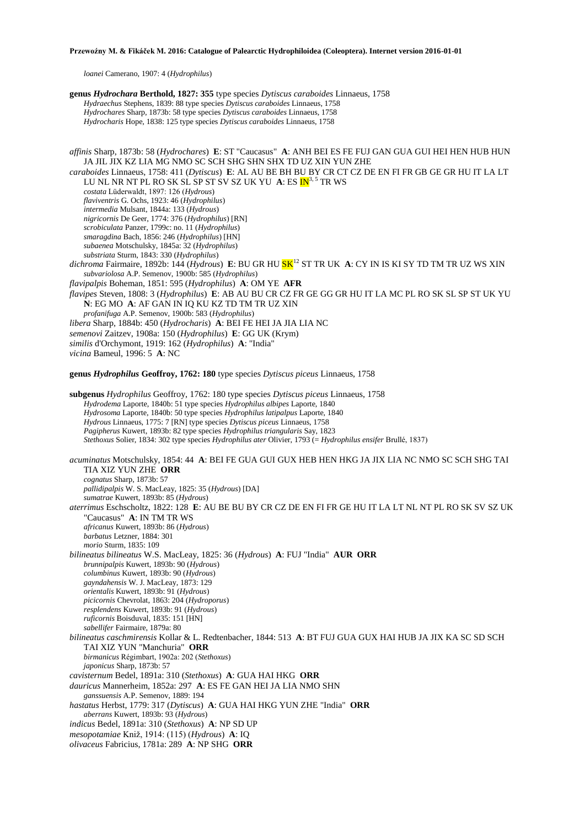*loanei* Camerano, 1907: 4 (*Hydrophilus*)

**genus** *Hydrochara* **Berthold, 1827: 355** type species *Dytiscus caraboides* Linnaeus, 1758 *Hydraechus* Stephens, 1839: 88 type species *Dytiscus caraboides* Linnaeus, 1758 *Hydrochares* Sharp, 1873b: 58 type species *Dytiscus caraboides* Linnaeus, 1758 *Hydrocharis* Hope, 1838: 125 type species *Dytiscus caraboides* Linnaeus, 1758 *affinis* Sharp, 1873b: 58 (*Hydrochares*) **E**: ST "Caucasus" **A**: ANH BEI ES FE FUJ GAN GUA GUI HEI HEN HUB HUN JA JIL JIX KZ LIA MG NMO SC SCH SHG SHN SHX TD UZ XIN YUN ZHE *caraboides* Linnaeus, 1758: 411 (*Dytiscus*) **E**: AL AU BE BH BU BY CR CT CZ DE EN FI FR GB GE GR HU IT LA LT LU NL NR NT PL RO SK SL SP ST SV SZ UK YU A: ES  $\mathbb{N}^{3,5}$  TR WS *costata* Lüderwaldt, 1897: 126 (*Hydrous*) *flaviventris* G. Ochs, 1923: 46 (*Hydrophilus*) *intermedia* Mulsant, 1844a: 133 (*Hydrous*) *nigricornis* De Geer, 1774: 376 (*Hydrophilus*) [RN] *scrobiculata* Panzer, 1799c: no. 11 (*Hydrophilus*) *smaragdina* Bach, 1856: 246 (*Hydrophilus*) [HN] *subaenea* Motschulsky, 1845a: 32 (*Hydrophilus*) *substriata* Sturm, 1843: 330 (*Hydrophilus*) *dichroma* Fairmaire, 1892b: 144 (*Hydrous*) **E**: BU GR HU SK<sup>12</sup> ST TR UK **A**: CY IN IS KI SY TD TM TR UZ WS XIN *subvariolosa* A.P. Semenov, 1900b: 585 (*Hydrophilus*) *flavipalpis* Boheman, 1851: 595 (*Hydrophilus*) **A**: OM YE **AFR** *flavipes* Steven, 1808: 3 (*Hydrophilus*) **E**: AB AU BU CR CZ FR GE GG GR HU IT LA MC PL RO SK SL SP ST UK YU **N**: EG MO **A**: AF GAN IN IQ KU KZ TD TM TR UZ XIN *profanifuga* A.P. Semenov, 1900b: 583 (*Hydrophilus*) *libera* Sharp, 1884b: 450 (*Hydrocharis*) **A**: BEI FE HEI JA JIA LIA NC *semenovi* Zaitzev, 1908a: 150 (*Hydrophilus*) **E**: GG UK (Krym) *similis* d'Orchymont, 1919: 162 (*Hydrophilus*) **A**: "India" *vicina* Bameul, 1996: 5 **A**: NC **genus** *Hydrophilus* **Geoffroy, 1762: 180** type species *Dytiscus piceus* Linnaeus, 1758 **subgenus** *Hydrophilus* Geoffroy, 1762: 180 type species *Dytiscus piceus* Linnaeus, 1758 *Hydrodema* Laporte, 1840b: 51 type species *Hydrophilus albipes* Laporte, 1840 *Hydrosoma* Laporte, 1840b: 50 type species *Hydrophilus latipalpus* Laporte, 1840 *Hydrous* Linnaeus, 1775: 7 [RN] type species *Dytiscus piceus* Linnaeus, 1758 *Pagipherus* Kuwert, 1893b: 82 type species *Hydrophilus triangularis* Say, 1823 *Stethoxus* Solier, 1834: 302 type species *Hydrophilus ater* Olivier, 1793 (= *Hydrophilus ensifer* Brullé, 1837) *acuminatus* Motschulsky, 1854: 44 **A**: BEI FE GUA GUI GUX HEB HEN HKG JA JIX LIA NC NMO SC SCH SHG TAI TIA XIZ YUN ZHE **ORR** *cognatus* Sharp, 1873b: 57 *pallidipalpis* W. S. MacLeay, 1825: 35 (*Hydrous*) [DA] *sumatrae* Kuwert, 1893b: 85 (*Hydrous*) *aterrimus* Eschscholtz, 1822: 128 **E**: AU BE BU BY CR CZ DE EN FI FR GE HU IT LA LT NL NT PL RO SK SV SZ UK "Caucasus" **A**: IN TM TR WS *africanus* Kuwert, 1893b: 86 (*Hydrous*) *barbatus* Letzner, 1884: 301 *morio* Sturm, 1835: 109 *bilineatus bilineatus* W.S. MacLeay, 1825: 36 (*Hydrous*) **A**: FUJ "India" **AUR ORR** *brunnipalpis* Kuwert, 1893b: 90 (*Hydrous*) *columbinus* Kuwert, 1893b: 90 (*Hydrous*) *gayndahensis* W. J. MacLeay, 1873: 129 *orientalis* Kuwert, 1893b: 91 (*Hydrous*) *picicornis* Chevrolat, 1863: 204 (*Hydroporus*) *resplendens* Kuwert, 1893b: 91 (*Hydrous*) *ruficornis* Boisduval, 1835: 151 [HN] *sabellifer* Fairmaire, 1879a: 80 *bilineatus caschmirensis* Kollar & L. Redtenbacher, 1844: 513 **A**: BT FUJ GUA GUX HAI HUB JA JIX KA SC SD SCH TAI XIZ YUN "Manchuria" **ORR** *birmanicus* Régimbart, 1902a: 202 (*Stethoxus*) *japonicus* Sharp, 1873b: 57 *cavisternum* Bedel, 1891a: 310 (*Stethoxus*) **A**: GUA HAI HKG **ORR** *dauricus* Mannerheim, 1852a: 297 **A**: ES FE GAN HEI JA LIA NMO SHN *ganssuensis* A.P. Semenov, 1889: 194 *hastatus* Herbst, 1779: 317 (*Dytiscus*) **A**: GUA HAI HKG YUN ZHE "India" **ORR** *aberrans* Kuwert, 1893b: 93 (*Hydrous*) *indicus* Bedel, 1891a: 310 (*Stethoxus*) **A**: NP SD UP *mesopotamiae* Kniž, 1914: (115) (*Hydrous*) **A**: IQ *olivaceus* Fabricius, 1781a: 289 **A**: NP SHG **ORR**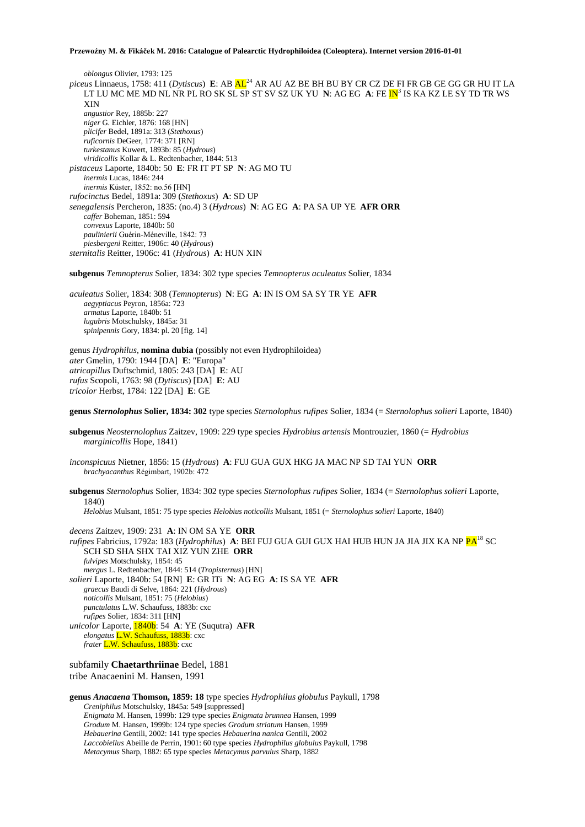*oblongus* Olivier, 1793: 125 *piceus* Linnaeus, 1758: 411 (*Dytiscus*) **E**: AB AL<sup>24</sup> AR AU AZ BE BH BU BY CR CZ DE FI FR GB GE GG GR HU IT LA LT LU MC ME MD NL NR PL RO SK SL SP ST SV SZ UK YU N: AG EG A: FE <mark>IN</mark><sup>3</sup> IS KA KZ LE SY TD TR WS XIN *angustior* Rey, 1885b: 227 *niger* G. Eichler, 1876: 168 [HN] *plicifer* Bedel, 1891a: 313 (*Stethoxus*) *ruficornis* DeGeer, 1774: 371 [RN] *turkestanus* Kuwert, 1893b: 85 (*Hydrous*) *viridicollis* Kollar & L. Redtenbacher, 1844: 513 *pistaceus* Laporte, 1840b: 50 **E**: FR IT PT SP **N**: AG MO TU *inermis* Lucas, 1846: 244 *inermis* Küster, 1852: no.56 [HN] *rufocinctus* Bedel, 1891a: 309 (*Stethoxus*) **A**: SD UP *senegalensis* Percheron, 1835: (no.4) 3 (*Hydrous*) **N**: AG EG **A**: PA SA UP YE **AFR ORR** *caffer* Boheman, 1851: 594 *convexus* Laporte, 1840b: 50 *paulinierii* Guérin-Méneville, 1842: 73 *piesbergeni* Reitter, 1906c: 40 (*Hydrous*) *sternitalis* Reitter, 1906c: 41 (*Hydrous*) **A**: HUN XIN

**subgenus** *Temnopterus* Solier, 1834: 302 type species *Temnopterus aculeatus* Solier, 1834

*aculeatus* Solier, 1834: 308 (*Temnopterus*) **N**: EG **A**: IN IS OM SA SY TR YE **AFR** *aegyptiacus* Peyron, 1856a: 723 *armatus* Laporte, 1840b: 51 *lugubris* Motschulsky, 1845a: 31 *spinipennis* Gory, 1834: pl. 20 [fig. 14]

genus *Hydrophilus*, **nomina dubia** (possibly not even Hydrophiloidea) *ater* Gmelin, 1790: 1944 [DA] **E**: "Europa" *atricapillus* Duftschmid, 1805: 243 [DA] **E**: AU *rufus* Scopoli, 1763: 98 (*Dytiscus*) [DA] **E**: AU *tricolor* Herbst, 1784: 122 [DA] **E**: GE

**genus** *Sternolophus* **Solier, 1834: 302** type species *Sternolophus rufipes* Solier, 1834 (= *Sternolophus solieri* Laporte, 1840)

**subgenus** *Neosternolophus* Zaitzev, 1909: 229 type species *Hydrobius artensis* Montrouzier, 1860 (= *Hydrobius marginicollis* Hope, 1841)

*inconspicuus* Nietner, 1856: 15 (*Hydrous*) **A**: FUJ GUA GUX HKG JA MAC NP SD TAI YUN **ORR** *brachyacanthus* Régimbart, 1902b: 472

**subgenus** *Sternolophus* Solier, 1834: 302 type species *Sternolophus rufipes* Solier, 1834 (= *Sternolophus solieri* Laporte, 1840) *Helobius* Mulsant, 1851: 75 type species *Helobius noticollis* Mulsant, 1851 (= *Sternolophus solieri* Laporte, 1840)

*decens* Zaitzev, 1909: 231 **A**: IN OM SA YE **ORR** *rufipes* Fabricius, 1792a: 183 (*Hydrophilus*) **A**: BEI FUJ GUA GUI GUX HAI HUB HUN JA JIA JIX KA NP PA<sup>18</sup> SC SCH SD SHA SHX TAI XIZ YUN ZHE **ORR** *fulvipes* Motschulsky, 1854: 45 *mergus* L. Redtenbacher, 1844: 514 (*Tropisternus*) [HN] *solieri* Laporte, 1840b: 54 [RN] **E**: GR ITi **N**: AG EG **A**: IS SA YE **AFR** *graecus* Baudi di Selve, 1864: 221 (*Hydrous*) *noticollis* Mulsant, 1851: 75 (*Helobius*) *punctulatus* L.W. Schaufuss, 1883b: cxc *rufipes* Solier, 1834: 311 [HN] *unicolor* Laporte, 1840b: 54 **A**: YE (Suqutra) **AFR** *elongatus* L.W. Schaufuss, 1883b: cxc *frater* L.W. Schaufuss, 1883b: cxc

subfamily **Chaetarthriinae** Bedel, 1881 tribe Anacaenini M. Hansen, 1991

**genus** *Anacaena* **Thomson, 1859: 18** type species *Hydrophilus globulus* Paykull, 1798 *Creniphilus* Motschulsky, 1845a: 549 [suppressed] *Enigmata* M. Hansen, 1999b: 129 type species *Enigmata brunnea* Hansen, 1999 *Grodum* M. Hansen, 1999b: 124 type species *Grodum striatum* Hansen, 1999 *Hebauerina* Gentili, 2002: 141 type species *Hebauerina nanica* Gentili, 2002 *Laccobiellus* Abeille de Perrin, 1901: 60 type species *Hydrophilus globulus* Paykull, 1798 *Metacymus* Sharp, 1882: 65 type species *Metacymus parvulus* Sharp, 1882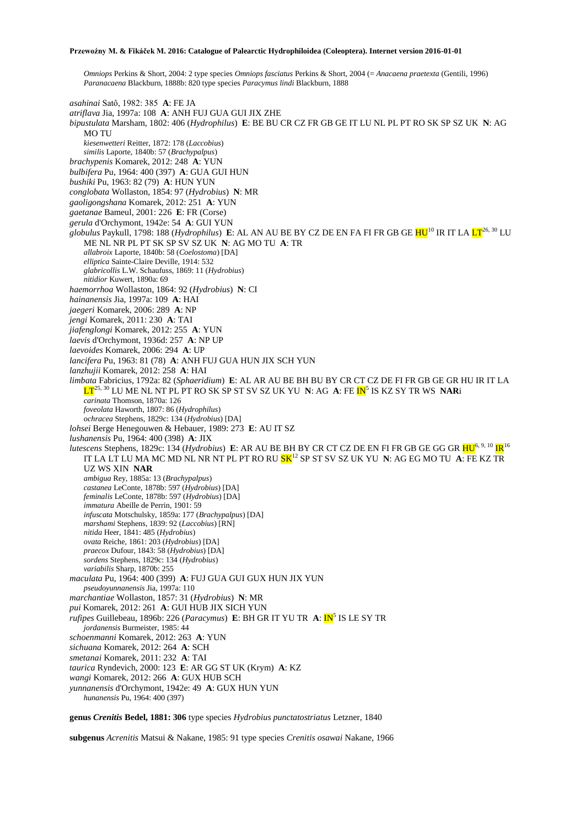*Omniops* Perkins & Short, 2004: 2 type species *Omniops fasciatus* Perkins & Short, 2004 (= *Anacaena praetexta* (Gentili, 1996) *Paranacaena* Blackburn, 1888b: 820 type species *Paracymus lindi* Blackburn, 1888

*asahinai* Satô, 1982: 385 **A**: FE JA *atriflava* Jia, 1997a: 108 **A**: ANH FUJ GUA GUI JIX ZHE *bipustulata* Marsham, 1802: 406 (*Hydrophilus*) **E**: BE BU CR CZ FR GB GE IT LU NL PL PT RO SK SP SZ UK **N**: AG MO TU *kiesenwetteri* Reitter, 1872: 178 (*Laccobius*) *similis* Laporte, 1840b: 57 (*Brachypalpus*) *brachypenis* Komarek, 2012: 248 **A**: YUN *bulbifera* Pu, 1964: 400 (397) **A**: GUA GUI HUN *bushiki* Pu, 1963: 82 (79) **A**: HUN YUN *conglobata* Wollaston, 1854: 97 (*Hydrobius*) **N**: MR *gaoligongshana* Komarek, 2012: 251 **A**: YUN *gaetanae* Bameul, 2001: 226 **E**: FR (Corse) *gerula* d'Orchymont, 1942e: 54 **A**: GUI YUN *globulus* Paykull, 1798: 188 (*Hydrophilus*) E: AL AN AU BE BY CZ DE EN FA FI FR GB GE HU<sup>10</sup> IR IT LA LT<sup>26, 30</sup> LU ME NL NR PL PT SK SP SV SZ UK **N**: AG MO TU **A**: TR *allabroix* Laporte, 1840b: 58 (*Coelostoma*) [DA] *elliptica* Sainte-Claire Deville, 1914: 532 *glabricollis* L.W. Schaufuss, 1869: 11 (*Hydrobius*) *nitidior* Kuwert, 1890a: 69 *haemorrhoa* Wollaston, 1864: 92 (*Hydrobius*) **N**: CI *hainanensis* Jia, 1997a: 109 **A**: HAI *jaegeri* Komarek, 2006: 289 **A**: NP *jengi* Komarek, 2011: 230 **A**: TAI *jiafenglongi* Komarek, 2012: 255 **A**: YUN *laevis* d'Orchymont, 1936d: 257 **A**: NP UP *laevoides* Komarek, 2006: 294 **A**: UP *lancifera* Pu, 1963: 81 (78) **A**: ANH FUJ GUA HUN JIX SCH YUN *lanzhujii* Komarek, 2012: 258 **A**: HAI *limbata* Fabricius, 1792a: 82 (*Sphaeridium*) **E**: AL AR AU BE BH BU BY CR CT CZ DE FI FR GB GE GR HU IR IT LA LT25, 30 LU ME NL NT PL PT RO SK SP ST SV SZ UK YU **N**: AG **A**: FE IN<sup>5</sup> IS KZ SY TR WS **NAR**i *carinata* Thomson, 1870a: 126 *foveolata* Haworth, 1807: 86 (*Hydrophilus*) *ochracea* Stephens, 1829c: 134 (*Hydrobius*) [DA] *lohsei* Berge Henegouwen & Hebauer, 1989: 273 **E**: AU IT SZ *lushanensis* Pu, 1964: 400 (398) **A**: JIX *lutescens* Stephens, 1829c: 134 (*Hydrobius*) **E**: AR AU BE BH BY CR CT CZ DE EN FI FR GB GE GG GR HU6, 9, 10 IR<sup>16</sup> IT LA LT LU MA MC MD NL NR NT PL PT RO RU SK<sup>12</sup> SP ST SV SZ UK YU **N**: AG EG MO TU **A**: FE KZ TR UZ WS XIN **NAR** *ambigua* Rey, 1885a: 13 (*Brachypalpus*) *castanea* LeConte, 1878b: 597 (*Hydrobius*) [DA] *feminalis* LeConte, 1878b: 597 (*Hydrobius*) [DA] *immatura* Abeille de Perrin, 1901: 59 *infuscata* Motschulsky, 1859a: 177 (*Brachypalpus*) [DA] *marshami* Stephens, 1839: 92 (*Laccobius*) [RN] *nitida* Heer, 1841: 485 (*Hydrobius*) *ovata* Reiche, 1861: 203 (*Hydrobius*) [DA] *praecox* Dufour, 1843: 58 (*Hydrobius*) [DA] *sordens* Stephens, 1829c: 134 (*Hydrobius*) *variabilis* Sharp, 1870b: 255 *maculata* Pu, 1964: 400 (399) **A**: FUJ GUA GUI GUX HUN JIX YUN *pseudoyunnanensis* Jia, 1997a: 110 *marchantiae* Wollaston, 1857: 31 (*Hydrobius*) **N**: MR *pui* Komarek, 2012: 261 **A**: GUI HUB JIX SICH YUN rufipes Guillebeau, 1896b: 226 (*Paracymus*) E: BH GR IT YU TR A: IN<sup>5</sup> IS LE SY TR *jordanensis* Burmeister, 1985: 44 *schoenmanni* Komarek, 2012: 263 **A**: YUN *sichuana* Komarek, 2012: 264 **A**: SCH *smetanai* Komarek, 2011: 232 **A**: TAI *taurica* Ryndevich, 2000: 123 **E**: AR GG ST UK (Krym) **A**: KZ *wangi* Komarek, 2012: 266 **A**: GUX HUB SCH *yunnanensis* d'Orchymont, 1942e: 49 **A**: GUX HUN YUN *hunanensis* Pu, 1964: 400 (397)

**genus** *Crenitis* **Bedel, 1881: 306** type species *Hydrobius punctatostriatus* Letzner, 1840

**subgenus** *Acrenitis* Matsui & Nakane, 1985: 91 type species *Crenitis osawai* Nakane, 1966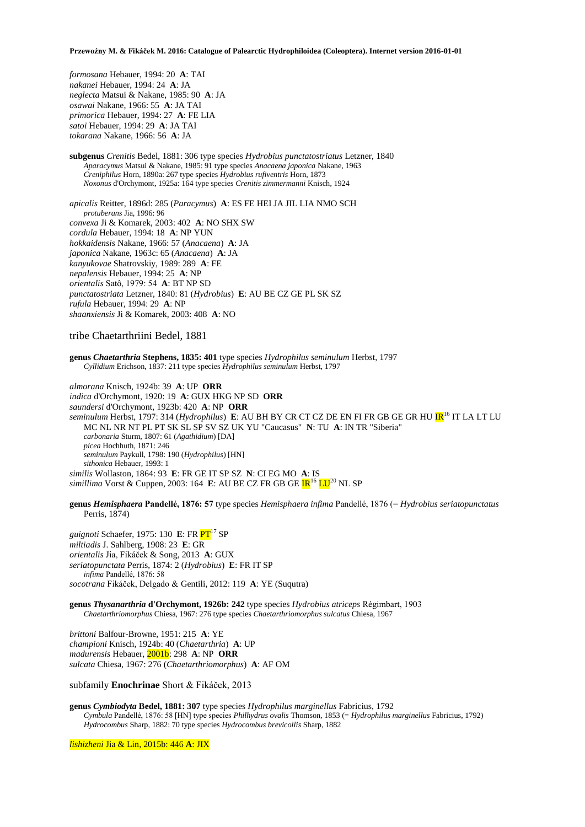*formosana* Hebauer, 1994: 20 **A**: TAI *nakanei* Hebauer, 1994: 24 **A**: JA *neglecta* Matsui & Nakane, 1985: 90 **A**: JA *osawai* Nakane, 1966: 55 **A**: JA TAI *primorica* Hebauer, 1994: 27 **A**: FE LIA *satoi* Hebauer, 1994: 29 **A**: JA TAI *tokarana* Nakane, 1966: 56 **A**: JA

**subgenus** *Crenitis* Bedel, 1881: 306 type species *Hydrobius punctatostriatus* Letzner, 1840 *Aparacymus* Matsui & Nakane, 1985: 91 type species *Anacaena japonica* Nakane, 1963 *Creniphilus* Horn, 1890a: 267 type species *Hydrobius rufiventris* Horn, 1873 *Noxonus* d'Orchymont, 1925a: 164 type species *Crenitis zimmermanni* Knisch, 1924

*apicalis* Reitter, 1896d: 285 (*Paracymus*) **A**: ES FE HEI JA JIL LIA NMO SCH *protuberans* Jia, 1996: 96 *convexa* Ji & Komarek, 2003: 402 **A**: NO SHX SW *cordula* Hebauer, 1994: 18 **A**: NP YUN *hokkaidensis* Nakane, 1966: 57 (*Anacaena*) **A**: JA *japonica* Nakane, 1963c: 65 (*Anacaena*) **A**: JA *kanyukovae* Shatrovskiy, 1989: 289 **A**: FE *nepalensis* Hebauer, 1994: 25 **A**: NP *orientalis* Satô, 1979: 54 **A**: BT NP SD *punctatostriata* Letzner, 1840: 81 (*Hydrobius*) **E**: AU BE CZ GE PL SK SZ *rufula* Hebauer, 1994: 29 **A**: NP *shaanxiensis* Ji & Komarek, 2003: 408 **A**: NO

### tribe Chaetarthriini Bedel, 1881

**genus** *Chaetarthria* **Stephens, 1835: 401** type species *Hydrophilus seminulum* Herbst, 1797 *Cyllidium* Erichson, 1837: 211 type species *Hydrophilus seminulum* Herbst, 1797

*almorana* Knisch, 1924b: 39 **A**: UP **ORR** *indica* d'Orchymont, 1920: 19 **A**: GUX HKG NP SD **ORR** *saundersi* d'Orchymont, 1923b: 420 **A**: NP **ORR** *seminulum* Herbst, 1797: 314 (*Hydrophilus*) **E**: AU BH BY CR CT CZ DE EN FI FR GB GE GR HU **IR**<sup>16</sup> IT LA LT LU MC NL NR NT PL PT SK SL SP SV SZ UK YU "Caucasus" **N**: TU **A**: IN TR "Siberia" *carbonaria* Sturm, 1807: 61 (*Agathidium*) [DA] *picea* Hochhuth, 1871: 246 *seminulum* Paykull, 1798: 190 (*Hydrophilus*) [HN] *sithonica* Hebauer, 1993: 1 *similis* Wollaston, 1864: 93 **E**: FR GE IT SP SZ **N**: CI EG MO **A**: IS *simillima* Vorst & Cuppen, 2003: 164 **E**: AU BE CZ FR GB GE  $IR^{16}$  LU<sup>20</sup> NL SP

**genus** *Hemisphaera* **Pandellé, 1876: 57** type species *Hemisphaera infima* Pandellé, 1876 (= *Hydrobius seriatopunctatus* Perris, 1874)

*guignoti* Schaefer, 1975: 130 **E**: FR  $PT$ <sup>17</sup> SP *miltiadis* J. Sahlberg, 1908: 23 **E**: GR *orientalis* Jia, Fikáček & Song, 2013 **A**: GUX *seriatopunctata* Perris, 1874: 2 (*Hydrobius*) **E**: FR IT SP *infima* Pandellé, 1876: 58 *socotrana* Fikáček, Delgado & Gentili, 2012: 119 **A**: YE (Suqutra)

**genus** *Thysanarthria* **d'Orchymont, 1926b: 242** type species *Hydrobius atriceps* Régimbart, 1903 *Chaetarthriomorphus* Chiesa, 1967: 276 type species *Chaetarthriomorphus sulcatus* Chiesa, 1967

*brittoni* Balfour-Browne, 1951: 215 **A**: YE *championi* Knisch, 1924b: 40 (*Chaetarthria*) **A**: UP *madurensis* Hebauer, 2001b: 298 **A**: NP **ORR** *sulcata* Chiesa, 1967: 276 (*Chaetarthriomorphus*) **A**: AF OM

subfamily **Enochrinae** Short & Fikáček, 2013

**genus** *Cymbiodyta* **Bedel, 1881: 307** type species *Hydrophilus marginellus* Fabricius, 1792 *Cymbula* Pandellé, 1876: 58 [HN] type species *Philhydrus ovalis* Thomson, 1853 (= *Hydrophilus marginellus* Fabricius, 1792) *Hydrocombus* Sharp, 1882: 70 type species *Hydrocombus brevicollis* Sharp, 1882

*lishizheni* Jia & Lin, 2015b: 446 **A**: JIX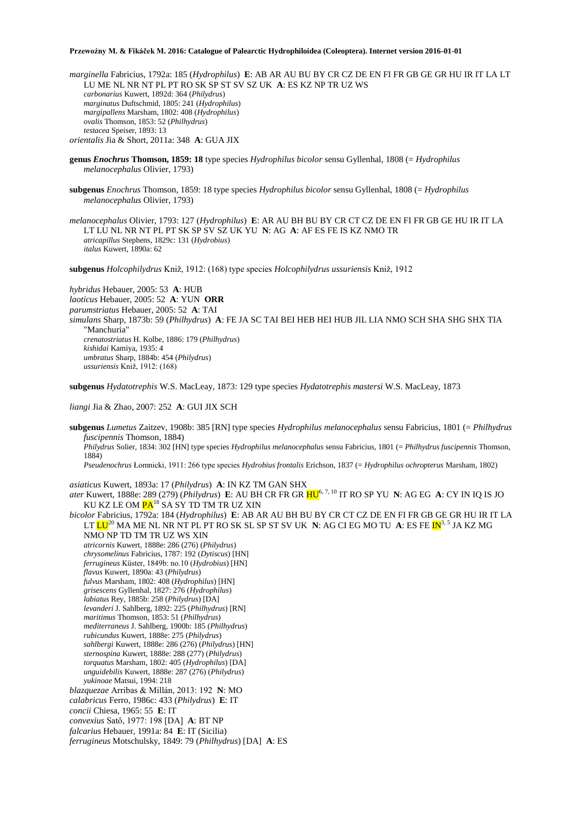*marginella* Fabricius, 1792a: 185 (*Hydrophilus*) **E**: AB AR AU BU BY CR CZ DE EN FI FR GB GE GR HU IR IT LA LT LU ME NL NR NT PL PT RO SK SP ST SV SZ UK **A**: ES KZ NP TR UZ WS *carbonarius* Kuwert, 1892d: 364 (*Philydrus*) *marginatus* Duftschmid, 1805: 241 (*Hydrophilus*) *margipallens* Marsham, 1802: 408 (*Hydrophilus*) *ovalis* Thomson, 1853: 52 (*Philhydrus*) *testacea* Speiser, 1893: 13

*orientalis* Jia & Short, 2011a: 348 **A**: GUA JIX

- **genus** *Enochrus* **Thomson, 1859: 18** type species *Hydrophilus bicolor* sensu Gyllenhal, 1808 (= *Hydrophilus melanocephalus* Olivier, 1793)
- **subgenus** *Enochrus* Thomson, 1859: 18 type species *Hydrophilus bicolor* sensu Gyllenhal, 1808 (= *Hydrophilus melanocephalus* Olivier, 1793)
- *melanocephalus* Olivier, 1793: 127 (*Hydrophilus*) **E**: AR AU BH BU BY CR CT CZ DE EN FI FR GB GE HU IR IT LA LT LU NL NR NT PL PT SK SP SV SZ UK YU **N**: AG **A**: AF ES FE IS KZ NMO TR *atricapillus* Stephens, 1829c: 131 (*Hydrobius*) *italus* Kuwert, 1890a: 62

**subgenus** *Holcophilydrus* Kniž, 1912: (168) type species *Holcophilydrus ussuriensis* Kniž, 1912

*hybridus* Hebauer, 2005: 53 **A**: HUB *laoticus* Hebauer, 2005: 52 **A**: YUN **ORR** *parumstriatus* Hebauer, 2005: 52 **A**: TAI *simulans* Sharp, 1873b: 59 (*Philhydrus*) **A**: FE JA SC TAI BEI HEB HEI HUB JIL LIA NMO SCH SHA SHG SHX TIA "Manchuria" *crenatostriatus* H. Kolbe, 1886: 179 (*Philhydrus*) *kishidai* Kamiya, 1935: 4 *umbratus* Sharp, 1884b: 454 (*Philydrus*) *ussuriensis* Kniž, 1912: (168)

**subgenus** *Hydatotrephis* W.S. MacLeay, 1873: 129 type species *Hydatotrephis mastersi* W.S. MacLeay, 1873

*liangi* Jia & Zhao, 2007: 252 **A**: GUI JIX SCH

**subgenus** *Lumetus* Zaitzev, 1908b: 385 [RN] type species *Hydrophilus melanocephalus* sensu Fabricius, 1801 (= *Philhydrus fuscipennis* Thomson, 1884) *Philydrus* Solier, 1834: 302 [HN] type species *Hydrophilus melanocephalus* sensu Fabricius, 1801 (= *Philhydrus fuscipennis* Thomson, 1884) *Pseudenochrus* Łomnicki, 1911: 266 type species *Hydrobius frontalis* Erichson, 1837 (= *Hydrophilus ochropterus* Marsham, 1802)

*asiaticus* Kuwert, 1893a: 17 (*Philydrus*) **A**: IN KZ TM GAN SHX

*ater* Kuwert, 1888e: 289 (279) (*Philydrus*) **E**: AU BH CR FR GR HU6, 7, 10 IT RO SP YU **N**: AG EG **A**: CY IN IQ IS JO KU KZ LE OM PA<sup>18</sup> SA SY TD TM TR UZ XIN

*bicolor* Fabricius, 1792a: 184 (*Hydrophilus*) **E**: AB AR AU BH BU BY CR CT CZ DE EN FI FR GB GE GR HU IR IT LA LT  $LU^{20}$  MA ME NL NR NT PL PT RO SK SL SP ST SV UK **N**: AG CI EG MO TU **A**: ES FE  $IN^{3,5}$  JA KZ MG NMO NP TD TM TR UZ WS XIN *atricornis* Kuwert, 1888e: 286 (276) (*Philydrus*) *chrysomelinus* Fabricius, 1787: 192 (*Dytiscus*) [HN] *ferrugineus* Küster, 1849b: no.10 (*Hydrobius*) [HN] *flavus* Kuwert, 1890a: 43 (*Philydrus*) *fulvus* Marsham, 1802: 408 (*Hydrophilus*) [HN] *grisescens* Gyllenhal, 1827: 276 (*Hydrophilus*) *labiatus* Rey, 1885b: 258 (*Philydrus*) [DA] *levanderi* J. Sahlberg, 1892: 225 (*Philhydrus*) [RN] *maritimus* Thomson, 1853: 51 (*Philhydrus*) *mediterraneus* J. Sahlberg, 1900b: 185 (*Philhydrus*) *rubicundus* Kuwert, 1888e: 275 (*Philydrus*) *sahlbergi* Kuwert, 1888e: 286 (276) (*Philydrus*) [HN] *sternospina* Kuwert, 1888e: 288 (277) (*Philydrus*) *torquatus* Marsham, 1802: 405 (*Hydrophilus*) [DA] *unguidebilis* Kuwert, 1888e: 287 (276) (*Philydrus*) *yukinoae* Matsui, 1994: 218 *blazquezae* Arribas & Millán, 2013: 192 **N**: MO *calabricus* Ferro, 1986c: 433 (*Philydrus*) **E**: IT *concii* Chiesa, 1965: 55 **E**: IT *convexius* Satô, 1977: 198 [DA] **A**: BT NP *falcarius* Hebauer, 1991a: 84 **E**: IT (Sicilia) *ferrugineus* Motschulsky, 1849: 79 (*Philhydrus*) [DA] **A**: ES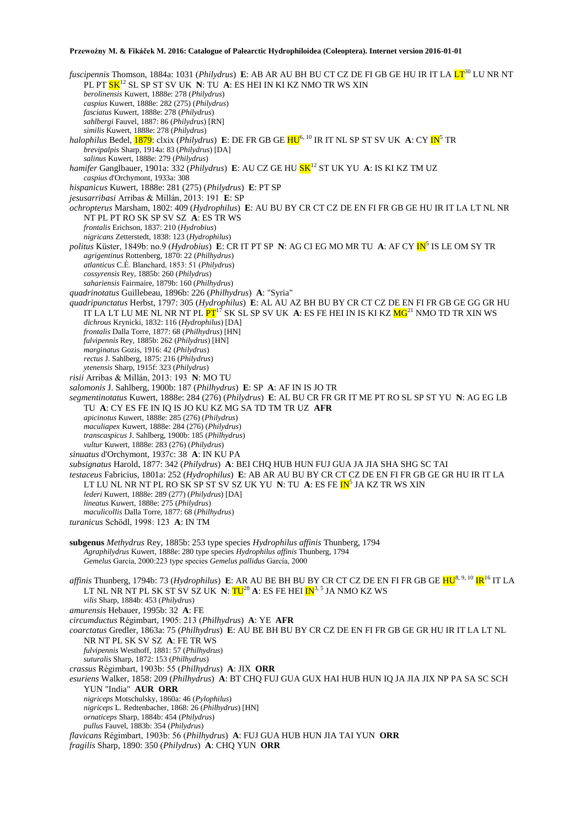*fuscipennis* Thomson, 1884a: 1031 (*Philydrus*) **E**: AB AR AU BH BU CT CZ DE FI GB GE HU IR IT LA LT<sup>30</sup> LU NR NT PL PT SK<sup>12</sup> SL SP ST SV UK **N**: TU **A**: ES HEI IN KI KZ NMO TR WS XIN *berolinensis* Kuwert, 1888e: 278 (*Philydrus*) *caspius* Kuwert, 1888e: 282 (275) (*Philydrus*) *fasciatus* Kuwert, 1888e: 278 (*Philydrus*) *sahlbergi* Fauvel, 1887: 86 (*Philydrus*) [RN] *similis* Kuwert, 1888e: 278 (*Philydrus*) *halophilus* Bedel, **1879**: clxix (*Philydrus*) **E**: DE FR GB GE HU<sup>6, 10</sup> IR IT NL SP ST SV UK **A**: CY IN<sup>5</sup> TR *brevipalpis* Sharp, 1914a: 83 (*Philydrus*) [DA] *salinus* Kuwert, 1888e: 279 (*Philydrus*) *hamifer* Ganglbauer, 1901a: 332 (*Philydrus*) **E**: AU CZ GE HU SK<sup>12</sup> ST UK YU **A**: IS KI KZ TM UZ *caspius* d'Orchymont, 1933a: 308 *hispanicus* Kuwert, 1888e: 281 (275) (*Philydrus*) **E**: PT SP *jesusarribasi* Arribas & Millán, 2013: 191 **E**: SP *ochropterus* Marsham, 1802: 409 (*Hydrophilus*) **E**: AU BU BY CR CT CZ DE EN FI FR GB GE HU IR IT LA LT NL NR NT PL PT RO SK SP SV SZ **A**: ES TR WS *frontalis* Erichson, 1837: 210 (*Hydrobius*) *nigricans* Zetterstedt, 1838: 123 (*Hydrophilus*) *politus* Küster, 1849b: no.9 (*Hydrobius*) **E**: CR IT PT SP **N**: AG CI EG MO MR TU **A**: AF CY IN<sup>5</sup> IS LE OM SY TR *agrigentinus* Rottenberg, 1870: 22 (*Philhydrus*) *atlanticus* C.É. Blanchard, 1853: 51 (*Philydrus*) *cossyrensis* Rey, 1885b: 260 (*Philydrus*) *sahariensis* Fairmaire, 1879b: 160 (*Philhydrus*) *quadrinotatus* Guillebeau, 1896b: 226 (*Philhydrus*) **A**: "Syria" *quadripunctatus* Herbst, 1797: 305 (*Hydrophilus*) **E**: AL AU AZ BH BU BY CR CT CZ DE EN FI FR GB GE GG GR HU IT LA LT LU ME NL NR NT PL PT<sup>17</sup> SK SL SP SV UK A: ES FE HEI IN IS KI KZ <mark>MG<sup>21</sup> NMO TD TR XIN WS</mark> *dichrous* Krynicki, 1832: 116 (*Hydrophilus*) [DA] *frontalis* Dalla Torre, 1877: 68 (*Philhydrus*) [HN] *fulvipennis* Rey, 1885b: 262 (*Philydrus*) [HN] *marginatus* Gozis, 1916: 42 (*Philydrus*) *rectus* J. Sahlberg, 1875: 216 (*Philydrus*) *ytenensis* Sharp, 1915f: 323 (*Philydrus*) *risii* Arribas & Millán, 2013: 193 **N**: MO TU *salomonis* J. Sahlberg, 1900b: 187 (*Philhydrus*) **E**: SP **A**: AF IN IS JO TR *segmentinotatus* Kuwert, 1888e: 284 (276) (*Philydrus*) **E**: AL BU CR FR GR IT ME PT RO SL SP ST YU **N**: AG EG LB TU **A**: CY ES FE IN IQ IS JO KU KZ MG SA TD TM TR UZ **AFR** *apicinotus* Kuwert, 1888e: 285 (276) (*Philydrus*) *maculiapex* Kuwert, 1888e: 284 (276) (*Philydrus*) *transcaspicus* J. Sahlberg, 1900b: 185 (*Philhydrus*) *vultur* Kuwert, 1888e: 283 (276) (*Philydrus*) *sinuatus* d'Orchymont, 1937c: 38 **A**: IN KU PA *subsignatus* Harold, 1877: 342 (*Philydrus*) **A**: BEI CHQ HUB HUN FUJ GUA JA JIA SHA SHG SC TAI *testaceus* Fabricius, 1801a: 252 (*Hydrophilus*) **E**: AB AR AU BU BY CR CT CZ DE EN FI FR GB GE GR HU IR IT LA LT LU NL NR NT PL RO SK SP ST SV SZ UK YU **N**: TU **A**: ES FE <mark>IN</mark><sup>5</sup> JA KZ TR WS XIN *lederi* Kuwert, 1888e: 289 (277) (*Philydrus*) [DA] *lineatus* Kuwert, 1888e: 275 (*Philydrus*) *maculicollis* Dalla Torre, 1877: 68 (*Philhydrus*) *turanicus* Schödl, 1998: 123 **A**: IN TM **subgenus** *Methydrus* Rey, 1885b: 253 type species *Hydrophilus affinis* Thunberg, 1794 *Agraphilydrus* Kuwert, 1888e: 280 type species *Hydrophilus affinis* Thunberg, 1794 *Gemelus* García, 2000:223 type species *Gemelus pallidus* García, 2000 *affinis* Thunberg, 1794b: 73 (*Hydrophilus*) **E**: AR AU BE BH BU BY CR CT CZ DE EN FI FR GB GE HU8, 9, 10 IR<sup>16</sup> IT LA LT NL NR NT PL SK ST SV SZ UK **N**:  $TU^{28}$  A: ES FE HEI  $IN^{3, 5}$  JA NMO KZ WS *vilis* Sharp, 1884b: 453 (*Philydrus*) *amurensis* Hebauer, 1995b: 32 **A**: FE *circumductus* Régimbart, 1905: 213 (*Philhydrus*) **A**: YE **AFR** *coarctatus* Gredler, 1863a: 75 (*Philhydrus*) **E**: AU BE BH BU BY CR CZ DE EN FI FR GB GE GR HU IR IT LA LT NL NR NT PL SK SV SZ **A**: FE TR WS *fulvipennis* Westhoff, 1881: 57 (*Philhydrus*) *suturalis* Sharp, 1872: 153 (*Philhydrus*) *crassus* Régimbart, 1903b: 55 (*Philhydrus*) **A**: JIX **ORR** *esuriens* Walker, 1858: 209 (*Philhydrus*) **A**: BT CHQ FUJ GUA GUX HAI HUB HUN IQ JA JIA JIX NP PA SA SC SCH YUN "India" **AUR ORR** *nigriceps* Motschulsky, 1860a: 46 (*Pylophilus*) *nigriceps* L. Redtenbacher, 1868: 26 (*Philhydrus*) [HN] *ornaticeps* Sharp, 1884b: 454 (*Philydrus*) *pullus* Fauvel, 1883b: 354 (*Philydrus*) *flavicans* Régimbart, 1903b: 56 (*Philhydrus*) **A**: FUJ GUA HUB HUN JIA TAI YUN **ORR** *fragilis* Sharp, 1890: 350 (*Philydrus*) **A**: CHQ YUN **ORR**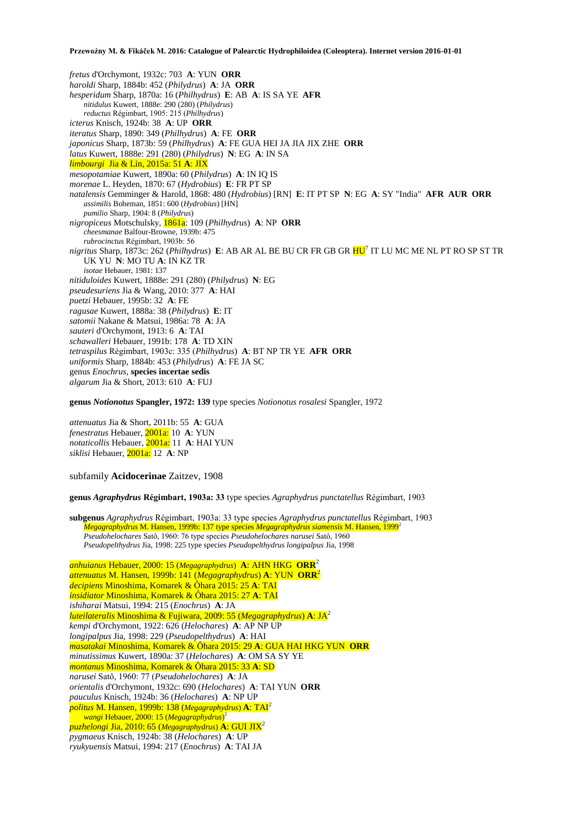*fretus* d'Orchymont, 1932c: 703 **A**: YUN **ORR** *haroldi* Sharp, 1884b: 452 (*Philydrus*) **A**: JA **ORR** *hesperidum* Sharp, 1870a: 16 (*Philhydrus*) **E**: AB **A**: IS SA YE **AFR** *nitidulus* Kuwert, 1888e: 290 (280) (*Philydrus*) *reductus* Régimbart, 1905: 215 (*Philhydrus*) *icterus* Knisch, 1924b: 38 **A**: UP **ORR** *iteratus* Sharp, 1890: 349 (*Philhydrus*) **A**: FE **ORR** *japonicus* Sharp, 1873b: 59 (*Philhydrus*) **A**: FE GUA HEI JA JIA JIX ZHE **ORR** *latus* Kuwert, 1888e: 291 (280) (*Philydrus*) **N**: EG **A**: IN SA *limbourgi* Jia & Lin, 2015a: 51 **A**: JIX *mesopotamiae* Kuwert, 1890a: 60 (*Philydrus*) **A**: IN IQ IS *morenae* L. Heyden, 1870: 67 (*Hydrobius*) **E**: FR PT SP *natalensis* Gemminger & Harold, 1868: 480 (*Hydrobius*) [RN] **E**: IT PT SP **N**: EG **A**: SY "India" **AFR AUR ORR** *assimilis* Boheman, 1851: 600 (*Hydrobius*) [HN] *pumilio* Sharp, 1904: 8 (*Philydrus*) *nigropiceus* Motschulsky, 1861a: 109 (*Philhydrus*) **A**: NP **ORR** *cheesmanae* Balfour-Browne, 1939b: 475 *rubrocinctus* Régimbart, 1903b: 56 *nigritus* Sharp, 1873c: 262 (*Philhydrus*) **E**: AB AR AL BE BU CR FR GB GR HU<sup>7</sup> IT LU MC ME NL PT RO SP ST TR UK YU **N**: MO TU **A**: IN KZ TR *isotae* Hebauer, 1981: 137 *nitiduloides* Kuwert, 1888e: 291 (280) (*Philydrus*) **N**: EG *pseudesuriens* Jia & Wang, 2010: 377 **A**: HAI *puetzi* Hebauer, 1995b: 32 **A**: FE *ragusae* Kuwert, 1888a: 38 (*Philydrus*) **E**: IT *satomii* Nakane & Matsui, 1986a: 78 **A**: JA *sauteri* d'Orchymont, 1913: 6 **A**: TAI *schawalleri* Hebauer, 1991b: 178 **A**: TD XIN *tetraspilus* Régimbart, 1903c: 335 (*Philhydrus*) **A**: BT NP TR YE **AFR ORR** *uniformis* Sharp, 1884b: 453 (*Philydrus*) **A**: FE JA SC genus *Enochrus*, **species incertae sedis** *algarum* Jia & Short, 2013: 610 **A**: FUJ

**genus** *Notionotus* **Spangler, 1972: 139** type species *Notionotus rosalesi* Spangler, 1972

*attenuatus* Jia & Short, 2011b: 55 **A**: GUA *fenestratus* Hebauer, 2001a: 10 **A**: YUN *notaticollis* Hebauer, 2001a: 11 **A**: HAI YUN *siklisi* Hebauer, 2001a: 12 **A**: NP

subfamily **Acidocerinae** Zaitzev, 1908

**genus** *Agraphydrus* **Régimbart, 1903a: 33** type species *Agraphydrus punctatellus* Régimbart, 1903

**subgenus** *Agraphydrus* Régimbart, 1903a: 33 type species *Agraphydrus punctatellus* Régimbart, 1903 *Megagraphydrus* M. Hansen, 1999b: 137 type species *Megagraphydrus siamensis* M. Hansen, 1999<sup>2</sup> *Pseudohelochares* Satô, 1960: 76 type species *Pseudohelochares narusei* Satô, 1960 *Pseudopelthydrus* Jia, 1998: 225 type species *Pseudopelthydrus longipalpus* Jia, 1998

*anhuianus* Hebauer, 2000: 15 (*Megagraphydrus*) **A**: AHN HKG **ORR**<sup>2</sup> *attenuatus* M. Hansen, 1999b: 141 (*Megagraphydrus*) **A**: YUN **ORR**<sup>2</sup> *decipiens* Minoshima, Komarek & Ôhara 2015: 25 **A**: TAI *insidiator* Minoshima, Komarek & Ôhara 2015: 27 **A**: TAI *ishiharai* Matsui, 1994: 215 (*Enochrus*) **A**: JA *luteilateralis* Minoshima & Fujiwara, 2009: 55 (*Megagraphydrus*) **A**: JA<sup>2</sup> *kempi* d'Orchymont, 1922: 626 (*Helochares*) **A**: AP NP UP *longipalpus* Jia, 1998: 229 (*Pseudopelthydrus*) **A**: HAI *masatakai* Minoshima, Komarek & Ôhara 2015: 29 **A**: GUA HAI HKG YUN **ORR** *minutissimus* Kuwert, 1890a: 37 (*Helochares*) **A**: OM SA SY YE *montanus* Minoshima, Komarek & Ôhara 2015: 33 **A**: SD *narusei* Satô, 1960: 77 (*Pseudohelochares*) **A**: JA *orientalis* d'Orchymont, 1932c: 690 (*Helochares*) **A**: TAI YUN **ORR** *pauculus* Knisch, 1924b: 36 (*Helochares*) **A**: NP UP *politus* **M. Hansen, 1999b: 138 (***Megagraphydrus***) <b>A**: TAI<sup>2</sup> *wangi* Hebauer, 2000: 15 (*Megagraphydrus*) 2 *puzhelongi* Jia, 2010: 65 (*Megagraphydrus*) **A**: GUI JIX<sup>2</sup> *pygmaeus* Knisch, 1924b: 38 (*Helochares*) **A**: UP *ryukyuensis* Matsui, 1994: 217 (*Enochrus*) **A**: TAI JA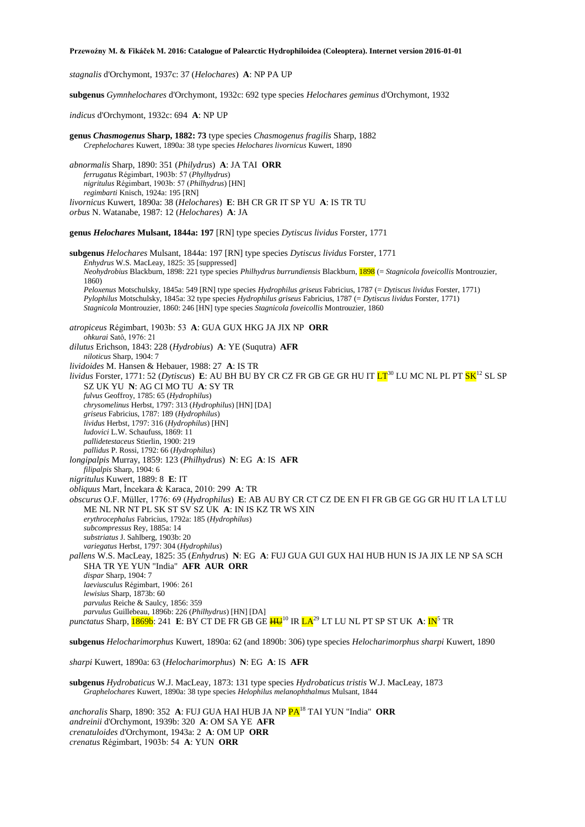*stagnalis* d'Orchymont, 1937c: 37 (*Helochares*) **A**: NP PA UP

**subgenus** *Gymnhelochares* d'Orchymont, 1932c: 692 type species *Helochares geminus* d'Orchymont, 1932

*indicus* d'Orchymont, 1932c: 694 **A**: NP UP

**genus** *Chasmogenus* **Sharp, 1882: 73** type species *Chasmogenus fragilis* Sharp, 1882 *Crephelochares* Kuwert, 1890a: 38 type species *Helochares livornicus* Kuwert, 1890 *abnormalis* Sharp, 1890: 351 (*Philydrus*) **A**: JA TAI **ORR** *ferrugatus* Régimbart, 1903b: 57 (*Phylhydrus*) *nigritulus* Régimbart, 1903b: 57 (*Philhydrus*) [HN] *regimbarti* Knisch, 1924a: 195 [RN] *livornicus* Kuwert, 1890a: 38 (*Helochares*) **E**: BH CR GR IT SP YU **A**: IS TR TU *orbus* N. Watanabe, 1987: 12 (*Helochares*) **A**: JA **genus** *Helochares* **Mulsant, 1844a: 197** [RN] type species *Dytiscus lividus* Forster, 1771 **subgenus** *Helochares* Mulsant, 1844a: 197 [RN] type species *Dytiscus lividus* Forster, 1771 *Enhydrus* W.S. MacLeay, 1825: 35 [suppressed] *Neohydrobius* Blackburn, 1898: 221 type species *Philhydrus burrundiensis* Blackburn, 1898 (= *Stagnicola foveicollis* Montrouzier, 1860) *Peloxenus* Motschulsky, 1845a: 549 [RN] type species *Hydrophilus griseus* Fabricius, 1787 (= *Dytiscus lividus* Forster, 1771) *Pylophilus* Motschulsky, 1845a: 32 type species *Hydrophilus griseus* Fabricius, 1787 (= *Dytiscus lividus* Forster, 1771) *Stagnicola* Montrouzier, 1860: 246 [HN] type species *Stagnicola foveicollis* Montrouzier, 1860 *atropiceus* Régimbart, 1903b: 53 **A**: GUA GUX HKG JA JIX NP **ORR** *ohkurai* Satô, 1976: 21 *dilutus* Erichson, 1843: 228 (*Hydrobius*) **A**: YE (Suqutra) **AFR** *niloticus* Sharp, 1904: 7 *lividoides* M. Hansen & Hebauer, 1988: 27 **A**: IS TR *lividus* Forster, 1771: 52 (*Dytiscus*) **E**: AU BH BU BY CR CZ FR GB GE GR HU IT <mark>LT</mark><sup>30</sup> LU MC NL PL PT <mark>SK</mark><sup>12</sup> SL SP SZ UK YU **N**: AG CI MO TU **A**: SY TR *fulvus* Geoffroy, 1785: 65 (*Hydrophilus*) *chrysomelinus* Herbst, 1797: 313 (*Hydrophilus*) [HN] [DA] *griseus* Fabricius, 1787: 189 (*Hydrophilus*) *lividus* Herbst, 1797: 316 (*Hydrophilus*) [HN] *ludovici* L.W. Schaufuss, 1869: 11 *pallidetestaceus* Stierlin, 1900: 219 *pallidus* P. Rossi, 1792: 66 (*Hydrophilus*) *longipalpis* Murray, 1859: 123 (*Philhydrus*) **N**: EG **A**: IS **AFR** *filipalpis* Sharp, 1904: 6 *nigritulus* Kuwert, 1889: 8 **E**: IT *obliquus* Mart, İncekara & Karaca, 2010: 299 **A**: TR *obscurus* O.F. Müller, 1776: 69 (*Hydrophilus*) **E**: AB AU BY CR CT CZ DE EN FI FR GB GE GG GR HU IT LA LT LU ME NL NR NT PL SK ST SV SZ UK **A**: IN IS KZ TR WS XIN *erythrocephalus* Fabricius, 1792a: 185 (*Hydrophilus*) *subcompressus* Rey, 1885a: 14 *substriatus* J. Sahlberg, 1903b: 20 *variegatus* Herbst, 1797: 304 (*Hydrophilus*) *pallens* W.S. MacLeay, 1825: 35 (*Enhydrus*) **N**: EG **A**: FUJ GUA GUI GUX HAI HUB HUN IS JA JIX LE NP SA SCH SHA TR YE YUN "India" **AFR AUR ORR** *dispar* Sharp, 1904: 7 *laeviusculus* Régimbart, 1906: 261 *lewisius* Sharp, 1873b: 60 *parvulus* Reiche & Saulcy, 1856: 359 *parvulus* Guillebeau, 1896b: 226 (*Philhydrus*) [HN] [DA] *punctatus* Sharp, **1869b**: 241 **E**: BY CT DE FR GB GE  $\frac{H U}{10}$  IR  $LA^{29}$  LT LU NL PT SP ST UK A:  $IN^5$  TR **subgenus** *Helocharimorphus* Kuwert, 1890a: 62 (and 1890b: 306) type species *Helocharimorphus sharpi* Kuwert, 1890

*sharpi* Kuwert, 1890a: 63 (*Helocharimorphus*) **N**: EG **A**: IS **AFR**

**subgenus** *Hydrobaticus* W.J. MacLeay, 1873: 131 type species *Hydrobaticus tristis* W.J. MacLeay, 1873 *Graphelochares* Kuwert, 1890a: 38 type species *Helophilus melanophthalmus* Mulsant, 1844

*anchoralis* Sharp, 1890: 352 **A**: FUJ GUA HAI HUB JA NP PA<sup>18</sup> TAI YUN "India" **ORR** *andreinii* d'Orchymont, 1939b: 320 **A**: OM SA YE **AFR** *crenatuloides* d'Orchymont, 1943a: 2 **A**: OM UP **ORR** *crenatus* Régimbart, 1903b: 54 **A**: YUN **ORR**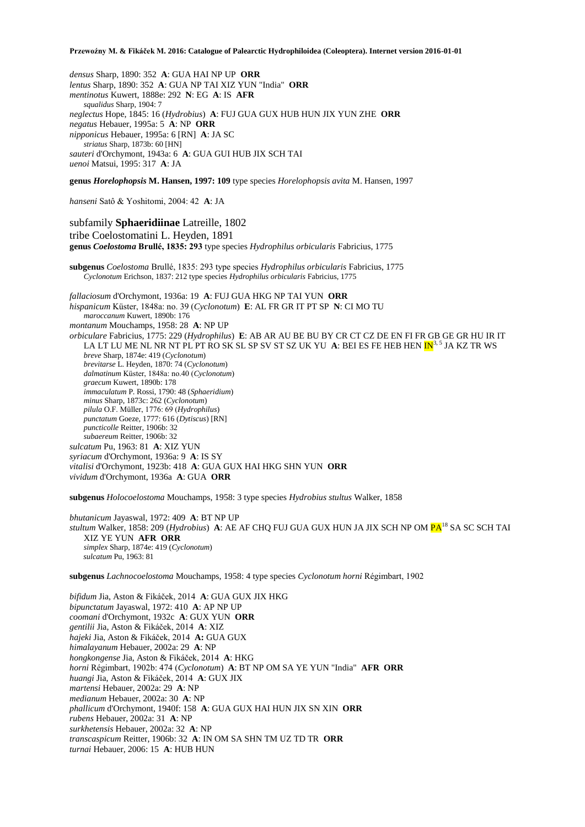*densus* Sharp, 1890: 352 **A**: GUA HAI NP UP **ORR** *lentus* Sharp, 1890: 352 **A**: GUA NP TAI XIZ YUN "India" **ORR** *mentinotus* Kuwert, 1888e: 292 **N**: EG **A**: IS **AFR** *squalidus* Sharp, 1904: 7 *neglectus* Hope, 1845: 16 (*Hydrobius*) **A**: FUJ GUA GUX HUB HUN JIX YUN ZHE **ORR** *negatus* Hebauer, 1995a: 5 **A**: NP **ORR** *nipponicus* Hebauer, 1995a: 6 [RN] **A**: JA SC *striatus* Sharp, 1873b: 60 [HN] *sauteri* d'Orchymont, 1943a: 6 **A**: GUA GUI HUB JIX SCH TAI *uenoi* Matsui, 1995: 317 **A**: JA

**genus** *Horelophopsis* **M. Hansen, 1997: 109** type species *Horelophopsis avita* M. Hansen, 1997

*hanseni* Satô & Yoshitomi, 2004: 42 **A**: JA

subfamily **Sphaeridiinae** Latreille, 1802 tribe Coelostomatini L. Heyden, 1891 **genus** *Coelostoma* **Brullé, 1835: 293** type species *Hydrophilus orbicularis* Fabricius, 1775

**subgenus** *Coelostoma* Brullé, 1835: 293 type species *Hydrophilus orbicularis* Fabricius, 1775 *Cyclonotum* Erichson, 1837: 212 type species *Hydrophilus orbicularis* Fabricius, 1775

*fallaciosum* d'Orchymont, 1936a: 19 **A**: FUJ GUA HKG NP TAI YUN **ORR** *hispanicum* Küster, 1848a: no. 39 (*Cyclonotum*) **E**: AL FR GR IT PT SP **N**: CI MO TU *maroccanum* Kuwert, 1890b: 176 *montanum* Mouchamps, 1958: 28 **A**: NP UP *orbiculare* Fabricius, 1775: 229 (*Hydrophilus*) **E**: AB AR AU BE BU BY CR CT CZ DE EN FI FR GB GE GR HU IR IT LA LT LU ME NL NR NT PL PT RO SK SL SP SV ST SZ UK YU **A**: BEI ES FE HEB HEN IN3, 5 JA KZ TR WS *breve* Sharp, 1874e: 419 (*Cyclonotum*) *brevitarse* L. Heyden, 1870: 74 (*Cyclonotum*) *dalmatinum* Küster, 1848a: no.40 (*Cyclonotum*) *graecum* Kuwert, 1890b: 178 *immaculatum* P. Rossi, 1790: 48 (*Sphaeridium*) *minus* Sharp, 1873c: 262 (*Cyclonotum*) *pilula* O.F. Müller, 1776: 69 (*Hydrophilus*) *punctatum* Goeze, 1777: 616 (*Dytiscus*) [RN] *puncticolle* Reitter, 1906b: 32 *subaereum* Reitter, 1906b: 32 *sulcatum* Pu, 1963: 81 **A**: XIZ YUN *syriacum* d'Orchymont, 1936a: 9 **A**: IS SY *vitalisi* d'Orchymont, 1923b: 418 **A**: GUA GUX HAI HKG SHN YUN **ORR** *vividum* d'Orchymont, 1936a **A**: GUA **ORR**

**subgenus** *Holocoelostoma* Mouchamps, 1958: 3 type species *Hydrobius stultus* Walker, 1858

*bhutanicum* Jayaswal, 1972: 409 **A**: BT NP UP *stultum* Walker, 1858: 209 (*Hydrobius*) A: AE AF CHQ FUJ GUA GUX HUN JA JIX SCH NP OM PA<sup>18</sup> SA SC SCH TAI XIZ YE YUN **AFR ORR** *simplex* Sharp, 1874e: 419 (*Cyclonotum*) *sulcatum* Pu, 1963: 81

**subgenus** *Lachnocoelostoma* Mouchamps, 1958: 4 type species *Cyclonotum horni* Régimbart, 1902

*bifidum* Jia, Aston & Fikáček, 2014 **A**: GUA GUX JIX HKG *bipunctatum* Jayaswal, 1972: 410 **A**: AP NP UP *coomani* d'Orchymont, 1932c **A**: GUX YUN **ORR** *gentilii* Jia, Aston & Fikáček, 2014 **A**: XIZ *hajeki* Jia, Aston & Fikáček, 2014 **A:** GUA GUX *himalayanum* Hebauer, 2002a: 29 **A**: NP *hongkongense* Jia, Aston & Fikáček, 2014 **A**: HKG *horni* Régimbart, 1902b: 474 (*Cyclonotum*) **A**: BT NP OM SA YE YUN "India" **AFR ORR** *huangi* Jia, Aston & Fikáček, 2014 **A**: GUX JIX *martensi* Hebauer, 2002a: 29 **A**: NP *medianum* Hebauer, 2002a: 30 **A**: NP *phallicum* d'Orchymont, 1940f: 158 **A**: GUA GUX HAI HUN JIX SN XIN **ORR** *rubens* Hebauer, 2002a: 31 **A**: NP *surkhetensis* Hebauer, 2002a: 32 **A**: NP *transcaspicum* Reitter, 1906b: 32 **A**: IN OM SA SHN TM UZ TD TR **ORR** *turnai* Hebauer, 2006: 15 **A**: HUB HUN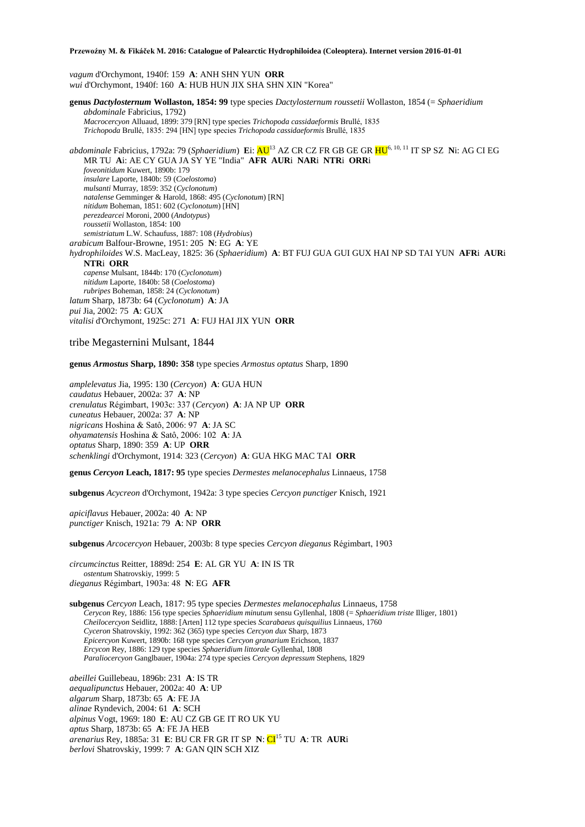*vagum* d'Orchymont, 1940f: 159 **A**: ANH SHN YUN **ORR** *wui* d'Orchymont, 1940f: 160 **A**: HUB HUN JIX SHA SHN XIN "Korea"

**genus** *Dactylosternum* **Wollaston, 1854: 99** type species *Dactylosternum roussetii* Wollaston, 1854 (= *Sphaeridium abdominale* Fabricius, 1792) *Macrocercyon* Alluaud, 1899: 379 [RN] type species *Trichopoda cassidaeformis* Brullé, 1835 *Trichopoda* Brullé, 1835: 294 [HN] type species *Trichopoda cassidaeformis* Brullé, 1835 *abdominale* Fabricius, 1792a: 79 (*Sphaeridium*) **E**i: AU<sup>13</sup> AZ CR CZ FR GB GE GR HU6, 10, 11 IT SP SZ **N**i: AG CI EG MR TU **A**i: AE CY GUA JA SY YE "India" **AFR AUR**i **NAR**i **NTR**i **ORR**i *foveonitidum* Kuwert, 1890b: 179 *insulare* Laporte, 1840b: 59 (*Coelostoma*) *mulsanti* Murray, 1859: 352 (*Cyclonotum*) *natalense* Gemminger & Harold, 1868: 495 (*Cyclonotum*) [RN] *nitidum* Boheman, 1851: 602 (*Cyclonotum*) [HN] *perezdearcei* Moroni, 2000 (*Andotypus*) *roussetii* Wollaston, 1854: 100 *semistriatum* L.W. Schaufuss, 1887: 108 (*Hydrobius*) *arabicum* Balfour-Browne, 1951: 205 **N**: EG **A**: YE *hydrophiloides* W.S. MacLeay, 1825: 36 (*Sphaeridium*) **A**: BT FUJ GUA GUI GUX HAI NP SD TAI YUN **AFR**i **AUR**i **NTR**i **ORR** *capense* Mulsant, 1844b: 170 (*Cyclonotum*) *nitidum* Laporte, 1840b: 58 (*Coelostoma*) *rubripes* Boheman, 1858: 24 (*Cyclonotum*) *latum* Sharp, 1873b: 64 (*Cyclonotum*) **A**: JA *pui* Jia, 2002: 75 **A**: GUX *vitalisi* d'Orchymont, 1925c: 271 **A**: FUJ HAI JIX YUN **ORR**

tribe Megasternini Mulsant, 1844

**genus** *Armostus* **Sharp, 1890: 358** type species *Armostus optatus* Sharp, 1890

*amplelevatus* Jia, 1995: 130 (*Cercyon*) **A**: GUA HUN *caudatus* Hebauer, 2002a: 37 **A**: NP *crenulatus* Régimbart, 1903c: 337 (*Cercyon*) **A**: JA NP UP **ORR** *cuneatus* Hebauer, 2002a: 37 **A**: NP *nigricans* Hoshina & Satô, 2006: 97 **A**: JA SC *ohyamatensis* Hoshina & Satô, 2006: 102 **A**: JA *optatus* Sharp, 1890: 359 **A**: UP **ORR** *schenklingi* d'Orchymont, 1914: 323 (*Cercyon*) **A**: GUA HKG MAC TAI **ORR**

**genus** *Cercyon* **Leach, 1817: 95** type species *Dermestes melanocephalus* Linnaeus, 1758

**subgenus** *Acycreon* d'Orchymont, 1942a: 3 type species *Cercyon punctiger* Knisch, 1921

*apiciflavus* Hebauer, 2002a: 40 **A**: NP *punctiger* Knisch, 1921a: 79 **A**: NP **ORR**

**subgenus** *Arcocercyon* Hebauer, 2003b: 8 type species *Cercyon dieganus* Régimbart, 1903

*circumcinctus* Reitter, 1889d: 254 **E**: AL GR YU **A**: IN IS TR *ostentum* Shatrovskiy, 1999: 5 *dieganus* Régimbart, 1903a: 48 **N**: EG **AFR**

**subgenus** *Cercyon* Leach, 1817: 95 type species *Dermestes melanocephalus* Linnaeus, 1758 *Cerycon* Rey, 1886: 156 type species *Sphaeridium minutum* sensu Gyllenhal, 1808 (= *Sphaeridium triste* Illiger, 1801) *Cheilocercyon* Seidlitz, 1888: [Arten] 112 type species *Scarabaeus quisquilius* Linnaeus, 1760 *Cyceron* Shatrovskiy, 1992: 362 (365) type species *Cercyon dux* Sharp, 1873 *Epicercyon* Kuwert, 1890b: 168 type species *Cercyon granarium* Erichson, 1837 *Ercycon* Rey, 1886: 129 type species *Sphaeridium littorale* Gyllenhal, 1808 *Paraliocercyon* Ganglbauer, 1904a: 274 type species *Cercyon depressum* Stephens, 1829

*abeillei* Guillebeau, 1896b: 231 **A**: IS TR *aequalipunctus* Hebauer, 2002a: 40 **A**: UP *algarum* Sharp, 1873b: 65 **A**: FE JA *alinae* Ryndevich, 2004: 61 **A**: SCH *alpinus* Vogt, 1969: 180 **E**: AU CZ GB GE IT RO UK YU *aptus* Sharp, 1873b: 65 **A**: FE JA HEB *arenarius* Rey, 1885a: 31 **E**: BU CR FR GR IT SP **N**: CI<sup>15</sup> TU **A**: TR **AUR**i *berlovi* Shatrovskiy, 1999: 7 **A**: GAN QIN SCH XIZ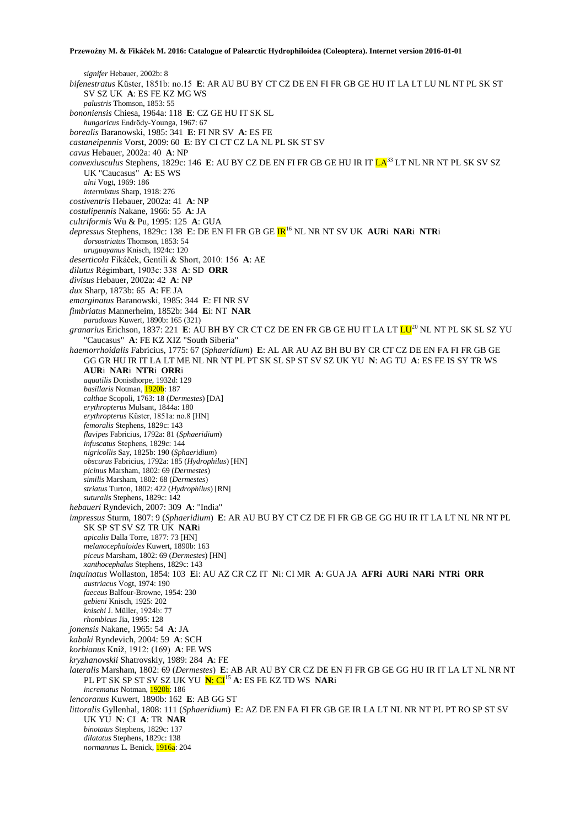*signifer* Hebauer, 2002b: 8 *bifenestratus* Küster, 1851b: no.15 **E**: AR AU BU BY CT CZ DE EN FI FR GB GE HU IT LA LT LU NL NT PL SK ST SV SZ UK **A**: ES FE KZ MG WS *palustris* Thomson, 1853: 55 *bononiensis* Chiesa, 1964a: 118 **E**: CZ GE HU IT SK SL *hungaricus* Endrödy-Younga, 1967: 67 *borealis* Baranowski, 1985: 341 **E**: FI NR SV **A**: ES FE *castaneipennis* Vorst, 2009: 60 **E**: BY CI CT CZ LA NL PL SK ST SV *cavus* Hebauer, 2002a: 40 **A**: NP *convexiusculus* Stephens, 1829c: 146 **E**: AU BY CZ DE EN FI FR GB GE HU IR IT LA<sup>33</sup> LT NL NR NT PL SK SV SZ UK "Caucasus" **A**: ES WS *alni* Vogt, 1969: 186 *intermixtus* Sharp, 1918: 276 *costiventris* Hebauer, 2002a: 41 **A**: NP *costulipennis* Nakane, 1966: 55 **A**: JA *cultriformis* Wu & Pu, 1995: 125 **A**: GUA *depressus* Stephens, 1829c: 138 **E**: DE EN FI FR GB GE IR<sup>16</sup> NL NR NT SV UK **AUR**i **NAR**i **NTR**i *dorsostriatus* Thomson, 1853: 54 *uruguayanus* Knisch, 1924c: 120 *deserticola* Fikáček, Gentili & Short, 2010: 156 **A**: AE *dilutus* Régimbart, 1903c: 338 **A**: SD **ORR** *divisus* Hebauer, 2002a: 42 **A**: NP *dux* Sharp, 1873b: 65 **A**: FE JA *emarginatus* Baranowski, 1985: 344 **E**: FI NR SV *fimbriatus* Mannerheim, 1852b: 344 **E**i: NT **NAR** *paradoxus* Kuwert, 1890b: 165 (321) *granarius* Erichson, 1837: 221 **E**: AU BH BY CR CT CZ DE EN FR GB GE HU IT LA LT LU<sup>20</sup> NL NT PL SK SL SZ YU "Caucasus" **A**: FE KZ XIZ "South Siberia" *haemorrhoidalis* Fabricius, 1775: 67 (*Sphaeridium*) **E**: AL AR AU AZ BH BU BY CR CT CZ DE EN FA FI FR GB GE GG GR HU IR IT LA LT ME NL NR NT PL PT SK SL SP ST SV SZ UK YU **N**: AG TU **A**: ES FE IS SY TR WS **AUR**i **NAR**i **NTR**i **ORR**i *aquatilis* Donisthorpe, 1932d: 129 *basillaris* Notman, 1920b: 187 *calthae* Scopoli, 1763: 18 (*Dermestes*) [DA] *erythropterus* Mulsant, 1844a: 180 *erythropterus* Küster, 1851a: no.8 [HN] *femoralis* Stephens, 1829c: 143 *flavipes* Fabricius, 1792a: 81 (*Sphaeridium*) *infuscatus* Stephens, 1829c: 144 *nigricollis* Say, 1825b: 190 (*Sphaeridium*) *obscurus* Fabricius, 1792a: 185 (*Hydrophilus*) [HN] *picinus* Marsham, 1802: 69 (*Dermestes*) *similis* Marsham, 1802: 68 (*Dermestes*) *striatus* Turton, 1802: 422 (*Hydrophilus*) [RN] *suturalis* Stephens, 1829c: 142 *hebaueri* Ryndevich, 2007: 309 **A**: "India" *impressus* Sturm, 1807: 9 (*Sphaeridium*) **E**: AR AU BU BY CT CZ DE FI FR GB GE GG HU IR IT LA LT NL NR NT PL SK SP ST SV SZ TR UK **NAR**i *apicalis* Dalla Torre, 1877: 73 [HN] *melanocephaloides* Kuwert, 1890b: 163 *piceus* Marsham, 1802: 69 (*Dermestes*) [HN] *xanthocephalus* Stephens, 1829c: 143 *inquinatus* Wollaston, 1854: 103 **E**i: AU AZ CR CZ IT **N**i: CI MR **A**: GUA JA **AFRi AURi NARi NTRi ORR** *austriacus* Vogt, 1974: 190 *faeceus* Balfour-Browne, 1954: 230 *gebieni* Knisch, 1925: 202 *knischi* J. Müller, 1924b: 77 *rhombicus* Jia, 1995: 128 *jonensis* Nakane, 1965: 54 **A**: JA *kabaki* Ryndevich, 2004: 59 **A**: SCH *korbianus* Kniž, 1912: (169) **A**: FE WS *kryzhanovskii* Shatrovskiy, 1989: 284 **A**: FE *lateralis* Marsham, 1802: 69 (*Dermestes*) **E**: AB AR AU BY CR CZ DE EN FI FR GB GE GG HU IR IT LA LT NL NR NT PL PT SK SP ST SV SZ UK YU **N**: CI<sup>15</sup> **A**: ES FE KZ TD WS **NAR**i *incrematus* Notman, 1920b: 186 *lencoranus* Kuwert, 1890b: 162 **E**: AB GG ST *littoralis* Gyllenhal, 1808: 111 (*Sphaeridium*) **E**: AZ DE EN FA FI FR GB GE IR LA LT NL NR NT PL PT RO SP ST SV UK YU **N**: CI **A**: TR **NAR** *binotatus* Stephens, 1829c: 137 *dilatatus* Stephens, 1829c: 138 *normannus* L. Benick, 1916a: 204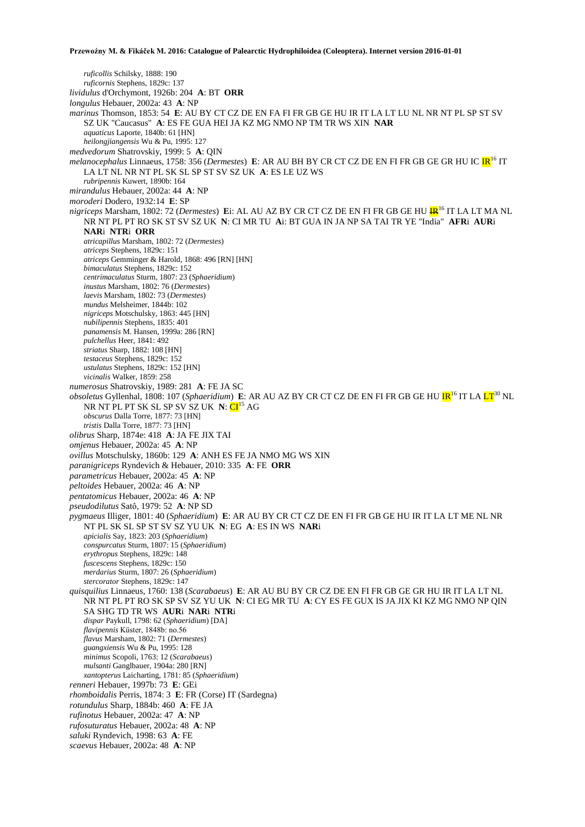*ruficollis* Schilsky, 1888: 190 *ruficornis* Stephens, 1829c: 137 *lividulus* d'Orchymont, 1926b: 204 **A**: BT **ORR** *longulus* Hebauer, 2002a: 43 **A**: NP *marinus* Thomson, 1853: 54 **E**: AU BY CT CZ DE EN FA FI FR GB GE HU IR IT LA LT LU NL NR NT PL SP ST SV SZ UK "Caucasus" **A**: ES FE GUA HEI JA KZ MG NMO NP TM TR WS XIN **NAR** *aquaticus* Laporte, 1840b: 61 [HN] *heilongjiangensis* Wu & Pu, 1995: 127 *medvedorum* Shatrovskiy, 1999: 5 **A**: QIN *melanocephalus* Linnaeus, 1758: 356 (*Dermestes*) E: AR AU BH BY CR CT CZ DE EN FI FR GB GE GR HU IC IR<sup>16</sup> IT LA LT NL NR NT PL SK SL SP ST SV SZ UK **A**: ES LE UZ WS *rubripennis* Kuwert, 1890b: 164 *mirandulus* Hebauer, 2002a: 44 **A**: NP *moroderi* Dodero, 1932:14 **E**: SP *nigriceps* Marsham, 1802: 72 (*Dermestes*) Ei: AL AU AZ BY CR CT CZ DE EN FI FR GB GE HU **IR**<sup>16</sup> IT LA LT MA NL NR NT PL PT RO SK ST SV SZ UK **N**: CI MR TU **A**i: BT GUA IN JA NP SA TAI TR YE "India" **AFR**i **AUR**i **NAR**i **NTR**i **ORR** *atricapillus* Marsham, 1802: 72 (*Dermestes*) *atriceps* Stephens, 1829c: 151 *atriceps* Gemminger & Harold, 1868: 496 [RN] [HN] *bimaculatus* Stephens, 1829c: 152 *centrimaculatus* Sturm, 1807: 23 (*Sphaeridium*) *inustus* Marsham, 1802: 76 (*Dermestes*) *laevis* Marsham, 1802: 73 (*Dermestes*) *mundus* Melsheimer, 1844b: 102 *nigriceps* Motschulsky, 1863: 445 [HN] *nubilipennis* Stephens, 1835: 401 *panamensis* M. Hansen, 1999a: 286 [RN] *pulchellus* Heer, 1841: 492 *striatus* Sharp, 1882: 108 [HN] *testaceus* Stephens, 1829c: 152 *ustulatus* Stephens, 1829c: 152 [HN] *vicinalis* Walker, 1859: 258 *numerosus* Shatrovskiy, 1989: 281 **A**: FE JA SC *obsoletus* Gyllenhal, 1808: 107 (*Sphaeridium*) **E**: AR AU AZ BY CR CT CZ DE EN FI FR GB GE HU IR<sup>16</sup> IT LA LT<sup>30</sup> NL NR NT PL PT SK SL SP SV SZ UK **N**: CI<sup>15</sup> AG *obscurus* Dalla Torre, 1877: 73 [HN] *tristis* Dalla Torre, 1877: 73 [HN] *olibrus* Sharp, 1874e: 418 **A**: JA FE JIX TAI *omjenus* Hebauer, 2002a: 45 **A**: NP *ovillus* Motschulsky, 1860b: 129 **A**: ANH ES FE JA NMO MG WS XIN *paranigriceps* Ryndevich & Hebauer, 2010: 335 **A**: FE **ORR** *parametricus* Hebauer, 2002a: 45 **A**: NP *peltoides* Hebauer, 2002a: 46 **A**: NP *pentatomicus* Hebauer, 2002a: 46 **A**: NP *pseudodilutus* Satô, 1979: 52 **A**: NP SD *pygmaeus* Illiger, 1801: 40 (*Sphaeridium*) **E**: AR AU BY CR CT CZ DE EN FI FR GB GE HU IR IT LA LT ME NL NR NT PL SK SL SP ST SV SZ YU UK **N**: EG **A**: ES IN WS **NAR**i *apicialis* Say, 1823: 203 (*Sphaeridium*) *conspurcatus* Sturm, 1807: 15 (*Sphaeridium*) *erythropus* Stephens, 1829c: 148 *fuscescens* Stephens, 1829c: 150 *merdarius* Sturm, 1807: 26 (*Sphaeridium*) *stercorator* Stephens, 1829c: 147 *quisquilius* Linnaeus, 1760: 138 (*Scarabaeus*) **E**: AR AU BU BY CR CZ DE EN FI FR GB GE GR HU IR IT LA LT NL NR NT PL PT RO SK SP SV SZ YU UK **N**: CI EG MR TU **A**: CY ES FE GUX IS JA JIX KI KZ MG NMO NP QIN SA SHG TD TR WS **AUR**i **NAR**i **NTR**i *dispar* Paykull, 1798: 62 (*Sphaeridium*) [DA] *flavipennis* Küster, 1848b: no.56 *flavus* Marsham, 1802: 71 (*Dermestes*) *guangxiensis* Wu & Pu, 1995: 128 *minimus* Scopoli, 1763: 12 (*Scarabaeus*) *mulsanti* Ganglbauer, 1904a: 280 [RN] *xantopterus* Laicharting, 1781: 85 (*Sphaeridium*) *renneri* Hebauer, 1997b: 73 **E**: GEi *rhomboidalis* Perris, 1874: 3 **E**: FR (Corse) IT (Sardegna) *rotundulus* Sharp, 1884b: 460 **A**: FE JA *rufinotus* Hebauer, 2002a: 47 **A**: NP *rufosuturatus* Hebauer, 2002a: 48 **A**: NP *saluki* Ryndevich, 1998: 63 **A**: FE *scaevus* Hebauer, 2002a: 48 **A**: NP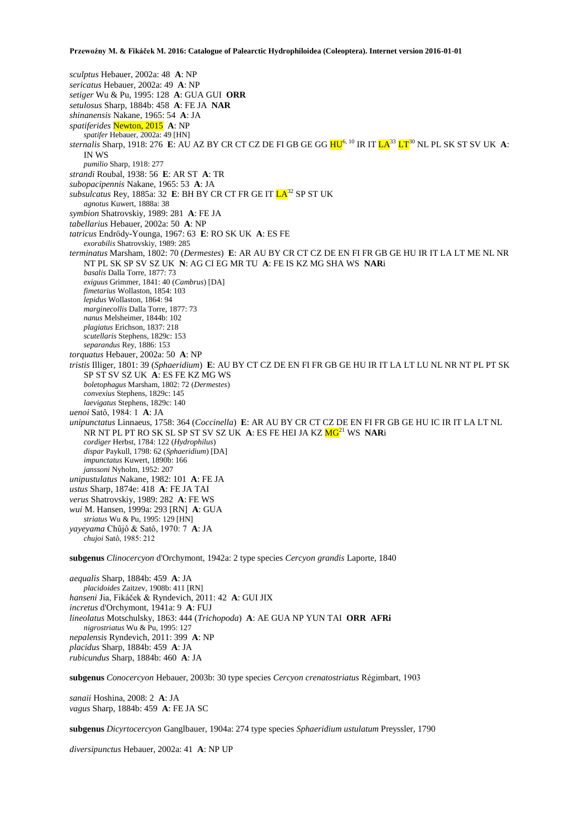*sculptus* Hebauer, 2002a: 48 **A**: NP *sericatus* Hebauer, 2002a: 49 **A**: NP *setiger* Wu & Pu, 1995: 128 **A**: GUA GUI **ORR** *setulosus* Sharp, 1884b: 458 **A**: FE JA **NAR** *shinanensis* Nakane, 1965: 54 **A**: JA *spatiferides* Newton, 2015 **A**: NP *spatifer* Hebauer, 2002a: 49 [HN] *sternalis* Sharp, 1918: 276 **E**: AU AZ BY CR CT CZ DE FI GB GE GG HU6, 10 IR IT LA<sup>33</sup> LT<sup>30</sup> NL PL SK ST SV UK **A**: IN WS *pumilio* Sharp, 1918: 277 *strandi* Roubal, 1938: 56 **E**: AR ST **A**: TR *subopacipennis* Nakane, 1965: 53 **A**: JA *subsulcatus* Rey, 1885a: 32 E: BH BY CR CT FR GE IT  $LA^{32}$  SP ST UK *agnotus* Kuwert, 1888a: 38 *symbion* Shatrovskiy, 1989: 281 **A**: FE JA *tabellarius* Hebauer, 2002a: 50 **A**: NP *tatricus* Endrödy-Younga, 1967: 63 **E**: RO SK UK **A**: ES FE *exorabilis* Shatrovskiy, 1989: 285 *terminatus* Marsham, 1802: 70 (*Dermestes*) **E**: AR AU BY CR CT CZ DE EN FI FR GB GE HU IR IT LA LT ME NL NR NT PL SK SP SV SZ UK **N**: AG CI EG MR TU **A**: FE IS KZ MG SHA WS **NAR**i *basalis* Dalla Torre, 1877: 73 *exiguus* Grimmer, 1841: 40 (*Cambrus*) [DA] *fimetarius* Wollaston, 1854: 103 *lepidus* Wollaston, 1864: 94 *marginecollis* Dalla Torre, 1877: 73 *nanus* Melsheimer, 1844b: 102 *plagiatus* Erichson, 1837: 218 *scutellaris* Stephens, 1829c: 153 *separandus* Rey, 1886: 153 *torquatus* Hebauer, 2002a: 50 **A**: NP *tristis* Illiger, 1801: 39 (*Sphaeridium*) **E**: AU BY CT CZ DE EN FI FR GB GE HU IR IT LA LT LU NL NR NT PL PT SK SP ST SV SZ UK **A**: ES FE KZ MG WS *boletophagus* Marsham, 1802: 72 (*Dermestes*) *convexius* Stephens, 1829c: 145 *laevigatus* Stephens, 1829c: 140 *uenoi* Satô, 1984: 1 **A**: JA *unipunctatus* Linnaeus, 1758: 364 (*Coccinella*) **E**: AR AU BY CR CT CZ DE EN FI FR GB GE HU IC IR IT LA LT NL NR NT PL PT RO SK SL SP ST SV SZ UK **A**: ES FE HEI JA KZ MG<sup>21</sup> WS **NAR**i *cordiger* Herbst, 1784: 122 (*Hydrophilus*) *dispar* Paykull, 1798: 62 (*Sphaeridium*) [DA] *impunctatus* Kuwert, 1890b: 166 *janssoni* Nyholm, 1952: 207 *unipustulatus* Nakane, 1982: 101 **A**: FE JA *ustus* Sharp, 1874e: 418 **A**: FE JA TAI *verus* Shatrovskiy, 1989: 282 **A**: FE WS *wui* M. Hansen, 1999a: 293 [RN] **A**: GUA *striatus* Wu & Pu, 1995: 129 [HN] *yayeyama* Chûjô & Satô, 1970: 7 **A**: JA *chujoi* Satô, 1985: 212 **subgenus** *Clinocercyon* d'Orchymont, 1942a: 2 type species *Cercyon grandis* Laporte, 1840 *aequalis* Sharp, 1884b: 459 **A**: JA *placidoides* Zaitzev, 1908b: 411 [RN] *hanseni* Jia, Fikáček & Ryndevich, 2011: 42 **A**: GUI JIX *incretus* d'Orchymont, 1941a: 9 **A**: FUJ

*lineolatus* Motschulsky, 1863: 444 (*Trichopoda*) **A**: AE GUA NP YUN TAI **ORR AFRi** 

*nigrostriatus* Wu & Pu, 1995: 127

*nepalensis* Ryndevich, 2011: 399 **A**: NP

*placidus* Sharp, 1884b: 459 **A**: JA

*rubicundus* Sharp, 1884b: 460 **A**: JA

**subgenus** *Conocercyon* Hebauer, 2003b: 30 type species *Cercyon crenatostriatus* Régimbart, 1903

*sanaii* Hoshina, 2008: 2 **A**: JA *vagus* Sharp, 1884b: 459 **A**: FE JA SC

**subgenus** *Dicyrtocercyon* Ganglbauer, 1904a: 274 type species *Sphaeridium ustulatum* Preyssler, 1790

*diversipunctus* Hebauer, 2002a: 41 **A**: NP UP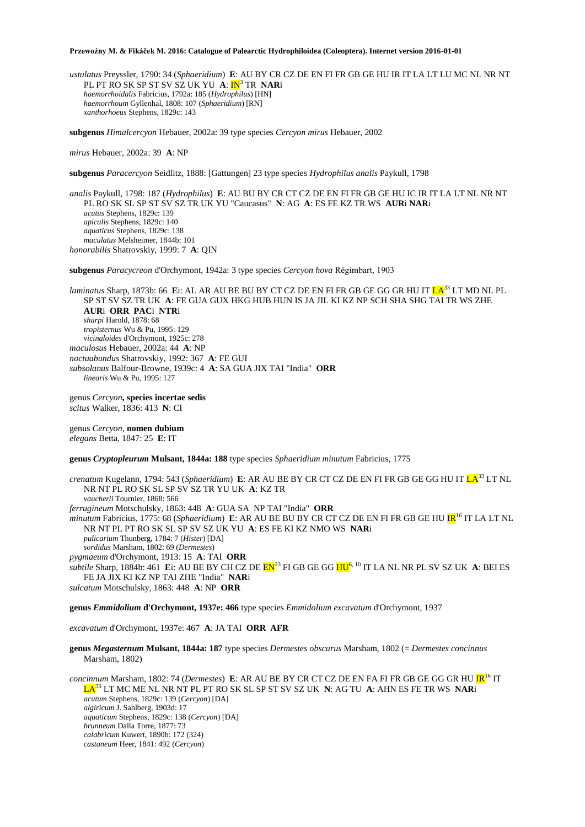*ustulatus* Preyssler, 1790: 34 (*Sphaeridium*) **E**: AU BY CR CZ DE EN FI FR GB GE HU IR IT LA LT LU MC NL NR NT PL PT RO SK SP ST SV SZ UK YU **A**:  $IN^3$  TR **NAR**i *haemorrhoidalis* Fabricius, 1792a: 185 (*Hydrophilus*) [HN] *haemorrhoum* Gyllenhal, 1808: 107 (*Sphaeridium*) [RN] *xanthorhoeus* Stephens, 1829c: 143

**subgenus** *Himalcercyon* Hebauer, 2002a: 39 type species *Cercyon mirus* Hebauer, 2002

*mirus* Hebauer, 2002a: 39 **A**: NP

**subgenus** *Paracercyon* Seidlitz, 1888: [Gattungen] 23 type species *Hydrophilus analis* Paykull, 1798

*analis* Paykull, 1798: 187 (*Hydrophilus*) **E**: AU BU BY CR CT CZ DE EN FI FR GB GE HU IC IR IT LA LT NL NR NT PL RO SK SL SP ST SV SZ TR UK YU "Caucasus" **N**: AG **A**: ES FE KZ TR WS **AUR**i **NAR**i *acutus* Stephens, 1829c: 139 *apicalis* Stephens, 1829c: 140 *aquaticus* Stephens, 1829c: 138 *maculatus* Melsheimer, 1844b: 101 *honorabilis* Shatrovskiy, 1999: 7 **A**: QIN

**subgenus** *Paracycreon* d'Orchymont, 1942a: 3 type species *Cercyon hova* Régimbart, 1903

*laminatus* Sharp, 1873b: 66 Ei: AL AR AU BE BU BY CT CZ DE EN FI FR GB GE GG GR HU IT LA<sup>33</sup> LT MD NL PL SP ST SV SZ TR UK **A**: FE GUA GUX HKG HUB HUN IS JA JIL KI KZ NP SCH SHA SHG TAI TR WS ZHE **AUR**i **ORR PAC**i **NTR**i *sharpi* Harold, 1878: 68 *tropisternus* Wu & Pu, 1995: 129 *vicinaloides* d'Orchymont, 1925c: 278 *maculosus* Hebauer, 2002a: 44 **A**: NP *noctuabundus* Shatrovskiy, 1992: 367 **A**: FE GUI *subsolanus* Balfour-Browne, 1939c: 4 **A**: SA GUA JIX TAI "India" **ORR** *linearis* Wu & Pu, 1995: 127

genus *Cercyon***, species incertae sedis** *scitus* Walker, 1836: 413 **N**: CI

genus *Cercyon*, **nomen dubium** *elegans* Betta, 1847: 25 **E**: IT

# **genus** *Cryptopleurum* **Mulsant, 1844a: 188** type species *Sphaeridium minutum* Fabricius, 1775

*crenatum* Kugelann, 1794: 543 (*Sphaeridium*) E: AR AU BE BY CR CT CZ DE EN FI FR GB GE GG HU IT  $LA^{33}$  LT NL NR NT PL RO SK SL SP SV SZ TR YU UK **A**: KZ TR *vaucherii* Tournier, 1868: 566 *ferrugineum* Motschulsky, 1863: 448 **A**: GUA SA NP TAI "India" **ORR** *minutum* Fabricius, 1775: 68 (*Sphaeridium*) **E**: AR AU BE BU BY CR CT CZ DE EN FI FR GB GE HU IR<sup>16</sup> IT LA LT NL NR NT PL PT RO SK SL SP SV SZ UK YU **A**: ES FE KI KZ NMO WS **NAR**i *pulicarium* Thunberg, 1784: 7 (*Hister*) [DA] *sordidus* Marsham, 1802: 69 (*Dermestes*) *pygmaeum* d'Orchymont, 1913: 15 **A**: TAI **ORR** *subtile* Sharp, 1884b: 461 **E**i: AU BE BY CH CZ DE EN<sup>23</sup> FI GB GE GG HU6, 10 IT LA NL NR PL SV SZ UK **A**: BEI ES FE JA JIX KI KZ NP TAI ZHE "India" **NAR**i

*sulcatum* Motschulsky, 1863: 448 **A**: NP **ORR**

**genus** *Emmidolium* **d'Orchymont, 1937e: 466** type species *Emmidolium excavatum* d'Orchymont, 1937

*excavatum* d'Orchymont, 1937e: 467 **A**: JA TAI **ORR AFR**

**genus** *Megasternum* **Mulsant, 1844a: 187** type species *Dermestes obscurus* Marsham, 1802 (= *Dermestes concinnus* Marsham, 1802)

*concinnum* Marsham, 1802: 74 (*Dermestes*) **E**: AR AU BE BY CR CT CZ DE EN FA FI FR GB GE GG GR HU **IR**<sup>16</sup> IT LA<sup>33</sup> LT MC ME NL NR NT PL PT RO SK SL SP ST SV SZ UK **N**: AG TU **A**: AHN ES FE TR WS **NAR**i *acutum* Stephens, 1829c: 139 (*Cercyon*) [DA] *algiricum* J. Sahlberg, 1903d: 17 *aquaticum* Stephens, 1829c: 138 (*Cercyon*) [DA] *brunneum* Dalla Torre, 1877: 73 *calabricum* Kuwert, 1890b: 172 (324) *castaneum* Heer, 1841: 492 (*Cercyon*)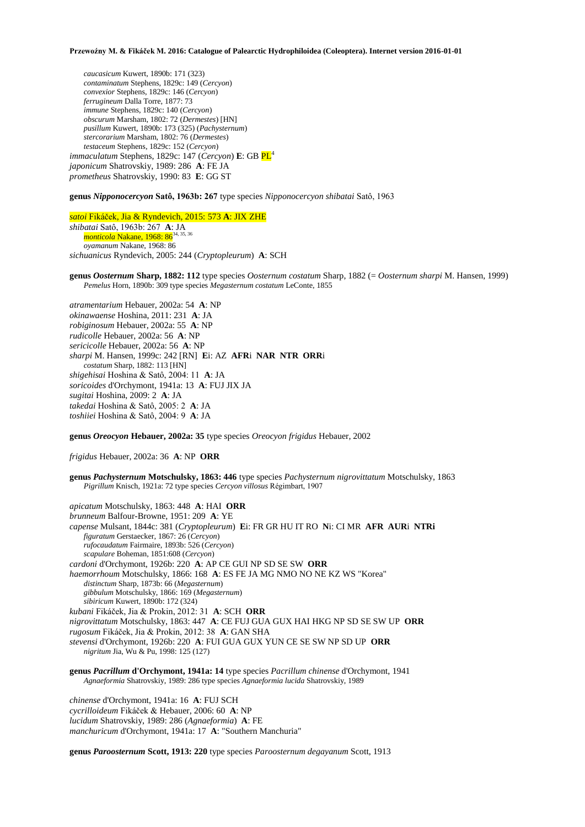*caucasicum* Kuwert, 1890b: 171 (323) *contaminatum* Stephens, 1829c: 149 (*Cercyon*) *convexior* Stephens, 1829c: 146 (*Cercyon*) *ferrugineum* Dalla Torre, 1877: 73 *immune* Stephens, 1829c: 140 (*Cercyon*) *obscurum* Marsham, 1802: 72 (*Dermestes*) [HN] *pusillum* Kuwert, 1890b: 173 (325) (*Pachysternum*) *stercorarium* Marsham, 1802: 76 (*Dermestes*) *testaceum* Stephens, 1829c: 152 (*Cercyon*) *immaculatum* Stephens, 1829c: 147 (*Cercyon*) **E**: GB  $PL^4$ *japonicum* Shatrovskiy, 1989: 286 **A**: FE JA *prometheus* Shatrovskiy, 1990: 83 **E**: GG ST

**genus** *Nipponocercyon* **Satô, 1963b: 267** type species *Nipponocercyon shibatai* Satô, 1963

*satoi* Fikáček, Jia & Ryndevich, 2015: 573 **A**: JIX ZHE *shibatai* Satô, 1963b: 267 **A**: JA *monticola* Nakane, 1968: 86<sup>34,</sup> *oyamanum* Nakane, 1968: 86 *sichuanicus* Ryndevich, 2005: 244 (*Cryptopleurum*) **A**: SCH

**genus** *Oosternum* **Sharp, 1882: 112** type species *Oosternum costatum* Sharp, 1882 (= *Oosternum sharpi* M. Hansen, 1999) *Pemelus* Horn, 1890b: 309 type species *Megasternum costatum* LeConte, 1855

*atramentarium* Hebauer, 2002a: 54 **A**: NP *okinawaense* Hoshina, 2011: 231 **A**: JA *robiginosum* Hebauer, 2002a: 55 **A**: NP *rudicolle* Hebauer, 2002a: 56 **A**: NP *sericicolle* Hebauer, 2002a: 56 **A**: NP *sharpi* M. Hansen, 1999c: 242 [RN] **E**i: AZ **AFR**i **NAR NTR ORR**i *costatum* Sharp, 1882: 113 [HN] *shigehisai* Hoshina & Satô, 2004: 11 **A**: JA *soricoides* d'Orchymont, 1941a: 13 **A**: FUJ JIX JA *sugitai* Hoshina, 2009: 2 **A**: JA *takedai* Hoshina & Satô, 2005: 2 **A**: JA *toshiiei* Hoshina & Satô, 2004: 9 **A**: JA

**genus** *Oreocyon* **Hebauer, 2002a: 35** type species *Oreocyon frigidus* Hebauer, 2002

*frigidus* Hebauer, 2002a: 36 **A**: NP **ORR**

**genus** *Pachysternum* **Motschulsky, 1863: 446** type species *Pachysternum nigrovittatum* Motschulsky, 1863 *Pigrillum* Knisch, 1921a: 72 type species *Cercyon villosus* Régimbart, 1907

*apicatum* Motschulsky, 1863: 448 **A**: HAI **ORR** *brunneum* Balfour-Browne, 1951: 209 **A**: YE *capense* Mulsant, 1844c: 381 (*Cryptopleurum*) **E**i: FR GR HU IT RO **N**i: CI MR **AFR AUR**i **NTRi** *figuratum* Gerstaecker, 1867: 26 (*Cercyon*) *rufocaudatum* Fairmaire, 1893b: 526 (*Cercyon*) *scapulare* Boheman, 1851:608 (*Cercyon*) *cardoni* d'Orchymont, 1926b: 220 **A**: AP CE GUI NP SD SE SW **ORR** *haemorrhoum* Motschulsky, 1866: 168 **A**: ES FE JA MG NMO NO NE KZ WS "Korea" *distinctum* Sharp, 1873b: 66 (*Megasternum*) *gibbulum* Motschulsky, 1866: 169 (*Megasternum*) *sibiricum* Kuwert, 1890b: 172 (324) *kubani* Fikáček, Jia & Prokin, 2012: 31 **A**: SCH **ORR**  *nigrovittatum* Motschulsky, 1863: 447 **A**: CE FUJ GUA GUX HAI HKG NP SD SE SW UP **ORR** *rugosum* Fikáček, Jia & Prokin, 2012: 38 **A**: GAN SHA *stevensi* d'Orchymont, 1926b: 220 **A**: FUI GUA GUX YUN CE SE SW NP SD UP **ORR** *nigritum* Jia, Wu & Pu, 1998: 125 (127)

**genus** *Pacrillum* **d'Orchymont, 1941a: 14** type species *Pacrillum chinense* d'Orchymont, 1941 *Agnaeformia* Shatrovskiy, 1989: 286 type species *Agnaeformia lucida* Shatrovskiy, 1989

*chinense* d'Orchymont, 1941a: 16 **A**: FUJ SCH *cycrilloideum* Fikáček & Hebauer, 2006: 60 **A**: NP *lucidum* Shatrovskiy, 1989: 286 (*Agnaeformia*) **A**: FE *manchuricum* d'Orchymont, 1941a: 17 **A**: "Southern Manchuria"

**genus** *Paroosternum* **Scott, 1913: 220** type species *Paroosternum degayanum* Scott, 1913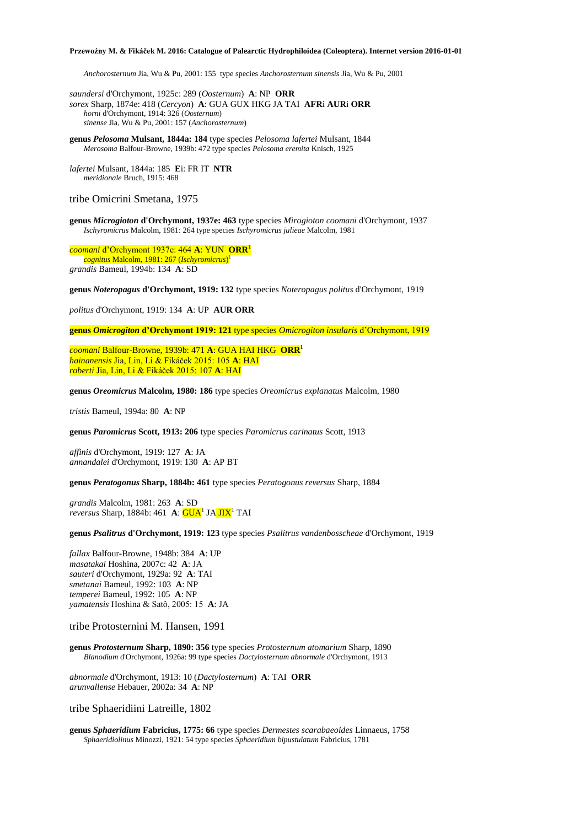*Anchorosternum* Jia, Wu & Pu, 2001: 155type species *Anchorosternum sinensis* Jia, Wu & Pu, 2001

*saundersi* d'Orchymont, 1925c: 289 (*Oosternum*) **A**: NP **ORR** *sorex* Sharp, 1874e: 418 (*Cercyon*) **A**: GUA GUX HKG JA TAI **AFR**i **AUR**i **ORR** *horni* d'Orchymont, 1914: 326 (*Oosternum*) *sinense* Jia, Wu & Pu, 2001: 157 (*Anchorosternum*)

**genus** *Pelosoma* **Mulsant, 1844a: 184** type species *Pelosoma lafertei* Mulsant, 1844 *Merosoma* Balfour-Browne, 1939b: 472 type species *Pelosoma eremita* Knisch, 1925

*lafertei* Mulsant, 1844a: 185 **E**i: FR IT **NTR** *meridionale* Bruch, 1915: 468

# tribe Omicrini Smetana, 1975

**genus** *Microgioton* **d'Orchymont, 1937e: 463** type species *Mirogioton coomani* d'Orchymont, 1937 *Ischyromicrus* Malcolm, 1981: 264 type species *Ischyromicrus julieae* Malcolm, 1981

*coomani* d'Orchymont 1937e: 464 **A**: YUN **ORR**<sup>1</sup> *cognitus* Malcolm, 1981: 267 (*Ischyromicrus*) 1 *grandis* Bameul, 1994b: 134 **A**: SD

**genus** *Noteropagus* **d'Orchymont, 1919: 132** type species *Noteropagus politus* d'Orchymont, 1919

*politus* d'Orchymont, 1919: 134 **A**: UP **AUR ORR**

**genus** *Omicrogiton* **d'Orchymont 1919: 121** type species *Omicrogiton insularis* d'Orchymont, 1919

*coomani* Balfour-Browne, 1939b: 471 **A**: GUA HAI HKG **ORR<sup>1</sup>** *hainanensis* Jia, Lin, Li & Fikáček 2015: 105 **A**: HAI *roberti* Jia, Lin, Li & Fikáček 2015: 107 **A**: HAI

**genus** *Oreomicrus* **Malcolm, 1980: 186** type species *Oreomicrus explanatus* Malcolm, 1980

*tristis* Bameul, 1994a: 80 **A**: NP

**genus** *Paromicrus* **Scott, 1913: 206** type species *Paromicrus carinatus* Scott, 1913

*affinis* d'Orchymont, 1919: 127 **A**: JA *annandalei* d'Orchymont, 1919: 130 **A**: AP BT

### **genus** *Peratogonus* **Sharp, 1884b: 461** type species *Peratogonus reversus* Sharp, 1884

*grandis* Malcolm, 1981: 263 **A**: SD reversus Sharp, 1884b: 461 A: **GUA<sup>1</sup> JA JIX<sup>1</sup> TAI** 

#### **genus** *Psalitrus* **d'Orchymont, 1919: 123** type species *Psalitrus vandenbosscheae* d'Orchymont, 1919

*fallax* Balfour-Browne, 1948b: 384 **A**: UP *masatakai* Hoshina, 2007c: 42 **A**: JA *sauteri* d'Orchymont, 1929a: 92 **A**: TAI *smetanai* Bameul, 1992: 103 **A**: NP *temperei* Bameul, 1992: 105 **A**: NP *yamatensis* Hoshina & Satô, 2005: 15 **A**: JA

## tribe Protosternini M. Hansen, 1991

**genus** *Protosternum* **Sharp, 1890: 356** type species *Protosternum atomarium* Sharp, 1890 *Blanodium* d'Orchymont, 1926a: 99 type species *Dactylosternum abnormale* d'Orchymont, 1913

*abnormale* d'Orchymont, 1913: 10 (*Dactylosternum*) **A**: TAI **ORR** *arunvallense* Hebauer, 2002a: 34 **A**: NP

tribe Sphaeridiini Latreille, 1802

**genus** *Sphaeridium* **Fabricius, 1775: 66** type species *Dermestes scarabaeoides* Linnaeus, 1758 *Sphaeridiolinus* Minozzi, 1921: 54 type species *Sphaeridium bipustulatum* Fabricius, 1781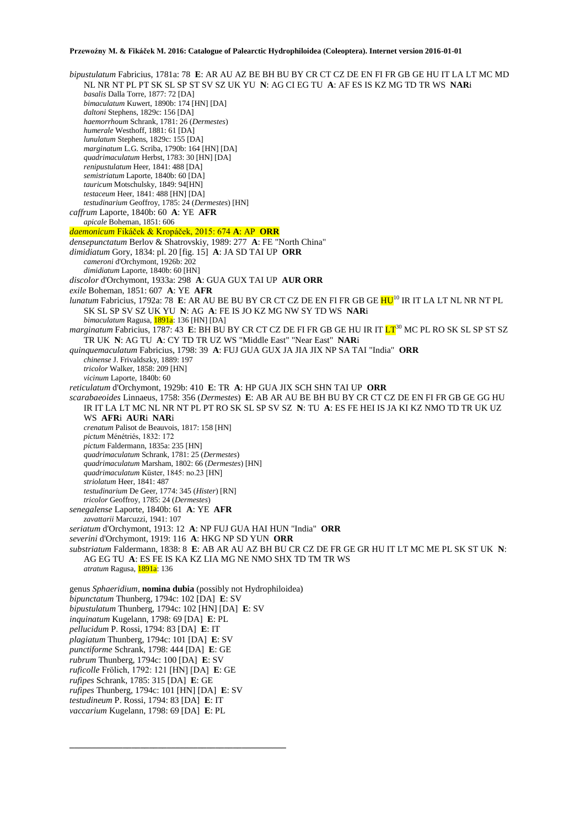*bipustulatum* Fabricius, 1781a: 78 **E**: AR AU AZ BE BH BU BY CR CT CZ DE EN FI FR GB GE HU IT LA LT MC MD NL NR NT PL PT SK SL SP ST SV SZ UK YU **N**: AG CI EG TU **A**: AF ES IS KZ MG TD TR WS **NAR**i *basalis* Dalla Torre, 1877: 72 [DA] *bimaculatum* Kuwert, 1890b: 174 [HN] [DA] *daltoni* Stephens, 1829c: 156 [DA] *haemorrhoum* Schrank, 1781: 26 (*Dermestes*) *humerale* Westhoff, 1881: 61 [DA] *lunulatum* Stephens, 1829c: 155 [DA] *marginatum* L.G. Scriba, 1790b: 164 [HN] [DA] *quadrimaculatum* Herbst, 1783: 30 [HN] [DA] *renipustulatum* Heer, 1841: 488 [DA] *semistriatum* Laporte, 1840b: 60 [DA] *tauricum* Motschulsky, 1849: 94[HN] *testaceum* Heer, 1841: 488 [HN] [DA] *testudinarium* Geoffroy, 1785: 24 (*Dermestes*) [HN] *caffrum* Laporte, 1840b: 60 **A**: YE **AFR** *apicale* Boheman, 1851: 606 *daemonicum* Fikáček & Kropáček, 2015: 674 **A**: AP **ORR** *densepunctatum* Berlov & Shatrovskiy, 1989: 277 **A**: FE "North China" *dimidiatum* Gory, 1834: pl. 20 [fig. 15] **A**: JA SD TAI UP **ORR** *cameroni* d'Orchymont, 1926b: 202 *dimidiatum* Laporte, 1840b: 60 [HN] *discolor* d'Orchymont, 1933a: 298 **A**: GUA GUX TAI UP **AUR ORR** *exile* Boheman, 1851: 607 **A**: YE **AFR** *lunatum* Fabricius, 1792a: 78 **E**: AR AU BE BU BY CR CT CZ DE EN FI FR GB GE HU<sup>10</sup> IR IT LA LT NL NR NT PL SK SL SP SV SZ UK YU **N**: AG **A**: FE IS JO KZ MG NW SY TD WS **NAR**i *bimaculatum* Ragusa, 1891a: 136 [HN] [DA] *marginatum* Fabricius, 1787: 43 E: BH BU BY CR CT CZ DE FI FR GB GE HU IR IT  $LT^{30}$  MC PL RO SK SL SP ST SZ TR UK **N**: AG TU **A**: CY TD TR UZ WS "Middle East" "Near East" **NAR**i *quinquemaculatum* Fabricius, 1798: 39 **A**: FUJ GUA GUX JA JIA JIX NP SA TAI "India" **ORR** *chinense* J. Frivaldszky, 1889: 197 *tricolor* Walker, 1858: 209 [HN] *vicinum* Laporte, 1840b: 60 *reticulatum* d'Orchymont, 1929b: 410 **E**: TR **A**: HP GUA JIX SCH SHN TAI UP **ORR** *scarabaeoides* Linnaeus, 1758: 356 (*Dermestes*) **E**: AB AR AU BE BH BU BY CR CT CZ DE EN FI FR GB GE GG HU IR IT LA LT MC NL NR NT PL PT RO SK SL SP SV SZ **N**: TU **A**: ES FE HEI IS JA KI KZ NMO TD TR UK UZ WS **AFR**i **AUR**i **NAR**i *crenatum* Palisot de Beauvois, 1817: 158 [HN] *pictum* Ménétriés, 1832: 172 *pictum* Faldermann, 1835a: 235 [HN] *quadrimaculatum* Schrank, 1781: 25 (*Dermestes*) *quadrimaculatum* Marsham, 1802: 66 (*Dermestes*) [HN] *quadrimaculatum* Küster, 1845: no.23 [HN] *striolatum* Heer, 1841: 487 *testudinarium* De Geer, 1774: 345 (*Hister*) [RN] *tricolor* Geoffroy, 1785: 24 (*Dermestes*) *senegalense* Laporte, 1840b: 61 **A**: YE **AFR** *zavattarii* Marcuzzi, 1941: 107 *seriatum* d'Orchymont, 1913: 12 **A**: NP FUJ GUA HAI HUN "India" **ORR** *severini* d'Orchymont, 1919: 116 **A**: HKG NP SD YUN **ORR** *substriatum* Faldermann, 1838: 8 **E**: AB AR AU AZ BH BU CR CZ DE FR GE GR HU IT LT MC ME PL SK ST UK **N**: AG EG TU **A**: ES FE IS KA KZ LIA MG NE NMO SHX TD TM TR WS *atratum* Ragusa, 1891a: 136 genus *Sphaeridium*, **nomina dubia** (possibly not Hydrophiloidea) *bipunctatum* Thunberg, 1794c: 102 [DA] **E**: SV *bipustulatum* Thunberg, 1794c: 102 [HN] [DA] **E**: SV *inquinatum* Kugelann, 1798: 69 [DA] **E**: PL *pellucidum* P. Rossi, 1794: 83 [DA] **E**: IT *plagiatum* Thunberg, 1794c: 101 [DA] **E**: SV *punctiforme* Schrank, 1798: 444 [DA] **E**: GE *rubrum* Thunberg, 1794c: 100 [DA] **E**: SV *ruficolle* Frölich, 1792: 121 [HN] [DA] **E**: GE *rufipes* Schrank, 1785: 315 [DA] **E**: GE *rufipes* Thunberg, 1794c: 101 [HN] [DA] **E**: SV *testudineum* P. Rossi, 1794: 83 [DA] **E**: IT *vaccarium* Kugelann, 1798: 69 [DA] **E**: PL

**\_\_\_\_\_\_\_\_\_\_\_\_\_\_\_\_\_\_\_\_\_\_\_\_\_\_\_\_\_\_\_\_\_\_\_\_\_\_\_\_\_\_\_\_\_\_\_\_\_**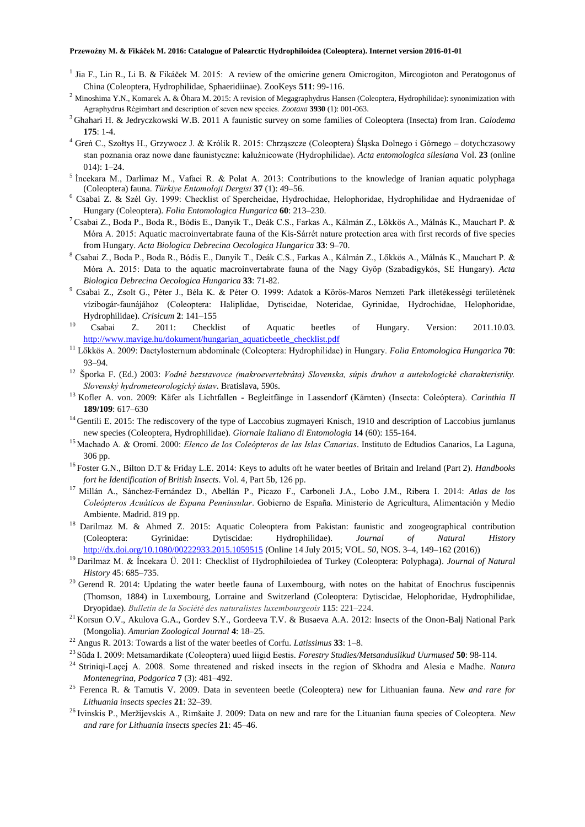- <sup>1</sup> Jia F., Lin R., Li B. & Fikáček M. 2015: A review of the omicrine genera Omicrogiton, Mircogioton and Peratogonus of China (Coleoptera, Hydrophilidae, Sphaeridiinae). ZooKeys **511**: 99-116.
- <sup>2</sup> Minoshima Y.N., Komarek A. & Ôhara M. 2015: A revision of Megagraphydrus Hansen (Coleoptera, Hydrophilidae): synonimization with Agraphydrus Régimbart and description of seven new species. *Zootaxa* **3930** (1): 001-063.
- <sup>3</sup>Ghahari H. & Jedryczkowski W.B. 2011 A faunistic survey on some families of Coleoptera (Insecta) from Iran. *Calodema* **175**: 1-4.
- <sup>4</sup> Greń C., Szołtys H., Grzywocz J. & Królik R. 2015: Chrząszcze (Coleoptera) Śląska Dolnego i Górnego dotychczasowy stan poznania oraz nowe dane faunistyczne: kałużnicowate (Hydrophilidae). *Acta entomologica silesiana* Vol. **23** (online 014): 1–24.
- <sup>5</sup> Incekara M., Darlimaz M., Vafaei R. & Polat A. 2013: Contributions to the knowledge of Iranian aquatic polyphaga (Coleoptera) fauna. *Türkiye Entomoloji Dergisi* **37** (1): 49–56.
- <sup>6</sup> Csabai Z. & Szél Gy. 1999: Checklist of Spercheidae, Hydrochidae, Helophoridae, Hydrophilidae and Hydraenidae of Hungary (Coleoptera). *Folia Entomologica Hungarica* **60**: 213–230.
- <sup>7</sup> Csabai Z., Boda P., Boda R., Bódis E., Danyik T., Deák C.S., Farkas A., Kálmán Z., Lökkös A., Málnás K., Mauchart P. & Móra A. 2015: Aquatic macroinvertabrate fauna of the Kis-Sárrét nature protection area with first records of five species from Hungary. *Acta Biologica Debrecina Oecologica Hungarica* **33**: 9–70.
- <sup>8</sup> Csabai Z., Boda P., Boda R., Bódis E., Danyik T., Deák C.S., Farkas A., Kálmán Z., Lőkkös A., Málnás K., Mauchart P. & Móra A. 2015: Data to the aquatic macroinvertabrate fauna of the Nagy Gyöp (Szabadígykós, SE Hungary). *Acta Biologica Debrecina Oecologica Hungarica* **33**: 71-82.
- <sup>9</sup> Csabai Z., Zsolt G., Péter J., Béla K. & Péter O. 1999: Adatok a Körös-Maros Nemzeti Park illetékességi területének vízibogár-faunájához (Coleoptera: Haliplidae, Dytiscidae, Noteridae, Gyrinidae, Hydrochidae, Helophoridae, Hydrophilidae). *Crisicum* **2**: 141–155
- <sup>10</sup> Csabai Z. 2011: Checklist of Aquatic beetles of Hungary. Version: 2011.10.03. [http://www.mavige.hu/dokument/hungarian\\_aquaticbeetle\\_checklist.pdf](http://www.mavige.hu/dokument/hungarian_aquaticbeetle_checklist.pdf)
- <sup>11</sup> Lőkkös A. 2009: Dactylosternum abdominale (Coleoptera: Hydrophilidae) in Hungary. *Folia Entomologica Hungarica* **70**: 93–94.
- <sup>12</sup>Šporka F. (Ed.) 2003: *Vodné bezstavovce (makroevertebráta) Slovenska, súpis druhov a autekologické charakteristiky. Slovenský hydrometeorologický ústav*. Bratislava, 590s.
- <sup>13</sup>Kofler A. von. 2009: Käfer als Lichtfallen Begleitfänge in Lassendorf (Kärnten) (Insecta: Coleóptera). *Carinthia II* **189/109**: 617–630
- <sup>14</sup> Gentili E. 2015: The rediscovery of the type of Laccobius zugmayeri Knisch, 1910 and description of Laccobius jumlanus new species (Coleoptera, Hydrophilidae). *Giornale Italiano di Entomologia* **14** (60): 155-164.
- <sup>15</sup> Machado A. & Oromí. 2000: *Elenco de los Coleópteros de las Islas Canarias*. Instituto de Edtudios Canarios, La Laguna, 306 pp.
- <sup>16</sup>Foster G.N., Bilton D.T & Friday L.E. 2014: Keys to adults oft he water beetles of Britain and Ireland (Part 2). *Handbooks fort he Identification of British Insects*. Vol. 4, Part 5b, 126 pp.
- <sup>17</sup> Millán A., Sánchez-Fernández D., Abellán P., Picazo F., Carboneli J.A., Lobo J.M., Ribera I. 2014: *Atlas de los Coleópteros Acuáticos de Espana Penninsular*. Gobierno de España. Ministerio de Agricultura, Alimentación y Medio Ambiente. Madrid. 819 pp.
- <sup>18</sup> Darilmaz M. & Ahmed Z. 2015: Aquatic Coleoptera from Pakistan: faunistic and zoogeographical contribution (Coleoptera: Gyrinidae: Dytiscidae: Hydrophilidae). *Journal of Natural History* <http://dx.doi.org/10.1080/00222933.2015.1059515> (Online 14 July 2015; VOL. *50*, NOS. 3–4, 149–162 (2016))
- <sup>19</sup> Darilmaz M. & Íncekara Ü. 2011: Checklist of Hydrophiloiedea of Turkey (Coleoptera: Polyphaga). *Journal of Natural History* 45: 685–735.
- $20$  Gerend R. 2014: Updating the water beetle fauna of Luxembourg, with notes on the habitat of Enochrus fuscipennis (Thomson, 1884) in Luxembourg, Lorraine and Switzerland (Coleoptera: Dytiscidae, Helophoridae, Hydrophilidae, Dryopidae). *Bulletin de la Société des naturalistes luxembourgeois* **115**: 221–224.
- <sup>21</sup> Korsun O.V., Akulova G.A., Gordev S.Y., Gordeeva T.V. & Busaeva A.A. 2012: Insects of the Onon-Balj National Park (Mongolia). *Amurian Zoological Journal* **4**: 18–25.
- <sup>22</sup> Angus R. 2013: Towards a list of the water beetles of Corfu. *Latissimus* **33**: 1–8.
- <sup>23</sup>Süda I. 2009: Metsamardikate (Coleoptera) uued liigid Eestis. *Forestry Studies/Metsanduslikud Uurmused* **50**: 98-114.
- <sup>24</sup>Striniqi-Laçej A. 2008. Some threatened and risked insects in the region of Skhodra and Alesia e Madhe. *Natura Montenegrina, Podgorica* **7** (3): 481–492.
- <sup>25</sup> Ferenca R. & Tamutis V. 2009. Data in seventeen beetle (Coleoptera) new for Lithuanian fauna. *New and rare for Lithuania insects species* **21**: 32–39.
- <sup>26</sup> Ivinskis P., Meržijevskis A., Rimšaite J. 2009: Data on new and rare for the Lituanian fauna species of Coleoptera. *New and rare for Lithuania insects species* **21**: 45–46.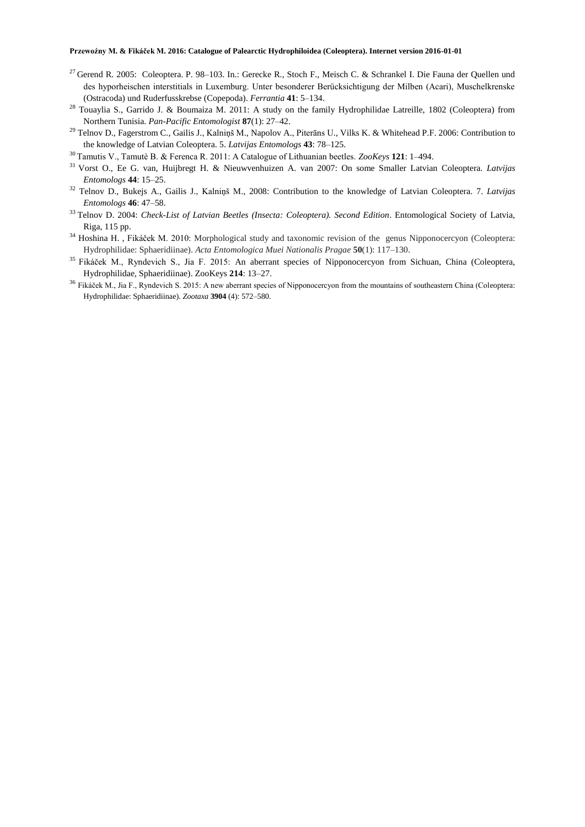- <sup>27</sup> Gerend R. 2005: Coleoptera. P. 98–103. In.: Gerecke R., Stoch F., Meisch C. & Schrankel I. Die Fauna der Quellen und des hyporheischen interstitials in Luxemburg. Unter besonderer Berücksichtigung der Milben (Acari), Muschelkrenske (Ostracoda) und Ruderfusskrebse (Copepoda). *Ferrantia* **41**: 5–134.
- <sup>28</sup> Touaylia S., Garrido J. & Boumaiza M. 2011: A study on the family Hydrophilidae Latreille, 1802 (Coleoptera) from Northern Tunisia. *Pan-Pacific Entomologist* **87**(1): 27–42.
- <sup>29</sup> Telnov D., Fagerstrom C., Gailis J., Kalniņš M., Napolov A., Piterāns U., Vilks K. & Whitehead P.F. 2006: Contribution to the knowledge of Latvian Coleoptera. 5. *Latvijas Entomologs* **43**: 78–125.
- <sup>30</sup>Tamutis V., Tamutè B. & Ferenca R. 2011: A Catalogue of Lithuanian beetles. *ZooKeys* **121**: 1–494.
- <sup>31</sup>Vorst O., Ee G. van, Huijbregt H. & Nieuwvenhuizen A. van 2007: On some Smaller Latvian Coleoptera. *Latvijas Entomologs* **44**: 15–25.
- <sup>32</sup> Telnov D., Bukejs A., Gailis J., Kalniņš M., 2008: Contribution to the knowledge of Latvian Coleoptera. 7. *Latvijas Entomologs* **46**: 47–58.
- <sup>33</sup>Telnov D. 2004: *Check-List of Latvian Beetles (Insecta: Coleoptera). Second Edition*. Entomological Society of Latvia, Riga, 115 pp.
- <sup>34</sup> Hoshina H., Fikáček M. 2010: Morphological study and taxonomic revision of the genus Nipponocercyon (Coleoptera: Hydrophilidae: Sphaeridiinae). *Acta Entomologica Muei Nationalis Pragae* **50**(1): 117–130.
- <sup>35</sup> Fikáček M., Ryndevich S., Jia F. 2015: An aberrant species of Nipponocercyon from Sichuan, China (Coleoptera, Hydrophilidae, Sphaeridiinae). ZooKeys **214**: 13–27.
- <sup>36</sup> Fikáček M., Jia F., Ryndevich S. 2015: A new aberrant species of Nipponocercyon from the mountains of southeastern China (Coleoptera: Hydrophilidae: Sphaeridiinae). *Zootaxa* **3904** (4): 572–580.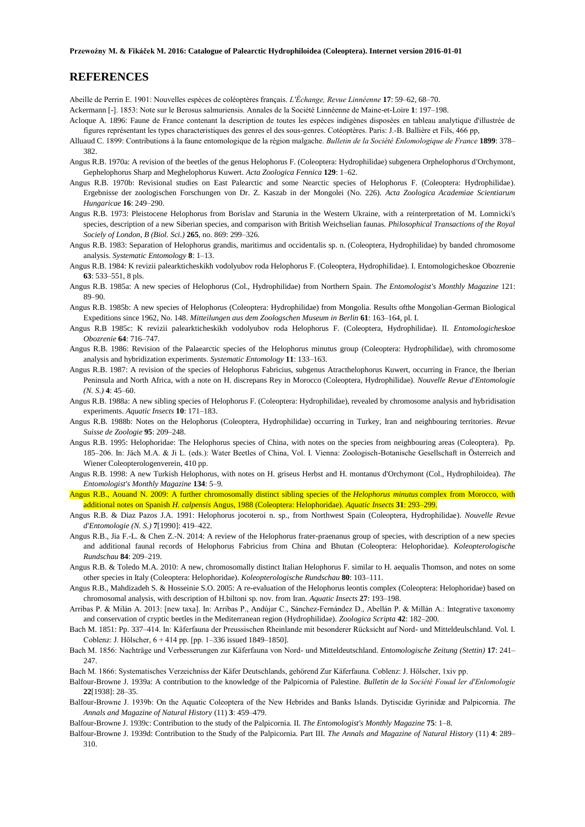# **REFERENCES**

Abeille de Perrin E. 1901: Nouvelles espèces de coléoptères français. *L'Échange, Revue Linnéenne* **17**: 59–62, 68–70.

Ackermann [-]. 1853: Note sur le Berosus salmuriensis. Annales de la Société Linnéenne de Maine-et-Loire **1**: 197–198.

- Acloque A. 1896: Faune de France contenant la description de toutes les espèces indigènes disposées en tableau analytique d'illustrée de figures représentant les types characteristiques des genres el des sous-genres. Cotéoptères. Paris: J.-B. Ballière et Fils, 466 pp,
- Alluaud C. 1899: Contributions à la faune entomologique de la région malgache. *Bulletin de la Société Enlomologique de France* **1899**: 378– 382.
- Angus R.B. 1970a: A revision of the beetles of the genus Helophorus F. (Coleoptera: Hydrophilidae) subgenera Orphelophorus d'Orchymont, Gephelophorus Sharp and Meghelophorus Kuwert. *Acta Zoologica Fennica* **129**: 1–62.
- Angus R.B. 1970b: Revisional studies on East Palearctic and some Nearctic species of Helophorus F. (Coleoptera: Hydrophilidae). Ergebnisse der zoologischen Forschungen von Dr. Z. Kaszab in der Mongolei (No. 226). *Acta Zoologica Academiae Scientiarum Hungaricae* **16**: 249–290.
- Angus R.B. 1973: Pleistocene Helophorus from Borislav and Starunia in the Western Ukraine, with a reinterpretation of M. Lomnicki's species, description of a new Siberian species, and comparison with British Weichselian faunas. *Philosophical Transactions of the Royal Sociely of London, B (Biol. Sci.)* **265**, no. 869: 299–326.
- Angus R.B. 1983: Separation of Helophorus grandis, maritimus and occidentalis sp. n. (Coleoptera, Hydrophilidae) by banded chromosome analysis. *Systematic Entomology* **8**: 1–13.
- Angus R.B. 1984: K revizii palearkticheskikh vodolyubov roda Helophorus F. (Coleoptera, HydrophiIidae). I. Entomologicheskoe Obozrenie **63**: 533–551, 8 pls.
- Angus R.B. 1985a: A new species of Helophorus (Col., Hydrophilidae) from Northern Spain. *The Entomologist's Monthly Magazine* 121: 89–90.
- Angus R.B. 1985b: A new species of Helophorus (Coleoptera: Hydrophilidae) from Mongolia. Results ofthe Mongolian-German Biological Expeditions since 1962, No. 148. *Mitteilungen aus dem Zoologschen Museum in Berlin* **61**: 163–164, pl. I.
- Angus R.B 1985c: K revizii palearkticheskikh vodolyubov roda Helophorus F. (Coleoptera, Hydrophilidae). II. *Entomologicheskoe Obozrenie* **64**: 716–747.
- Angus R.B. 1986: Revision of the Palaearctic species of the Helophorus minutus group (Coleoptera: Hydrophilidae), with chromosome analysis and hybridization experiments. *Systematic Entomology* **11**: 133–163.
- Angus R.B. 1987: A revision of the species of Helophorus Fabricius, subgenus Atracthelophorus Kuwert, occurring in France, the Iberian Peninsula and North Africa, with a note on H. discrepans Rey in Morocco (Coleoptera, Hydrophilidae). *Nouvelle Revue d'Entomologie (N. S.)* **4**: 45–60.
- Angus R.B. 1988a: A new sibling species of Helophorus F. (Coleoptera: Hydrophilidae), revealed by chromosome analysis and hybridisation experiments. *Aquatic Insects* **10**: 171–183.
- Angus R.B. 1988b: Notes on the Helophorus (Coleoptera, Hydrophilidae) occurring in Turkey, Iran and neighbouring territories*. Revue Suisse de Zoologie* **95**: 209–248.
- Angus R.B. 1995: Helophoridae: The Helophorus species of China, with notes on the species from neighbouring areas (Coleoptera). Pp. 185–206. In: Jäch M.A. & Ji L. (eds.): Water Beetles of China, Vol. I. Vienna: Zoologisch-Botanische Gesellschaft in Österreich and Wiener Coleopterologenverein, 410 pp.
- Angus R.B. 1998: A new Turkish Helophorus, with notes on H. griseus Herbst and H. montanus d'Orchymont (Col., Hydrophiloidea). *The Entomologist's Monthly Magazine* **134**: 5–9.
- Angus R.B., Aouand N. 2009: A further chromosomally distinct sibling species of the *Helophorus minutus* complex from Morocco, with additional notes on Spanish *H. calpensis* Angus, 1988 (Coleoptera: Helophoridae). *Aquatic Insects* **31**: 293–299.
- Angus R.B. & Diaz Pazos J.A. 1991: Helophorus jocoteroi n. sp., from Northwest Spain (Coleoptera, Hydrophilidae). *Nouvelle Revue d'Entomologie (N. S.)* **7**[1990]: 419–422.
- Angus R.B., Jia F.-L. & Chen Z.-N. 2014: A review of the Helophorus frater-praenanus group of species, with description of a new species and additional faunal records of Helophorus Fabricius from China and Bhutan (Coleoptera: Helophoridae). *Koleopterologische Rundschau* **84**: 209–219.
- Angus R.B. & Toledo M.A. 2010: A new, chromosomally distinct Italian Helophorus F. similar to H. aequalis Thomson, and notes on some other species in Italy (Coleoptera: Helophoridae). *Koleopterologische Rundschau* **80**: 103–111.
- Angus R.B., Mahdizadeh S. & Hosseinie S.O. 2005: A re-evaluation of the Helophorus leontis complex (Coleoptera: Helophoridae) based on chromosomal analysis, with description of H.biltoni sp. nov. from Iran. *Aquatic Insects* **27**: 193–198.
- Arribas P. & Milán A. 2013: [new taxa]. In: Arribas P., Andújar C., Sánchez-Fernández D., Abellán P. & Millán A.: Integrative taxonomy and conservation of cryptic beetles in the Mediterranean region (Hydrophilidae). *Zoologica Scripta* **42**: 182–200.
- Bach M. 1851: Pp. 337–414. In: Käferfauna der Preussischen Rheinlande mit besonderer Rücksicht auf Nord- und Mitteldeulschland. Vol. I. Coblenz: J. Hölscher, 6 + 414 pp. [pp. 1–336 issued 1849–1850].
- Bach M. 1856: Nachträge und Verbesserungen zur Käferfauna von Nord- und Mitteldeutschland. *Entomologische Zeitung (Stettin)* **17**: 241– 247.
- Bach M. 1866: Systematisches Verzeichniss der Käfer Deutschlands, gehörend Zur Käferfauna. Coblenz: J. Hölscher, 1xiv pp.
- Balfour-Browne J. 1939a: A contribution to the knowledge of the Palpicornia of Palestine. *Bulletin de la Société Fouad ler d'Enlomologie* **22**[1938]: 28–35.
- Balfour-Browne J. 1939b: On the Aquatic Coleoptera of the New Hebrides and Banks Islands. Dytiscidæ Gyrinidæ and Palpicornia. *The Annals and Magazine of Natural History* (11) **3**: 459–479.
- Balfour-Browne J. 1939c: Contribution to the study of the Palpicornia. II. *The Entomologist's Monthly Magazine* **75**: 1–8.
- Balfour-Browne J. 1939d: Contribution to the Study of the Palpicornia. Part III. *The Annals and Magazine of Natural History* (11) **4**: 289– 310.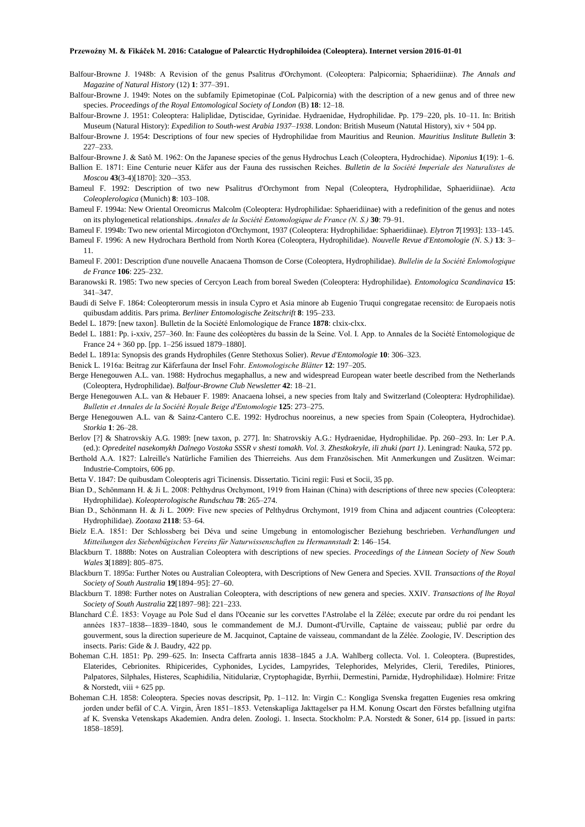- Balfour-Browne J. 1948b: A Revision of the genus Psalitrus d'Orchymont. (Coleoptera: Palpicornia; Sphaeridiinæ). *The Annals and Magazine of Natural History* (12) **1**: 377–391.
- Balfour-Browne J. 1949: Notes on the subfamily Epimetopinae (CoL Palpicornia) with the description of a new genus and of three new species. *Proceedings of the Royal Entomological Society of London* (B) **18**: 12–18.
- Balfour-Browne J. 1951: Coleoptera: Haliplidae, Dytiscidae, Gyrinidae. Hydraenidae, Hydrophilidae. Pp. 179–220, pls. 10–11. In: British Museum (Natural History): *Expedilion to South-west Arabia 1937–1938*. London: British Museum (Natutal History), xiv + 504 pp.
- Balfour-Browne J. 1954: Descriptions of four new species of Hydrophilidae from Mauritius and Reunion. *Mauritius Inslitute Bulletin* **3**: 227–233.

Balfour-Browne J. & Satô M. 1962: On the Japanese species of the genus Hydrochus Leach (Coleoptera, Hydrochidae). *Niponius* **1**(19): 1–6.

- Ballion E. 1871: Eine Centurie neuer Käfer aus der Fauna des russischen Reiches. *Bulletin de la Société Imperiale des Naturalistes de Moscou* **43**(3-4)[1870]: 320–-353.
- Bameul F. 1992: Description of two new Psalitrus d'Orchymont from Nepal (Coleoptera, Hydrophilidae, Sphaeridiinae). *Acta Coleoplerologica* (Munich) **8**: 103–108.
- Bameul F. 1994a: New Oriental Oreomicrus Malcolm (Coleoptera: Hydrophilidae: Sphaeridiinae) with a redefinition of the genus and notes on its phylogenetical relationships. *Annales de la Société Entomologique de France (N. S.)* **30**: 79–91.
- Bameul F. 1994b: Two new oriental Mircogioton d'Orchymont, 1937 (Coleoptera: Hydrophilidae: Sphaeridiinae). *Elytron* **7**[1993]: 133–145.
- Bameul F. 1996: A new Hydrochara Berthold from North Korea (Coleoptera, Hydrophilidae). *Nouvelle Revue d'Entomologie (N. S.)* **13**: 3– 11.
- Bameul F. 2001: Description d'une nouvelle Anacaena Thomson de Corse (Coleoptera, Hydrophilidae). *Bullelin de la Société Enlomologique de France* **106**: 225–232.
- Baranowski R. 1985: Two new species of Cercyon Leach from boreal Sweden (Coleoptera: Hydrophilidae). *Entomologica Scandinavica* **15**: 341–347.
- Baudi di Selve F. 1864: Coleopterorum messis in insula Cypro et Asia minore ab Eugenio Truqui congregatae recensito: de Europaeis notis quibusdam additis. Pars prima. *Berliner Entomologische Zeitschrift* **8**: 195–233.
- Bedel L. 1879: [new taxon]. Bulletin de la Société Enlomologique de France **1878**: clxix-clxx.
- Bedel L. 1881: Pp. i-xxiv, 257–360. In: Faune des coléoptères du bassin de la Seine. Vol. I. App. to Annales de la Société Entomologique de France 24 + 360 pp. [pp. 1–256 issued 1879–1880].
- Bedel L. 1891a: Synopsis des grands Hydrophiles (Genre Stethoxus Solier). *Revue d'Entomologie* **10**: 306–323.
- Benick L. 1916a: Beitrag zur Käferfauna der Insel Fohr. *Entomologische Blätter* **12**: 197–205.
- Berge Henegouwen A.L. van. 1988: Hydrochus megaphallus, a new and widespread European water beetle described from the Netherlands (Coleoptera, Hydrophilidae). *Balfour-Browne Club Newsletter* **42**: 18–21.
- Berge Henegouwen A.L. van & Hebauer F. 1989: Anacaena lohsei, a new species from Italy and Switzerland (Coleoptera: Hydrophilidae). *Bulletin et Annales de la Société Royale Beige d'Entomologie* **125**: 273–275.
- Berge Henegouwen A.L. van & Sainz-Cantero C.E. 1992: Hydrochus nooreinus, a new species from Spain (Coleoptera, Hydrochidae). *Storkia* **1**: 26–28.
- Berlov [?] & Shatrovskiy A.G. 1989: [new taxon, p. 277]. In: Shatrovskiy A.G.: Hydraenidae, Hydrophilidae. Pp. 260–293. In: Ler P.A. (ed.): *Opredeitel nasekomykh Dalnego Vostoka SSSR v shesti tomakh. Vol. 3. Zhestkokryle, ili zhuki (part 1)*. Leningrad: Nauka, 572 pp.
- Berthold A.A. 1827: Lalreille's Natürliche Familien des Thierreiehs. Aus dem Französischen. Mit Anmerkungen und Zusätzen. Weimar: Industrie-Comptoirs, 606 pp.
- Betta V. 1847: De quibusdam Coleopteris agri Ticinensis. Dissertatio. Ticini regii: Fusi et Socii, 35 pp.
- Bian D., Schönmann H. & Ji L. 2008: Pelthydrus Orchymont, 1919 from Hainan (China) with descriptions of three new species (Coleoptera: Hydrophilidae). *Koleopterologische Rundschau* **78**: 265–274.
- Bian D., Schönmann H. & Ji L. 2009: Five new species of Pelthydrus Orchymont, 1919 from China and adjacent countries (Coleoptera: Hydrophilidae). *Zootaxa* **2118**: 53–64.
- Bielz E.A. 1851: Der Schlossberg bei Déva und seine Umgebung in entomologischer Beziehung beschrieben. *Verhandlungen und Mitteilungen des Siebenbügischen Vereins für Naturwissenschaften zu Hermannstadt* **2**: 146–154.
- Blackburn T. 1888b: Notes on Australian Coleoptera with descriptions of new species. *Proceedings of the Linnean Society of New South Wales* **3**[1889]: 805–875.
- Blackburn T. 1895a: Further Notes ou Australian Coleoptera, with Descriptions of New Genera and Species. XVII. *Transactions of the Royal Society of South Australia* **19**[1894–95]: 27–60.
- Blackburn T. 1898: Further notes on Australian Coleoptera, with descriptions of new genera and species. XXIV. *Transactions of lhe Royal Society of South Australia* **22**[1897–98]: 221–233.
- Blanchard C.É. 1853: Voyage au Pole Sud el dans l'Oceanie sur les corvettes l'Astrolabe el la Zélée; execute par ordre du roi pendant les années 1837–1838-–1839–1840, sous le commandement de M.J. Dumont-d'Urville, Captaine de vaisseau; publié par ordre du gouverment, sous la direction superieure de M. Jacquinot, Captaine de vaisseau, commandant de la Zélée. Zoologie, IV. Description des insects. Paris: Gide & J. Baudry, 422 pp.
- Boheman C.H. 1851: Pp. 299–625. In: Insecta Caffrarta annis 1838–1845 a J.A. Wahlberg collecta. Vol. 1. Coleoptera. (Buprestides, Elaterides, Cebrionites. Rhipicerides, Cyphonides, Lycides, Lampyrides, Telephorides, Melyrides, Clerii, Terediles, Ptiniores, Palpatores, Silphales, Histeres, Scaphidilia, Nitidulariæ, Cryptophagidæ, Byrrhii, Dermestini, Parnidæ, Hydrophilidaæ). Holmire: Fritze & Norstedt, viii  $+625$  pp.
- Boheman C.H. 1858: Coleoptera. Species novas descripsit, Pp. 1–112. In: Virgin C.: Kongliga Svenska fregatten Eugenies resa omkring jorden under befäl of C.A. Virgin, Ären 1851–1853. Vetenskapliga Jakttagelser pa H.M. Konung Oscart den Förstes befallning utgifna af K. Svenska Vetenskaps Akademien. Andra delen. Zoologi. 1. Insecta. Stockholm: P.A. Norstedt & Soner, 614 pp. [issued in parts: 1858–1859].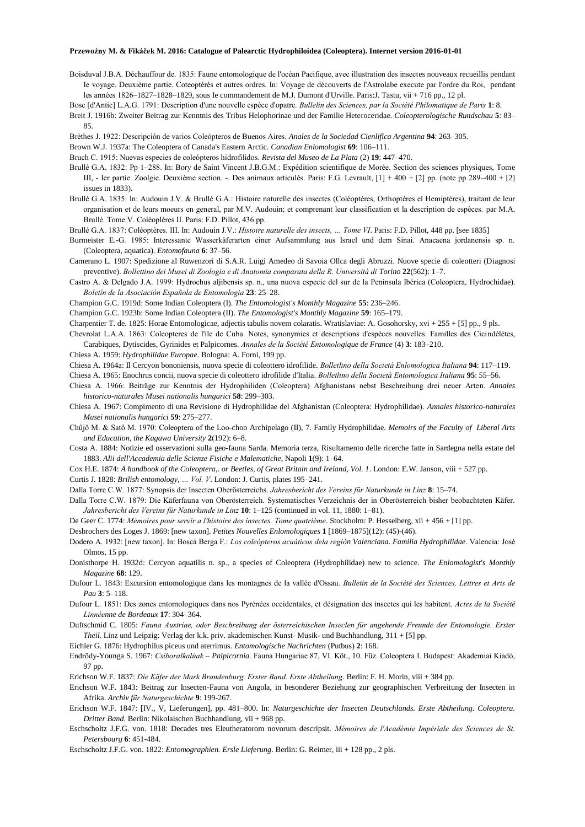Boisduval J.B.A. Déchauffour de. 1835: Faune entomologique de l'océan Pacifique, avec illustration des insectes nouveaux recueillis pendant Ie voyage. Deuxième partie. Coteoptérès et autres ordres. In: Voyage de découverts de l'Astrolabe execute par l'ordre du Roi, pendant les années 1826–1827–1828–1829, sous Ie commandement de M.J. Dumont d'Urville. Paris:J. Tastu, vii + 716 pp., 12 pl.

Bosc [d'Antic] L.A.G. 1791: Description d'une nouvelle espèce d'opatre. *Bullelin des Sciences, par la Société Philomatique de Paris* **1**: 8.

Breit J. 1916b: Zweiter Beitrag zur Kenntnis des Tribus Helophorinae und der Familie Heteroceridae. *Coleopterologische Rundschau* **5**: 83– 85.

Brèthes J. 1922: Descripción de varios Coleópteros de Buenos Aires. *Anales de la Sociedad Cienlifica Argentina* **94**: 263–305.

Brown W.J. 1937a: The Coleoptera of Canada's Eastern Arctic. *Canadian Enlomologist* **69**: 106–111.

Bruch C. 1915: Nuevas especies de coleópteros hidrofilidos. *Revista del Museo de La Plata* (2) **19**: 447–470.

Brullé G.A. 1832: Pp 1–288. In: Bory de Saint Vincent J.B.G.M.: Expédition scientifique de Morée. Section des sciences physiques, Tome III, - Ier partie. Zoolgie. Deuxième section. -. Des animaux articulés. Paris: F.G. Levrault, [1] + 400 + [2] pp. (note pp 289–400 + [2] issues in 1833).

Brullé G.A. 1835: In: Audouin J.V. & Brullé G.A.: Histoire naturelle des insectes (Coléoptères, Orthoptères el Hemiptères), traitant de leur organisation et de leurs moeurs en general, par M.V. Audouin; et comprenant leur classification et la description de espèces. par M.A. Brullé. Tome V. Coléoplères II. Paris: F.D. Pillot, 436 pp.

Brullé G.A. 1837: Coléoptères. III. In: Audouin J.V.: *Histoire naturelle des insects, … Tome VI*. Paris: F.D. Pillot, 448 pp. [see 1835]

Burmeister E.-G. 1985: Interessante Wasserkäferarten einer Aufsammlung aus Israel und dem Sinai. Anacaena jordanensis sp. n. (Coleoptera, aquatica). *Entomofauna* **6**: 37–56.

Camerano L. 1907: Spedizione al Ruwenzori di S.A.R. Luigi Amedeo di Savoia Ollca degli Abruzzi. Nuove specie di coleotteri (Diagnosi preventive). *Bollettino dei Musei di Zoologia e di Anatomia comparata della R. Università di Torino* **22**(562): 1–7.

Castro A. & Delgado J.A. 1999: Hydrochus aljibensis sp. n., una nuova especie del sur de la Peninsula Ibérica (Coleoptera, Hydrochidae). *Boletín de la Asociaciòn Española de Entomologia* **23**: 25–28.

Champion G.C. 1919d: Some Indian Coleoptera (I). *The Entomologist's Monthly Magazine* **55**: 236–246.

Champion G.C. 1923b: Some Indian Coleoptera (II). *The Entomologist's Monthly Magazine* **59**: 165–179.

Charpentier T. de. 1825: Horae Entomologicae, adjectis tabulis novem colaratis. Wratislaviae: A. Gosohorsky, xvi + 255 + [5] pp., 9 pls.

Chevrolat L.A.A. 1863: Coleopteres de l'ile de Cuba. Notes, synonymies et descriptions d'espèces nouvelles. Familles des Cicindélètes, Carabiques, Dytiscides, Gyrinides et Palpicornes. *Annales de la Société Entomologique de France* (4) **3**: 183–210.

Chiesa A. 1959: *Hydrophilidae Europae*. Bologna: A. Forni, 199 pp.

Chiesa A. 1964a: Il Cercyon bononiensis, nuova specie di coleottero idrofilide. *Bolletlino della Società Enlomologica Italiana* **94**: 117–119.

- Chiesa A. 1965: Enochrus concii, nuova specie di coleottero idrofilide d'Italia. *Bolletlino della Società Entomologica Italiana* **95**: 55–56. Chiesa A. 1966: Beiträge zur Kenntnis der Hydrophiliden (Coleoptera) Afghanistans nebst Beschreibung drei neuer Arten. *Annales historico-naturales Musei nationalis hungarici* **58**: 299–303.
- Chiesa A. 1967: Compimento di una Revisione di Hydrophilidae del Afghanistan (Coleoptera: Hydrophilidae). *Annales historico-naturales Musei nationalis hungarici* **59**: 275–277.

Chûjô M. & Satô M. 1970: Coleoptera of the Loo-choo Archipelago (II), 7. Family Hydrophilidae. *Memoirs of the Faculty of Liberal Arts and Education, the Kagawa University* **2**(192): 6–8.

Costa A. 1884: Notizie ed osservazioni sulla geo-fauna Sarda. Memoria terza, Risultamento delle ricerche fatte in Sardegna nella estate del 1883. *Alii dell'Accademia delle Scienze Fisiche e Malematiche*, Napoli **1**(9): 1–64.

Cox H.E. 1874: *A handbook of the Coleoptera,. or Beetles, of Great Britain and Ireland, Vol. 1*. London: E.W. Janson, viii + 527 pp.

Curtis J. 1828: *Brilish entomology, … Vol. V*. London: J. Curtis, plates 195–241.

Dalla Torre C.W. 1877: Synopsis der Insecten Oberösterreichs. *Jahresbericht des Vereins für Naturkunde in Linz* **8**: 15–74.

Dalla Torre C.W. 1879: Die Käferfauna von Oberösterreich. Systematisches Verzeichnis der in Oberösterreich bisher beobachteten Käfer. *Jahresbericht des Vereins für Naturkunde in Linz* **10**: 1–125 (continued in vol. 11, 1880: 1–81).

De Geer C. 1774: *Mémoires pour servir a l'histoire des insectes. Tome quatrième*. Stockholm: P. Hesselberg, xii + 456 + [1] pp.

Desbrochers des Loges J. 1869: [new taxon]. *Petites Nouvelles Enlomologiques* **1** [1869–1875](12): (45)-(46).

Dodero A. 1932: [new taxon]. In: Boscá Berga F.: *Los coleópteros acuáticos dela región Valenciana. Familia Hydrophilidae*. Valencia: José Olmos, 15 pp.

Donisthorpe H. 1932d: Cercyon aquatilis n. sp., a species of Coleoptera (Hydrophilidae) new to science. *The Enlomologist's Monthly Magazine* **68**: 129.

Dufour L. 1843: Excursion entomologique dans les montagnes de la vallée d'Ossau. *Bulletin de la Société des Sciences, Lettres et Arts de Pau* **3**: 5–118.

Dufour L. 1851: Des zones entomologiques dans nos Pyrénées occidentales, et désignation des insectes qui les habitent. *Actes de la Société Linnéenne de Bordeaux* **17**: 304–364.

Duftschmid C. 1805: *Fauna Austriae, oder Beschreibung der österreichischen Inseclen für angehende Freunde der Entomologie. Erster Theil*. Linz und Leipzig: Verlag der k.k. priv. akademischen Kunst- Musik- und Buchhandlung, 311 + [5] pp.

Eichler G. 1876: Hydrophilus piceus und aterrimus. *Entomologische Nachrichten* (Putbus) **2**: 168.

- Endrödy-Younga S. 1967: *Csiboralkalúak – Palpicornia*. Fauna Hungariae 87, VI. Köt., 10. Füz. Coleoptera I. Budapest: Akademiai Kiadó, 97 pp.
- Erichson W.F. 1837: *Die Käfer der Mark Brandenburg. Erster Band. Erste Abtheilung*. Berlin: F. H. Morin, viii + 384 pp.

Erichson W.F. 1843: Beitrag zur Insecten-Fauna von Angola, in besonderer Beziehung zur geographischen Verbreitung der Insecten in Afrika. *Archiv für Naturgeschichte* **9**: 199-267.

- Erichson W.F. 1847: [IV., V, Lieferungen], pp. 481–800. In: *Naturgeschichte der Insecten Deutschlands. Erste Abtheilung. Coleoptera. Dritter Band*. Berlin: Nikolaischen Buchhandlung, vii + 968 pp.
- Eschscholtz J.F.G. von. 1818: Decades tres Eleutheratorom novorum descripsit. *Mémoires de l'Académie Impériale des Sciences de St. Petersbourg* **6**: 451-484.

Eschscholtz J.F.G. von. 1822: *Entomographien. Ersle Lieferung*. Berlin: G. Reimer, iii + 128 pp., 2 pls.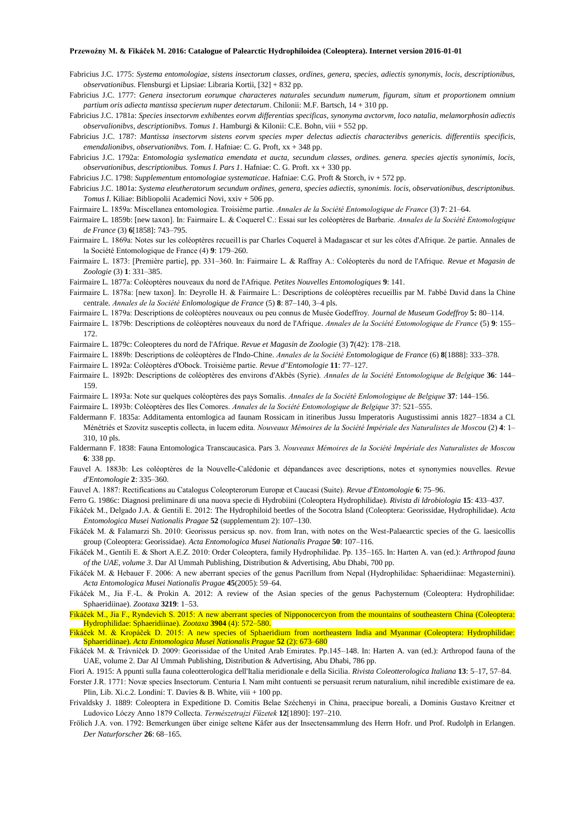- Fabricius J.C. 1775: *Systema entomologiae, sistens insectorum classes, ordines, genera, species, adiectis synonymis, locis, descriptionibus, observationibus*. Flensburgi et Lipsiae: Libraria Kortii, [32] + 832 pp.
- Fabricius J.C. 1777: *Genera insectorum eorumque characteres naturales secundum numerum, figuram, situm et proportionem omnium partium oris adiecta mantissa specierum nuper detectarum*. Chilonii: M.F. Bartsch, 14 + 310 pp.
- Fabricius J.C. 1781a: *Species insectorvm exhibentes eorvm differentias specificas, synonyma avctorvm, loco natalia, melamorphosin adiectis observalionibvs, descriptionibvs. Tomus 1*. Hamburgi & Kilonii: C.E. Bohn, viii + 552 pp.
- Fabricius J.C. 1787: *Mantissa insectorvm sistens eorvm species nvper delectas adiectis characteribvs genericis. differentiis specificis, emendalionibvs, observationibvs. Tom. I*. Hafniae: C. G. Proft, xx + 348 pp.
- Fabricius J.C. 1792a: *Entomologia syslematica emendata et aucta, secundum classes, ordines. genera. species ajectis synonimis, locis, observationibus, descriptionibus. Tomus I. Pars 1*. Hafniae: C. G. Proft. xx + 330 pp.
- Fabricius J.C. 1798: *Supplementum entomologiae systematicae*. Hafniae: C.G. Proft & Storch, iv + 572 pp.
- Fabricius J.C. 1801a: *Systema eleutheratorum secundum ordines, genera, species adiectis, synonimis. locis, observationibus, descriptonibus. Tomus I*. Kiliae: Bibliopolii Academici Novi, xxiv + 506 pp.
- Fairmaire L. 1859a: Miscellanea entomologiea. Troisième partie. *Annales de la Société Entomologique de France* (3) **7**: 21–64.
- Fairmaire L. 1859b: [new taxon]. In: Fairmaire L. & Coquerel C.: Essai sur les coléoptères de Barbarie. *Annales de la Société Entomologique de France* (3) **6**[1858]: 743–795.
- Fairmaire L. 1869a: Notes sur les coléoptères recueil1is par Charles Coquerel à Madagascar et sur les côtes d'Afrique. 2e partie. Annales de la Société Entomologique de France (4) **9**: 179–260.
- Fairmaire L. 1873: [Première partie], pp. 331–360. In: Fairmaire L. & Raffray A.: Coléopterès du nord de l'Afrique. *Revue et Magasin de Zoologie* (3) **1**: 331–385.
- Fairmaire L. 1877a: Coléoptères nouveaux du nord de l'Afrique. *Petites Nouvelles Entomologiques* **9**: 141.
- Fairmaire L. 1878a: [new taxon]. In: Deyrolle H. & Fairmaire L.: Descriptions de coléoptères recueillis par M. l'abbé David dans la Chine centrale. *Annales de la Société Enlomologique de France* (5) **8**: 87–140, 3–4 pls.
- Fairmaire L. 1879a: Descriptions de coléoptères nouveaux ou peu connus de Musée Godeffroy. *Journal de Museum Godeffroy* **5:** 80–114.
- Fairmaire L. 1879b: Descriptions de coléoptères nouveaux du nord de l'Afrique. *Annales de la Société Entomologique de France* (5) **9**: 155– 172.
- Fairmaire L. 1879c: Coleopteres du nord de l'Afrique. *Revue et Magasin de Zoologie* (3) **7**(42): 178–218.
- Fairmaire L. 1889b: Descriptions de coléoptères de l'Indo-Chine. *Annales de la Société Entomologique de France* (6) **8**[1888]: 333–378.
- Fairmaire L. 1892a: Coléoptères d'Obock. Troisième partie. *Revue d"Entomologie* **11**: 77–127.
- Fairmaire L. 1892b: Descriptions de coléoptères des environs d'Akbès (Syrie). *Annales de la Société Entomologique de Belgique* **36**: 144– 159.
- Fairmaire L. 1893a: Note sur quelques coléoptères des pays Somalis. *Annales de la Société Enlomologique de Belgique* **37**: 144–156.
- Fairmaire L. 1893b: Coléoptères des Iles Comores. *Annales de la Société Entomologique de Belgique* 37: 521–555.
- Faldermann F. 1835a: Additamenta entomlogica ad faunam Rossicam in itineribus Jussu Imperatoris Augustissimi annis 1827–1834 a CI. Ménétriés et Szovitz susceptis collecta, in lucem edita. *Nouveaux Mémoires de la Société Impériale des Naturalistes de Moscou* (2) **4**: 1– 310, 10 pls.
- Faldermann F. 1838: Fauna Entomologica Transcaucasica. Pars 3. *Nouveaux Mémoires de la Société Impériale des Naturalistes de Moscou* **6**: 338 pp.
- Fauvel A. 1883b: Les coléoptères de la Nouvelle-Calédonie et dépandances avec descriptions, notes et synonymies nouvelles. *Revue d'Entomologie* **2**: 335–360.
- Fauvel A. 1887: Rectifications au Catalogus Coleopterorum Europæ et Caucasi (Suite). *Revue d'Entomologie* **6**: 75–96.
- Ferro G. 1986c: Diagnosi preliminare di una nuova specie di Hydrobiini (Coleoptera Hydrophilidae). *Rivista di ldrobiologia* **15**: 433–437.
- Fikáček M., Delgado J.A. & Gentili E. 2012: The Hydrophiloid beetles of the Socotra Island (Coleoptera: Georissidae, Hydrophilidae). *Acta Entomologica Musei Nationalis Pragae* **52** (supplementum 2): 107–130.
- Fikáček M. & Falamarzi Sh. 2010: Georissus persicus sp. nov. from Iran, with notes on the West-Palaearctic species of the G. laesicollis group (Coleoptera: Georissidae). *Acta Entomologica Musei Nationalis Pragae* **50**: 107–116.
- Fikáček M., Gentili E. & Short A.E.Z. 2010: Order Coleoptera, family Hydrophilidae. Pp. 135–165. In: Harten A. van (ed.): *Arthropod fauna of the UAE, volume 3*. Dar Al Ummah Publishing, Distribution & Advertising, Abu Dhabi, 700 pp.
- Fikáček M. & Hebauer F. 2006: A new aberrant species of the genus Pacrillum from Nepal (Hydrophilidae: Sphaeridiinae: Megasternini). *Acta Entomologica Musei Nationalis Pragae* **45**(2005): 59–64.
- Fikáček M., Jia F.-L. & Prokin A. 2012: A review of the Asian species of the genus Pachysternum (Coleoptera: Hydrophilidae: Sphaeridiinae). *Zootaxa* **3219**: 1–53.

Fikáček M., Jia F., Ryndevich S. 2015: A new aberrant species of Nipponocercyon from the mountains of southeastern China (Coleoptera: Hydrophilidae: Sphaeridiinae). *Zootaxa* **3904** (4): 572–580.

Fikáček M. & Kropáček D. 2015: A new species of Sphaeridium from northeastern India and Myanmar (Coleoptera: Hydrophilidae: Sphaeridiinae). *Acta Entomologica Musei Nationalis Prague* **52** (2): 673–680

- Fikáček M. & Trávníček D. 2009: Georissidae of the United Arab Emirates. Pp.145–148. In: Harten A. van (ed.): Arthropod fauna of the UAE, volume 2. Dar Al Ummah Publishing, Distribution & Advertising, Abu Dhabi, 786 pp.
- Fiori A. 1915: A ppunti sulla fauna coleotterologica dell'Italia meridionale e della Sicilia. *Rivista Coleotterologica Italiana* **13**: 5–17, 57–84.
- Forster J.R. 1771: Novæ species Insectorum. Centuria I. Nam miht contuenti se persuasit rerum naturalium, nihil incredible existimare de ea. Plin, Lib. Xi.c.2. Londini: T. Davies & B. White, viii + 100 pp.
- Frivaldsky J. 1889: Coleoptera in Expeditione D. Comitis Belae Széchenyi in China, praecipue boreali, a Dominis Gustavo Kreitner et Ludovico Lóczy Anno 1879 Collecta. *Természetrajzi Füzetek* **12**[1890]: 197–210.
- Frölich J.A. von. 1792: Bemerkungen über einige seltene Käfer aus der Insectensammlung des Herrn Hofr. und Prof. Rudolph in Erlangen. *Der Naturforscher* **26**: 68–165.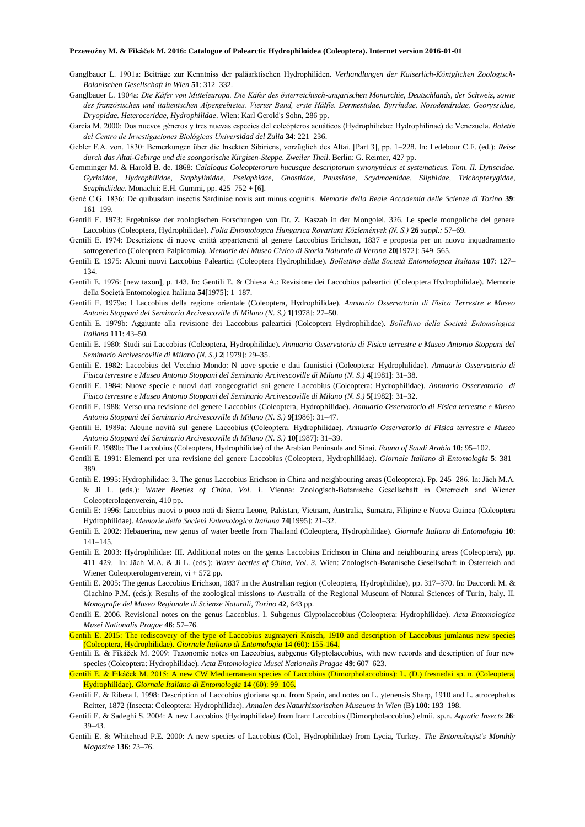- Ganglbauer L. 1901a: Beiträge zur Kenntniss der paläarktischen Hydrophiliden. *Verhandlungen der Kaiserlich-Königlichen Zoologisch-Bolanischen Gesellschaft in Wien* **51**: 312–332.
- Ganglbauer L. 1904a: *Die Käfer von Mitteleuropa. Die Käfer des österreichisch-ungarischen Monarchie, Deutschlands, der Schweiz, sowie des französischen und italienischen Alpengebietes. Vierter Band, erste Hälfle. Dermestidae, Byrrhidae, Nosodendridae, Georyssidae, Dryopidae. Heteroceridae, Hydrophilidae*. Wien: Karl Gerold's Sohn, 286 pp.
- García M. 2000: Dos nuevos géneros y tres nuevas especies del coleópteros acuáticos (Hydrophilidae: Hydrophilinae) de Venezuela. *Boletín del Centro de Investigaciones Biológicas Universidad del Zulia* **34**: 221–236.
- Gebler F.A. von. 1830: Bemerkungen über die Insekten Sibiriens, vorzüglich des Altai. [Part 3], pp. 1–228. In: Ledebour C.F. (ed.): *Reise durch das Altai-Gebirge und die soongorische Kirgisen-Steppe. Zweiler Theil*. Berlin: G. Reimer, 427 pp.
- Gemminger M. & Harold B. de. 1868: *Calalogus Coleopterorum hucusque descriptorum synonymicus et systematicus. Tom. II. Dytiscidae. Gyrinidae, Hydrophilidae, Staphylinidae, Pselaphidae, Gnostidae, Paussidae, Scydmaenidae, Silphidae, Trichopterygidae, Scaphidiidae*. Monachii: E.H. Gummi, pp. 425–752 + [6].
- Gené C.G. 1836: De quibusdam insectis Sardiniae novis aut minus cognitis. *Memorie della Reale Accademia delle Scienze di Torino* **39**: 161–199.
- Gentili E. 1973: Ergebnisse der zoologischen Forschungen von Dr. Z. Kaszab in der Mongolei. 326. Le specie mongoliche del genere Laccobius (Coleoptera, Hydrophilidae). *Folia Entomologica Hungarica Rovartani Közlemények (N. S.)* **26** *suppl.:* 57–69.
- Gentili E. 1974: Descrizione di nuove entità appartenenti al genere Laccobius Erichson, 1837 e proposta per un nuovo inquadramento sottogenerico (Coleoptera Palpicomia). *Memorie del Museo Civlco di Storia Nalurale di Verona* **20**[1972]: 549–565.
- Gentili E. 1975: Alcuni nuovi Laccobius Paleartici (Coleoptera Hydrophilidae). *Bollettino della Società Entomologica Italiana* **107**: 127– 134.
- Gentili E. 1976: [new taxon], p. 143. In: Gentili E. & Chiesa A.: Revisione dei Laccobius paleartici (Coleoptera Hydrophilidae). Memorie della Società Entomologica Italiana **54**[1975]: 1–187.
- Gentili E. 1979a: I Laccobius della regione orientale (Coleoptera, Hydrophilidae). *Annuario Osservatorio di Fisica Terrestre e Museo Antonio Stoppani del Seminario Arcivescoville di Milano (N. S.)* **1**[1978]: 27–50.
- Gentili E. 1979b: Aggiunte alla revisione dei Laccobius paleartici (Coleoptera Hydrophilidae). *Bolleltino della Società Entomologica Italiana* **111**: 43–50.
- Gentili E. 1980: Studi sui Laccobius (Coleoptera, Hydrophilidae). *Annuario Osservatorio di Fisica terrestre e Museo Antonio Stoppani del Seminario Arcivescoville di Milano (N. S.)* **2**[1979]: 29–35.
- Gentili E. 1982: Laccobius del Vecchio Mondo: N uove specie e dati faunistici (Coleoptera: Hydrophilidae). *Annuario Osservatorio di Fisica terrestre e Museo Antonio Stoppani del Seminario Arcivescoville di Milano (N. S.)* **4**[1981]: 31–38.
- Gentili E. 1984: Nuove specie e nuovi dati zoogeografici sui genere Laccobius (Coleoptera: Hydrophilidae). *Annuario Osservatorio di Fisico terrestre e Museo Antonio Stoppani del Seminario Arcivescoville di Milano (N. S.)* **5**[1982]: 31–32.
- Gentili E. 1988: Verso una revisione del genere Laccobius (Coleoptera, Hydrophilidae). *Annuario Osservatorio di Fisica terrestre e Museo Antonio Stoppani del Seminario Arcivescoville di Milano (N. S.)* **9**[1986]: 31–47.
- Gentili E. 1989a: Alcune novità sul genere Laccobius (Coleoptera. Hydrophilidae). *Annuario Osservatorio di Fisica terrestre e Museo Antonio Stoppani del Seminario Arcivescoville di Milano (N. S.)* **10**[1987]: 31–39.
- Gentili E. 1989b: The Laccobius (Coleoptera, Hydrophilidae) of the Arabian Peninsula and Sinai. *Fauna of Saudi Arabia* **10**: 95–102.
- Gentili E. 1991: Elementi per una revisione del genere Laccobius (Coleoptera, Hydrophilidae). *Giornale Italiano di Entomologia* **5**: 381– 389.
- Gentili E. 1995: Hydrophilidae: 3. The genus Laccobius Erichson in China and neighbouring areas (Coleoptera). Pp. 245–286. In: Jäch M.A. & Ji L. (eds.): *Water Beetles of China. Vol. 1.* Vienna: Zoologisch-Botanische Gesellschaft in Österreich and Wiener Coleopterologenverein, 410 pp.
- Gentili E: 1996: Laccobius nuovi o poco noti di Sierra Leone, Pakistan, Vietnam, Australia, Sumatra, Filipine e Nuova Guinea (Coleoptera Hydrophilidae). *Memorie della Società Enlomologica Italiana* **74**[1995]: 21–32.
- Gentili E. 2002: Hebauerina, new genus of water beetle from Thailand (Coleoptera, Hydrophilidae). *Giornale Italiano di Entomologia* **10**: 141–145.
- Gentili E. 2003: Hydrophilidae: III. Additional notes on the genus Laccobius Erichson in China and neighbouring areas (Coleoptera), pp. 411–429. In: Jäch M.A. & Ji L. (eds.): *Water beetles of China, Vol. 3.* Wien: Zoologisch-Botanische Gesellschaft in Österreich and Wiener Coleopterologenverein, vi + 572 pp.
- Gentili E. 2005: The genus Laccobius Erichson, 1837 in the Australian region (Coleoptera, Hydrophilidae), pp. 317–370. In: Daccordi M. & Giachino P.M. (eds.): Results of the zoological missions to Australia of the Regional Museum of Natural Sciences of Turin, Italy. II. *Monografie del Museo Regionale di Scienze Naturali, Torino* **42**, 643 pp.
- Gentili E. 2006. Revisional notes on the genus Laccobius. I. Subgenus Glyptolaccobius (Coleoptera: Hydrophilidae). *Acta Entomologica Musei Nationalis Pragae* **46**: 57–76.
- Gentili E. 2015: The rediscovery of the type of Laccobius zugmayeri Knisch, 1910 and description of Laccobius jumlanus new species (Coleoptera, Hydrophilidae). *Giornale Italiano di Entomologia* 14 (60): 155-164.
- Gentili E. & Fikáček M. 2009: Taxonomic notes on Laccobius, subgenus Glyptolaccobius, with new records and description of four new species (Coleoptera: Hydrophilidae). *Acta Entomologica Musei Nationalis Pragae* **49**: 607–623.
- Gentili E. & Fikáček M. 2015: A new CW Mediterranean species of Laccobius (Dimorpholaccobius): L. (D.) fresnedai sp. n. (Coleoptera, Hydrophilidae). *Giornale Italiano di Entomologia* **14** (60): 99–106.
- Gentili E. & Ribera I. 1998: Description of Laccobius gloriana sp.n. from Spain, and notes on L. ytenensis Sharp, 1910 and L. atrocephalus Reitter, 1872 (Insecta: Coleoptera: Hydrophilidae). *Annalen des Naturhistorischen Museums in Wien* (B) **100**: 193–198.
- Gentili E. & Sadeghi S. 2004: A new Laccobius (Hydrophilidae) from Iran: Laccobius (Dimorpholaccobius) elmii, sp.n. *Aquatic Insects* **26**: 39–43.
- Gentili E. & Whitehead P.E. 2000: A new species of Laccobius (Col., Hydrophilidae) from Lycia, Turkey. *The Entomologist's Monthly Magazine* **136**: 73–76.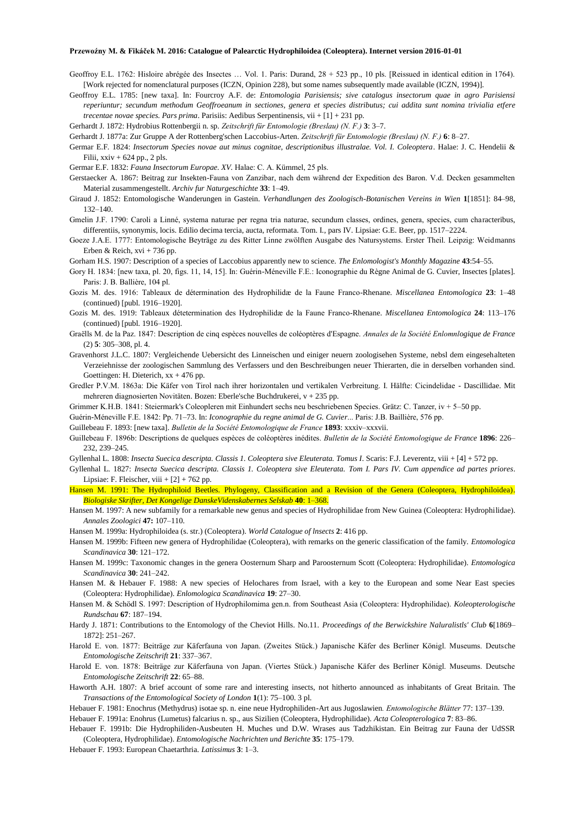- Geoffroy E.L. 1762: Hisloire abrégée des Insectes … Vol. 1. Paris: Durand, 28 + 523 pp., 10 pls. [Reissued in identical edition in 1764). [Work rejected for nomenclatural purposes (ICZN, Opinion 228), but some names subsequently made available (ICZN, 1994)].
- Geoffroy E.L. 1785: [new taxa]. In: Fourcroy A.F. de: *Entomologia Parisiensis; sive catalogus insectorum quae in agro Parisiensi reperiuntur; secundum methodum Geoffroeanum in sectiones, genera et species distributus; cui addita sunt nomina trivialia etfere trecentae novae species. Pars prima*. Parisiis: Aedibus Serpentinensis, vii + [1] + 231 pp.
- Gerhardt J. 1872: Hydrobius Rottenbergii n. sp. *Zeitschrift für Entomologie (Breslau) (N. F.)* **3**: 3–7.

Gerhardt J. 1877a: Zur Gruppe A der Rottenberg'schen Laccobius-Arten. *Zeitschrift für Entomologie (Breslau) (N. F.)* **6**: 8–27.

Germar E.F. 1824: *Insectorum Species novae aut minus cognitae, descriptionibus illustralae. Vol. I. Coleoptera*. Halae: J. C. Hendelii & Filii,  $xxiv + 624$  pp., 2 pls.

Germar E.F. 1832: *Fauna Insectorum Europae. XV.* Halae: C. A. Kümmel, 25 pls.

- Gerstaecker A. 1867: Beitrag zur Insekten-Fauna von Zanzibar, nach dem während der Expedition des Baron. V.d. Decken gesammelten Material zusammengestellt. *Archiv fur Naturgeschichte* **33**: 1–49.
- Giraud J. 1852: Entomologische Wanderungen in Gastein. *Verhandlungen des Zoologisch-Botanischen Vereins in Wien* **1**[1851]: 84–98, 132–140.
- Gmelin J.F. 1790: Caroli a Linné, systema naturae per regna tria naturae, secundum classes, ordines, genera, species, cum characteribus, differentiis, synonymis, locis. Edilio decima tercia, aucta, reformata. Tom. I., pars IV. Lipsiae: G.E. Beer, pp. 1517–2224.
- Goeze J.A.E. 1777: Entomologische Beyträge zu des Ritter Linne zwölften Ausgabe des Natursystems. Erster Theil. Leipzig: Weidmanns Erben & Reich, xvi + 736 pp.
- Gorham H.S. 1907: Description of a species of Laccobius apparently new to science. *The Enlomologist's Monthly Magazine* **43**:54–55.
- Gory H. 1834: [new taxa, pl. 20, figs. 11, 14, 15]. In: Guérin-Méneville F.E.: Iconographie du Règne Animal de G. Cuvier, Insectes [plates]. Paris: J. B. Ballière, 104 pl.
- Gozis M. des. 1916: Tableaux de détermination des Hydrophilidæ de la Faune Franco-Rhenane. *Miscellanea Entomologica* **23**: 1–48 (continued) [publ. 1916–1920].
- Gozis M. des. 1919: Tableaux détetermination des Hydrophilidæ de la Faune Franco-Rhenane. *Miscellanea Entomologica* **24**: 113–176 (continued) [publ. 1916–1920].
- Graëlls M. de la Paz. 1847: Description de cinq espèces nouvelles de coléoptères d'Espagne. *Annales de la Société Enlomnlogique de France* (2) **5**: 305–308, pl. 4.
- Gravenhorst J.L.C. 1807: Vergleichende Uebersicht des Linneischen und einiger neuern zoologisehen Systeme, nebsl dem eingesehalteten Verzeiehnisse der zoologischen Sammlung des Verfassers und den Beschreibungen neuer Thierarten, die in derselben vorhanden sind. Goettingen: H. Dieterich,  $xx + 476$  pp.
- Gredler P.V.M. 1863a: Die Käfer von Tirol nach ihrer horizontalen und vertikalen Verbreitung. I. Hälfte: Cicindelidae Dascillidae. Mit mehreren diagnosierten Novitäten. Bozen: Eberle'sche Buchdrukerei, v + 235 pp.
- Grimmer K.H.B. 1841: Steiermark's Coleopleren mit Einhundert sechs neu beschriebenen Species. Grätz: C. Tanzer, iv + 5–50 pp.
- Guérin-Méneville F.E. 1842: Pp. 71–73. In: *Iconographie du regne animal de G. Cuvier*... Paris: J.B. Baillière, 576 pp.

Guillebeau F. 1893: [new taxa]. *Bulletin de la Société Entomologique de France* **1893**: xxxiv–xxxvii.

- Guillebeau F. 1896b: Descriptions de quelques espèces de coléoptères inédites. *Bulletin de la Société Entomologique de France* **1896**: 226– 232, 239–245.
- Gyllenhal L. 1808: *Insecta Suecica descripta. Classis 1. Coleoptera sive Eleuterata. Tomus I*. Scaris: F.J. Leverentz, viii + [4] + 572 pp.
- Gyllenhal L. 1827: *Insecta Suecica descripta. Classis 1. Coleoptera sive Eleuterata. Tom I. Pars IV. Cum appendice ad partes priores*. Lipsiae: F. Fleischer, viii  $+[2] + 762$  pp.

Hansen M. 1991: The Hydrophiloid Beetles. Phylogeny, Classification and a Revision of the Genera (Coleoptera, Hydrophiloidea). *Biologiske Skrifter, Det Kongelige DanskeVidenskabernes Selskab* **40**: 1–368.

Hansen M. 1997: A new subfamily for a remarkable new genus and species of Hydrophilidae from New Guinea (Coleoptera: Hydrophilidae). *Annales Zoologici* **47:** 107–110.

Hansen M. 1999a: Hydrophiloidea (s. str.) (Coleoptera). *World Catalogue of lnsects* **2**: 416 pp.

- Hansen M. 1999b: Fifteen new genera of Hydrophilidae (Coleoptera), with remarks on the generic classification of the family. *Entomologica Scandinavica* **30**: 121–172.
- Hansen M. 1999c: Taxonomic changes in the genera Oosternum Sharp and Paroosternum Scott (Coleoptera: Hydrophilidae). *Entomologica Scandinavica* **30**: 241–242.
- Hansen M. & Hebauer F. 1988: A new species of Helochares from Israel, with a key to the European and some Near East species (Coleoptera: Hydrophilidae). *Enlomologica Scandinavica* **19**: 27–30.
- Hansen M. & Schödl S. 1997: Description of Hydrophilomima gen.n. from Southeast Asia (Coleoptera: Hydrophilidae). *Koleopterologische Rundschau* **67**: 187–194.

Hardy J. 1871: Contributions to the Entomology of the Cheviot Hills. No.11. *Proceedings of the Berwickshire Naluralistls' Club* **6**[1869– 1872]: 251–267.

- Harold E. von. 1877: Beiträge zur Käferfauna von Japan. (Zweites Stück.) Japanische Käfer des Berliner Königl. Museums. Deutsche *Entomologische Zeitschrift* **21**: 337–367.
- Harold E. von. 1878: Beiträge zur Käferfauna von Japan. (Viertes Stück.) Japanische Käfer des Berliner Königl. Museums. Deutsche *Entomologische Zeitschrift* **22**: 65–88.
- Haworth A.H. 1807: A brief account of some rare and interesting insects, not hitherto announced as inhabitants of Great Britain. The *Transactions of the Entomological Society of London* **1**(1): 75–100. 3 pl.
- Hebauer F. 1981: Enochrus (Methydrus) isotae sp. n. eine neue Hydrophiliden-Art aus Jugoslawien*. Entomologische Blätter* 77: 137–139. Hebauer F. 1991a: Enohrus (Lumetus) falcarius n. sp., aus Sizilien (Coleoptera, Hydrophilidae). *Acta Coleopterologica* **7**: 83–86.

Hebauer F. 1991b: Die Hydrophiliden-Ausbeuten H. Muches und D.W. Wrases aus Tadzhikistan. Ein Beitrag zur Fauna der UdSSR

(Coleoptera, Hydrophilidae). *Entomologische Nachrichten und Berichte* **35**: 175–179. Hebauer F. 1993: European Chaetarthria. *Latissimus* **3**: 1–3.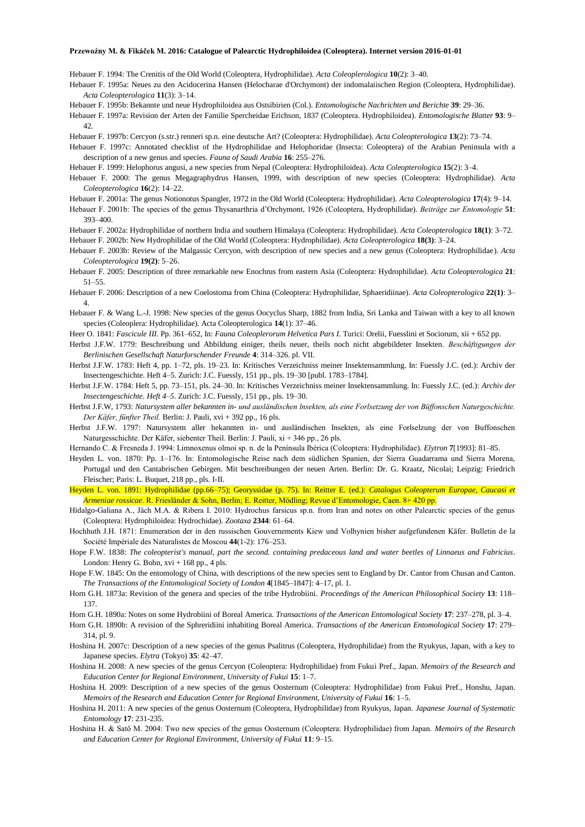Hebauer F. 1994: The Crenitis of the Old World (Coleoptera, Hydrophilidae). *Acta Coleoplerologica* **10**(2): 3–40.

Hebauer F. 1995a: Neues zu den Acidocerina Hansen (Helocharae d'Orchymont) der indomalaiischen Region (Coleoptera, Hydrophilidae). *Acta Coleopterologica* **11**(3): 3–14.

Hebauer F. 1995b: Bekannte und neue Hydrophiloidea aus Ostsibirien (Col.). *Entomologische Nachrichten und Berichte* **39**: 29–36.

Hebauer F. 1997a: Revision der Arten der Familie Spercheidae Erichson, 1837 (Coleoptera. Hydrophiloidea). *Entomologische Blatter* **93**: 9– 42.

Hebauer F. 1997b: Cercyon (s.str.) renneri sp.n. eine deutsche Art? (Coleoptera: Hydrophilidae). *Acta Coleopterologica* **13**(2): 73–74.

Hebauer F. 1997c: Annotated checklist of the Hydrophilidae and Helophoridae (Insecta: Coleoptera) of the Arabian Peninsula with a description of a new genus and species. *Fauna of Saudi Arabia* **16**: 255–276.

Hebauer F. 1999: Helophorus angusi, a new species from Nepal (Coleoptera: Hydrophiloidea). *Acta Coleopterologica* **15**(2): 3–4.

- Hebauer F. 2000: The genus Megagraphydrus Hansen, 1999, with description of new species (Coleoptera: Hydrophilidae). *Acta Coleopterologica* **16**(2): 14–22.
- Hebauer F. 2001a: The genus Notionotus Spangler, 1972 in the Old World (Coleoptera: Hydrophilidae). *Acta Coleopterologica* **17**(4): 9–14.
- Hebauer F. 2001b: The species of the genus Thysanarthria d'Orchymont, 1926 (Coleoptera, Hydrophilidae). *Beiträge zur Entomologie* **51**: 393–400.
- Hebauer F. 2002a: Hydrophilidae of northern India and southern Himalaya (Coleoptera: Hydrophilidae). *Acta Coleopterologica* **18(1)**: 3–72.

Hebauer F. 2002b: New Hydrophilidae of the Old World (Coleoptera: Hydrophilidae). *Acta Coleopterologica* **18(3)**: 3–24.

Hebauer F. 2003b: Review of the Malgassic Cercyon, with description of new species and a new genus (Coleoptera: Hydrophilidae). *Acta Coleopterologica* **19(2)**: 5–26.

Hebauer F. 2005: Description of three remarkable new Enochrus from eastern Asia (Coleoptera: Hydrophilidae). *Acta Coleopterologica* **21**: 51–55.

- Hebauer F. 2006: Description of a new Coelostoma from China (Coleoptera: Hydrophilidae, Sphaeridiinae). *Acta Coleopterologica* **22(1)**: 3– 4.
- Hebauer F. & Wang L.-J. 1998: New species of the genus Oocyclus Sharp, 1882 from India, Sri Lanka and Taiwan with a key to all known species (Coleoplera: Hydrophilidae). Acta Coleopterologica **14**(1): 37–46.

Heer O. 1841: *Fascicule III*. Pp. 361–652, In: *Fauna Coleoplerorum Helvetica Pars I*. Turici: Orelii, Fuesslini et Sociorum, xii + 652 pp.

- Herbst J.F.W. 1779: Beschreibung und Abbildung einiger, theils neuer, theils noch nicht abgebildeter Insekten. *Beschäftigungen der Berlinischen Gesellschaft Naturforschender Freunde* **4**: 314–326. pl. VII.
- Herbst J.F.W. 1783: Heft 4, pp. 1–72, pls. 19–23. In: Kritisches Verzeichniss meiner Insektensammlung. In: Fuessly J.C. (ed.): Archiv der Insectengeschichte. Heft 4–5. Zurich: J.C. Fuessly, 151 pp., pls. 19–30 [publ. 1783–1784].
- Herbst J.F.W. 1784: Heft 5, pp. 73–151, pls. 24–30. In: Kritisches Verzeichniss meiner Insektensammlung. In: Fuessly J.C. (ed.): *Archiv der Insectengeschichte. Heft 4–5*. Zurich: J.C. Fuessly, 151 pp., pls. 19–30.
- Herbst J.F.W, 1793: *Natursystem aller bekannten in- und ausländischen lnsekten, als eine Forlsetzung der von Büffonschen Naturgeschichte. Der Käfer, fünfter Theil.* Berlin: J. Pauli, xvi + 392 pp., 16 pls.
- Herbst J.F.W. 1797: Natursystem aller hekannten in- und ausländischen Insekten, als eine Forlselzung der von Buffonschen Naturgesschichte. Der Käfer, siebenter Theil. Berlin: J. Pauli, xi + 346 pp., 26 pls.
- Hernando C. & Fresneda J. 1994: Limnoxenus olmoi sp. n. de la Península Ibérica (Coleoptera: Hydrophilidae). *Elytron* **7**[1993]: 81–85.
- Heyden L. von. 1870: Pp. 1–176. In: Entomologische Reise nach dem südlichen Spanien, der Sierra Guadarrama und Sierra Morena, Portugal und den Cantabrischen Gebirgen. Mit beschreibungen der neuen Arten. Berlin: Dr. G. Kraatz, Nicolai; Leipzig: Friedrich Fleischer; Paris: L. Buquet, 218 pp., pls. I-II.

Heyden L. von. 1891: Hydrophilidae (pp.66–75); Georyssidae (p. 75). In: Reitter E. (ed.): *Catalogus Coleopterum Europae, Caucasi et Armeniae rossicae*. R. Friesländer & Sohn, Berlin; E. Reitter, Mödling; Revue d'Entomologie, Caen. 8+ 420 pp.

- Hidalgo-Galiana A., Jäch M.A. & Ribera I. 2010: Hydrochus farsicus sp.n. from Iran and notes on other Palearctic species of the genus (Coleoptera: Hydrophiloidea: Hydrochidae). *Zootaxa* **2344**: 61–64.
- Hochhuth J.H. 1871: Enumeration der in den russischen Gouvernements Kiew und Volhynien bisher aufgefundenen Käfer. Bulletin de la Société Impériale des Naturalistes de Moscou **44**(1-2): 176–253.
- Hope F.W. 1838: *The coleopterist's manual, part the second. containing predaceous land and water beetles of Linnaeus and Fabricius*. London: Henry G. Bohn, xvi + 168 pp., 4 pls.
- Hope F.W. 1845: On the entomology of China, with descriptions of the new species sent to England by Dr. Cantor from Chusan and Canton. *The Transactions of the Entomological Society of London* **4**[1845–1847]: 4–17, pl. 1.
- Horn G.H. 1873a: Revision of the genera and species of the tribe Hydrobiini. *Proceedings of the American Philosophical Society* **13**: 118– 137.
- Horn G.H. 1890a: Notes on some Hydrobiini of Boreal America. *Transactions of the American Entomological Society* **17**: 237–278, pl. 3–4.
- Horn G.H. 1890b: A revision of the Sphreridiini inhabiting Boreal America. *Transactions of the American Entomological Society* **17**: 279– 314, pl. 9.
- Hoshina H. 2007c: Description of a new species of the genus Psalitrus (Coleoptera, Hydrophilidae) from the Ryukyus, Japan, with a key to Japanese species. *Elytra* (Tokyo) **35**: 42–47.
- Hoshina H. 2008: A new species of the genus Cercyon (Coleoptera: Hydrophilidae) from Fukui Pref., Japan. *Memoirs of the Research and Education Center for Regional Environment, University of Fukui* **15**: 1–7.
- Hoshina H. 2009: Description of a new species of the genus Oosternum (Coleoptera: Hydrophilidae) from Fukui Pref., Honshu, Japan. *Memoirs of the Research and Education Center for Regional Environment, University of Fukui* **16**: 1–5.
- Hoshina H. 2011: A new species of the genus Oosternum (Coleoptera, Hydrophilidae) from Ryukyus, Japan. *Japanese Journal of Systematic Entomology* **17**: 231-235.
- Hoshina H. & Satô M. 2004: Two new species of the genus Oosternum (Coleoptera: Hydrophilidae) from Japan. *Memoirs of the Research and Education Center for Regional Environment, University of Fukui* **11**: 9–15.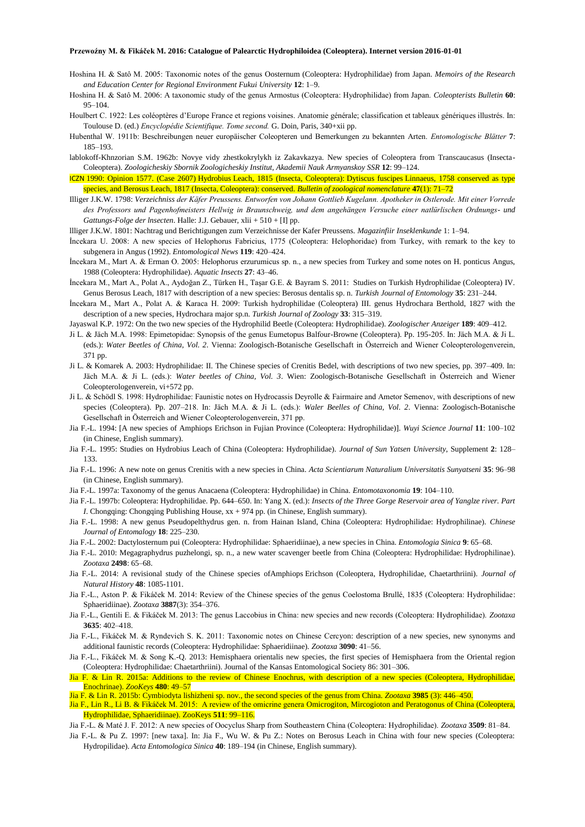- Hoshina H. & Satô M. 2005: Taxonomic notes of the genus Oosternum (Coleoptera: Hydrophilidae) from Japan. *Memoirs of the Research and Education Center for Regional Environment Fukui University* **12**: 1–9.
- Hoshina H. & Satô M. 2006: A taxonomic study of the genus Armostus (Coleoptera: Hydrophilidae) from Japan. *Coleopterists Bulletin* **60**: 95–104.
- Houlbert C. 1922: Les coléoptères d'Europe France et regions voisines. Anatomie générale; classification et tableaux génériques illustrés. In: Toulouse D. (ed.) *Encyclopédie Scientifique. Tome second.* G. Doin, Paris, 340+xii pp.
- Hubenthal W. 1911b: Beschreibungen neuer europäischer Coleopteren und Bemerkungen zu bekannten Arten. *Entomologische Blätter* **7**: 185–193.
- lablokoff-Khnzorian S.M. 1962b: Novye vidy zhestkokrylykh iz Zakavkazya. New species of Coleoptera from Transcaucasus (Insecta-Coleoptera). *Zoologicheskiy Sbornik Zoologicheskiy Institut, Akademii Nauk Armyanskoy SSR* **12**: 99–124.
- ICZN 1990: Opinion 1577. (Case 2607) Hydrobius Leach, 1815 (Insecta, Coleoptera): Dytiscus fuscipes Linnaeus, 1758 conserved as type species, and Berosus Leach, 1817 (Insecta, Coleoptera): conserved. *Bulletin of zoological nomenclature* **47**(1): 71–72
- Illiger J.K.W. 1798: *Verzeichniss der Käfer Preussens. Entworfen von Johann Gottlieb Kugelann. Apotheker in Ostlerode. Mit einer Vorrede des Professors und Pagenhofmeisters Hellwig in Braunschweig, und dem angehängen Versuche einer natlürlischen Ordnungs- und Gattungs-Folge der lnsecten*. Halle: J.J. Gebauer, xlii + 510 + [I] pp.
- llliger J.K.W. 1801: Nachtrag und Berichtigungen zum Verzeichnisse der Kafer Preussens. *Magazinfiir Inseklenkunde* 1: 1–94.
- İncekara U. 2008: A new species of Helophorus Fabricius, 1775 (Coleoptera: Helophoridae) from Turkey, with remark to the key to subgenera in Angus (1992). *Entomological News* **119**: 420–424.
- İncekara M., Mart A. & Erman O. 2005: Helophorus erzurumicus sp. n., a new species from Turkey and some notes on H. ponticus Angus, 1988 (Coleoptera: Hydrophilidae). *Aquatic Insects* **27**: 43–46.
- İncekara M., Mart A., Polat A., Aydoğan Z., Türken H., Taşar G.E. & Bayram S. 2011: Studies on Turkish Hydrophilidae (Coleoptera) IV. Genus Berosus Leach, 1817 with description of a new species: Berosus dentalis sp. n. *Turkish Journal of Entomology* **35**: 231–244.
- İncekara M., Mart A., Polat A. & Karaca H. 2009: Turkish hydrophilidae (Coleoptera) III. genus Hydrochara Berthold, 1827 with the description of a new species, Hydrochara major sp.n. *Turkish Journal of Zoology* **33**: 315–319.
- Jayaswal K.P. 1972: On the two new species of the Hydrophilid Beetle (Coleoptera: Hydrophilidae). *Zoologischer Anzeiger* **189**: 409–412.
- Ji L. & Jäch M.A. 1998: Epimetopidae: Synopsis of the genus Eumetopus Balfour-Browne (Coleoptera). Pp. 195-205. In: Jäch M.A. & Ji L. (eds.): *Water Beetles of China*, *Vol. 2*. Vienna: Zoologisch-Botanische Gesellschaft in Österreich and Wiener Coleopterologenverein, 371 pp.
- Ji L. & Komarek A. 2003: Hydrophilidae: II. The Chinese species of Crenitis Bedel, with descriptions of two new species, pp. 397–409. In: Jäch M.A. & Ji L. (eds.): *Water beetles of China, Vol. 3*. Wien: Zoologisch-Botanische Gesellschaft in Österreich and Wiener Coleopterologenverein, vi+572 pp.
- Ji L. & Schödl S. 1998: Hydrophilidae: Faunistic notes on Hydrocassis Deyrolle & Fairmaire and Ametor Semenov, with descriptions of new species (Coleoptera). Pp. 207–218. In: Jäch M.A. & Ji L. (eds.): *Waler Beelles of China, Vol. 2*. Vienna: Zoologisch-Botanische Gesellschaft in Österreich and Wiener Coleopterologenverein, 371 pp.
- Jia F.-L. 1994: [A new species of Amphiops Erichson in Fujian Province (Coleoptera: Hydrophilidae)]. *Wuyi Science Journal* **11**: 100–102 (in Chinese, English summary).
- Jia F.-L. 1995: Studies on Hydrobius Leach of China (Coleoptera: Hydrophilidae). *Journal of Sun Yatsen University*, Supplement **2**: 128– 133.
- Jia F.-L. 1996: A new note on genus Crenitis with a new species in China. *Acta Scientiarum Naturalium Universitatis Sunyatseni* **35**: 96–98 (in Chinese, English summary).
- Jia F.-L. 1997a: Taxonomy of the genus Anacaena (Coleoptera: Hydrophilidae) in China. *Entomotaxonomia* **19**: 104–110.
- Jia F.-L. 1997b: Coleoptera: Hydrophilidae. Pp. 644–650. In: Yang X. (ed.): *Insects of the Three Gorge Reservoir area of Yanglze river. Part I*. Chongqing: Chongqing Publishing House,  $xx + 974$  pp. (in Chinese, English summary).
- Jia F.-L. 1998: A new genus Pseudopelthydrus gen. n. from Hainan Island, China (Coleoptera: Hydrophilidae: Hydrophilinae). *Chinese Journal of Entomalogy* **18**: 225–230.
- Jia F.-L. 2002: Dactylosternum pui (Coleoptera: Hydrophilidae: Sphaeridiinae), a new species in China. *Entomologia Sinica* **9**: 65–68.
- Jia F.-L. 2010: Megagraphydrus puzhelongi, sp. n., a new water scavenger beetle from China (Coleoptera: Hydrophilidae: Hydrophilinae). *Zootaxa* **2498**: 65–68.
- Jia F.-L. 2014: A revisional study of the Chinese species ofAmphiops Erichson (Coleoptera, Hydrophilidae, Chaetarthriini). *Journal of Natural History* **48**: 1085-1101.
- Jia F.-L., Aston P. & Fikáček M. 2014: Review of the Chinese species of the genus Coelostoma Brullé, 1835 (Coleoptera: Hydrophilidae: Sphaeridiinae). *Zootaxa* **3887**(3): 354–376.
- Jia F.-L., Gentili E. & Fikáček M. 2013: The genus Laccobius in China: new species and new records (Coleoptera: Hydrophilidae). *Zootaxa* **3635**: 402–418.
- Jia F.-L., Fikáček M. & Ryndevich S. K. 2011: Taxonomic notes on Chinese Cercyon: description of a new species, new synonyms and additional faunistic records (Coleoptera: Hydrophilidae: Sphaeridiinae). *Zootaxa* **3090**: 41–56.
- Jia F.-L., Fikáček M. & Song K.-Q. 2013: Hemisphaera orientalis new species, the first species of Hemisphaera from the Oriental region (Coleoptera: Hydrophilidae: Chaetarthriini). Journal of the Kansas Entomological Society 86: 301–306.
- Jia F. & Lin R. 2015a: Additions to the review of Chinese Enochrus, with description of a new species (Coleoptera, Hydrophilidae, Enochrinae). *ZooKeys* **480**: 49–57
- Jia F. & Lin R. 2015b: Cymbiodyta lishizheni sp. nov., the second species of the genus from China. *Zootaxa* **3985** (3): 446–450.
- Jia F., Lin R., Li B. & Fikáček M. 2015: A review of the omicrine genera Omicrogiton, Mircogioton and Peratogonus of China (Coleoptera, Hydrophilidae, Sphaeridiinae). ZooKeys **511**: 99–116.
- Jia F.-L. & Maté J. F. 2012: A new species of Oocyclus Sharp from Southeastern China (Coleoptera: Hydrophilidae). *Zootaxa* **3509**: 81–84.
- Jia F.-L. & Pu Z. 1997: [new taxa]. In: Jia F., Wu W. & Pu Z.: Notes on Berosus Leach in China with four new species (Coleoptera: Hydropilidae). *Acta Entomologica Sinica* **40**: 189–194 (in Chinese, English summary).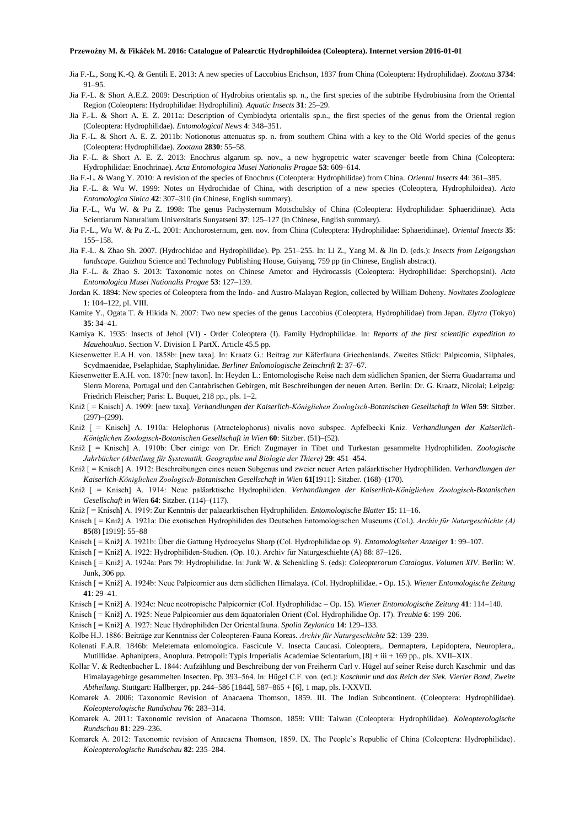- Jia F.-L., Song K.-Q. & Gentili E. 2013: A new species of Laccobius Erichson, 1837 from China (Coleoptera: Hydrophilidae). *Zootaxa* **3734**: 91–95.
- Jia F.-L. & Short A.E.Z. 2009: Description of Hydrobius orientalis sp. n., the first species of the subtribe Hydrobiusina from the Oriental Region (Coleoptera: Hydrophilidae: Hydrophilini). *Aquatic Insects* **31**: 25–29.
- Jia F.-L. & Short A. E. Z. 2011a: Description of Cymbiodyta orientalis sp.n., the first species of the genus from the Oriental region (Coleoptera: Hydrophilidae). *Entomological News* **4**: 348–351.
- Jia F.-L. & Short A. E. Z. 2011b: Notionotus attenuatus sp. n. from southern China with a key to the Old World species of the genus (Coleoptera: Hydrophilidae). *Zootaxa* **2830**: 55–58.
- Jia F.-L. & Short A. E. Z. 2013: Enochrus algarum sp. nov., a new hygropetric water scavenger beetle from China (Coleoptera: Hydrophilidae: Enochrinae). *Acta Entomologica Musei Nationalis Pragae* **53**: 609–614.
- Jia F.-L. & Wang Y. 2010: A revision of the species of Enochrus (Coleoptera: Hydrophilidae) from China. *Oriental Insects* **44**: 361–385.
- Jia F.-L. & Wu W. 1999: Notes on Hydrochidae of China, with description of a new species (Coleoptera, Hydrophiloidea). *Acta Entomologica Sinica* **42**: 307–310 (in Chinese, English summary).
- Jia F.-L., Wu W. & Pu Z. 1998: The genus Pachysternum Motschulsky of China (Coleoptera: Hydrophilidae: Sphaeridiinae). Acta Scientiarum Naturalium Universitatis Sunyatseni **37**: 125–127 (in Chinese, English summary).
- Jia F.-L., Wu W. & Pu Z.-L. 2001: Anchorosternum, gen. nov. from China (Coleoptera: Hydrophilidae: Sphaeridiinae). *Oriental Insects* **35**: 155–158.
- Jia F.-L. & Zhao Sh. 2007. (Hydrochidae and Hydrophilidae). Pp. 251–255. In: Li Z., Yang M. & Jin D. (eds.): *Insects from Leigongshan landscape.* Guizhou Science and Technology Publishing House, Guiyang, 759 pp (in Chinese, English abstract).
- Jia F.-L. & Zhao S. 2013: Taxonomic notes on Chinese Ametor and Hydrocassis (Coleoptera: Hydrophilidae: Sperchopsini). *Acta Entomologica Musei Nationalis Pragae* **53**: 127–139.
- Jordan K. 1894: New species of Coleoptera from the Indo- and Austro-Malayan Region, collected by William Doheny. *Novitates Zoologicae* **1**: 104–122, pl. VIII.
- Kamite Y., Ogata T. & Hikida N. 2007: Two new species of the genus Laccobius (Coleoptera, Hydrophilidae) from Japan. *Elytra* (Tokyo) **35**: 34–41.
- Kamiya K. 1935: Insects of Jehol (VI) Order Coleoptera (I). Family Hydrophilidae. In: *Reports of the first scientific expedition to Mauehoukuo*. Section V. Division I. PartX. Article 45.5 pp.
- Kiesenwetter E.A.H. von. 1858b: [new taxa]. In: Kraatz G.: Beitrag zur Käferfauna Griechenlands. Zweites Stück: Palpicomia, Silphales, Scydmaenidae, Pselaphidae, Staphylinidae. *Berliner Enlomologische Zeitschrift* **2**: 37–67.
- Kiesenwetter E.A.H. von. 1870: [new taxon]. In: Heyden L.: Entomologische Reise nach dem südlichen Spanien, der Sierra Guadarrama und Sierra Morena, Portugal und den Cantabrischen Gebirgen, mit Beschreibungen der neuen Arten. Berlin: Dr. G. Kraatz, Nicolai; Leipzig: Friedrich Fleischer; Paris: L. Buquet, 218 pp., pls. 1–2.
- Kniž [ = Knisch] A. 1909: [new taxa]. *Verhandlungen der Kaiserlich-Königliehen Zoologisch-Botanischen Gesellschaft in Wien* **59**: Sitzber.  $(297)–(299)$ .
- Kniž [ = Knisch] A. 1910a: Helophorus (Atractelophorus) nivalis novo subspec. Apfelbecki Kniz. *Verhandlungen der Kaiserlich-Königlichen Zoologisch-Botanischen Gesellschaft in Wien* **60**: Sitzber. (51)–(52).
- Kniž [ = Knisch] A. 1910b: Über einige von Dr. Erich Zugmayer in Tibet und Turkestan gesammelte Hydrophiliden. *Zoologische Jahrbücher (Abteilung für Systematik, Geographie und Biologie der Thiere)* **29**: 451–454.
- Kniž [ = Knisch] A. 1912: Beschreibungen eines neuen Subgenus und zweier neuer Arten paläarktischer Hydrophiliden. *Verhandlungen der Kaiserlich-Königlichen Zoologisch-Botanischen Gesellschaft in Wien* **61**[1911]: Sitzber. (168)–(170).
- Kniž [ = Knisch] A. 1914: Neue paläarktische Hydrophiliden. *Verhandlungen der Kaiserlich-Königliehen Zoologisch-Botanischen Gesellschaft in Wien* **64**: Sitzber. (114)–(117).
- Kniž [ = Knisch] A. 1919: Zur Kenntnis der palaearktischen Hydrophiliden. *Entomologische Blatter* **15**: 11–16.
- Knisch [ = Kniž] A. 1921a: Die exotischen Hydrophiliden des Deutschen Entomologischen Museums (Col.). *Archiv für Naturgeschichte (A)* **85**(8) [1919]: 55–88
- Knisch [ = Kniž] A. 1921b: Über die Gattung Hydrocyclus Sharp (Col. Hydrophilidae op. 9). *Entomologiseher Anzeiger* **1**: 99–107.
- Knisch [ = Kniž] A. 1922: Hydrophiliden-Studien. (Op. 10.). Archiv für Naturgeschiehte (A) 88: 87–126.
- Knisch [ = Kniž] A. 1924a: Pars 79: Hydrophilidae. In: Junk W. & Schenkling S. (eds): *Coleopterorum Catalogus. Volumen XIV*. Berlin: W. Junk, 306 pp.
- Knisch [ = Kniž] A. 1924b: Neue Palpicornier aus dem südlichen Himalaya. (Col. Hydrophilidae. Op. 15.). *Wiener Entomologische Zeitung* **41**: 29–41.
- Knisch [ = Kniž] A. 1924c: Neue neotropische Palpicornier (Col. Hydrophilidae Op. 15). *Wiener Entomologische Zeitung* **41**: 114–140.
- Knisch [ = Kniž] A. 1925: Neue Palpicornier aus dem äquatorialen Orient (Col. Hydrophilidae Op. 17). *Treubia* **6**: 199–206.
- Knisch [ = Kniž] A. 1927: Neue Hydrophiliden Der Orientalfauna. *Spolia Zeylanica* **14**: 129–133.
- Kolbe H.J. 1886: Beiträge zur Kenntniss der Coleopteren-Fauna Koreas. *Archiv für Naturgeschichte* **52**: 139–239.
- Kolenati F.A.R. 1846b: Meletemata enlomologica. Fascicule V. Insecta Caucasi. Coleoptera,. Dermaptera, Lepidoptera, Neuroplera,. Mutillidae. Aphaniptera, Anoplura. Petropoli: Typis Irnperialis Academiae Scientarium, [8] + iii + 169 pp., pls. XVII–XIX.
- Kollar V. & Redtenbacher L. 1844: Aufzählung und Beschreibung der von Freiherrn Carl v. Hügel auf seiner Reise durch Kaschmir und das Himalayagebirge gesammelten Insecten. Pp. 393–564. In: Hügel C.F. von. (ed.): *Kaschmir und das Reich der Siek. Vierler Band, Zweite Abtheilung*. Stuttgart: Hallberger, pp. 244–586 [1844], 587–865 + [6], 1 map, pls. I-XXVII.
- Komarek A. 2006: Taxonomic Revision of Anacaena Thomson, 1859. III. The Indian Subcontinent. (Coleoptera: Hydrophilidae). *Koleopterologische Rundschau* **76**: 283–314.
- Komarek A. 2011: Taxonomic revision of Anacaena Thomson, 1859: VIII: Taiwan (Coleoptera: Hydrophilidae). *Koleopterologische Rundschau* **81**: 229–236.
- Komarek A. 2012: Taxonomic revision of Anacaena Thomson, 1859. IX. The People's Republic of China (Coleoptera: Hydrophilidae). *Koleopterologische Rundschau* **82**: 235–284.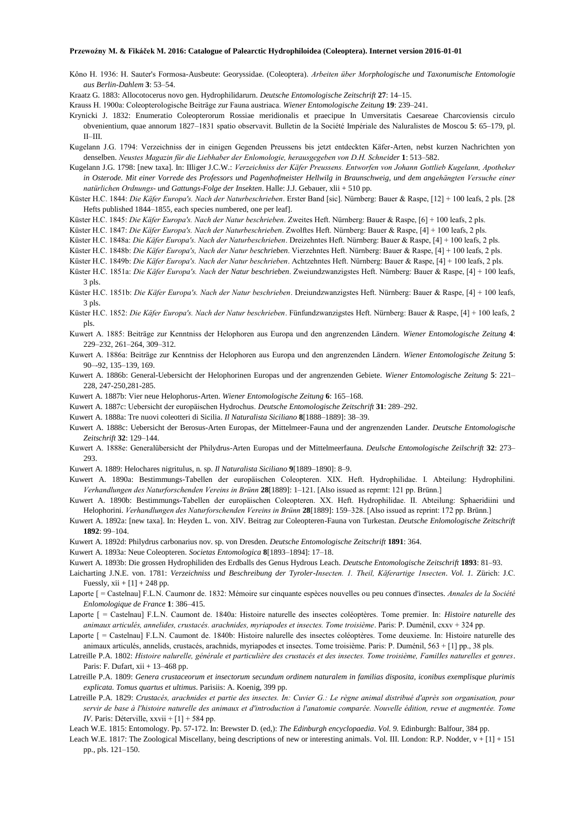- Kôno H. 1936: H. Sauter's Formosa-Ausbeute: Georyssidae. (Coleoptera). *Arbeiten über Morphologische und Taxonumische Entomologie aus Berlin-Dahlem* **3**: 53–54.
- Kraatz G. 1883: Allocotocerus novo gen. Hydrophilidarurn. *Deutsche Entomologische Zeitschrift* **27**: 14–15.
- Krauss H. 1900a: Coleopterologische Beiträge zur Fauna austriaca. *Wiener Entomologische Zeitung* **19**: 239–241.
- Krynicki J. 1832: Enumeratio Coleopterorum Rossiae meridionalis et praecipue In Umversitatis Caesareae Charcoviensis circulo obvenientium, quae annorum 1827–1831 spatio observavit. Bulletin de la Société Impériale des Naluralistes de Moscou **5**: 65–179, pl. II–III.
- Kugelann J.G. 1794: Verzeichniss der in einigen Gegenden Preussens bis jetzt entdeckten Käfer-Arten, nebst kurzen Nachrichten yon denselben. *Neustes Magazin für die Liebhaber der Enlomologie, herausgegeben von D.H. Schneider* **1**: 513–582.
- Kugelann J.G. 1798: [new taxa]. In: IIliger J.C.W.: *Verzeichniss der Käfer Preussens. Entworfen von Johann Gottlieb Kugelann, Apotheker in Osterode. Mit einer Vorrede des Professors und Pagenhofmeister Hellwilg in Braunschweig, und dem angehängten Versuche einer natürlichen Ordnungs- und Gattungs-Folge der Insekten*. Halle: J.J. Gebauer, xlii + 510 pp.
- Küster H.C. 1844: *Die Käfer Europa's. Nach der Naturbeschrieben*. Erster Band [sic]. Nürnberg: Bauer & Raspe, [12] + 100 leafs, 2 pls. [28 Hefts published 1844–1855, each species numbered, one per leaf].
- Küster H.C. 1845: *Die Käfer Europa's. Nach der Natur beschrieben*. Zweites Heft. Nürnberg: Bauer & Raspe, [6] + 100 leafs, 2 pls.
- Küster H.C. 1847: *Die Käfer Europa's. Nach der Naturbeschrieben*. Zwolftes Heft. Nürnberg: Bauer & Raspe, [4] + 100 leafs, 2 pls.
- Küster H.C. 1848a: *Die Käfer Europa's. Nach der Naturbeschrieben*. Dreizehntes Heft. Nürnberg: Bauer & Raspe, [4] + 100 leafs, 2 pls.
- Küster H.C. 1848b: *Die Käfer Europa's, Nach der Natur beschrieben*. Vierzehntes Heft. Nürnberg: Bauer & Raspe, [4] + 100 leafs, 2 pls.
- Küster H.C. 1849b: *Die Käfer Europa's. Nach der Natur beschrieben*. Achtzehntes Heft. Nürnberg: Bauer & Raspe, [4] + 100 leafs, 2 pls.
- Küster H.C. 1851a: *Die Käfer Europa's. Nach der Natur beschrieben*. Zweiundzwanzigstes Heft. Nürnberg: Bauer & Raspe, [4] + 100 leafs, 3 pls.
- Küster H.C. 1851b: *Die Käfer Europa's. Nach der Natur beschrieben*. Dreiundzwanzigstes Heft. Nürnberg: Bauer & Raspe, [4] + 100 leafs, 3 pls.
- Küster H.C. 1852: *Die Käfer Europa's. Nach der Natur beschrieben*. Fünfundzwanzigstes Heft. Nürnberg: Bauer & Raspe, [4] + 100 leafs, 2 pls.
- Kuwert A. 1885: Beiträge zur Kenntniss der Helophoren aus Europa und den angrenzenden Ländern. *Wiener Entomologische Zeitung* **4**: 229–232, 261–264, 309–312.
- Kuwert A. 1886a: Beiträge zur Kenntniss der Helophoren aus Europa und den angrenzenden Ländern. *Wiener Entomologische Zeitung* **5**: 90–-92, 135–139, 169.
- Kuwert A. 1886b: General-Uebersicht der Helophorinen Europas und der angrenzenden Gebiete. *Wiener Entomologische Zeitung* **5**: 221– 228, 247-250,281-285.
- Kuwert A. 1887b: Vier neue Helophorus-Arten. *Wiener Entomologische Zeitung* **6**: 165–168.
- Kuwert A. 1887c: Uebersicht der europäischen Hydrochus. *Deutsche Entomologische Zeitschrift* **31**: 289–292.
- Kuwert A. 1888a: Tre nuovi coleotteri di Sicilia. *Il Naturalista Siciliano* **8**[1888–1889]: 38–39.
- Kuwert A. 1888c: Uebersicht der Berosus-Arten Europas, der Mittelmeer-Fauna und der angrenzenden Lander. *Deutsche Entomologische Zeitschrift* **32**: 129–144.
- Kuwert A. 1888e: Generalübersicht der Philydrus-Arten Europas und der Mittelmeerfauna. *Deulsche Entomologische Zeilschrift* **32**: 273– 293.
- Kuwert A. 1889: Helochares nigritulus, n. sp. *Il Naturalista Siciliano* **9**[1889–1890]: 8–9.
- Kuwert A. 1890a: Bestimmungs-Tabellen der europäischen Coleopteren. XIX. Heft. Hydrophilidae. I. Abteilung: Hydrophilini. *Verhandlungen des Naturforschenden Vereins in Brünn* **28**[1889]: 1–121. [Also issued as reprmt: 121 pp. Brünn.]
- Kuwert A. 1890b: Bestimmungs-Tabellen der europäischen Coleopteren. XX. Heft. Hydrophilidae. II. Abteilung: Sphaeridiini und Helophorini. *Verhandlungen des Naturforschenden Vereins in Brünn* **28**[1889]: 159–328. [Also issued as reprint: 172 pp. Brünn.]
- Kuwert A. 1892a: [new taxa]. In: Heyden L. von. XIV. Beitrag zur Coleopteren-Fauna von Turkestan. *Deutsche Enlomologische Zeitschrift* **1892**: 99–104.
- Kuwert A. 1892d: Philydrus carbonarius nov. sp. von Dresden. *Deutsche Entomologische Zeitschrift* **1891**: 364.
- Kuwert A. 1893a: Neue Coleopteren. *Societas Entomologica* **8**[1893–1894]: 17–18.
- Kuwert A. 1893b: Die grossen Hydrophiliden des Erdballs des Genus Hydrous Leach. *Deutsche Entomologische Zeitschrift* **1893**: 81–93.
- Laicharting J.N.E. von. 1781: *Verzeichniss und Beschreibung der Tyroler-Insecten. 1. Theil, Käferartige 1nsecten*. *Vol. 1.* Zürich: J.C. Fuessly,  $xii + [1] + 248$  pp.
- Laporte [ = Castelnau] F.L.N. Caurnonr de. 1832: Mémoire sur cinquante espèces nouvelles ou peu connues d'insectes. *Annales de la Société Enlomologique de France* **1**: 386–415.
- Laporte [ = Castelnau] F.L.N. Caumont de. 1840a: Histoire naturelle des insectes coléoptères. Tome premier. In: *Histoire naturelle des animaux articulés, annelides, crustacés. arachnides, myriapodes et insectes. Tome troisième*. Paris: P. Duménil, cxxv + 324 pp.
- Laporte [ = Castelnau] F.L.N. Caumont de. 1840b: Histoire nalurelle des insectes coléoptères. Tome deuxieme. In: Histoire naturelle des animaux articulés, annelids, crustacés, arachnids, myriapodes et insectes. Tome troisième. Paris: P. Duménil, 563 + [1] pp., 38 pls.
- Latreille P.A. 1802: *Histoire nalurelle, générale et particulière des crustacés et des insectes. Tome troisième, FamilIes naturelles et genres*. Paris: F. Dufart,  $xii + 13-468$  pp.
- Latreille P.A. 1809: *Genera crustaceorum et insectorum secundum ordinem naturalem in familias disposita, iconibus exemplisque plurimis explicata. Tomus quartus et ultimus*. Parisiis: A. Koenig, 399 pp.
- Latreille P.A. 1829: *Crustacés, arachnides et partie des insectes. In: Cuvier G.: Le règne animal distribué d'après son organisation, pour servir de base à l'histoire naturelle des animaux et d'introduction à l'anatomie comparée. Nouvelle édition, revue et augmentée. Tome IV*. Paris: Déterville, xxvii + [1] + 584 pp.
- Leach W.E. 1815: Entomology. Pp. 57-172. In: Brewster D. (ed,): *The Edinburgh encyclopaedia*. *Vol. 9.* Edinburgh: Balfour, 384 pp.
- Leach W.E. 1817: The Zoological Miscellany, being descriptions of new or interesting animals. Vol. III. London: R.P. Nodder, v + [1] + 151 pp., pls. 121–150.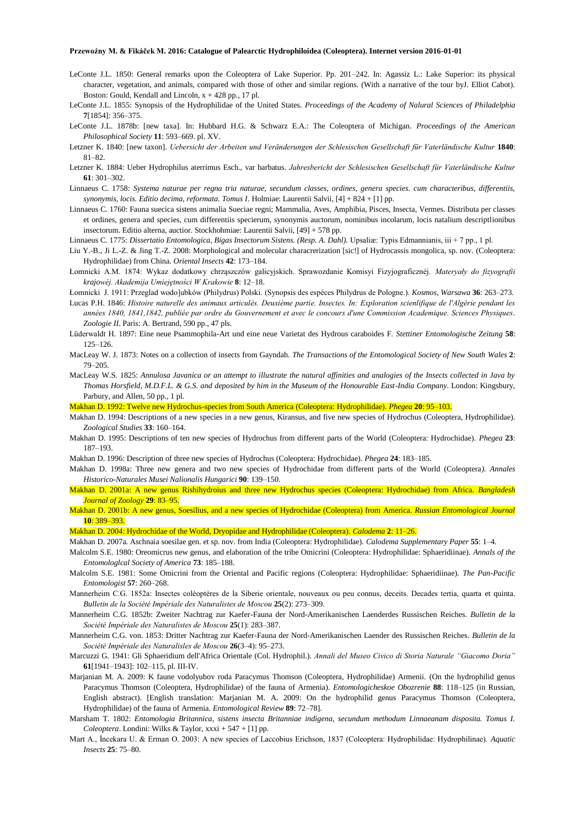- LeConte J.L. 1850: General remarks upon the Coleoptera of Lake Superior. Pp. 201–242. In: Agassiz L.: Lake Superior: its physical character, vegetation, and animals, compared with those of other and similar regions. (With a narrative of the tour byJ. Elliot Cabot). Boston: Gould, Kendall and Lincoln,  $x + 428$  pp., 17 pl.
- LeConte J.L. 1855: Synopsis of the Hydrophilidae of the United States. *Proceedings of the Academy of Nalural Sciences of Philadelphia* **7**[1854]: 356–375.
- LeConte J.L. 1878b: [new taxa]. In: Hubbard H.G. & Schwarz E.A.: The Coleoptera of Michigan. *Proceedings of the American Philosophical Society* **11**: 593–669. pl. XV.
- Letzner K. 1840: [new taxon]. *Uebersicht der Arbeiten und Veränderungen der Schlesischen Gesellschaft für Vaterländische Kultur* **1840**: 81–82.
- Letzner K. 1884: Ueber Hydrophilus aterrimus Esch., var barbatus. *Jahresbericht der Schlesischen Gesellschaft für Vaterländische Kultur* **61**: 301–302.
- Linnaeus C. 1758: *Systema naturae per regna tria naturae, secundum classes, ordines, genera species. cum characteribus, differentiis, synonymis, locis. Editio decima, reformata. Tomus I*. Holmiae: Laurentii Salvii, [4] + 824 + [1] pp.
- Linnaeus C. 1760: Fauna suecica sistens animalia Sueciae regni; Mammalia, Aves, Amphibia, Pisces, Insecta, Vermes. Distributa per classes et ordines, genera and species, cum differentiis specierum, synonymis auctorum, nominibus incolarum, locis natalium descriptlionibus insectorum. Editio alterna, auctior. Stockhohmiae: Laurentii Salvii, [49] + 578 pp.
- Linnaeus C. 1775: *Dissertatio Entomologica, Bigas Insectorum Sistens. (Resp. A. Dahl).* Upsaliæ: Typis Edmannianis, iii + 7 pp., 1 pl.
- Liu Y.-B., Ji L.-Z. & Jing T.-Z. 2008: Morphological and molecular characrerization [sic!] of Hydrocassis mongolica, sp. nov. (Coleoptera: Hydrophilidae) from China. *Oriental Insects* **42**: 173–184.
- Łomnicki A.M. 1874: Wykaz dodatkowy chrząszczów galicyjskich. Sprawozdanie Komisyi Fizyjograficznéj. *Materyały do fizyografii krajowéj. Akademija Umiejętności W Krakowie* **8**: 12–18.
- Łomnicki J. 1911: Przeglad wodo]ubków (Philydrus) Polski. (Synopsis des espèces Philydrus de Pologne.). *Kosmos, Warsawa* **36**: 263–273.
- Lucas P.H. 1846: *Histoire naturelle des animaux articulés. Deuxième partie. Insectes. In: Exploration scienlifique de l'Algérie pendant les années 1840, 1841,1842, publiée par ordre du Gouvernement et avec le concours d'une Commission Academique. Sciences Physiques. Zoologie II*. Paris: A. Bertrand, 590 pp., 47 pls.
- Lüderwaldt H. 1897: Eine neue Psammophila-Art und eine neue Varietat des Hydrous caraboides F. *Stettiner Entomologische Zeitung* **58**: 125–126.
- MacLeay W. J. 1873: Notes on a collection of insects from Gayndah. *The Transactions of the Entomological Society of New South Wales* **2**: 79–205.
- MacLeay W.S. 1825: *Annulosa Javanica or an attempt to illustrate the natural affinities and analogies of the Insects collected in Java by Thomas Horsfield, M.D.F.L. & G.S. and deposited by him in the Museum of the Honourable East-India Company*. London: Kingsbury, Parbury, and Allen, 50 pp., 1 pl.
- Makhan D. 1992: Twelve new Hydrochus-species from South America (Coleoptera: Hydrophilidae). *Phegea* **20**: 95–103.
- Makhan D. 1994: Descriptions of a new species in a new genus, Kiransus, and five new species of Hydrochus (Coleoptera, Hydrophilidae). *Zoological Studies* **33**: 160–164.
- Makhan D. 1995: Descriptions of ten new species of Hydrochus from different parts of the World (Coleoptera: Hydrochidae). *Phegea* **23**: 187–193.
- Makhan D. 1996: Description of three new species of Hydrochus (Coleoptera: Hydrochidae). *Phegea* **24**: 183–185.
- Makhan D. 1998a: Three new genera and two new species of Hydrochidae from different parts of the World (Coleoptera*). Annales Historico-Naturales Musei Nalionalis Hungarici* **90**: 139–150.
- Makhan D. 2001a: A new genus Rishihydroius and three new Hydrochus species (Coleoptera: Hydrochidae) from Africa. *Bangladesh Journal of Zoology* **29**: 83–95.
- Makhan D. 2001b: A new genus, Soesilius, and a new species of Hydrochidae (Coleoptera) from America. *Russian Entomological Journal* **10**: 389–393.

Makhan D. 2004: Hydrochidae of the World, Dryopidae and Hydrophilidae (Coleoptera). *Calodema* **2**: 11–26.

- Makhan D. 2007a. Aschnaia soesilae gen. et sp. nov. from India (Coleoptera: Hydrophilidae). *Calodema Supplementary Paper* **55**: 1–4.
- Malcolm S.E. 1980: Oreomicrus new genus, and elaboration of the tribe Omicrini (Coleoptera: Hydrophilidae: Sphaeridiinae). *Annals of the Entomologlcal Society of America* **73**: 185–188.
- Malcolm S.E. 1981: Some Omicrini from the Oriental and Pacific regions (Coleoptera: Hydrophilidae: Sphaeridiinae). *The Pan-Pacific Entomologist* **57**: 260–268.
- Mannerheim C.G. 1852a: Insectes coléoptères de la Siberie orientale, nouveaux ou peu connus, deceits. Decades tertia, quarta et quinta. *Bulletin de la Société Impériale des Naturalistes de Moscou* **25**(2): 273–309.
- Mannerheim C.G. 1852b: Zweiter Nachtrag zur Kaefer-Fauna der Nord-Amerikanischen Laenderdes Russischen Reiches. *Bulletin de la Société Impériale des Naturalistes de Moscou* **25**(1): 283–387.
- Mannerheim C.G. von. 1853: Dritter Nachtrag zur Kaefer-Fauna der Nord-Amerikanischen Laender des Russischen Reiches. *Bulletin de la Société Impériale des Naturalisles de Moscou* **26**(3–4): 95–273.
- Marcuzzi G. 1941: Gli Sphaeridium dell'Africa Orientale (Col. Hydrophil.). *Annali del Museo Civico di Storia Naturale "Giacomo Doria"* **61**[1941–1943]: 102–115, pl. III-IV.
- Marjanian M. A. 2009: K faune vodolyubov roda Paracymus Thomson (Coleoptera, Hydrophilidae) Armenii. (On the hydrophilid genus Paracymus Thomson (Coleoptera, Hydrophilidae) of the fauna of Armenia). *Entomologicheskoe Obozrenie* **88**: 118–125 (in Russian, English abstract). [English translation: Marjanian M. A. 2009: On the hydrophilid genus Paracymus Thomson (Coleoptera, Hydrophilidae) of the fauna of Armenia. *Entomological Review* **89**: 72–78].
- Marsham T. 1802: *Entomologia Britannica, sistens insecta Britanniae indigena, secundum methodum Linnaeanam disposita. Tomus I. Coleoptera*. Londini: Wilks & Taylor, xxxi + 547 + [1] pp.
- Mart A., İncekara U. & Erman O. 2003: A new species of Laccobius Erichson, 1837 (Coleoptera: Hydrophilidae: Hydrophilinae). *Aquatic Insects* **25**: 75–80.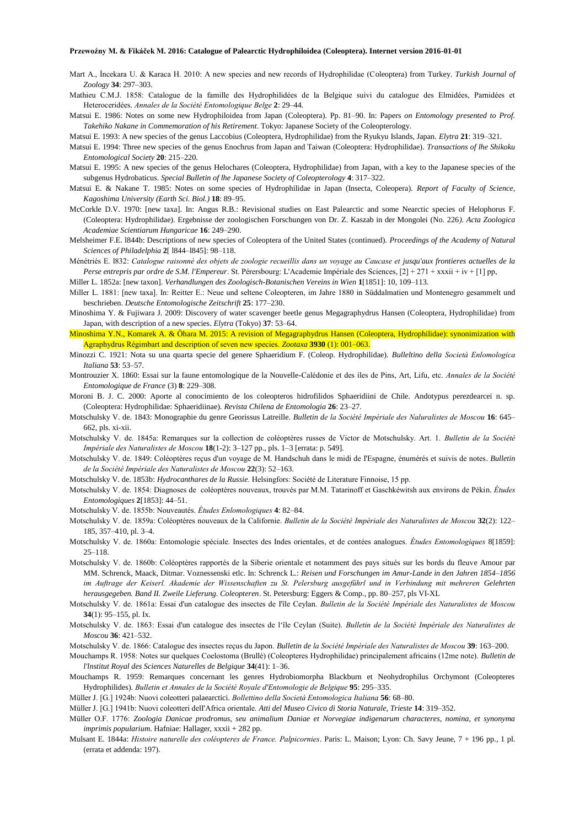- Mart A., İncekara U. & Karaca H. 2010: A new species and new records of Hydrophilidae (Coleoptera) from Turkey. *Turkish Journal of Zoology* **34**: 297–303.
- Mathieu C.M.J. 1858: Catalogue de la famille des Hydrophilidées de la Belgique suivi du catalogue des Elmidées, Parnidées et Heteroceridées. *Annales de la Société Entomologique Belge* **2**: 29–44.
- Matsui E. 1986: Notes on some new Hydrophiloidea from Japan (Coleoptera). Pp. 81–90. In: Papers *on Entomology presented to Prof. Takehiko Nakane in Commemoration of his Retirement*. Tokyo: Japanese Society of the Coleopterology.
- Matsui E. 1993: A new species of the genus Laccobius (Coleoptera, Hydrophilidae) from the Ryukyu Islands, Japan. *Elytra* **21**: 319–321.
- Matsui E. 1994: Three new species of the genus Enochrus from Japan and Taiwan (Coleoptera: Hydrophilidae). *Transactions of lhe Shikoku Entomological Society* **20**: 215–220.
- Matsui E. 1995: A new species of the genus Helochares (Coleoptera, Hydrophilidae) from Japan, with a key to the Japanese species of the subgenus Hydrobaticus. *Special Bulletin of lhe Japanese Society of Coleopterology* **4**: 317–322.
- Matsui E. & Nakane T. 1985: Notes on some species of Hydrophilidae in Japan (Insecta, Coleopera). *Report of Faculty of Science, Kagoshima University (Earth Sci. Biol.)* **18**: 89–95.
- McCorkle D.V. 1970: [new taxa]. In: Angus R.B.: Revisional studies on East Palearctic and some Nearctic species of Helophorus F. (Coleoptera: Hydrophilidae). Ergebnisse der zoologischen Forschungen von Dr. Z. Kaszab in der Mongolei (No. 226*). Acta Zoologica Academiae Scientiarum Hungaricae* **16**: 249–290.
- Melsheimer F.E. l844b: Descriptions of new species of Coleoptera of the United States (continued). *Proceedings of the Academy of Natural Sciences of Philadelphia* **2**[ l844–l845]: 98–118.
- Ménétriés E. l832: *Catalogue raisonné des objets de zoologie recueillis dans un voyage au Caucase et jusqu'aux frontieres actuelles de la Perse entrepris par ordre de S.M. l'Empereur*. St. Pérersbourg: L'Academie Impériale des Sciences, [2] + 271 + xxxii + iv + [1] pp,

Miller L. 1852a: [new taxon]. *Verhandlungen des Zoologisch-Botanischen Vereins in Wien* **1**[1851]: 10, 109–113.

- Miller L. 1881: [new taxa]. In: Reitter E.: Neue und seltene Coleopteren, im Jahre 1880 in Süddalmatien und Montenegro gesammelt und beschrieben. *Deutsche Entomologische Zeitschrift* **25**: 177–230.
- Minoshima Y. & Fujiwara J. 2009: Discovery of water scavenger beetle genus Megagraphydrus Hansen (Coleoptera, Hydrophilidae) from Japan, with description of a new species. *Elytra* (Tokyo) **37**: 53–64.
- Minoshima Y.N., Komarek A. & Ôhara M. 2015: A revision of Megagraphydrus Hansen (Coleoptera, Hydrophilidae): synonimization with Agraphydrus Régimbart and description of seven new species. *Zootaxa* **3930** (1): 001–063.
- Minozzi C. 1921: Nota su una quarta specie del genere Sphaeridium F. (Coleop. Hydrophilidae). *Bulleltino della Società Enlomologica Italiana* **53**: 53–57.
- Montrouzier X. 1860: Essai sur la faune entomologique de la Nouvelle-Calédonie et des íles de Pins, Art, Lifu, etc. *Annales de la Société Entomologique de France* (3) **8**: 229–308.
- Moroni B. J. C. 2000: Aporte al conocimiento de los coleopteros hidrofilidos Sphaeridiini de Chile. Andotypus perezdearcei n. sp. (Coleoptera: Hydrophilidae: Sphaeridiinae). *Revista Chilena de Entomologia* **26**: 23–27.
- Motschulsky V. de. 1843: Monographie du genre Georissus Latreille. *Bulletin de la Société Impériale des Naluralistes de Moscou* **16**: 645– 662, pls. xi-xii.
- Motschulsky V. de. 1845a: Remarques sur la collection de coléoptères russes de Victor de Motschulsky. Art. 1. *Bulletin de la Société Impériale des Naturalistes de Moscou* **18**(1-2): 3–127 pp., pls. 1–3 [errata: p. 549].
- Motschulsky V. de. 1849: Coléoptères reçus d'un voyage de M. Handschuh dans le midi de I'Espagne, énumérés et suivis de notes. *Bulletin de la Société Impériale des Naturalistes de Moscou* **22**(3): 52–163.
- Motschulsky V. de. 1853b: *Hydrocanthares de la Russie*. Helsingfors: Société de Literature Finnoise, 15 pp.
- Motschulsky V. de. 1854: Diagnoses de coléoptères nouveaux, trouvés par M.M. Tatarinoff et Gaschkéwitsh aux environs de Pékin. *Études Entomologiques* **2**[1853]: 44–51.
- Motschulsky V. de. 1855b: Nouveautés. *Études Enlomologiques* **4**: 82–84.
- Motschulsky V. de. 1859a: Coléoptères nouveaux de la Californie. *Bulletin de la Société Impériale des Naturalistes de Moscou* **32**(2): 122– 185, 357–410, pl. 3–4.
- Motschulsky V. de. 1860a: Entomologie spéciale. Insectes des Indes orientales, et de contées analogues. *Études Entomologiques* 8[1859]: 25–118.
- Motschulsky V. de. 1860b: Coléoptères rapportés de la Siberie orientale et notamment des pays situés sur les bords du fleuve Amour par MM. Schrenck, Maack, Ditmar. Voznessenski etlc. In: Schrenck L.: *Reisen und Forschungen im Amur-Lande in den Jahren 1854–1856 im Auftrage der Keiserl. Akademie der Wissenschaften zu St. Pelersburg ausgeführl und in Verbindung mit mehreren Gelehrten herausgegeben. Band II. Zweile Lieferung. Coleopteren*. St. Petersburg: Eggers & Comp., pp. 80–257, pls VI-XL
- Motschulsky V. de. 1861a: Essai d'un catalogue des insectes de I'île Ceylan. *Bulletin de la Société Impériale des Naturalistes de Moscou* **34**(1): 95–155, pl. Ix.
- Motschulsky V. de. 1863: Essai d'un catalogue des insectes de l'île Ceylan (Suite). *Bulletin de la Société Impériale des Naturalistes de Moscou* **36**: 421–532.
- Motschulsky V. de. 1866: Catalogue des insectes reçus du Japon. *Bulletin de la Société Impériale des Naturalistes de Moscou* **39**: 163–200.
- Mouchamps R. 1958: Notes sur quelques Coelostoma (Brullé) (Coleopteres Hydrophilidae) principalement africains (12me note). *Bulletin de l'lnstitut Royal des Sciences Naturelles de Belgique* **34**(41): 1–36.
- Mouchamps R. 1959: Remarques concernant les genres Hydrobiomorpha Blackburn et Neohydrophilus Orchymont (Coleopteres Hydrophilides). *Bulletin et Annales de la Société Royale d'Entomologie de Belgique* **95**: 295–335.
- Müller J. [G.] 1924b: Nuovi coleotteri palaearctici. *Bollettino della Società Entomologica Italiana* **56**: 68–80.
- Müller J. [G.] 1941b: Nuovi coleotteri delI'Africa orientale. *Atti del Museo Civico di Storia Naturale, Trieste* **14**: 319*–*352.
- Müller O.F. 1776: *Zoologia Danicae prodromus, seu animalium Daniae et Norvegiae indigenarum characteres, nomina, et synonyma imprimis popularium*. Hafniae: Hallager, xxxii + 282 pp.
- Mulsant E. 1844a: *Histoire naturelle des coléopteres de France. Palpicornies*. Paris: L. Maison; Lyon: Ch. Savy Jeune, 7 + 196 pp., 1 pl. (errata et addenda: 197).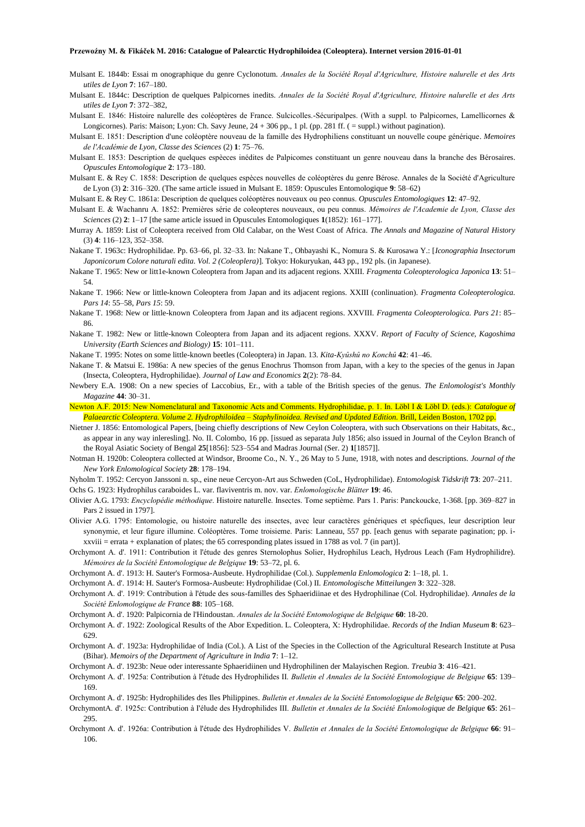- Mulsant E. 1844b: Essai m onographique du genre Cyclonotum. *Annales de la Société Royal d'Agriculture, Histoire nalurelle et des Arts utiles de Lyon* **7**: 167–180.
- Mulsant E. 1844c: Description de quelques Palpicornes inedits. *Annales de la Société Royal d'Agriculture, Histoire nalurelle et des Arts utiles de Lyon* **7**: 372–382,
- Mulsant E. 1846: Histoire nalurelle des coléoptères de France. Sulcicolles.-Sécuripalpes. (With a suppl. to Palpicornes, Lamellicornes & Longicornes). Paris: Maison; Lyon: Ch. Savy Jeune, 24 + 306 pp., 1 pl. (pp. 281 ff. ( = suppl.) without pagination).
- Mulsant E. 1851: Description d'une coléoptère nouveau de la famille des Hydrophiliens constituant un nouvelle coupe générique. *Memoires de l'Académie de Lyon, Classe des Sciences* (2) **1**: 75–76.
- Mulsant E. 1853: Description de quelques espèeces inédites de Palpicomes constituant un genre nouveau dans la branche des Bérosaires. *Opuscules Entomologique* **2**: 173–180.
- Mulsant E. & Rey C. 1858: Description de quelques espèces nouvelles de coléoptères du genre Bérose. Annales de la Société d'Agriculture de Lyon (3) **2**: 316–320. (The same article issued in Mulsant E. 1859: Opuscules Entomologique **9**: 58–62)
- Mulsant E. & Rey C. 1861a: Description de quelques coléoptères nouveaux ou peo connus. *Opuscules Entomologiques* **12**: 47–92.
- Mulsant E. & Wachanru A. 1852: Premières série de coleopteres nouveaux, ou peu connus. *Mémoires de l'Academie de Lyon, Classe des Sciences* (2) **2**: 1–17 [the same article issued in Opuscules Entomologiques **1**(1852): 161–177].
- Murray A. 1859: List of Coleoptera received from Old Calabar, on the West Coast of Africa. *The Annals and Magazine of Natural History* (3) **4**: 116–123, 352–358.
- Nakane T. 1963c: Hydrophilidae. Pp. 63–66, pl. 32–33. In: Nakane T., Ohbayashi K., Nomura S. & Kurosawa Y.: [*Iconographia Insectorum Japonicorum Colore naturali edita. Vol. 2 (Coleoplera)*]. Tokyo: Hokuryukan, 443 pp., 192 pls. (in Japanese).
- Nakane T. 1965: New or litt1e-known Coleoptera from Japan and its adjacent regions. XXIII. *Fragmenta Coleopterologica Japonica* **13**: 51– 54.
- Nakane T. 1966: New or little-known Coleoptera from Japan and its adjacent regions. XXIII (conlinuation). *Fragmenta Coleopterologica. Pars 14*: 55–58, *Pars 15*: 59.
- Nakane T. 1968: New or little-known Coleoptera from Japan and its adjacent regions. XXVIII. *Fragmenta Coleopterologica. Pars 21*: 85– 86.
- Nakane T. 1982: New or little-known Coleoptera from Japan and its adjacent regions. XXXV. *Report of Faculty of Science, Kagoshima University (Earth Sciences and Biology)* **15**: 101–111.
- Nakane T. 1995: Notes on some little-known beetles (Coleoptera) in Japan. 13. *Kita-Kyûshû no Konchû* **42**: 41–46.
- Nakane T. & Matsui E. 1986a: A new species of the genus Enochrus Thomson from Japan, with a key to the species of the genus in Japan (Insecta, Coleoptera, Hydrophilidae). *Journal of Law and Economics* **2**(2): 78–84.
- Newbery E.A. 1908: On a new species of Laccobius, Er., with a table of the British species of the genus. *The Enlomologist's Monthly Magazine* **44**: 30–31.
- Newton A.F. 2015: New Nomenclatural and Taxonomic Acts and Comments. Hydrophilidae, p. 1. In. Löbl I & Löbl D. (eds.): *Catalogue of Palaearctic Coleoptera. Volume 2. Hydrophiloidea – Staphylinoidea. Revised and Updated Edition.* Brill, Leiden Boston, 1702 pp.
- Nietner J. 1856: Entomological Papers, [being chiefly descriptions of New Ceylon Coleoptera, with such Observations on their Habitats, &c., as appear in any way inleresling]. No. II. Colombo, 16 pp. [issued as separata July 1856; also issued in Journal of the Ceylon Branch of the Royal Asiatic Society of Bengal **25**[1856]: 523–554 and Madras Journal (Ser. 2) **1**[1857]].
- Notman H. 1920b: Coleoptera collected at Windsor, Broome Co., N. Y., 26 May to 5 June, 1918, with notes and descriptions. *Journal of the New York Enlomological Society* **28**: 178–194.
- Nyholm T. 1952: Cercyon Janssoni n. sp., eine neue Cercyon-Art aus Schweden (CoL, Hydrophilidae). *Entomologisk Tidskrift* **73**: 207–211. Ochs G. 1923: Hydrophilus caraboides L. var. flaviventris m. nov. var. *Enlomologische Blätter* **19**: 46.
- Olivier A.G. 1793: *Encyclopédie méthodique*. Histoire naturelle. Insectes. Tome septième. Pars 1. Paris: Panckoucke, 1-368. [pp. 369–827 in Pars 2 issued in 1797].
- Olivier A.G. 1795: Entomologie, ou histoire naturelle des insectes, avec leur caractères génériques et spécfiques, leur description leur synonymie, et leur figure illumine. Coléoptères. Tome troisieme. Paris: Lanneau, 557 pp. [each genus with separate pagination; pp. ixxviii = errata + explanation of plates; the 65 corresponding plates issued in 1788 as vol. 7 (in part)].
- Orchymont A. d'. 1911: Contribution it l'étude des genres Sternolophus Solier, Hydrophilus Leach, Hydrous Leach (Fam Hydrophilidre). *Mémoires de la Société Entomologique de Belgique* **19**: 53–72, pl. 6.
- Orchymont A. d'. 1913: H. Sauter's Formosa-Ausbeute. Hydrophilidae (Col.). *Supplemenla Enlomologica* **2**: 1–18, pl. 1.
- Orchymont A. d'. 1914: H. Sauter's Formosa-Ausbeute: Hydrophilidae (Col.) II*. Entomologische Mitteilungen* **3**: 322–328.
- Orchymont A. d'. 1919: Contribution à l'étude des sous-familles des Sphaeridiinae et des Hydrophilinae (Col. Hydrophilidae). *Annales de la Société Enlomologique de France* **88**: 105–168.
- Orchymont A. d'. 1920: Palpicornia de l'Hindoustan. *Annales de la Société Entomologique de Belgique* **60**: 18-20.
- Orchymont A. d'. 1922: Zoological Results of the Abor Expedition. L. Coleoptera, X: Hydrophilidae. *Records of the Indian Museum* **8**: 623– 629.
- Orchymont A. d'. 1923a: Hydrophilidae of India (Col.). A List of the Species in the Collection of the Agricultural Research Institute at Pusa (Bihar). *Memoirs of the Department of Agriculture in India* **7**: 1–12.
- Orchymont A. d'. 1923b: Neue oder interessante Sphaeridiinen und Hydrophilinen der Malayischen Region. *Treubia* **3**: 416–421.
- Orchymont A. d'. 1925a: Contribution à l'étude des Hydrophilides II. *Bulletin el Annales de la Société Entomologique de Belgique* **65**: 139– 169.
- Orchymont A. d'. 1925b: Hydrophilides des Iles Philippines. *Bulletin et Annales de la Société Entomologique de Belgique* **65**: 200–202.
- OrchymontA. d'. 1925c: Contribution à I'élude des Hydrophilides III. *Bulletin et Annales de la Société Enlomologique de Belgique* **65**: 261– 295.
- Orchymont A. d'. 1926a: Contribution à l'étude des Hydrophilides V. *Bulletin et Annales de la Société Entomologique de Belgique* **66**: 91– 106.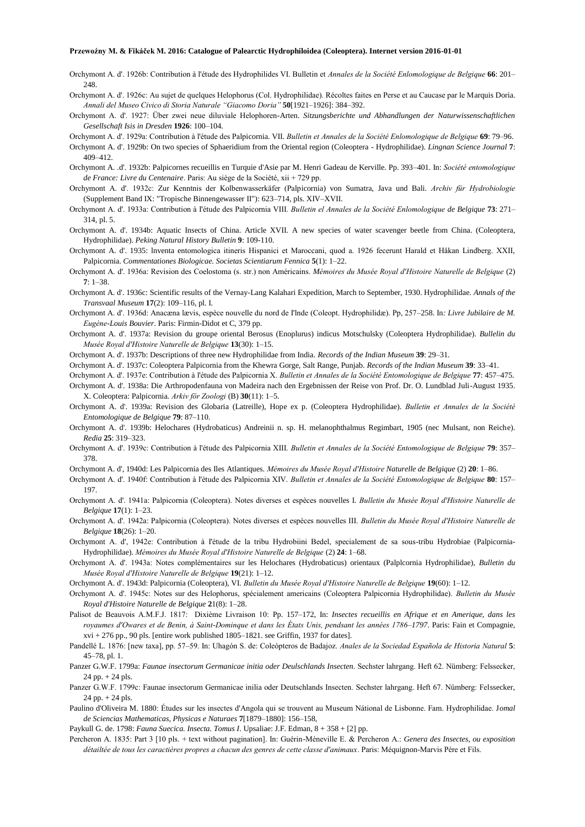- Orchymont A. d'. 1926b: Contribution à l'étude des Hydrophilides VI. Bulletin et *Annales de la Société Enlomologique de Belgique* **66**: 201– 248.
- Orchymont A. d'. 1926c: Au sujet de quelques Helophorus (Col. Hydrophilidae). Récoltes faites en Perse et au Caucase par le Marquis Doria. *Annali del Museo Civico di Storia Naturale "Giacomo Doria"* **50**[1921–1926]: 384–392.
- Orchymont A. d'. 1927: Über zwei neue diluviale Helophoren-Arten. *Sitzungsberichte und Abhandlungen der Naturwissenschaftlichen Gesellschaft Isis in Dresden* **1926**: 100–104.
- Orchymont A. d'. 1929a: Contribution à l'étude des Palpicornia. VII. *Bulletin et Annales de la Société Enlomologique de Belgique* **69**: 79–96.
- Orchymont A. d'. 1929b: On two species of Sphaeridium from the Oriental region (Coleoptera Hydrophilidae). *Lingnan Science Journal* **7**: 409–412.
- Orchymont A. .d'. 1932b: Palpicornes recueillis en Turquie d'Asie par M. Henri Gadeau de Kerville. Pp. 393–401. In: *Société entomologique de France: Livre du Centenaire*. Paris: Au siège de la Société, xii + 729 pp.
- Orchymont A. d'. 1932c: Zur Kenntnis der Kolbenwasserkäfer (Palpicornia) von Sumatra, Java und Bali. *Archiv für Hydrobiologie* (Supplement Band IX: "Tropische Binnengewasser II"): 623–714, pls. XIV–XVII.
- Orchymont A. d'. 1933a: Contribution à I'étude des Palpicornia VIII. *Bulletin el Annales de la Société Enlomologique de Belgique* **73**: 271– 314, pl. 5.
- Orchymont A. d'. 1934b: Aquatic Insects of China. Article XVII. A new species of water scavenger beetle from China. (Coleoptera, Hydrophilidae). *Peking Natural History Bulletin* **9**: 109-110.
- Orchymont A. d'. 1935: lnventa entomologica itineris Hispanici et Maroccani, quod a. 1926 fecerunt Harald et Håkan Lindberg. XXII, Palpicornia. *Commentationes Biologicae. Societas Scientiarum Fennica* **5**(1): 1–22.
- Orchymont A. d'. 1936a: Revision des Coelostoma (s. str.) non Américains. *Mémoires du Musée Royal d'Histoire Naturelle de Belgique* (2) **7**: 1–38.
- Orchymont A. d'. 1936c: Scientific results of the Vernay-Lang Kalahari Expedition, March to September, 1930. Hydrophilidae. *Annals of the Transvaal Museum* **17**(2): 109–116, pl. I.
- Orchymont A. d'. 1936d: Anacæna lævis, espèce nouvelle du nord de I'lnde (Coleopt. Hydrophilidæ). Pp, 257–258. In*: Livre Jubilaire de M. Eugène-Louis Bouvier*. Paris: Firmin-Didot et C, 379 pp.
- Orchymont A. d'. 1937a: Revision du groupe oriental Berosus (Enoplurus) indicus Motschulsky (Coleoptera Hydrophilidae). *Bullelin du Musée Royal d'Histoire Naturelle de Belgique* **13**(30): 1–15.
- Orchymont A. d'. 1937b: Descriptions of three new Hydrophilidae from India. *Records of the Indian Museum* **39**: 29–31.
- Orchymont A. d'. 1937c: Coleoptera Palpicornia from the Khewra Gorge, Salt Range, Punjab. *Records of the Indian Museum* **39**: 33–41.
- Orchymont A. d'. 1937e: Contribution à l'étude des Palpicornia X. *Bulletin et Annales de la Société Entomologique de Belgique* **77**: 457–475.
- Orchymont A. d'. 1938a: Die Arthropodenfauna von Madeira nach den Ergebnissen der Reise von Prof. Dr. O. Lundblad Juli-August 1935. X. Coleoptera: Palpicornia. *Arkiv för Zoologi* (B) **30**(11): 1–5.
- Orchymont A. d'. 1939a: Revision des Globaria (Latreille), Hope ex p. (Coleoptera Hydrophilidae). *Bulletin et Annales de la Société Entomologique de Belgique* **79**: 87–110.
- Orchymont A. d'. 1939b: Helochares (Hydrobaticus) Andreinii n. sp. H. melanophthalmus Regimbart, 1905 (nec Mulsant, non Reiche). *Redia* **25**: 319–323.
- Orchymont A. d'. 1939c: Contribution à l'étude des Palpicornia XIII. *Bulletin et Annales de la Société Entomologique de Belgique* **79**: 357– 378.
- Orchymont A. d', 1940d: Les Palpicornia des Iles Atlantiques. *Mémoires du Musée Royal d'Histoire Naturelle de Belgique* (2) **20**: 1–86.
- Orchymont A. d'. 1940f: Contribution à l'étude des Palpicornia XIV. *Bulletin et Annales de la Société Entomologique de Belgique* **80**: 157– 197.
- Orchymont A. d'. 1941a: Palpicornia (Coleoptera). Notes diverses et espèces nouvelles I. *Bulletin du Musée Royal d'Histoire Naturelle de Belgique* **17**(1): 1–23.
- Orchymont A. d'. 1942a: Palpicornia (Coleoptera). Notes diverses et espèces nouvelles III. *Bulletin du Musée Royal d'Histoire Naturelle de Belgique* **18**(26): 1–20.
- Orchymont A. d', 1942e: Contribution à I'étude de la tribu Hydrobiini Bedel, specialement de sa sous-tribu Hydrobiae (Palpicornia-Hydrophilidae). *Mémoires du Musée Royal d'Histoire Naturelle de Belgique* (2) **24**: 1–68.
- Orchymont A. d'. 1943a: Notes complémentaires sur les Helochares (Hydrobaticus) orientaux (Palplcornia Hydrophilidae), *Bulletin du Musée Royal d'Histoire Naturelle de Belgique* **19**(21): 1–12.
- Orchymont A. d'. 1943d: Palpicornia (Coleoptera), VI. *Bulletin du Musée Royal d'Histoire Naturelle de Belgique* **19**(60): 1–12.
- Orchymont A. d'. 1945c: Notes sur des Helophorus, spécialement americains (Coleoptera Palpicornia Hydrophilidae). *Bulletin du Musée Royal d'Histoire Naturelle de Belgique* **2**1(8): 1–28.
- Palisot de Beauvois A.M.F.J. 1817: Dixième Livraison 10: Pp. 157–172, In: *Insectes recueillis en Afrique et en Amerique, dans les royaumes d'Owares et de Benin, à Saint-Dominque et dans les États Unis, pendsant les années 1786–1797*. Paris: Fain et Compagnie,  $xvi + 276$  pp., 90 pls. [entire work published  $1805-1821$ . see Griffin, 1937 for dates].
- Pandellé L. 1876: [new taxa], pp. 57–59. In: Uhagón S. de: Coleópteros de Badajoz. *Anales de la Sociedad Española de Historia Natural* **5**: 45–78, pl. 1.
- Panzer G.W.F. 1799a: *Faunae insectorum Germanicae initia oder Deulschlands Insecten*. Sechster lahrgang. Heft 62. Nümberg: Felssecker,  $24$  pp.  $+ 24$  pls.
- Panzer G.W.F. 1799c: Faunae insectorum Germanicae inilia oder Deutschlands Insecten. Sechster lahrgang. Heft 67. Nümberg: Felssecker,  $24$  pp.  $+ 24$  pls.
- Paulino d'Oliveira M. 1880: Études sur les insectes d'Angola qui se trouvent au Museum Nátional de Lisbonne. Fam. Hydrophilidae. J*omal de Sciencias Mathematicas, Physicas e Naturaes* **7**[1879–1880]: 156–158,
- Paykull G. de. 1798: *Fauna Suecica. Insecta. Tomus I*. Upsaliae: J.F. Edman, 8 + 358 + [2] pp.
- Percheron A. 1835: Part 3 [10 pls. + text without pagination]. In: Guérin-Méneville E. & Percheron A.: *Genera des Insectes, ou exposition détailtée de tous les caractières propres a chacun des genres de cette classe d'animaux*. Paris: Méquignon-Marvis Père et Fils.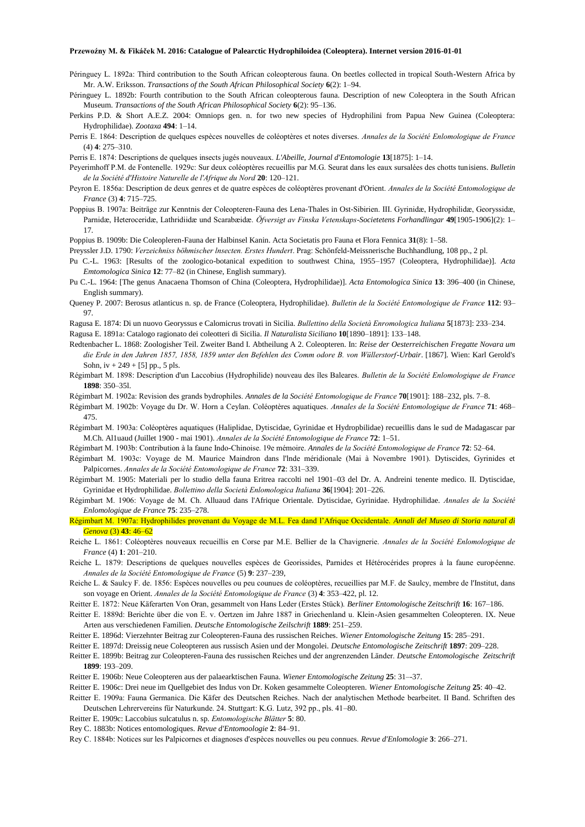- Péringuey L. 1892a: Third contribution to the South African coleopterous fauna. On beetles collected in tropical South-Western Africa by Mr. A.W. Eriksson. *Transactions of the South African Philosophical Society* **6**(2): 1–94.
- Péringuey L. 1892b: Fourth contribution to the South African coleopterous fauna. Description of new Coleoptera in the South African Museum. *Transactions of the South African Philosophical Society* **6**(2): 95–136.
- Perkins P.D. & Short A.E.Z. 2004: Omniops gen. n. for two new species of Hydrophilini from Papua New Guinea (Coleoptera: Hydrophilidae). *Zootaxa* **494**: 1–14.
- Perris E. 1864: Description de quelques espèces nouvelles de coléoptères et notes diverses. *Annales de la Société Enlomologique de France* (4) **4**: 275–310.
- Perris E. 1874: Descriptions de quelques insects jugés nouveaux. *L'Abeille, Journal d'Entomologie* **13**[1875]: 1–14.
- Peyerimhoff P.M. de Fontenelle. 1929c: Sur deux coléoptères recueillis par M.G. Seurat dans les eaux sursalées des chotts tunisiens. *Bulletin de la Société d'Histoire Naturelle de l'Afrique du Nord* **20**: 120–121.
- Peyron E. 1856a: Description de deux genres et de quatre espèces de coléoptères provenant d'Orient. *Annales de la Société Entomologique de France* (3) **4**: 715–725.
- Poppius B. 1907a: Beiträge zur Kenntnis der Coleopteren-Fauna des Lena-Thales in Ost-Sibirien. III. Gyrinidæ, Hydrophilidæ, Georyssidæ, Parnidæ, Heteroceridæ, Lathridiidæ und Scarabæidæ. *Öfversigt av Finska Vetenskaps-Societetens Forhandlingar* **49**[1905-1906](2): 1– 17.
- Poppius B. 1909b: Die Coleopleren-Fauna der Halbinsel Kanin. Acta Societatis pro Fauna et Flora Fennica **31**(8): 1–58.
- Preyssler J.D. 1790: *Verzeichniss böhmischer lnsecten. Erstes Hundert*. Prag: Schönfeld-Meissnerische Buchhandlung, 108 pp., 2 pl.
- Pu C.-L. 1963: [Results of the zoologico-botanical expedition to southwest China, 1955–1957 (Coleoptera, Hydrophilidae)]. *Acta Emtomologica Sinica* **12**: 77–82 (in Chinese, English summary).
- Pu C.-L. 1964: [The genus Anacaena Thomson of China (Coleoptera, Hydrophilidae)]. *Acta Entomologica Sinica* **13**: 396–400 (in Chinese, English summary).
- Queney P. 2007: Berosus atlanticus n. sp. de France (Coleoptera, Hydrophilidae). *Bulletin de la Société Entomologique de France* **112**: 93– 97.
- Ragusa E. 1874: Di un nuovo Georyssus e Calomicrus trovati in Sicilia. *Bullettino della Società Enromologica Italiana* **5**[1873]: 233–234. Ragusa E. 1891a: Catalogo ragionato dei coleotteri di Sicilia. *Il Naturalista Siciliano* **10**[1890–1891]: 133–148.
- Redtenbacher L. 1868: Zoologisher Teil. Zweiter Band I. Abtheilung A 2. Coleopteren. In: *Reise der Oesterreichischen Fregatte Novara um die Erde in den Jahren 1857, 1858, 1859 unter den Befehlen des Comm odore B. von Wüllerstorf-Urbair*. [1867]. Wien: Karl Gerold's Sohn,  $iv + 249 + 5$ ] pp., 5 pls.
- Régimbart M. 1898: Description d'un Laccobius (Hydrophilide) nouveau des îles Baleares. *Bulletin de la Société Enlomologique de France* **1898**: 350–35l.
- Régimbart M. 1902a: Revision des grands bydrophiles. *Annales de la Société Entomologique de France* **70**[1901]: 188–232, pls. 7–8.
- Régimbart M. 1902b: Voyage du Dr. W. Horn a Ceylan. Coléoptères aquatiques. *Annales de la Société Entomologique de France* **71**: 468– 475.
- Régimbart M. 1903a: Coléoptères aquatiques (Haliplidae, Dytiscidae, Gyrinidae et Hydropbilidae) recueillis dans le sud de Madagascar par M.Ch. Al1uaud (Juillet 1900 - mai 1901). *Annales de la Société Entomologique de France* **72**: 1–51.
- Régimbart M. 1903b: Contribution à la faune Indo-Chinoise. 19e mémoire. *Annales de la Société Entomologique de France* **72**: 52–64.
- Régimbart M. 1903c: Voyage de M. Maurice Maindron dans l'lnde méridionale (Mai à Novembre 1901). Dytiscides, Gyrinides et Palpicornes. *Annales de la Société Entomologique de France* **72**: 331–339.
- Régimbart M. 1905: Materiali per lo studio della fauna Eritrea raccolti nel 1901–03 del Dr. A. Andreini tenente medico. II. Dytiscidae, Gyrinidae et Hydrophilidae. *Bollettino della Società Enlomologica Italiana* **36**[1904]: 201–226.
- Régimbart M. 1906: Voyage de M. Ch. Alluaud dans l'Afrique Orientale. Dytiscidae, Gyrinidae. Hydrophilidae. *Annales de la Société Enlomologique de France* **75**: 235–278.
- Régimbart M. 1907a: Hydrophilides provenant du Voyage de M.L. Fea dand l'Afrique Occidentale. *Annali del Museo di Storia natural di Genova* (3) **43**: 46–62
- Reiche L. 1861: Coléoptères nouveaux recueillis en Corse par M.E. Bellier de la Chavignerie. *Annales de la Société Enlomologique de France* (4) **1**: 201–210.
- Reiche L. 1879: Descriptions de quelques nouvelles espèces de Georissides, Parnides et Hétérocérides propres à la faune européenne. *Annales de la Société Entomologique de France* (5) **9**: 237–239,
- Reiche L. & Saulcy F. de. 1856: Espèces nouvelles ou peu counues de coléoptères, recueillies par M.F. de Saulcy, membre de l'Institut, dans son voyage en Orient. *Annales de la Société Entomologique de France* (3) **4**: 353–422, pl. 12.
- Reitter E. 1872: Neue Käferarten Von Oran, gesammelt von Hans Leder (Erstes Stück). *Berliner Entomologische Zeitschrift* **16**: 167–186.
- Reitter E. 1889d: Berichte über die von E. v. Oertzen im Jahre 1887 in Griechenland u. Klein-Asien gesammelten Coleopteren. IX. Neue Arten aus verschiedenen Familien. *Deutsche Entomologische Zeilschrift* **1889**: 251–259.
- Reitter E. 1896d: Vierzehnter Beitrag zur Coleopteren-Fauna des russischen Reiches. *Wiener Entomologische Zeitung* **15**: 285–291.
- Reitter E. 1897d: Dreissig neue Coleopteren aus russisch Asien und der Mongolei. *Deutsche Entomologische Zeitschrift* **1897**: 209–228.
- Reitter E. 1899b: Beitrag zur Coleopteren-Fauna des russischen Reiches und der angrenzenden Länder. *Deutsche Entomologische Zeitschrift*  **1899**: 193–209.
- Reitter E. 1906b: Neue Coleopteren aus der palaearktischen Fauna. *Wiener Entomologische Zeitung* **25**: 31–-37.
- Reitter E. 1906c: Drei neue im Quellgebiet des Indus von Dr. Koken gesammelte Coleopteren. *Wiener Entomologische Zeitung* **25**: 40–42. Reitter E. 1909a: Fauna Germanica. Die Käfer des Deutschen Reiches. Nach der analytischen Methode bearbeitet. II Band. Schriften des
- Deutschen Lehrervereins für Naturkunde. 24. Stuttgart: K.G. Lutz, 392 pp., pls. 41–80.
- Reitter E. 1909c: Laccobius sulcatulus n. sp. *Entomologische Blätter* **5**: 80.
- Rey C. 1883b: Notices entomologiques. *Revue d'Entomoologie* **2**: 84–91.
- Rey C. 1884b: Notices sur les Palpicornes et diagnoses d'espèces nouvelles ou peu connues. *Revue d'Enlomologie* **3**: 266–271.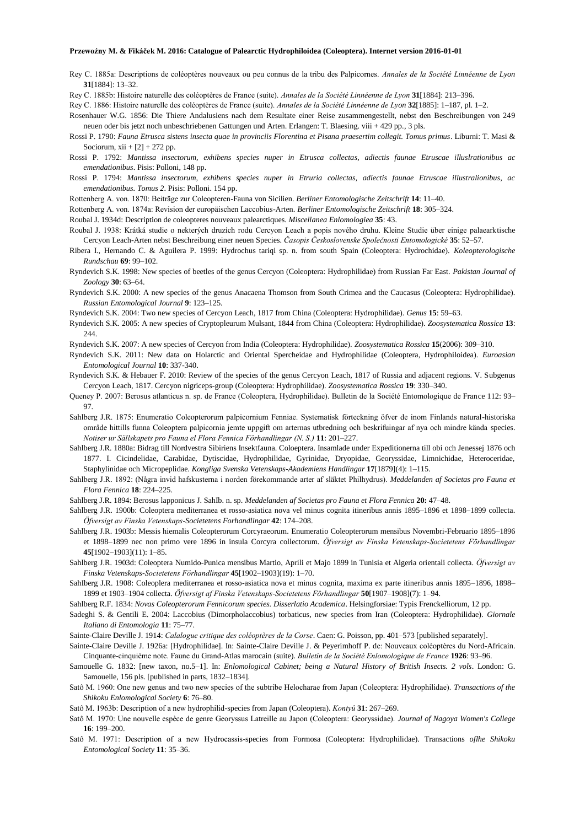Rey C. 1885a: Descriptions de coléoptères nouveaux ou peu connus de la tribu des Palpicornes. *Annales de la Société Linnéenne de Lyon* **31**[1884]: 13–32.

Rey C. 1885b: Histoire naturelle des coléoptères de France (suite). *Annales de la Société Linnéenne de Lyon* **31**[1884]: 213–396.

Rey C. 1886: Histoire naturelle des coléoptères de France (suite). *Annales de la Société Linnéenne de Lyon* **32**[1885]: 1–187, pl. 1–2.

Rosenhauer W.G. 1856: Die Thiere Andalusiens nach dem Resultate einer Reise zusammengestellt, nebst den Beschreibungen von 249 neuen oder bis jetzt noch unbeschriebenen Gattungen und Arten. Erlangen: T. Blaesing. viii + 429 pp., 3 pls.

- Rossi P. 1790: *Fauna Etrusca sistens insecta quae in provinciis Florentina et Pisana praesertim collegit. Tomus primus*. Liburni: T. Masi & Sociorum,  $xii + [2] + 272$  pp.
- Rossi P. 1792: *Mantissa insectorum, exhibens species nuper in Etrusca collectas, adiectis faunae Etruscae illuslrationibus ac emendationibus*. Pisis: Polloni, 148 pp.
- Rossi P. 1794: *Mantissa insectorum, exhibens species nuper in Etruria collectas, adiectis faunae Etruscae illustralionibus, ac emendationibus. Tomus 2*. Pisis: Polloni. 154 pp.
- Rottenberg A. von. 1870: Beiträge zur Coleopteren-Fauna von Sicilien. *Berliner Entomologische Zeitschrift* **14**: 11–40.
- Rottenberg A. von. 1874a: Revision der europäischen Laccobius-Arten. *Berliner Entomologische Zeitschrift* **18**: 305–324.

Roubal J. 1934d: Description de coleopteres nouveaux palearctiques. *Miscellanea Enlomologiea* **35**: 43.

- Roubal J. 1938: Krátká studie o nekterých druzích rodu Cercyon Leach a popis nového druhu. Kleine Studie über einige palaearktische Cercyon Leach-Arten nebst Beschreibung einer neuen Species. *Časopis Československe Společnosti Entomologické* **35**: 52–57.
- Ribera I., Hernando C. & Aguilera P. 1999: Hydrochus tariqi sp. n. from south Spain (Coleoptera: Hydrochidae). *Koleopterologische Rundschau* **69**: 99–102.
- Ryndevich S.K. 1998: New species of beetles of the genus Cercyon (Coleoptera: Hydrophilidae) from Russian Far East. *Pakistan Journal of Zoology* **30**: 63–64.
- Ryndevich S.K. 2000: A new species of the genus Anacaena Thomson from South Crimea and the Caucasus (Coleoptera: Hydrophilidae). *Russian Entomological Journal* **9**: 123–125.
- Ryndevich S.K. 2004: Two new species of Cercyon Leach, 1817 from China (Coleoptera: Hydrophilidae). *Genus* **15**: 59–63.
- Ryndevich S.K. 2005: A new species of Cryptopleurum Mulsant, 1844 from China (Coleoptera: Hydrophilidae). *Zoosystematica Rossica* **13**: 244
- Ryndevich S.K. 2007: A new species of Cercyon from India (Coleoptera: Hydrophilidae). *Zoosystematica Rossica* **15**(2006): 309–310.
- Ryndevich S.K. 2011: New data on Holarctic and Oriental Spercheidae and Hydrophilidae (Coleoptera, Hydrophiloidea). *Euroasian Entomological Journal* **10**: 337-340.
- Ryndevich S.K. & Hebauer F. 2010: Review of the species of the genus Cercyon Leach, 1817 of Russia and adjacent regions. V. Subgenus Cercyon Leach, 1817. Cercyon nigriceps-group (Coleoptera: Hydrophilidae). *Zoosystematica Rossica* **19**: 330–340.
- Queney P. 2007: Berosus atlanticus n. sp. de France (Coleoptera, Hydrophilidae). Bulletin de la Société Entomologique de France 112: 93– 97.
- Sahlberg J.R. 1875: Enumeratio Coleopterorum palpicornium Fenniae. Systematisk förteckning öfver de inom Finlands natural-historiska område hittills funna Coleoptera palpicornia jemte uppgift om arternas utbredning och beskrifuingar af nya och mindre kända species. *Notiser ur Sällskapets pro Fauna el Flora Fennica Förhandlingar (N. S.)* **11**: 201–227.
- Sahlberg J.R. 1880a: Bidrag till Nordvestra Sibiriens Insektfauna. Coloeptera. Insamlade under Expeditionerna till obi och Jenessej 1876 och 1877. I. Cicindelidae, Carabidae, Dytiscidae, Hydrophilidae, Gyrinidae, Dryopidae, Georyssidae, Limnichidae, Heteroceridae, Staphylinidae och Micropeplidae. *Kongliga Svenska Vetenskaps-Akademiens Handlingar* **17**[1879](4): 1–115.
- Sahlberg J.R. 1892: (Några invid hafskusterna i norden förekommande arter af släktet Philhydrus). *Meddelanden af Societas pro Fauna et Flora Fennica* **18**: 224–225.
- Sahlberg J.R. 1894: Berosus lapponicus J. SahIb. n. sp. *Meddelanden af Societas pro Fauna et Flora Fennica* **20:** 47–48.
- Sahlberg J.R. 1900b: Coleoptera mediterranea et rosso-asiatica nova vel minus cognita itineribus annis 1895–1896 et 1898–1899 collecta. *Öfversigt av Finska Vetenskaps-Societetens Forhandlingar* **42**: 174–208.
- Sahlberg J.R. 1903b: Messis hiemalis Coleopterorum Corcyraeorum. Enumeratio Coleopterorum mensibus Novembri-Februario 1895–1896 et 1898–1899 nec non primo vere 1896 in insula Corcyra collectorum. *Öfversigt av Finska Vetenskaps-Societetens Förhandlingar* **45**[1902–1903](11): 1–85.
- Sahlberg J.R. 1903d: Coleoptera Numido-Punica mensibus Martio, Aprili et Majo 1899 in Tunisia et Algeria orientali collecta. *Öfversigt av Finska Vetenskaps-Societetens Förhandlingar* **45**[1902–1903](19): 1–70.
- SahIberg J.R. 1908: Coleoplera mediterranea et rosso-asiatica nova et minus cognita, maxima ex parte itineribus annis 1895–1896, 1898– 1899 et 1903–1904 collecta. *Öfversigt af Finska Vetenskaps-Societetens Förhandlingar* **50**[1907–1908](7): 1–94.
- Sahlberg R.F. 1834: *Novas Coleopterorum Fennicorum species. Disserlatio Academica*. Helsingforsiae: Typis Frenckelliorum, 12 pp.
- Sadeghi S. & Gentili E. 2004: Laccobius (Dimorpholaccobius) torbaticus, new species from Iran (Coleoptera: Hydrophilidae). *Giornale Italiano di Entomologia* **11**: 75–77.

Sainte-Claire Deville J. 1914: *Calalogue critique des coléoptères de la Corse*. Caen: G. Poisson, pp. 401–573 [published separately].

- Sainte-Claire Deville J. 1926a: [Hydrophilidae]. In: Sainte-Claire Deville J. & Peyerimhoff P. de: Nouveaux coléoptères du Nord-Africain. Cinquante-cinquième note. Faune du Grand-Atlas marocain (suite). *Bulletin de la Société Enlomologique de France* **1926**: 93–96.
- Samouelle G. 1832: [new taxon, no.5–1]. In: *Enlomological Cabinet; being a Natural History of British Insects. 2 vols*. London: G. Samouelle, 156 pls. [published in parts, 1832–1834].
- Satô M. 1960: One new genus and two new species of the subtribe Helocharae from Japan (Coleoptera: Hydrophilidae). *Transactions of the Shikoku Enlomological Society* **6**: 76–80.
- Satô M. 1963b: Description of a new hydrophilid-species from Japan (Coleoptera). *Kontyû* **31**: 267–269.
- Satô M. 1970: Une nouvelle espèce de genre Georyssus Latreille au Japon (Coleoptera: Georyssidae). *Journal of Nagoya Women's College*  **16**: 199–200.
- Satô M. 1971: Description of a new Hydrocassis-species from Formosa (Coleoptera: Hydrophilidae). Transactions *oflhe Shikoku Entomological Society* **11**: 35–36.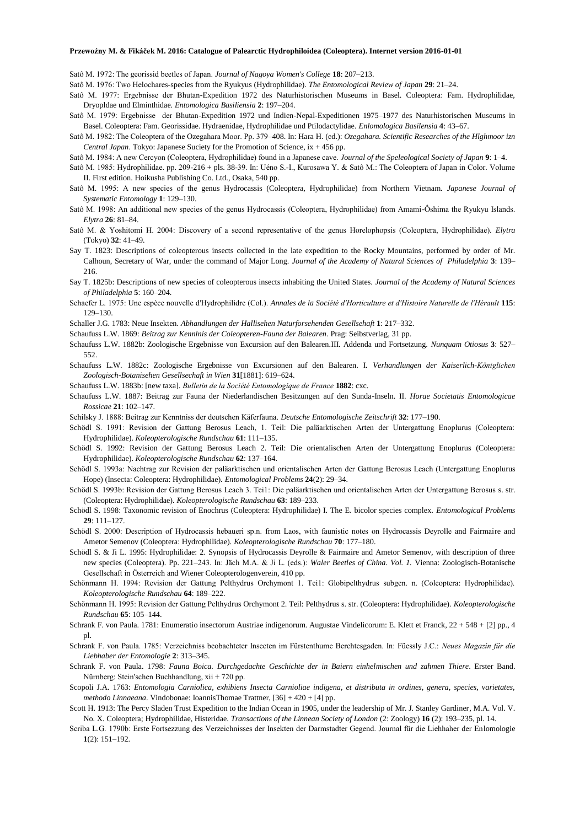Satô M. 1972: The georissid beetles of Japan. *Journal of Nagoya Women's College* **18**: 207–213.

Satô M. 1976: Two Helochares-species from the Ryukyus (Hydrophilidae). *The Entomological Review of Japan* **29**: 21–24.

- Satô M. 1977: Ergebnisse der Bhutan-Expedition 1972 des Naturhistorischen Museums in Basel. Coleoptera: Fam. Hydrophilidae, Dryopldae und Elminthidae. *Entomologica Basiliensia* **2**: 197–204.
- Satô M. 1979: Ergebnisse der Bhutan-Expedition 1972 und Indien-Nepal-Expeditionen 1975–1977 des Naturhistorischen Museums in Basel. Coleoptera: Fam. Georissidae. Hydraenidae, Hydrophilidae und Ptilodactylidae. *Enlomologica Basilensia* **4**: 43–67.
- Satô M. 1982: The Coleoptera of the Ozegahara Moor. Pp. 379–408. In: Hara H. (ed.): *Ozegahara. Scientific Researches of the Hlghmoor izn Central Japan*. Tokyo: Japanese Suciety for the Promotion of Science, ix + 456 pp.
- Satô M. 1984: A new Cercyon (Coleoptera, Hydrophilidae) found in a Japanese cave. *Journal of the Speleological Society of Japan* **9**: 1–4.
- Satô M. 1985: Hydrophilidae. pp. 209-216 + pls. 38-39. In: Uéno S.-I., Kurosawa Y. & Satô M.: The Coleoptera of Japan in Color. Volume II. First edition. Hoikusha Publishing Co. Ltd., Osaka, 540 pp.
- Satô M. 1995: A new species of the genus Hydrocassis (Coleoptera, Hydrophilidae) from Northern Vietnam. *Japanese Journal of Systematic Entomology* **1**: 129–130.
- Satô M. 1998: An additional new species of the genus Hydrocassis (Coleoptera, Hydrophilidae) from Amami-Ôshima the Ryukyu Islands. *Elytra* **26**: 81–84.
- Satô M. & Yoshitomi H. 2004: Discovery of a second representative of the genus Horelophopsis (Coleoptera, Hydrophilidae). *Elytra* (Tokyo) **32**: 41–49.
- Say T. 1823: Descriptions of coleopterous insects collected in the late expedition to the Rocky Mountains, performed by order of Mr. Calhoun, Secretary of War, under the command of Major Long. *Journal of the Academy of Natural Sciences of Philadelphia* **3**: 139– 216.
- Say T. 1825b: Descriptions of new species of coleopterous insects inhabiting the United States. *Journal of the Academy of Natural Sciences of Philadelphia* **5**: 160–204.
- Schaefer L. 1975: Une espèce nouvelle d'Hydrophilidre (Col.). *Annales de la Société d'Horticulture et d'Histoire Naturelle de l'Hérault* **115**: 129–130.
- Schaller J.G. 1783: Neue Insekten. *Abhandlungen der Hallisehen Naturforsehenden Gesellsehaft* **1**: 217–332.
- Schaufuss L.W. 1869: *Beitrag zur Kennlnis der Coleopteren-Fauna der Balearen*. Prag: Seibstverlag, 31 pp.
- Schaufuss L.W. 1882b: Zoologische Ergebnisse von Excursion auf den Balearen.III. Addenda und Fortsetzung. *Nunquam Otiosus* **3**: 527– 552.
- Schaufuss L.W. 1882c: Zoologische Ergebnisse von Excursionen auf den Balearen. I. *Verhandlungen der Kaiserlich-Königlichen Zoologisch-Botanisehen Gesellsechaft in Wien* **31**[1881]: 619–624.
- Schaufuss L.W. 1883b: [new taxa]. *Bulletin de la Société Entomologique de France* **1882**: cxc.
- Schaufuss L.W. 1887: Beitrag zur Fauna der Niederlandischen Besitzungen auf den Sunda-Inseln. II. *Horae Societatis Entomologicae Rossicae* **21**: 102–147.
- Schilsky J. 1888: Beitrag zur Kenntniss der deutschen Käferfauna. *Deutsche Entomologische Zeitschrift* **32**: 177–190.
- Schödl S. 1991: Revision der Gattung Berosus Leach, 1. Teil: Die paläarktischen Arten der Untergattung Enoplurus (Coleoptera: Hydrophilidae). *Koleopterologische Rundschau* **61**: 111–135.
- Schödl S. 1992: Revision der Gattung Berosus Leach 2. Teil: Die orientalischen Arten der Untergattung Enoplurus (Coleoptera: Hydrophilidae). *Koleopterologische Rundschau* **62**: 137–164.
- Schödl S. 1993a: Nachtrag zur Revision der paläarktischen und orientalischen Arten der Gattung Berosus Leach (Untergattung Enoplurus Hope) (Insecta: Coleoptera: Hydrophilidae). *Entomological Problems* **24**(2): 29–34.
- Schödl S. 1993b: Revision der Gattung Berosus Leach 3. Tei1: Die paläarktischen und orientalischen Arten der Untergattung Berosus s. str. (Coleoptera: Hydrophilidae). *Koleopterologische Rundschau* **63**: 189–233.
- Schödl S. 1998: Taxonomic revision of Enochrus (Coleoptera: Hydrophilidae) I. The E. bicolor species complex. *Entomological Problems* **29**: 111–127.
- Schödl S. 2000: Description of Hydrocassis hebaueri sp.n. from Laos, with faunistic notes on Hydrocassis Deyrolle and Fairmaire and Ametor Semenov (Coleoptera: Hydrophilidae). *Koleopterologische Rundschau* **70**: 177–180.
- Schödl S. & Ji L. 1995: Hydrophilidae: 2. Synopsis of Hydrocassis Deyrolle & Fairmaire and Ametor Semenov, with description of three new species (Coleoptera). Pp. 221–243. In: Jäch M.A. & Ji L. (eds.): *Waler Beetles of China. Vol. 1.* Vienna: Zoologisch-Botanische Gesellschaft in Österreich and Wiener Coleopterologenverein, 410 pp.
- Schönmann H. 1994: Revision der Gattung Pelthydrus Orchymont 1. Tei1: Globipelthydrus subgen. n. (Coleoptera: Hydrophilidae). *Koleopterologische Rundschau* **64**: 189–222.
- Schönmann H. 1995: Revision der Gattung Pelthydrus Orchymont 2. Teil: Pelthydrus s. str. (Coleoptera: Hydrophilidae). *Koleopterologische Rundschau* **65**: 105–144.
- Schrank F. von Paula. 1781: Enumeratio insectorum Austriae indigenorum. Augustae Vindelicorum: E. Klett et Franck, 22 + 548 + [2] pp., 4 pl.
- Schrank F. von Paula. 1785: Verzeichniss beobachteter Insecten im Fürstenthume Berchtesgaden. In: Füessly J.C.: *Neues Magazin für die Liebhaber der Entomologie* **2**: 313–345.
- Schrank F. von Paula. 1798: *Fauna Boica. Durchgedachte Geschichte der in Baiern einhelmischen und zahmen Thiere*. Erster Band. Nürnberg: Stein'schen Buchhandlung, xii + 720 pp.
- Scopoli J.A. 1763: *Entomologia Carniolica, exhibiens Insecta Carnioliae indigena, et distributa in ordines, genera, species, varietates, methodo Linnaeana*. Vindobonae: IoannisThomae Trattner, [36] + 420 + [4] pp.
- Scott H. 1913: The Percy Sladen Trust Expedition to the Indian Ocean in 1905, under the leadership of Mr. J. Stanley Gardiner, M.A. Vol. V. No. X. Coleoptera; Hydrophilidae, Histeridae. *Transactions of the Linnean Society of London* (2: Zoology) **16** (2): 193–235, pl. 14.
- Scriba L.G. 1790b: Erste Fortsezzung des Verzeichnisses der Insekten der Darmstadter Gegend. Journal für die Liehhaher der Enlomologie **1**(2): 151–192.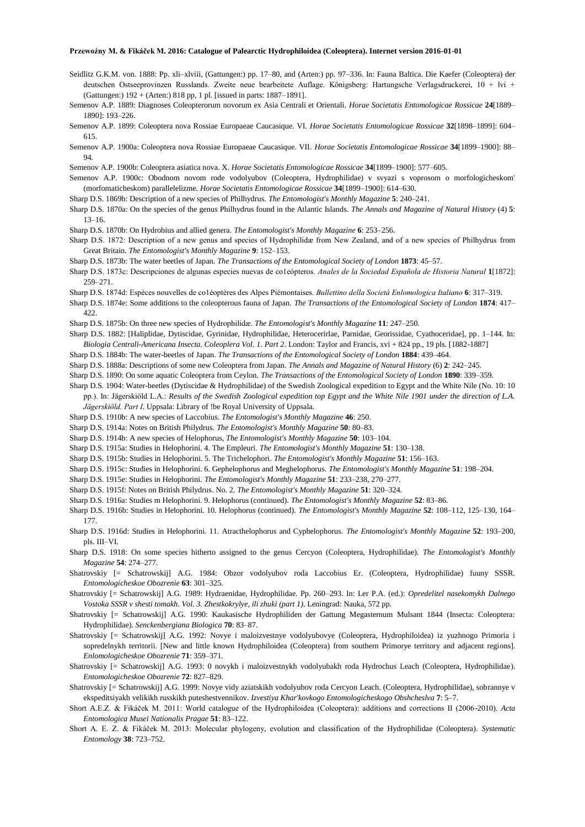- Seidlitz G.K.M. von. 1888: Pp. xli–xlviii, (Gattungen:) pp. 17–80, and (Arten:) pp. 97–336. In: Fauna Baltica. Die Kaefer (Coleoptera) der deutschen Ostseeprovinzen Russlands. Zweite neue bearbeitete Auflage. Königsberg: Hartungsche Verlagsdruckerei, 10 + lvi + (Gattungen:) 192 + (Arten:) 818 pp, 1 pl. [issued in parts: 1887–1891].
- Semenov A.P. 1889: Diagnoses Coleopterorum novorum ex Asia Centrali et Orientali. *Horae Societatis Entomologicae Rossicae* **24**[1889– 1890]: 193–226.
- Semenov A.P. 1899: Coleoptera nova Rossiae Europaeae Caucasique. VI. *Horae Societatis Entomologicae Rossicae* **32**[1898–1899]: 604– 615.
- Semenov A.P. 1900a: Coleoptera nova Rossiae Europaeae Caucasique. VII. *Horae Societatis Entomologicae Rossicae* **34**[1899–1900]: 88– 94.
- Semenov A.P. 1900b: Coleoptera asiatica nova. X. *Horae Societatis Entomologicae Rossicae* **34**[1899–1900]: 577–605.
- Semenov A.P. 1900c: Obodnom novom rode vodolyubov (Coleoptera, Hydrophilidae) v svyazi s voprosom o morfologicheskom' (morfomaticheskom) parallelelizme. *Horae Societatis Entomologicae Rossicae* **34**[1899–1900]: 614–630.
- Sharp D.S. 1869b: Description of a new species of Philhydrus. *The Entomologist's Monthly Magazine* **5**: 240–241.
- Sharp D.S. 1870a: On the species of the genus Philhydrus found in the Atlantic Islands. *The Annals and Magazine of Natural History* (4) **5**: 13–16.
- Sharp D.S. 1870b: On Hydrobius and allied genera. *The Entomologist's Monthly Magazine* **6**: 253–256.
- Sharp D.S. 1872: Description of a new genus and species of Hydrophilidæ from New Zealand, and of a new species of Philhydrus from Great Britain. *The Entomologist's Monthly Magazine* **9**: 152–153.
- Sharp D.S. 1873b: The water beetles of Japan. *The Transactions of the Entomological Society of London* **1873**: 45–57.
- Sharp D.S. 1873c: Descripciones de algunas especies nuevas de co1eópteros. *Anales de la Sociedad Española de Historia Natural* **1**[1872]: 259–271.
- Sharp D.S. 1874d: Espèces nouvelles de co1éoptères des Alpes Piémontaises. *Bullettino della Società Enlomologica Italiano* **6**: 317–319.
- Sharp D.S. 1874e: Some additions to the coleopterous fauna of Japan. *The Transactions of the Entomological Society of London* **1874**: 417– 422.
- Sharp D.S. 1875b: On three new species of Hydrophilidæ. *The Entomologist's Monthly Magazine* **11**: 247–250.
- Sharp D.S. 1882: [Haliplidae, Dytiscidae, Gyrinidae, Hydrophilidae, Heterocerirlae, Parnidae, Georissidae, Cyathoceridae], pp. 1–144. In: *Biologia Centrali-Americana Insecta. Coleoplera Vol. 1. Part 2*. London: Taylor and Francis, xvi + 824 pp., 19 pls. [1882-1887]
- Sharp D.S. 1884b: The water-beetles of Japan. *The Transactions of the Entomological Society of London* **1884**: 439–464.
- Sharp D.S. 1888a: Descriptions of some new Coleoptera from Japan. *The Annals and Magazine of Natural History* (6) **2**: 242–245.
- Sharp D.S. 1890: On some aquatic Coleoptera from Ceylon. *The Transactions of the Entomological Society of London* **1890**: 339–359.
- Sharp D.S. 1904: Water-beetles (Dytiscidae & Hydrophilidae) of the Swedish Zoological expedition to Egypt and the White Nile (No. 10: 10 pp.). In: Jägerskiöld L.A.: *Results of the Swedish Zoological expedition top Egypt and the White Nile 1901 under the direction of L.A. Jägerskiöld. Part I*. Uppsala: Library of !be Royal University of Uppsala.
- Sharp D.S. 1910b: A new species of Laccobius. *The Entomologist's Monthly Magazine* **46**: 250.
- Sharp D.S. 1914a: Notes on British Philydrus. *The Entomologist's Monthly Magazine* **50**: 80–83.
- Sharp D.S. 1914b: A new species of Helophorus, *The Entomologist's Monthly Magazine* **50**: 103–104.
- Sharp D.S. 1915a: Studies in Helophorini. 4. The Empleuri. *The Entomologist's Monthly Magazine* **51**: 130–138.
- Sharp D.S. 1915b: Studies in Helophorini. 5. The Trichelophori. *The Entomologist's Monthly Magazine* **51**: 156–163.
- Sharp D.S. 1915c: Studies in Helophorini. 6. Gephelophorus and Meghelophorus. *The Entomologist's Monthly Magazine* **51**: 198–204.
- Sharp D.S. 1915e: Studies in Helophorini. *The Entomologist's Monthly Magazine* **51**: 233–238, 270–277.
- Sharp D.S. 1915f: Notes on British Philydrus. No. 2. *The Entomologist's Monthly Magazine* **51**: 320–324.
- Sharp D.S. 1916a: Studies m Helophorini. 9. Helophorus (continued). *The Entomologist's Monthly Magazine* **52**: 83–86.
- Sharp D.S. 1916b: Studies in Helophorini. 10. Helophorus (continued). *The Entomologist's Monthly Magazine* **52**: 108–112, 125–130, 164– 177.
- Sharp D.S. 1916d: Studies in Helophorini. 11. Atracthelophorus and Cyphelophorus. *The Entomologist's Monthly Magazine* **52**: 193–200, pls. III–VI.
- Sharp D.S. 1918: On some species hitherto assigned to the genus Cercyon (Coleoptera, Hydrophilidae). *The Entomologist's Monthly Magazine* **54**: 274–277.
- Shatrovskiy [= Schatrowskij] A.G. 1984: Obzor vodolyubov roda Laccobius Er. (Coleoptera, Hydrophilidae) fuuny SSSR. *Entomologicheskoe Obozrenie* **63**: 301–325.
- Shatrovskiy [= Schatrowskij] A.G. 1989: Hydraenidae, Hydrophilidae. Pp. 260–293. In: Ler P.A. (ed.): *Opredelitel nasekomykh Dalnego Vostoka SSSR v shesti tomakh. Vol. 3. Zhestkokrylye, ili zhuki (part 1)*. Leningrad: Nauka, 572 pp.
- Shatrovskiy [= Schatrowskij] A.G. 1990: Kaukasische Hydrophiliden der Gattung Megasternum Mulsant 1844 (Insecta: Coleoptera: Hydrophilidae). *Senckenbergiana Biologica* **70**: 83–87.
- Shatrovskiy [= Schatrowskij] A.G. 1992: Novye i maloizvestnye vodolyubovye (Coleoptera, Hydrophiloidea) iz yuzhnogo Primoria i sopredelnykh territorii. [New and little known Hydrophiloidea (Coleoptera) from southern Primorye territory and adjacent regions]. *Enlomologicheskoe Obozrenie* **71**: 359–371.
- Shatrovskiy [= Schatrowskij] A.G. 1993: 0 novykh i maloizvestnykh vodolyubakh roda Hydrochus Leach (Coleoptera, Hydrophilidae). *Entomologicheskoe Obozrenie* **72**: 827–829.
- Shatrovskiy [= Schatrowskij] A.G. 1999: Novye vidy aziatskikh vodolyubov roda Cercyon Leach. (Coleoptera, Hydrophilidae), sobrannye v ekspeditsiyakh velikikh russkikh puteshestvennikov. *Izvestiya Khar'kovkogo Entomologicheskogo Obshcheslva* **7**: 5–7.
- Short A.E.Z. & Fikáček M. 2011: World catalogue of the Hydrophiloidea (Coleoptera): additions and corrections II (2006-2010). *Acta Entomologica Musei Nationalis Pragae* **51**: 83–122.
- Short A. E. Z. & Fikáček M. 2013: Molecular phylogeny, evolution and classification of the Hydrophilidae (Coleoptera). *Systematic Entomology* **38**: 723–752.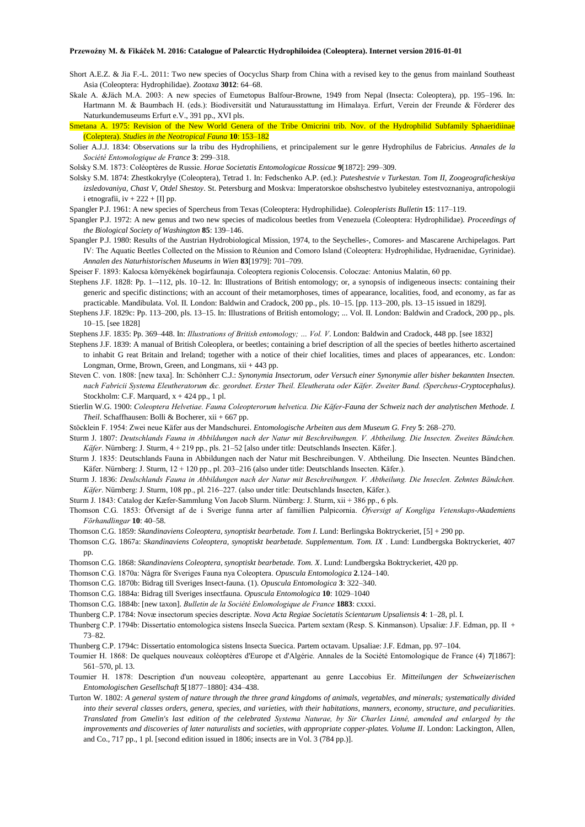- Short A.E.Z. & Jia F.-L. 2011: Two new species of Oocyclus Sharp from China with a revised key to the genus from mainland Southeast Asia (Coleoptera: Hydrophilidae). *Zootaxa* **3012**: 64–68.
- Skale A. &Jäch M.A. 2003: A new species of Eumetopus Balfour-Browne, 1949 from Nepal (Insecta: Coleoptera), pp. 195–196. In: Hartmann M. & Baumbach H. (eds.): Biodiversität und Naturausstattung im Himalaya. Erfurt, Verein der Freunde & Förderer des Naturkundemuseums Erfurt e.V., 391 pp., XVI pls.
- Smetana A. 1975: Revision of the New World Genera of the Tribe Omicrini trib. Nov. of the Hydrophilid Subfamily Sphaeridiinae (Coleptera). *Studies in the Neotropical Fauna* **10**: 153–182
- Solier A.J.J. 1834: Observations sur la tribu des Hydrophiliens, et principalement sur le genre Hydrophilus de Fabricius. *Annales de la Société Entomologique de France* **3**: 299–318.
- Solsky S.M. 1873: Coléoptères de Russie. *Horae Societatis Entomologicae Rossicae* **9**[1872]: 299–309.
- Solsky S.M. 1874: Zhestkokrylye (Coleoptera), Tetrad 1. In: Fedschenko A.P. (ed.): *Puteshestvie v Turkestan. Tom II, Zoogeograficheskiya izsledovaniya, Chast V, Otdel Shestoy*. St. Petersburg and Moskva: Imperatorskoe obshschestvo lyubiteley estestvoznaniya, antropologii i etnografii, iv  $+ 222 + [I]$  pp.
- Spangler P.J. 1961: A new species of Spercheus from Texas (Coleoptera: Hydrophilidae). *Coleoplerists Bulletin* **15**: 117–119.
- Spangler P.J. 1972: A new genus and two new species of madicolous beetles from Venezuela (Coleoptera: Hydrophilidae). *Proceedings of the Biological Society of Washington* **85**: 139–146.
- Spangler P.J. 1980: Results of the Austrian Hydrobiological Mission, 1974, to the Seychelles-, Comores- and Mascarene Archipelagos. Part IV: The Aquatic Beetles Collected on the Mission to Réunion and Comoro Island (Coleoptera: Hydrophilidae, Hydraenidae, Gyrinidae). *Annalen des Naturhistorischen Museums in Wien* **83**[1979]: 701–709.
- Speiser F. 1893: Kalocsa környékének bogárfaunaja. Coleoptera regionis Colocensis. Coloczae: Antonius Malatin, 60 pp.
- Stephens J.F. 1828: Pp. 1–-112, pls. 10–12. In: Illustrations of British entomology; or, a synopsis of indigeneous insects: containing their generic and specific distinctions; with an account of their metamorphoses, times of appearance, localities, food, and economy, as far as practicable. Mandibulata. Vol. II. London: Baldwin and Cradock, 200 pp., pls. 10–15. [pp. 113–200, pls. 13–15 issued in 1829].
- Stephens J.F. 1829c: Pp. 113–200, pls. 13–15. In: Illustrations of British entomology; ... Vol. II. London: Baldwin and Cradock, 200 pp., pls. 10–15. [see 1828]
- Stephens J.F. 1835: Pp. 369–448. In: *Illustrations of British entomology; … Vol. V*. London: Baldwin and Cradock, 448 pp. [see 1832]
- Stephens J.F. 1839: A manual of British Coleoplera, or beetles; containing a brief description of all the species of beetles hitherto ascertained to inhabit G reat Britain and Ireland; together with a notice of their chief localities, times and places of appearances, etc. London: Longman, Orme, Brown, Green, and Longmans, xii + 443 pp.
- Steven C. von. 1808: [new taxa]. In: Schönherr C.J.: *Synonymia Insectorum, oder Versuch einer Synonymie aller bisher bekannten Insecten. nach Fabricii Systema Eleutheratorum &c. geordnet. Erster Theil. Eleutherata oder Käfer. Zweiter Band. (Spercheus-Cryptocephalus)*. Stockholm: C.F. Marquard,  $x + 424$  pp., 1 pl.
- Stierlin W.G. 1900: *Coleoptera Helvetiae. Fauna Coleopterorum helvetica. Die Käfer-Fauna der Schweiz nach der analytischen Methode. I. Theil*. Schaffhausen: Bolli & Bocherer, xii + 667 pp.
- Stöcklein F. 1954: Zwei neue Käfer aus der Mandschurei. *Entomologische Arbeiten aus dem Museum G. Frey* **5**: 268–270.
- Sturm J. 1807: *Deutschlands Fauna in Abbildungen nach der Natur mit Beschreibungen. V. Abtheilung. Die Insecten. Zweites Bändchen. Käfer*. Nürnberg: J. Sturm, 4 + 219 pp., pls. 21–52 [also under title: Deutschlands Insecten. Käfer.].
- Sturm J. 1835: Deutschlands Fauna in Abbildungen nach der Natur mit Beschreibungen. V. Abtheilung. Die Insecten. Neuntes Bändchen. Käfer. Nürnberg: J. Sturm, 12 + 120 pp., pl. 203–216 (also under title: Deutschlands Insecten. Käfer.).
- Sturm J. 1836: *Deulschlands Fauna in Abbildungen nach der Natur mit Beschreibungen. V. Abtheilung. Die Inseclen. Zehntes Bändchen. Käfer*. Nürnberg: J. Sturm, 108 pp., pl. 216–227. (also under title: Deutschlands Insecten, Käfer.).
- Sturm J. 1843: Catalog der Kæfer-Sammlung Von Jacob Slurm. Nürnberg: J. Sturm, xii + 386 pp., 6 pls.
- Thomson C.G. 1853: Öfversigt af de i Sverige funna arter af famillien Palpicornia. *Öfversigt af Kongliga Vetenskaps-Akademiens Förhandlingar* **10**: 40–58.
- Thomson C.G. 1859: *Skandinaviens Coleoptera, synoptiskt bearbetade. Tom I.* Lund: Berlingska Boktryckeriet, [5] + 290 pp.
- Thomson C.G. 1867a: *Skandinaviens Coleoptera, synoptiskt bearbetade. Supplementum. Tom. IX* . Lund: Lundbergska Boktryckeriet, 407 pp.
- Thomson C.G. 1868: *Skandinaviens Coleoptera, synoptiskt bearbetade. Tom. X*. Lund: Lundbergska Boktryckeriet, 420 pp.
- Thomson C.G. 1870a: Några för Sveriges Fauna nya Coleoptera. *Opuscula Entomologica* **2**.124–140.
- Thomson C.G. 1870b: Bidrag till Sveriges Insect-fauna. (1). *Opuscula Entomologica* **3**: 322–340.
- Thomson C.G. 1884a: Bidrag till Sveriges insectfauna. *Opuscula Entomologica* **10**: 1029–1040
- Thomson C.G. 1884b: [new taxon]. *Bulletin de la Société Enlomologique de France* **1883**: cxxxi.
- Thunberg C.P. 1784: Novæ insectorum species descriptæ. *Nova Acta Regiae Societatis Scientarum Upsaliensis* **4**: 1–28, pl. I.
- Thunberg C.P. 1794b: Dissertatio entomologica sistens Insecla Suecica. Partem sextam (Resp. S. Kinmanson). Upsaliæ: J.F. Edman, pp. II + 73–82.
- Thunberg C.P. 1794c: Dissertatio entomologica sistens Insecta Suecica. Partem octavam. Upsaliae: J.F. Edman, pp. 97–104.
- Toumier H. 1868: De quelques nouveaux coléoptères d'Europe et d'Algérie. Annales de la Société Entomologique de France (4) **7**[1867]: 561–570, pl. 13.
- Toumier H. 1878: Description d'un nouveau coleoptère, appartenant au genre Laccobius Er. *Mitteilungen der Schweizerischen Entomologischen Gesellschaft* **5**[1877–1880]: 434–438.
- Turton W. 1802: *A general system of nature through the three grand kingdoms of animals, vegetables, and minerals; systematically divided into their several classes orders, genera, species, and varieties, with their habitations, manners, economy, structure, and peculiarities. Translated from Gmelin's last edition of the celebrated Systema Naturae, by Sir Charles Linné, amended and enlarged by the improvements and discoveries of later naturalists and societies, with appropriate copper-plates. Volume II*. London: Lackington, Allen, and Co., 717 pp., 1 pl. [second edition issued in 1806; insects are in Vol. 3 (784 pp.)].